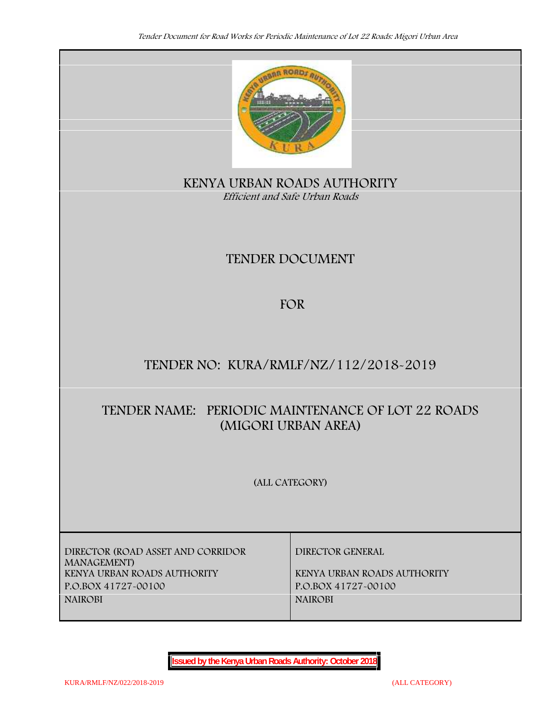

**KENYA URBAN ROADS AUTHORITY** *Efficient and Safe Urban Roads*

# **TENDER DOCUMENT**

## **FOR**

# **TENDER NO: KURA/RMLF/NZ/112/2018-2019**

# **TENDER NAME: PERIODIC MAINTENANCE OF LOT 22 ROADS (MIGORI URBAN AREA)**

**(ALL CATEGORY)**

**DIRECTOR (ROAD ASSET AND CORRIDOR MANAGEMENT) KENYA URBAN ROADS AUTHORITY KENYA URBAN ROADS AUTHORITY P.O.BOX 41727-00100 P.O.BOX 41727-00100 NAIROBI NAIROBI**

**DIRECTOR GENERAL**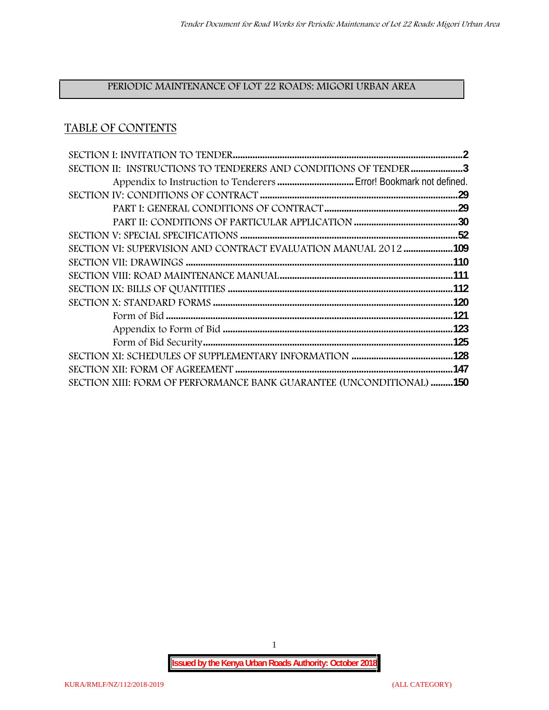## **PERIODIC MAINTENANCE OF LOT 22 ROADS: MIGORI URBAN AREA**

## **TABLE OF CONTENTS**

| SECTION II: INSTRUCTIONS TO TENDERERS AND CONDITIONS OF TENDER 3     |
|----------------------------------------------------------------------|
|                                                                      |
|                                                                      |
|                                                                      |
|                                                                      |
|                                                                      |
| SECTION VI: SUPERVISION AND CONTRACT EVALUATION MANUAL 2012109       |
|                                                                      |
|                                                                      |
|                                                                      |
|                                                                      |
|                                                                      |
|                                                                      |
|                                                                      |
|                                                                      |
|                                                                      |
| SECTION XIII: FORM OF PERFORMANCE BANK GUARANTEE (UNCONDITIONAL) 150 |

1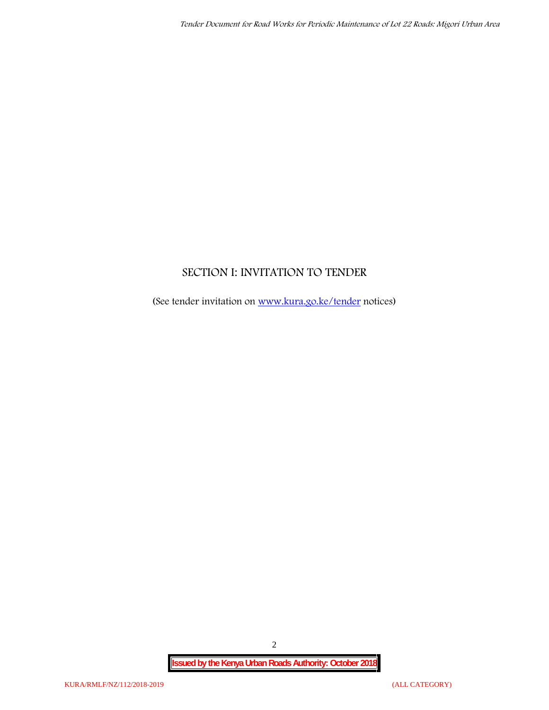## **SECTION I: INVITATION TO TENDER**

(See tender invitation on www.kura.go.ke/tender notices)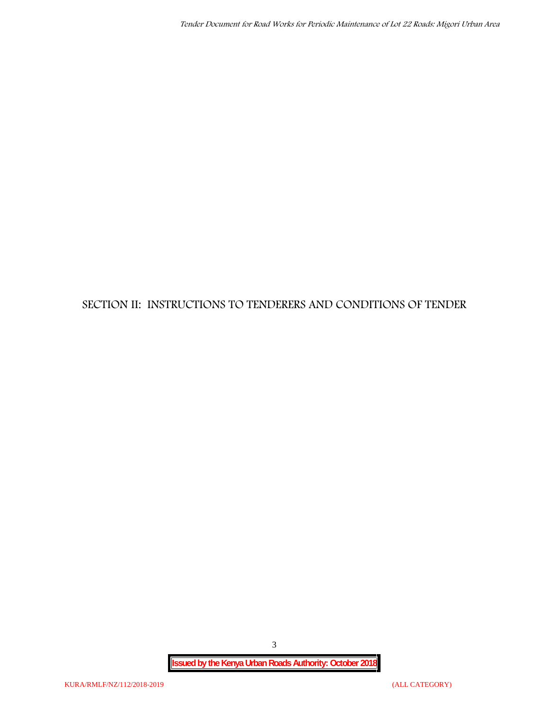## **SECTION II: INSTRUCTIONS TO TENDERERS AND CONDITIONS OF TENDER**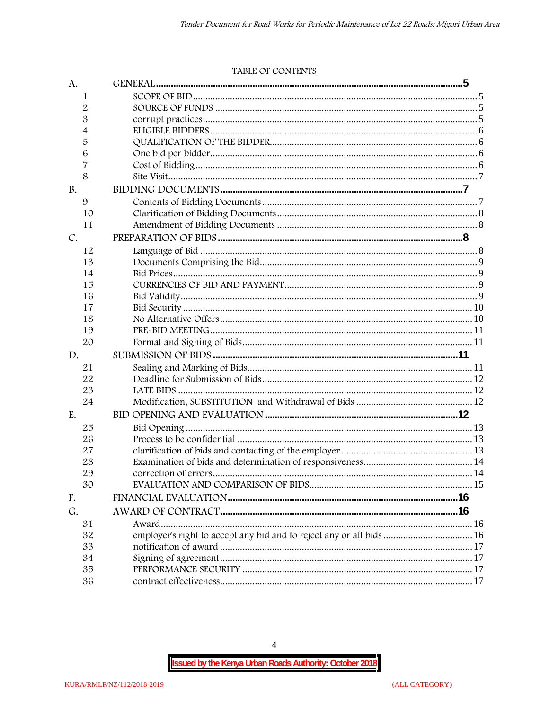#### TABLE OF CONTENTS

| A.        |                                                                      |  |
|-----------|----------------------------------------------------------------------|--|
| 1         |                                                                      |  |
| 2         |                                                                      |  |
| 3         |                                                                      |  |
| 4         |                                                                      |  |
| 5         |                                                                      |  |
| 6         |                                                                      |  |
| 7         |                                                                      |  |
| 8         |                                                                      |  |
| <b>B.</b> |                                                                      |  |
| 9         |                                                                      |  |
| 10        |                                                                      |  |
| 11        |                                                                      |  |
| C.        |                                                                      |  |
| 12        |                                                                      |  |
| 13        |                                                                      |  |
| 14        |                                                                      |  |
| 15        |                                                                      |  |
| 16        |                                                                      |  |
| 17        |                                                                      |  |
| 18        |                                                                      |  |
| 19        |                                                                      |  |
| 20        |                                                                      |  |
| D.        |                                                                      |  |
| 21        |                                                                      |  |
| 22        |                                                                      |  |
| 23        |                                                                      |  |
| 24        |                                                                      |  |
| E.        |                                                                      |  |
| 25        |                                                                      |  |
| 26        |                                                                      |  |
| 27        |                                                                      |  |
| 28        |                                                                      |  |
| 29        |                                                                      |  |
| 30        |                                                                      |  |
| F.        |                                                                      |  |
| G.        |                                                                      |  |
| 31        |                                                                      |  |
| 32        | employer's right to accept any bid and to reject any or all bids  16 |  |
| 33        |                                                                      |  |
| 34        |                                                                      |  |
| 35        |                                                                      |  |
| 36        |                                                                      |  |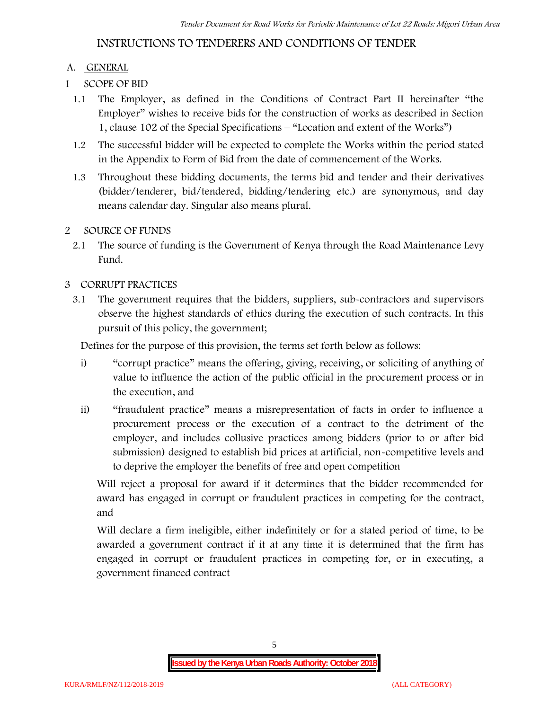## **INSTRUCTIONS TO TENDERERS AND CONDITIONS OF TENDER**

#### **A. GENERAL**

- **1 SCOPE OF BID**
	- 1.1 The Employer, as defined in the Conditions of Contract Part II hereinafter "the Employer" wishes to receive bids for the construction of works as described in Section 1, clause 102 of the Special Specifications – "Location and extent of the Works")
	- 1.2 The successful bidder will be expected to complete the Works within the period stated in the Appendix to Form of Bid from the date of commencement of the Works.
	- 1.3 Throughout these bidding documents, the terms bid and tender and their derivatives (bidder/tenderer, bid/tendered, bidding/tendering etc.) are synonymous, and day means calendar day. Singular also means plural.

#### **2 SOURCE OF FUNDS**

2.1 The source of funding is the Government of Kenya through the Road Maintenance Levy Fund.

#### **3 CORRUPT PRACTICES**

3.1 The government requires that the bidders, suppliers, sub-contractors and supervisors observe the highest standards of ethics during the execution of such contracts. In this pursuit of this policy, the government;

Defines for the purpose of this provision, the terms set forth below as follows:

- i) "corrupt practice" means the offering, giving, receiving, or soliciting of anything of value to influence the action of the public official in the procurement process or in the execution, and
- ii) "fraudulent practice" means a misrepresentation of facts in order to influence a procurement process or the execution of a contract to the detriment of the employer, and includes collusive practices among bidders (prior to or after bid submission) designed to establish bid prices at artificial, non-competitive levels and to deprive the employer the benefits of free and open competition

Will reject a proposal for award if it determines that the bidder recommended for award has engaged in corrupt or fraudulent practices in competing for the contract, and

Will declare a firm ineligible, either indefinitely or for a stated period of time, to be awarded a government contract if it at any time it is determined that the firm has engaged in corrupt or fraudulent practices in competing for, or in executing, a government financed contract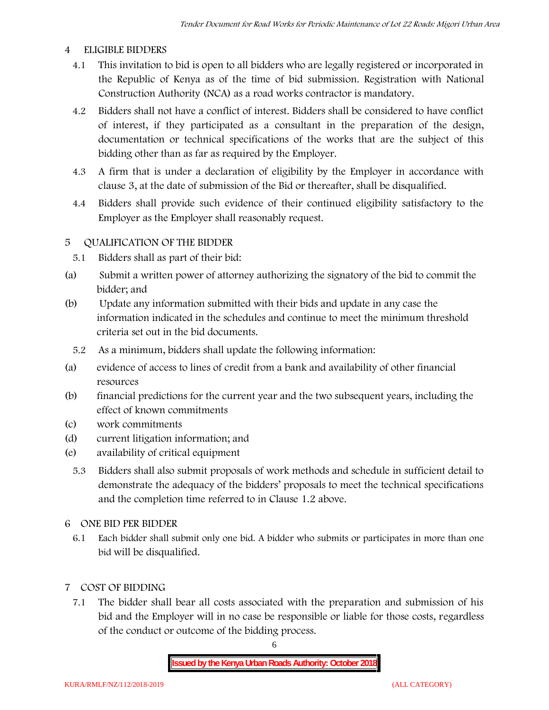#### **4 ELIGIBLE BIDDERS**

- 4.1 This invitation to bid is open to all bidders who are legally registered or incorporated in the Republic of Kenya as of the time of bid submission. Registration with National Construction Authority (NCA) as a road works contractor is mandatory.
- 4.2 Bidders shall not have a conflict of interest. Bidders shall be considered to have conflict of interest, if they participated as a consultant in the preparation of the design, documentation or technical specifications of the works that are the subject of this bidding other than as far as required by the Employer.
- 4.3 A firm that is under a declaration of eligibility by the Employer in accordance with clause 3, at the date of submission of the Bid or thereafter, shall be disqualified.
- 4.4 Bidders shall provide such evidence of their continued eligibility satisfactory to the Employer as the Employer shall reasonably request.

#### **5 QUALIFICATION OF THE BIDDER**

- 5.1 Bidders shall as part of their bid:
- (a) Submit a written power of attorney authorizing the signatory of the bid to commit the bidder; and
- (b) Update any information submitted with their bids and update in any case the information indicated in the schedules and continue to meet the minimum threshold criteria set out in the bid documents.
	- 5.2 As a minimum, bidders shall update the following information:
- (a) evidence of access to lines of credit from a bank and availability of other financial resources
- (b) financial predictions for the current year and the two subsequent years, including the effect of known commitments
- (c) work commitments
- (d) current litigation information; and
- (e) availability of critical equipment
	- 5.3 Bidders shall also submit proposals of work methods and schedule in sufficient detail to demonstrate the adequacy of the bidders' proposals to meet the technical specifications and the completion time referred to in Clause 1.2 above.
- **6 ONE BID PER BIDDER**
	- 6.1 Each bidder shall submit only one bid. A bidder who submits or participates in more than one bid will be disqualified.
- **7 COST OF BIDDING**
	- 7.1 The bidder shall bear all costs associated with the preparation and submission of his bid and the Employer will in no case be responsible or liable for those costs, regardless of the conduct or outcome of the bidding process.

6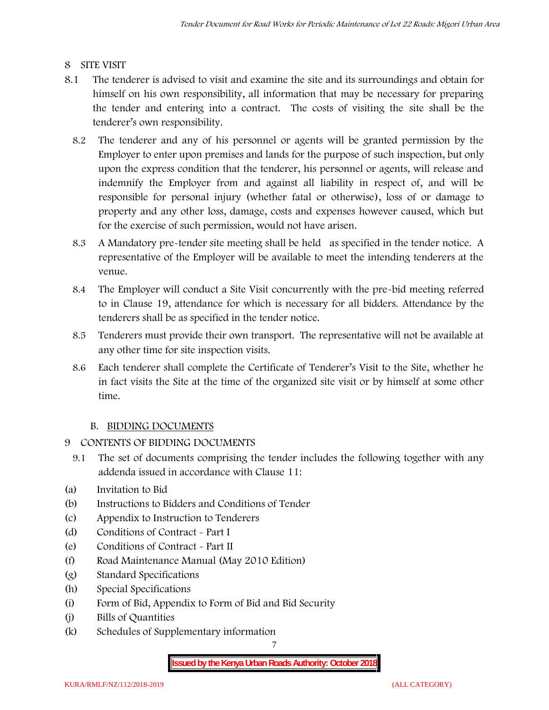#### **8 SITE VISIT**

- 8.1 The tenderer is advised to visit and examine the site and its surroundings and obtain for himself on his own responsibility, all information that may be necessary for preparing the tender and entering into a contract. The costs of visiting the site shall be the tenderer's own responsibility.
	- 8.2 The tenderer and any of his personnel or agents will be granted permission by the Employer to enter upon premises and lands for the purpose of such inspection, but only upon the express condition that the tenderer, his personnel or agents, will release and indemnify the Employer from and against all liability in respect of, and will be responsible for personal injury (whether fatal or otherwise), loss of or damage to property and any other loss, damage, costs and expenses however caused, which but for the exercise of such permission, would not have arisen.
	- 8.3 A Mandatory pre-tender site meeting shall be held as specified in the tender notice. A representative of the Employer will be available to meet the intending tenderers at the venue.
	- 8.4 The Employer will conduct a Site Visit concurrently with the pre-bid meeting referred to in Clause 19, attendance for which is necessary for all bidders. Attendance by the tenderers shall be as specified in the tender notice.
	- 8.5 Tenderers must provide their own transport. The representative will not be available at any other time for site inspection visits.
	- 8.6 Each tenderer shall complete the Certificate of Tenderer's Visit to the Site, whether he in fact visits the Site at the time of the organized site visit or by himself at some other time.

#### **B. BIDDING DOCUMENTS**

- **9 CONTENTS OF BIDDING DOCUMENTS**
	- 9.1 The set of documents comprising the tender includes the following together with any addenda issued in accordance with Clause 11:
- (a) Invitation to Bid
- (b) Instructions to Bidders and Conditions of Tender
- (c) Appendix to Instruction to Tenderers
- (d) Conditions of Contract Part I
- (e) Conditions of Contract Part II
- (f) Road Maintenance Manual (May 2010 Edition)
- (g) Standard Specifications
- (h) Special Specifications
- (i) Form of Bid, Appendix to Form of Bid and Bid Security
- (j) Bills of Quantities
- (k) Schedules of Supplementary information

7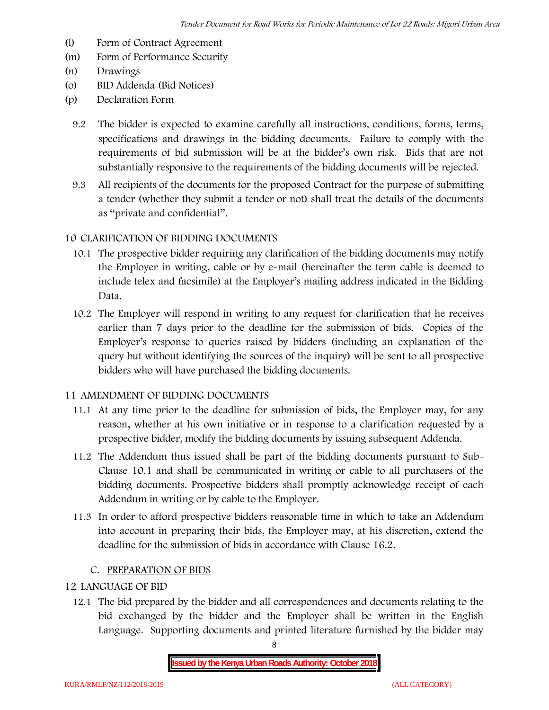- (l) Form of Contract Agreement
- (m) Form of Performance Security
- (n) Drawings
- (o) BID Addenda (Bid Notices)
- (p) Declaration Form
	- 9.2 The bidder is expected to examine carefully all instructions, conditions, forms, terms, specifications and drawings in the bidding documents. Failure to comply with the requirements of bid submission will be at the bidder's own risk. Bids that are not substantially responsive to the requirements of the bidding documents will be rejected.
	- 9.3 All recipients of the documents for the proposed Contract for the purpose of submitting a tender (whether they submit a tender or not) shall treat the details of the documents as "private and confidential".

#### **10 CLARIFICATION OF BIDDING DOCUMENTS**

- 10.1 The prospective bidder requiring any clarification of the bidding documents may notify the Employer in writing, cable or by e-mail (hereinafter the term cable is deemed to include telex and facsimile) at the Employer's mailing address indicated in the Bidding Data.
- 10.2 The Employer will respond in writing to any request for clarification that he receives earlier than 7 days prior to the deadline for the submission of bids. Copies of the Employer's response to queries raised by bidders (including an explanation of the query but without identifying the sources of the inquiry) will be sent to all prospective bidders who will have purchased the bidding documents.

#### **11 AMENDMENT OF BIDDING DOCUMENTS**

- 11.1 At any time prior to the deadline for submission of bids, the Employer may, for any reason, whether at his own initiative or in response to a clarification requested by a prospective bidder, modify the bidding documents by issuing subsequent Addenda.
- 11.2 The Addendum thus issued shall be part of the bidding documents pursuant to Sub- Clause 10.1 and shall be communicated in writing or cable to all purchasers of the bidding documents. Prospective bidders shall promptly acknowledge receipt of each Addendum in writing or by cable to the Employer.
- 11.3 In order to afford prospective bidders reasonable time in which to take an Addendum into account in preparing their bids, the Employer may, at his discretion, extend the deadline for the submission of bids in accordance with Clause 16.2.

#### **C. PREPARATION OF BIDS**

#### **12 LANGUAGE OF BID**

12.1 The bid prepared by the bidder and all correspondences and documents relating to the bid exchanged by the bidder and the Employer shall be written in the English Language. Supporting documents and printed literature furnished by the bidder may

8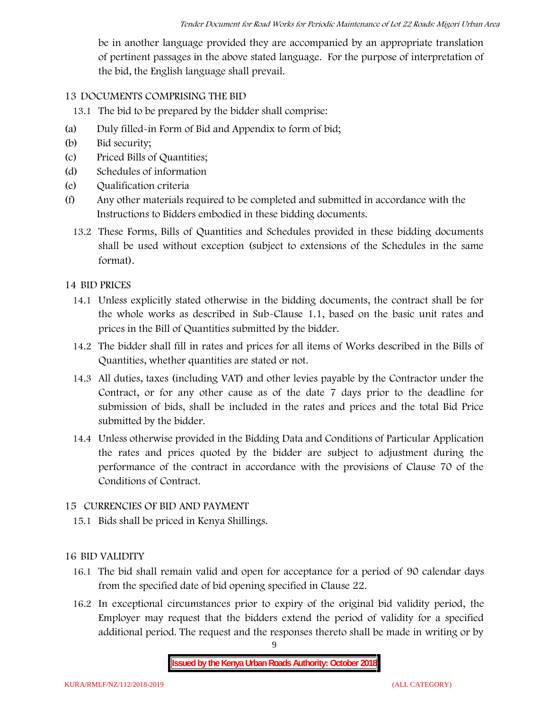be in another language provided they are accompanied by an appropriate translation of pertinent passages in the above stated language. For the purpose of interpretation of the bid, the English language shall prevail.

#### **13 DOCUMENTS COMPRISING THE BID**

13.1 The bid to be prepared by the bidder shall comprise:

- (a) Duly filled-in Form of Bid and Appendix to form of bid;
- (b) Bid security;
- (c) Priced Bills of Quantities;
- (d) Schedules of information
- (e) Qualification criteria
- (f) Any other materials required to be completed and submitted in accordance with the Instructions to Bidders embodied in these bidding documents.
	- 13.2 These Forms, Bills of Quantities and Schedules provided in these bidding documents shall be used without exception (subject to extensions of the Schedules in the same format).

#### **14 BID PRICES**

- 14.1 Unless explicitly stated otherwise in the bidding documents, the contract shall be for the whole works as described in Sub-Clause 1.1, based on the basic unit rates and prices in the Bill of Quantities submitted by the bidder.
- 14.2 The bidder shall fill in rates and prices for all items of Works described in the Bills of Quantities, whether quantities are stated or not.
- 14.3 All duties, taxes (including VAT) and other levies payable by the Contractor under the Contract, or for any other cause as of the date 7 days prior to the deadline for submission of bids, shall be included in the rates and prices and the total Bid Price submitted by the bidder.
- 14.4 Unless otherwise provided in the Bidding Data and Conditions of Particular Application the rates and prices quoted by the bidder are subject to adjustment during the performance of the contract in accordance with the provisions of Clause 70 of the Conditions of Contract.

#### **15 CURRENCIES OF BID AND PAYMENT**

15.1 Bids shall be priced in Kenya Shillings.

#### **16 BID VALIDITY**

- 16.1 The bid shall remain valid and open for acceptance for a period of 90 calendar days from the specified date of bid opening specified in Clause 22.
- 16.2 In exceptional circumstances prior to expiry of the original bid validity period, the Employer may request that the bidders extend the period of validity for a specified additional period. The request and the responses thereto shall be made in writing or by

9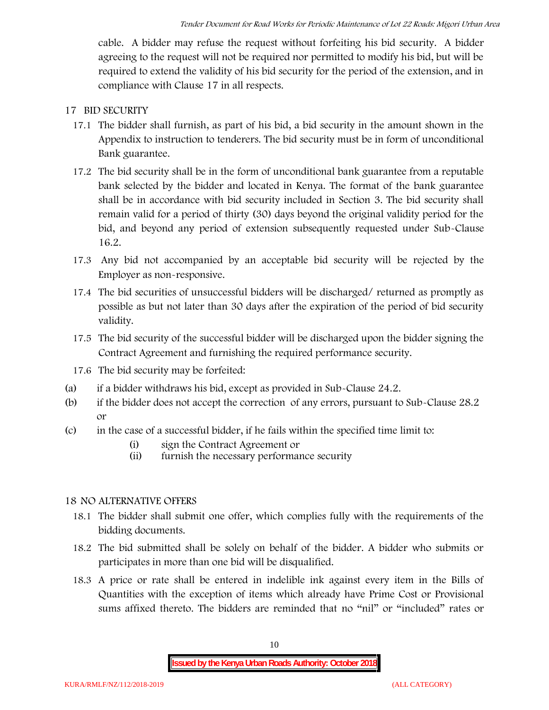cable. A bidder may refuse the request without forfeiting his bid security. A bidder agreeing to the request will not be required nor permitted to modify his bid, but will be required to extend the validity of his bid security for the period of the extension, and in compliance with Clause 17 in all respects.

#### **17 BID SECURITY**

- **17.1** The bidder shall furnish, as part of his bid, a bid security in the amount shown in the Appendix to instruction to tenderers. **The bid security must be in form of unconditional Bank guarantee.**
- 17.2 The bid security shall be in the form of unconditional bank guarantee from a reputable bank selected by the bidder and located in Kenya. The format of the bank guarantee shall be in accordance with bid security included in Section 3. The bid security shall remain valid for a period of thirty (30) days beyond the original validity period for the bid, and beyond any period of extension subsequently requested under Sub-Clause 16.2.
- 17.3 Any bid not accompanied by an acceptable bid security will be rejected by the Employer as non-responsive.
- 17.4 The bid securities of unsuccessful bidders will be discharged/ returned as promptly as possible as but not later than 30 days after the expiration of the period of bid security validity.
- 17.5 The bid security of the successful bidder will be discharged upon the bidder signing the Contract Agreement and furnishing the required performance security.
- 17.6 The bid security may be forfeited:
- (a) if a bidder withdraws his bid, except as provided in Sub-Clause 24.2.
- (b) if the bidder does not accept the correction of any errors, pursuant to Sub-Clause 28.2 or
- (c) in the case of a successful bidder, if he fails within the specified time limit to:
	- (i) sign the Contract Agreement or
	- (ii) furnish the necessary performance security

#### **18 NO ALTERNATIVE OFFERS**

- 18.1 The bidder shall submit one offer, which complies fully with the requirements of the bidding documents.
- 18.2 The bid submitted shall be solely on behalf of the bidder. A bidder who submits or participates in more than one bid will be disqualified.
- 18.3 A price or rate shall be entered in indelible ink against every item in the Bills of Quantities with the exception of items which already have Prime Cost or Provisional sums affixed thereto. The bidders are reminded that no "nil" or "included" rates or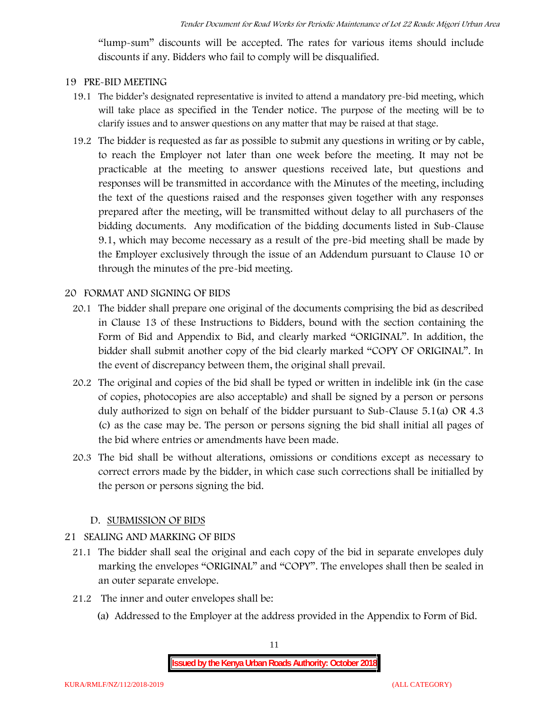"lump-sum" discounts will be accepted. The rates for various items should include discounts if any. Bidders who fail to comply will be disqualified.

#### **19 PRE-BID MEETING**

- 19.1 The bidder's designated representative is invited to attend a mandatory pre-bid meeting, which will take place as specified in the Tender notice. The purpose of the meeting will be to clarify issues and to answer questions on any matter that may be raised at that stage.
- 19.2 The bidder is requested as far as possible to submit any questions in writing or by cable, to reach the Employer not later than one week before the meeting. It may not be practicable at the meeting to answer questions received late, but questions and responses will be transmitted in accordance with the Minutes of the meeting, including the text of the questions raised and the responses given together with any responses prepared after the meeting, will be transmitted without delay to all purchasers of the bidding documents. Any modification of the bidding documents listed in Sub-Clause 9.1, which may become necessary as a result of the pre-bid meeting shall be made by the Employer exclusively through the issue of an Addendum pursuant to Clause 10 or through the minutes of the pre-bid meeting.

#### **20 FORMAT AND SIGNING OF BIDS**

- 20.1 The bidder shall prepare one original of the documents comprising the bid as described in Clause 13 of these Instructions to Bidders, bound with the section containing the Form of Bid and Appendix to Bid, and clearly marked "ORIGINAL". In addition, the bidder shall submit another copy of the bid clearly marked "COPY OF ORIGINAL". In the event of discrepancy between them, the original shall prevail.
- 20.2 The original and copies of the bid shall be typed or written in indelible ink (in the case of copies, photocopies are also acceptable) and shall be signed by a person or persons duly authorized to sign on behalf of the bidder pursuant to Sub-Clause 5.1(a) OR 4.3 (c) as the case may be. The person or persons signing the bid shall initial all pages of the bid where entries or amendments have been made.
- 20.3 The bid shall be without alterations, omissions or conditions except as necessary to correct errors made by the bidder, in which case such corrections shall be initialled by the person or persons signing the bid.

#### **D. SUBMISSION OF BIDS**

#### **21 SEALING AND MARKING OF BIDS**

- 21.1 The bidder shall seal the original and each copy of the bid in separate envelopes duly marking the envelopes "ORIGINAL" and "COPY". The envelopes shall then be sealed in an outer separate envelope.
- 21.2 The inner and outer envelopes shall be:
	- (a) Addressed to the Employer at the address provided in the Appendix to Form of Bid.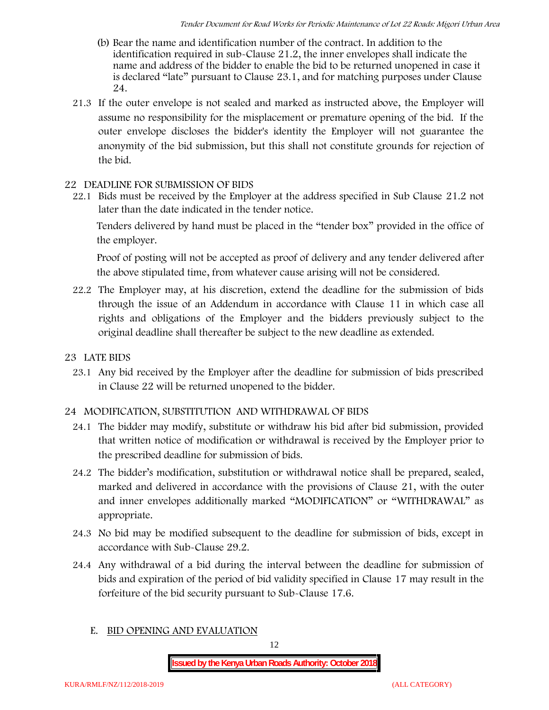- (b) Bear the name and identification number of the contract. In addition to the identification required in sub-Clause 21.2, the inner envelopes shall indicate the name and address of the bidder to enable the bid to be returned unopened in case it is declared "late" pursuant to Clause 23.1, and for matching purposes under Clause 24.
- 21.3 If the outer envelope is not sealed and marked as instructed above, the Employer will assume no responsibility for the misplacement or premature opening of the bid. If the outer envelope discloses the bidder's identity the Employer will not guarantee the anonymity of the bid submission, but this shall not constitute grounds for rejection of the bid.

#### **22 DEADLINE FOR SUBMISSION OF BIDS**

22.1 Bids must be received by the Employer at the address specified in Sub Clause 21.2 not later than **the date indicated in the tender notice.**

Tenders delivered by hand must be placed in the "tender box" provided in the office of the employer.

Proof of posting will not be accepted as proof of delivery and any tender delivered after the above stipulated time, from whatever cause arising will not be considered.

- 22.2 The Employer may, at his discretion, extend the deadline for the submission of bids through the issue of an Addendum in accordance with Clause 11 in which case all rights and obligations of the Employer and the bidders previously subject to the original deadline shall thereafter be subject to the new deadline as extended.
- **23 LATE BIDS**
	- 23.1 Any bid received by the Employer after the deadline for submission of bids prescribed in Clause 22 will be returned unopened to the bidder.

#### **24 MODIFICATION, SUBSTITUTION AND WITHDRAWAL OF BIDS**

- 24.1 The bidder may modify, substitute or withdraw his bid after bid submission, provided that written notice of modification or withdrawal is received by the Employer prior to the prescribed deadline for submission of bids.
- 24.2 The bidder's modification, substitution or withdrawal notice shall be prepared, sealed, marked and delivered in accordance with the provisions of Clause 21, with the outer and inner envelopes additionally marked "MODIFICATION" or "WITHDRAWAL" as appropriate.
- 24.3 No bid may be modified subsequent to the deadline for submission of bids, except in accordance with Sub-Clause 29.2.
- 24.4 Any withdrawal of a bid during the interval between the deadline for submission of bids and expiration of the period of bid validity specified in Clause 17 may result in the forfeiture of the bid security pursuant to Sub-Clause 17.6.
	- **E. BID OPENING AND EVALUATION**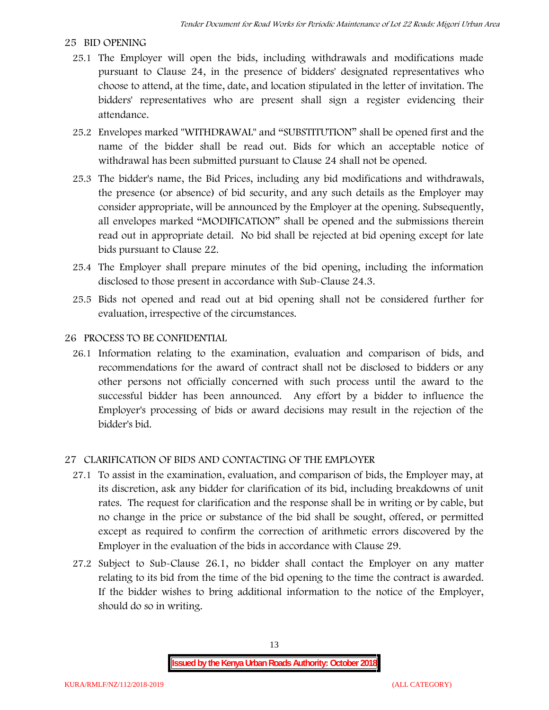#### **25 BID OPENING**

- 25.1 The Employer will open the bids, including withdrawals and modifications made pursuant to Clause 24, in the presence of bidders' designated representatives who choose to attend, at the time, date, and location stipulated in the letter of invitation. The bidders' representatives who are present shall sign a register evidencing their attendance.
- 25.2 Envelopes marked "WITHDRAWAL" and "SUBSTITUTION" shall be opened first and the name of the bidder shall be read out. Bids for which an acceptable notice of withdrawal has been submitted pursuant to Clause 24 shall not be opened.
- 25.3 The bidder's name, the Bid Prices, including any bid modifications and withdrawals, the presence (or absence) of bid security, and any such details as the Employer may consider appropriate, will be announced by the Employer at the opening. Subsequently, all envelopes marked "MODIFICATION" shall be opened and the submissions therein read out in appropriate detail. No bid shall be rejected at bid opening except for late bids pursuant to Clause 22.
- 25.4 The Employer shall prepare minutes of the bid opening, including the information disclosed to those present in accordance with Sub-Clause 24.3.
- 25.5 Bids not opened and read out at bid opening shall not be considered further for evaluation, irrespective of the circumstances.

#### **26 PROCESS TO BE CONFIDENTIAL**

26.1 Information relating to the examination, evaluation and comparison of bids, and recommendations for the award of contract shall not be disclosed to bidders or any other persons not officially concerned with such process until the award to the successful bidder has been announced. Any effort by a bidder to influence the Employer's processing of bids or award decisions may result in the rejection of the bidder's bid.

#### **27 CLARIFICATION OF BIDS AND CONTACTING OF THE EMPLOYER**

- 27.1 To assist in the examination, evaluation, and comparison of bids, the Employer may, at its discretion, ask any bidder for clarification of its bid, including breakdowns of unit rates. The request for clarification and the response shall be in writing or by cable, but no change in the price or substance of the bid shall be sought, offered, or permitted except as required to confirm the correction of arithmetic errors discovered by the Employer in the evaluation of the bids in accordance with Clause 29.
- 27.2 Subject to Sub-Clause 26.1, no bidder shall contact the Employer on any matter relating to its bid from the time of the bid opening to the time the contract is awarded. If the bidder wishes to bring additional information to the notice of the Employer, should do so in writing.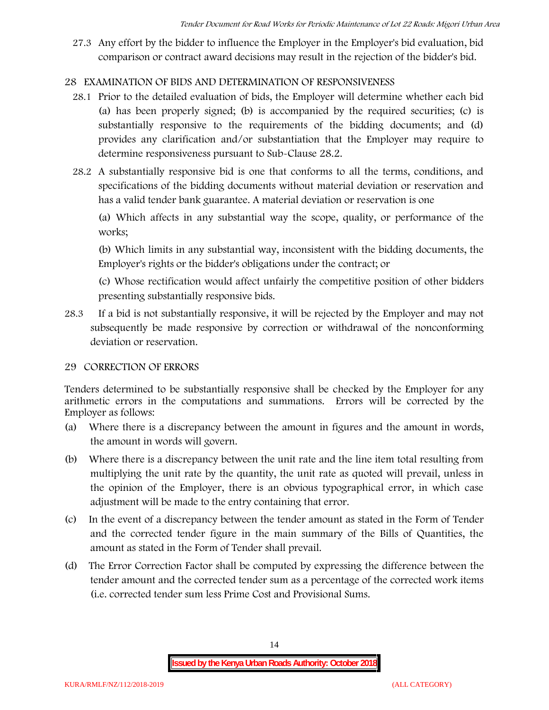27.3 Any effort by the bidder to influence the Employer in the Employer's bid evaluation, bid comparison or contract award decisions may result in the rejection of the bidder's bid.

#### **28 EXAMINATION OF BIDS AND DETERMINATION OF RESPONSIVENESS**

- 28.1 Prior to the detailed evaluation of bids, the Employer will determine whether each bid (a) has been properly signed; (b) is accompanied by the required securities; (c) is substantially responsive to the requirements of the bidding documents; and (d) provides any clarification and/or substantiation that the Employer may require to determine responsiveness pursuant to Sub-Clause 28.2.
- 28.2 A substantially responsive bid is one that conforms to all the terms, conditions, and specifications of the bidding documents without material deviation or reservation and has a valid tender bank guarantee. A material deviation or reservation is one

(a) Which affects in any substantial way the scope, quality, or performance of the works;

(b) Which limits in any substantial way, inconsistent with the bidding documents, the Employer's rights or the bidder's obligations under the contract; or

(c) Whose rectification would affect unfairly the competitive position of other bidders presenting substantially responsive bids.

28.3 If a bid is not substantially responsive, it will be rejected by the Employer and may not subsequently be made responsive by correction or withdrawal of the nonconforming deviation or reservation.

#### **29 CORRECTION OF ERRORS**

Tenders determined to be substantially responsive shall be checked by the Employer for any arithmetic errors in the computations and summations. Errors will be corrected by the Employer as follows:

- (a) Where there is a discrepancy between the amount in figures and the amount in words, the amount in words will govern.
- (b) Where there is a discrepancy between the unit rate and the line item total resulting from multiplying the unit rate by the quantity, the unit rate as quoted will prevail, unless in the opinion of the Employer, there is an obvious typographical error, in which case adjustment will be made to the entry containing that error.
- (c) In the event of a discrepancy between the tender amount as stated in the Form of Tender and the corrected tender figure in the main summary of the Bills of Quantities, the amount as stated in the Form of Tender shall prevail.
- (d) The Error Correction Factor shall be computed by expressing the difference between the tender amount and the corrected tender sum as a percentage of the corrected work items (i.e. corrected tender sum less Prime Cost and Provisional Sums.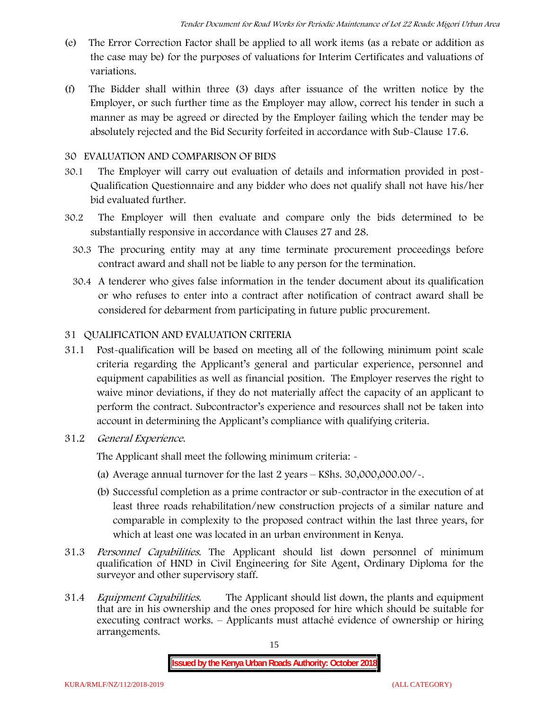- (e) The Error Correction Factor shall be applied to all work items (as a rebate or addition as the case may be) for the purposes of valuations for Interim Certificates and valuations of variations.
- (f) The Bidder shall within three (3) days after issuance of the written notice by the Employer, or such further time as the Employer may allow, correct his tender in such a manner as may be agreed or directed by the Employer failing which the tender may be absolutely rejected and the Bid Security forfeited in accordance with Sub-Clause 17.6.

#### **30 EVALUATION AND COMPARISON OF BIDS**

- 30.1 The Employer will carry out evaluation of details and information provided in post- Qualification Questionnaire and any bidder who does not qualify shall not have his/her bid evaluated further.
- 30.2 The Employer will then evaluate and compare only the bids determined to be substantially responsive in accordance with Clauses 27 and 28.
	- 30.3 The procuring entity may at any time terminate procurement proceedings before contract award and shall not be liable to any person for the termination.
	- 30.4 A tenderer who gives false information in the tender document about its qualification or who refuses to enter into a contract after notification of contract award shall be considered for debarment from participating in future public procurement.

#### **31 QUALIFICATION AND EVALUATION CRITERIA**

- 31.1 Post-qualification will be based on meeting all of the following minimum point scale criteria regarding the Applicant's general and particular experience, personnel and equipment capabilities as well as financial position. The Employer reserves the right to waive minor deviations, if they do not materially affect the capacity of an applicant to perform the contract. Subcontractor's experience and resources shall not be taken into account in determining the Applicant's compliance with qualifying criteria.
- **31.2** *General Experience***.**

The Applicant shall meet the following minimum criteria: -

- (a) Average annual turnover for the last 2 years **KShs. 30,000,000.00/-.**
- (b) Successful completion as a prime contractor or sub-contractor in the execution of at least three roads rehabilitation/new construction projects of a similar nature and comparable in complexity to the proposed contract within the last three years, for which at least one was located in an urban environment in Kenya.
- 31.3 *Personnel Capabilities***.** The Applicant should list down personnel of minimum qualification of HND in Civil Engineering for Site Agent, Ordinary Diploma for the surveyor and other supervisory staff.
- 31.4 *Equipment Capabilities.* The Applicant should list down, the plants and equipment that are in his ownership and the ones proposed for hire which should be suitable for executing contract works. – Applicants must attaché evidence of ownership or hiring arrangements.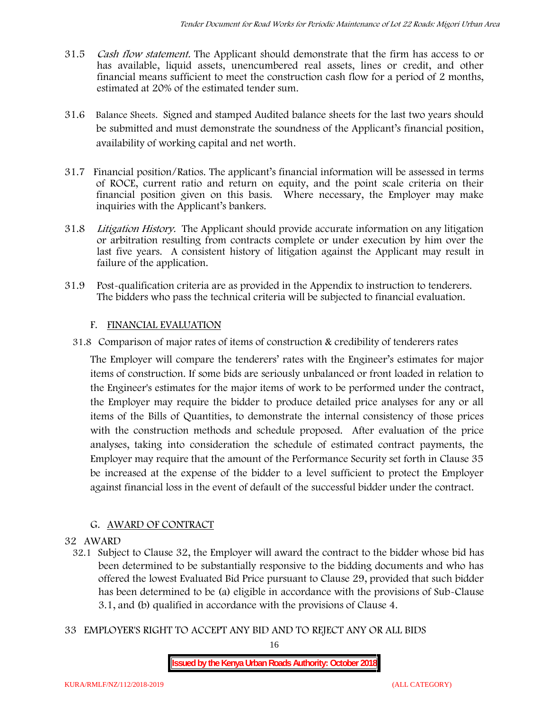- 31.5 *Cash flow statement.* The Applicant should demonstrate that the firm has access to or has available, liquid assets, unencumbered real assets, lines or credit, and other financial means sufficient to meet the construction cash flow for a period of 2 months, estimated at 20% of the estimated tender sum.
- 31.6 **Balance Sheets***.* Signed and stamped Audited balance sheets for the last two years should be submitted and must demonstrate the soundness of the Applicant's financial position, availability of working capital and net worth.
- 31.7 **Financial position/Ratios.** The applicant's financial information will be assessed in terms of ROCE, current ratio and return on equity, and the point scale criteria on their financial position given on this basis. Where necessary, the Employer may make inquiries with the Applicant's bankers.
- 31.8 *Litigation History.* The Applicant should provide accurate information on any litigation or arbitration resulting from contracts complete or under execution by him over the last five years. A consistent history of litigation against the Applicant may result in failure of the application.
- 31.9 Post-qualification criteria are as provided in the Appendix to instruction to tenderers. The bidders who pass the technical criteria will be subjected to financial evaluation.

#### **F. FINANCIAL EVALUATION**

31.8 Comparison of major rates of items of construction & credibility of tenderers rates

The Employer will compare the tenderers' rates with the Engineer's estimates for major items of construction. If some bids are seriously unbalanced or front loaded in relation to the Engineer's estimates for the major items of work to be performed under the contract, the Employer may require the bidder to produce detailed price analyses for any or all items of the Bills of Quantities, to demonstrate the internal consistency of those prices with the construction methods and schedule proposed. After evaluation of the price analyses, taking into consideration the schedule of estimated contract payments, the Employer may require that the amount of the Performance Security set forth in Clause 35 be increased at the expense of the bidder to a level sufficient to protect the Employer against financial loss in the event of default of the successful bidder under the contract.

#### **G. AWARD OF CONTRACT**

#### **32 AWARD**

- 32.1 Subject to Clause 32, the Employer will award the contract to the bidder whose bid has been determined to be substantially responsive to the bidding documents and who has offered the lowest Evaluated Bid Price pursuant to Clause 29, provided that such bidder has been determined to be (a) eligible in accordance with the provisions of Sub-Clause 3.1, and (b) qualified in accordance with the provisions of Clause 4.
- **33 EMPLOYER'S RIGHT TO ACCEPT ANY BID AND TO REJECT ANY OR ALL BIDS**

16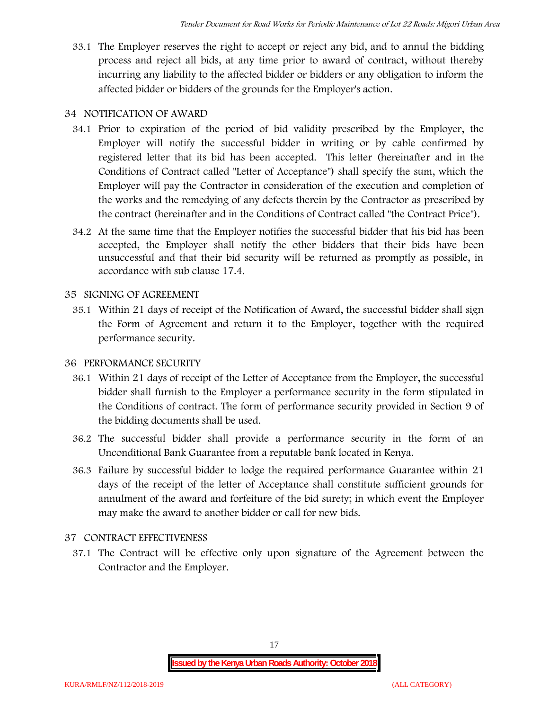33.1 The Employer reserves the right to accept or reject any bid, and to annul the bidding process and reject all bids, at any time prior to award of contract, without thereby incurring any liability to the affected bidder or bidders or any obligation to inform the affected bidder or bidders of the grounds for the Employer's action.

## **34 NOTIFICATION OF AWARD**

- 34.1 Prior to expiration of the period of bid validity prescribed by the Employer, the Employer will notify the successful bidder in writing or by cable confirmed by registered letter that its bid has been accepted. This letter (hereinafter and in the Conditions of Contract called "Letter of Acceptance") shall specify the sum, which the Employer will pay the Contractor in consideration of the execution and completion of the works and the remedying of any defects therein by the Contractor as prescribed by the contract (hereinafter and in the Conditions of Contract called "the Contract Price").
- 34.2 At the same time that the Employer notifies the successful bidder that his bid has been accepted, the Employer shall notify the other bidders that their bids have been unsuccessful and that their bid security will be returned as promptly as possible, in accordance with sub clause 17.4.

## **35 SIGNING OF AGREEMENT**

35.1 Within 21 days of receipt of the Notification of Award, the successful bidder shall sign the Form of Agreement and return it to the Employer, together with the required performance security.

## **36 PERFORMANCE SECURITY**

- 36.1 Within 21 days of receipt of the Letter of Acceptance from the Employer, the successful bidder shall furnish to the Employer a performance security in the form stipulated in the Conditions of contract. The form of performance security provided in Section 9 of the bidding documents shall be used.
- 36.2 The successful bidder shall provide a performance security in the form of an Unconditional Bank Guarantee from a reputable bank located in Kenya.
- 36.3 Failure by successful bidder to lodge the required performance Guarantee within 21 days of the receipt of the letter of Acceptance shall constitute sufficient grounds for annulment of the award and forfeiture of the bid surety; in which event the Employer may make the award to another bidder or call for new bids.

## **37 CONTRACT EFFECTIVENESS**

37.1 The Contract will be effective only upon signature of the Agreement between the Contractor and the Employer.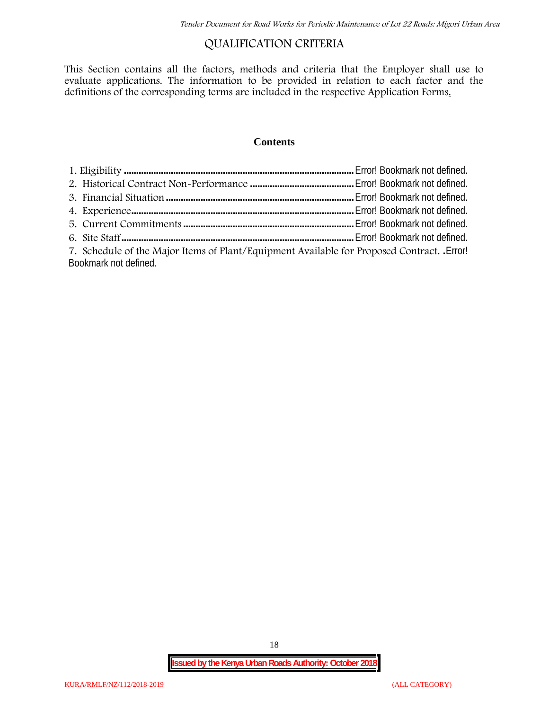## **QUALIFICATION CRITERIA**

This Section contains all the factors, methods and criteria that the Employer shall use to evaluate applications. The information to be provided in relation to each factor and the definitions of the corresponding terms are included in the respective Application Forms.

#### **Contents**

| 7. Schedule of the Major Items of Plant/Equipment Available for Proposed Contract. Error! |  |
|-------------------------------------------------------------------------------------------|--|
| Bookmark not defined.                                                                     |  |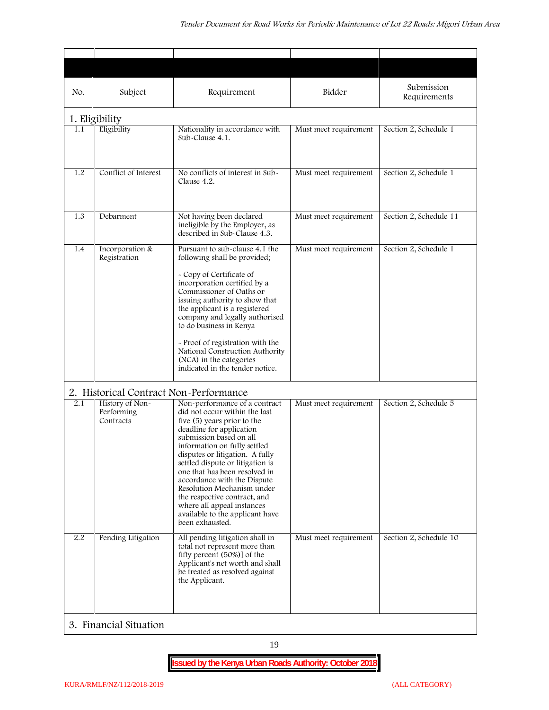| No. | Subject                                    | Requirement                                                                                                                                                                                                                                                                                                                                                                                                                                                                   | Bidder                | Submission<br>Requirements |
|-----|--------------------------------------------|-------------------------------------------------------------------------------------------------------------------------------------------------------------------------------------------------------------------------------------------------------------------------------------------------------------------------------------------------------------------------------------------------------------------------------------------------------------------------------|-----------------------|----------------------------|
|     | 1. Eligibility                             |                                                                                                                                                                                                                                                                                                                                                                                                                                                                               |                       |                            |
| 1.1 | Eligibility                                | Nationality in accordance with<br>Sub-Clause 4.1.                                                                                                                                                                                                                                                                                                                                                                                                                             | Must meet requirement | Section 2, Schedule 1      |
| 1.2 | Conflict of Interest                       | No conflicts of interest in Sub-<br>Clause 4.2.                                                                                                                                                                                                                                                                                                                                                                                                                               | Must meet requirement | Section 2, Schedule 1      |
| 1.3 | Debarment                                  | Not having been declared<br>ineligible by the Employer, as<br>described in Sub-Clause 4.3.                                                                                                                                                                                                                                                                                                                                                                                    | Must meet requirement | Section 2, Schedule 11     |
| 1.4 | Incorporation &<br>Registration            | Pursuant to sub-clause 4.1 the<br>following shall be provided;<br>- Copy of Certificate of<br>incorporation certified by a<br>Commissioner of Oaths or<br>issuing authority to show that<br>the applicant is a registered<br>company and legally authorised<br>to do business in Kenya<br>- Proof of registration with the<br>National Construction Authority<br>(NCA) in the categories<br>indicated in the tender notice.                                                   | Must meet requirement | Section 2, Schedule 1      |
|     | 2. Historical Contract Non-Performance     |                                                                                                                                                                                                                                                                                                                                                                                                                                                                               |                       |                            |
| 2.1 | History of Non-<br>Performing<br>Contracts | Non-performance of a contract<br>did not occur within the last<br>five (5) years prior to the<br>deadline for application<br>submission based on all<br>information on fully settled<br>disputes or litigation. A fully<br>settled dispute or litigation is<br>one that has been resolved in<br>accordance with the Dispute<br>Resolution Mechanism under<br>the respective contract, and<br>where all appeal instances<br>available to the applicant have<br>been exhausted. | Must meet requirement | Section 2, Schedule 5      |
| 2.2 | Pending Litigation                         | All pending litigation shall in<br>total not represent more than<br>fifty percent (50%)] of the<br>Applicant's net worth and shall<br>be treated as resolved against<br>the Applicant.                                                                                                                                                                                                                                                                                        | Must meet requirement | Section 2, Schedule 10     |
|     | 3. Financial Situation                     |                                                                                                                                                                                                                                                                                                                                                                                                                                                                               |                       |                            |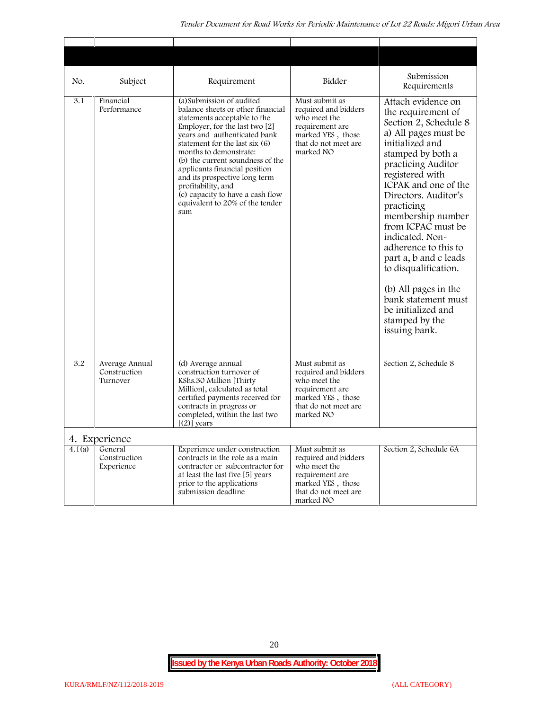| No.    | Subject                                    | Requirement                                                                                                                                                                                                                                                                                                                                                                                                                              | Bidder                                                                                                                              | Submission<br>Requirements                                                                                                                                                                                                                                                                                                                                                                                                                                                              |
|--------|--------------------------------------------|------------------------------------------------------------------------------------------------------------------------------------------------------------------------------------------------------------------------------------------------------------------------------------------------------------------------------------------------------------------------------------------------------------------------------------------|-------------------------------------------------------------------------------------------------------------------------------------|-----------------------------------------------------------------------------------------------------------------------------------------------------------------------------------------------------------------------------------------------------------------------------------------------------------------------------------------------------------------------------------------------------------------------------------------------------------------------------------------|
| 3.1    | Financial<br>Performance                   | (a) Submission of audited<br>balance sheets or other financial<br>statements acceptable to the<br>Employer, for the last two $[2]$<br>years and authenticated bank<br>statement for the last six (6)<br>months to demonstrate:<br>(b) the current soundness of the<br>applicants financial position<br>and its prospective long term<br>profitability, and<br>(c) capacity to have a cash flow<br>equivalent to 20% of the tender<br>sum | Must submit as<br>required and bidders<br>who meet the<br>requirement are<br>marked YES, those<br>that do not meet are<br>marked NO | Attach evidence on<br>the requirement of<br>Section 2, Schedule 8<br>a) All pages must be<br>initialized and<br>stamped by both a<br>practicing Auditor<br>registered with<br>ICPAK and one of the<br>Directors. Auditor's<br>practicing<br>membership number<br>from ICPAC must be<br>indicated. Non-<br>adherence to this to<br>part a, b and c leads<br>to disqualification.<br>(b) All pages in the<br>bank statement must<br>be initialized and<br>stamped by the<br>issuing bank. |
| 3.2    | Average Annual<br>Construction<br>Turnover | (d) Average annual<br>construction turnover of<br>KShs.30 Million [Thirty]<br>Million], calculated as total<br>certified payments received for<br>contracts in progress or<br>completed, within the last two<br>$[2]$ years                                                                                                                                                                                                              | Must submit as<br>required and bidders<br>who meet the<br>requirement are<br>marked YES, those<br>that do not meet are<br>marked NO | Section 2, Schedule 8                                                                                                                                                                                                                                                                                                                                                                                                                                                                   |
|        | 4. Experience                              |                                                                                                                                                                                                                                                                                                                                                                                                                                          |                                                                                                                                     |                                                                                                                                                                                                                                                                                                                                                                                                                                                                                         |
| 4.1(a) | General<br>Construction<br>Experience      | Experience under construction<br>contracts in the role as a main<br>contractor or subcontractor for<br>at least the last five [5] years<br>prior to the applications<br>submission deadline                                                                                                                                                                                                                                              | Must submit as<br>required and bidders<br>who meet the<br>requirement are<br>marked YES, those<br>that do not meet are<br>marked NO | Section 2, Schedule 6A                                                                                                                                                                                                                                                                                                                                                                                                                                                                  |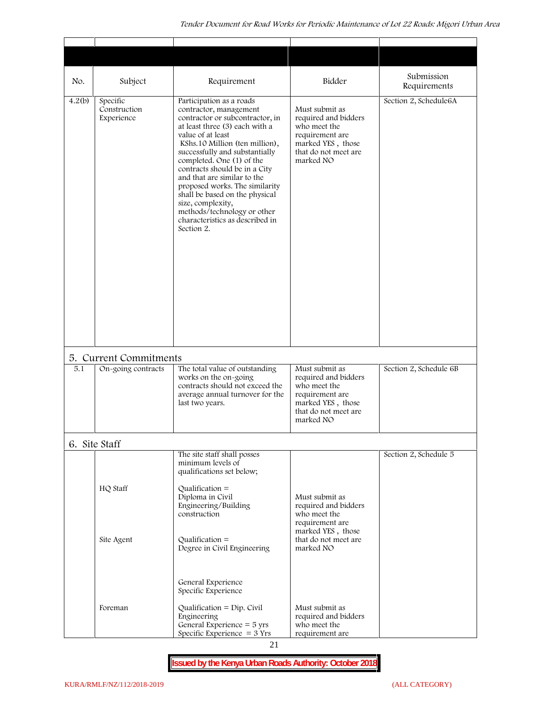| Subject<br>Specific<br>Construction<br>Experience | Requirement<br>Participation as a roads<br>contractor, management<br>contractor or subcontractor, in<br>at least three (3) each with a<br>value of at least<br>KShs.10 Million (ten million),<br>successfully and substantially<br>completed. One (1) of the<br>contracts should be in a City<br>and that are similar to the<br>proposed works. The similarity<br>shall be based on the physical<br>size, complexity,<br>methods/technology or other<br>characteristics as described in<br>Section 2. | Bidder<br>Must submit as<br>required and bidders<br>who meet the<br>requirement are<br>marked YES, those<br>that do not meet are<br>marked NO | Submission<br>Requirements<br>Section 2, Schedule6A                                                               |
|---------------------------------------------------|-------------------------------------------------------------------------------------------------------------------------------------------------------------------------------------------------------------------------------------------------------------------------------------------------------------------------------------------------------------------------------------------------------------------------------------------------------------------------------------------------------|-----------------------------------------------------------------------------------------------------------------------------------------------|-------------------------------------------------------------------------------------------------------------------|
|                                                   |                                                                                                                                                                                                                                                                                                                                                                                                                                                                                                       |                                                                                                                                               |                                                                                                                   |
|                                                   |                                                                                                                                                                                                                                                                                                                                                                                                                                                                                                       |                                                                                                                                               |                                                                                                                   |
|                                                   |                                                                                                                                                                                                                                                                                                                                                                                                                                                                                                       |                                                                                                                                               |                                                                                                                   |
| 5. Current Commitments                            |                                                                                                                                                                                                                                                                                                                                                                                                                                                                                                       |                                                                                                                                               |                                                                                                                   |
| On-going contracts                                | The total value of outstanding<br>works on the on-going<br>contracts should not exceed the<br>average annual turnover for the<br>last two years.                                                                                                                                                                                                                                                                                                                                                      | Must submit as<br>required and bidders<br>who meet the<br>requirement are<br>marked YES, those<br>that do not meet are<br>marked NO           | Section 2, Schedule 6B                                                                                            |
| 6. Site Staff                                     |                                                                                                                                                                                                                                                                                                                                                                                                                                                                                                       |                                                                                                                                               |                                                                                                                   |
| HQ Staff                                          | The site staff shall posses<br>minimum levels of<br>qualifications set below;<br>Qualification $=$<br>Diploma in Civil<br>Engineering/Building                                                                                                                                                                                                                                                                                                                                                        | Must submit as<br>required and bidders                                                                                                        | Section 2, Schedule 5                                                                                             |
|                                                   | $Qualification =$<br>Degree in Civil Engineering                                                                                                                                                                                                                                                                                                                                                                                                                                                      | requirement are<br>marked YES, those<br>that do not meet are<br>marked NO                                                                     |                                                                                                                   |
| Site Agent                                        |                                                                                                                                                                                                                                                                                                                                                                                                                                                                                                       |                                                                                                                                               |                                                                                                                   |
|                                                   |                                                                                                                                                                                                                                                                                                                                                                                                                                                                                                       | construction<br>General Experience<br>Specific Experience                                                                                     | who meet the<br>Qualification = $Dip$ . Civil<br>Must submit as<br>Foreman<br>Engineering<br>required and bidders |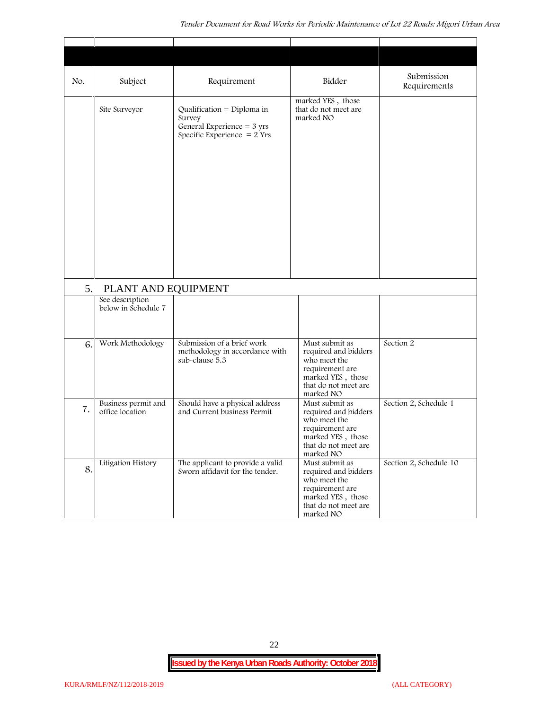| No. | Subject                                                       | Requirement                                                                                                   | Bidder                                                                                                                              | Submission<br>Requirements |
|-----|---------------------------------------------------------------|---------------------------------------------------------------------------------------------------------------|-------------------------------------------------------------------------------------------------------------------------------------|----------------------------|
|     | Site Surveyor                                                 | Qualification = Diploma in<br>Survey<br>General Experience = $3 \text{ yrs}$<br>Specific Experience $= 2$ Yrs | marked YES, those<br>that do not meet are<br>marked NO                                                                              |                            |
| 5.  | PLANT AND EQUIPMENT<br>See description<br>below in Schedule 7 |                                                                                                               |                                                                                                                                     |                            |
|     |                                                               |                                                                                                               |                                                                                                                                     |                            |
| 6.  | Work Methodology                                              | Submission of a brief work<br>methodology in accordance with<br>sub-clause 5.3                                | Must submit as<br>required and bidders<br>who meet the<br>requirement are<br>marked YES, those<br>that do not meet are<br>marked NO | Section 2                  |
| 7.  | Business permit and<br>office location                        | Should have a physical address<br>and Current business Permit                                                 | Must submit as<br>required and bidders<br>who meet the<br>requirement are<br>marked YES, those<br>that do not meet are<br>marked NO | Section 2, Schedule 1      |
| 8.  | Litigation History                                            | The applicant to provide a valid<br>Sworn affidavit for the tender.                                           | Must submit as<br>required and bidders<br>who meet the<br>requirement are<br>marked YES, those<br>that do not meet are<br>marked NO | Section 2, Schedule 10     |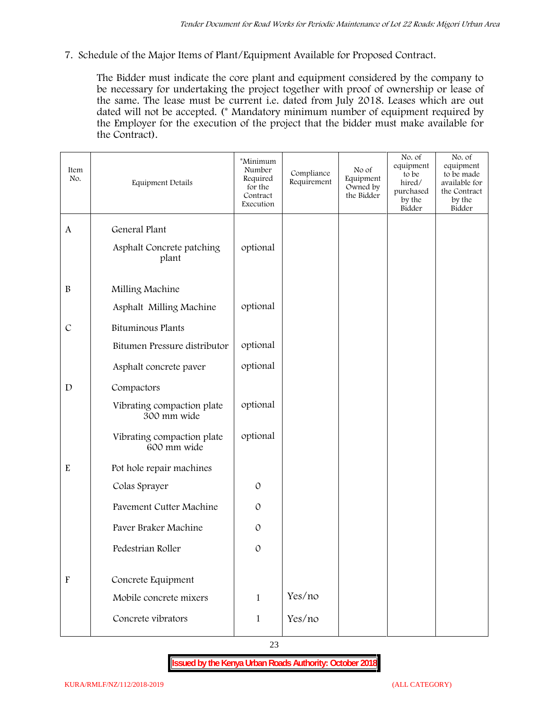**7. Schedule of the Major Items of Plant/Equipment Available for Proposed Contract.**

The Bidder must indicate the core plant and equipment considered by the company to be necessary for undertaking the project together with proof of ownership or lease of the same. The lease must be current i.e. dated from July 2018. Leases which are out dated will not be accepted. (\* Mandatory minimum number of equipment required by the Employer for the execution of the project that the bidder must make available for the Contract).

| Item<br>No.               | Equipment Details                         | *Minimum<br>Number<br>Required<br>for the<br>Contract<br>Execution | Compliance<br>Requirement | No of<br>Equipment<br>Owned by<br>the Bidder | No. of<br>equipment<br>to be<br>hired/<br>purchased<br>by the<br>Bidder | No. of<br>equipment<br>to be made<br>available for<br>the Contract<br>by the<br>Bidder |
|---------------------------|-------------------------------------------|--------------------------------------------------------------------|---------------------------|----------------------------------------------|-------------------------------------------------------------------------|----------------------------------------------------------------------------------------|
| $\mathbf{A}$              | General Plant                             |                                                                    |                           |                                              |                                                                         |                                                                                        |
|                           | Asphalt Concrete patching<br>plant        | optional                                                           |                           |                                              |                                                                         |                                                                                        |
| $\, {\bf B}$              | Milling Machine                           |                                                                    |                           |                                              |                                                                         |                                                                                        |
|                           | Asphalt Milling Machine                   | optional                                                           |                           |                                              |                                                                         |                                                                                        |
| $\mathcal{C}$             | <b>Bituminous Plants</b>                  |                                                                    |                           |                                              |                                                                         |                                                                                        |
|                           | Bitumen Pressure distributor              | optional                                                           |                           |                                              |                                                                         |                                                                                        |
|                           | Asphalt concrete paver                    | optional                                                           |                           |                                              |                                                                         |                                                                                        |
| $\mathbf D$               | Compactors                                |                                                                    |                           |                                              |                                                                         |                                                                                        |
|                           | Vibrating compaction plate<br>300 mm wide | optional                                                           |                           |                                              |                                                                         |                                                                                        |
|                           | Vibrating compaction plate<br>600 mm wide | optional                                                           |                           |                                              |                                                                         |                                                                                        |
| $\mathbf E$               | Pot hole repair machines                  |                                                                    |                           |                                              |                                                                         |                                                                                        |
|                           | Colas Sprayer                             | $\mathcal{O}$                                                      |                           |                                              |                                                                         |                                                                                        |
|                           | Pavement Cutter Machine                   | $\mathcal{O}$                                                      |                           |                                              |                                                                         |                                                                                        |
|                           | Paver Braker Machine                      | $\mathcal{O}$                                                      |                           |                                              |                                                                         |                                                                                        |
|                           | Pedestrian Roller                         | $\mathcal{O}$                                                      |                           |                                              |                                                                         |                                                                                        |
|                           |                                           |                                                                    |                           |                                              |                                                                         |                                                                                        |
| $\boldsymbol{\mathrm{F}}$ | Concrete Equipment                        |                                                                    |                           |                                              |                                                                         |                                                                                        |
|                           | Mobile concrete mixers                    | $\mathbf{1}$                                                       | Yes/no                    |                                              |                                                                         |                                                                                        |
|                           | Concrete vibrators                        | $\mathbf 1$                                                        | Yes/no                    |                                              |                                                                         |                                                                                        |

23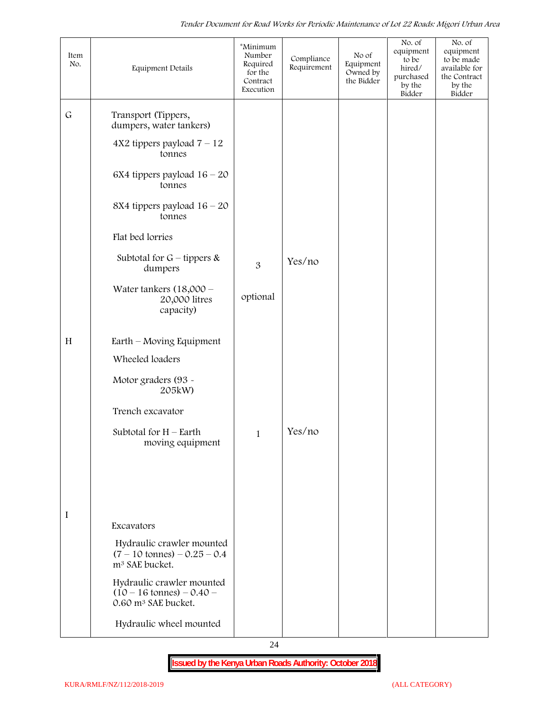| Item<br>No. | Equipment Details                                                                                 | *Minimum<br>Number<br>Required<br>for the<br>Contract<br>Execution | Compliance<br>Requirement | No of<br>Equipment<br>Owned by<br>the Bidder | No. of<br>equipment<br>to be<br>hired/<br>purchased<br>by the<br>Bidder | No. of<br>equipment<br>to be made<br>available for<br>the Contract<br>by the<br>Bidder |
|-------------|---------------------------------------------------------------------------------------------------|--------------------------------------------------------------------|---------------------------|----------------------------------------------|-------------------------------------------------------------------------|----------------------------------------------------------------------------------------|
| $\mathsf G$ | Transport (Tippers,<br>dumpers, water tankers)                                                    |                                                                    |                           |                                              |                                                                         |                                                                                        |
|             | $4X2$ tippers payload $7 - 12$<br>tonnes                                                          |                                                                    |                           |                                              |                                                                         |                                                                                        |
|             | $6X4$ tippers payload $16 - 20$<br>tonnes                                                         |                                                                    |                           |                                              |                                                                         |                                                                                        |
|             | 8X4 tippers payload $16 - 20$<br>tonnes                                                           |                                                                    |                           |                                              |                                                                         |                                                                                        |
|             | Flat bed lorries                                                                                  |                                                                    |                           |                                              |                                                                         |                                                                                        |
|             | Subtotal for $G$ – tippers &<br>dumpers                                                           | 3                                                                  | Yes/no                    |                                              |                                                                         |                                                                                        |
|             | Water tankers $(18,000 -$<br>20,000 litres<br>capacity)                                           | optional                                                           |                           |                                              |                                                                         |                                                                                        |
| H           | Earth – Moving Equipment                                                                          |                                                                    |                           |                                              |                                                                         |                                                                                        |
|             | Wheeled loaders                                                                                   |                                                                    |                           |                                              |                                                                         |                                                                                        |
|             | Motor graders (93 -<br>205kW)                                                                     |                                                                    |                           |                                              |                                                                         |                                                                                        |
|             | Trench excavator                                                                                  |                                                                    |                           |                                              |                                                                         |                                                                                        |
|             | Subtotal for $H$ – Earth<br>moving equipment                                                      | $\mathbf{1}$                                                       | Yes/no                    |                                              |                                                                         |                                                                                        |
|             |                                                                                                   |                                                                    |                           |                                              |                                                                         |                                                                                        |
|             |                                                                                                   |                                                                    |                           |                                              |                                                                         |                                                                                        |
| I           | Excavators                                                                                        |                                                                    |                           |                                              |                                                                         |                                                                                        |
|             | Hydraulic crawler mounted<br>$(7 - 10 \text{ tonnes}) - 0.25 - 0.4$<br>m <sup>3</sup> SAE bucket. |                                                                    |                           |                                              |                                                                         |                                                                                        |
|             | Hydraulic crawler mounted<br>$(10 - 16 \text{ tonnes}) - 0.40$<br>0.60 m <sup>3</sup> SAE bucket. |                                                                    |                           |                                              |                                                                         |                                                                                        |
|             | Hydraulic wheel mounted                                                                           |                                                                    |                           |                                              |                                                                         |                                                                                        |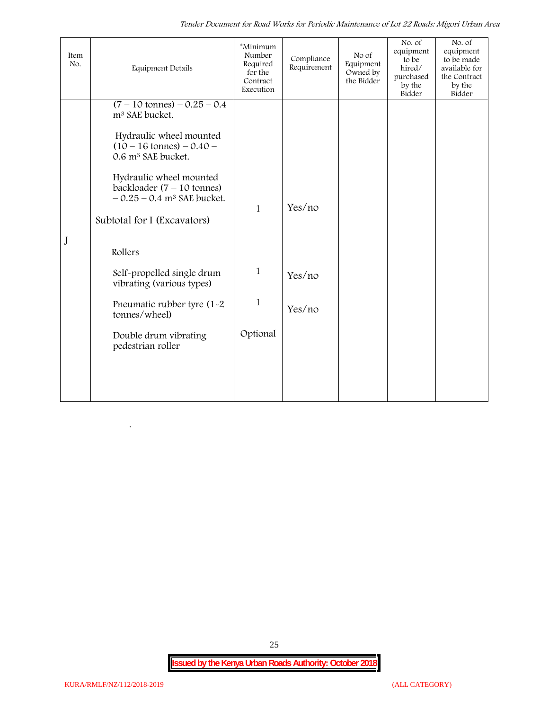*Tender Document for Road Works for Periodic Maintenance of Lot 22 Roads: Migori Urban Area*

| Item<br>No. | <b>Equipment Details</b>                                                                                                                                                                                                                                                                                                                                                                                                                                                           | *Minimum<br>Number<br>Required<br>for the<br>Contract<br>Execution | Compliance<br>Requirement  | No of<br>Equipment<br>Owned by<br>the Bidder | No. of<br>equipment<br>to be<br>hired/<br>purchased<br>by the<br>Bidder | No. of<br>equipment<br>to be made<br>available for<br>the Contract<br>by the<br>Bidder |
|-------------|------------------------------------------------------------------------------------------------------------------------------------------------------------------------------------------------------------------------------------------------------------------------------------------------------------------------------------------------------------------------------------------------------------------------------------------------------------------------------------|--------------------------------------------------------------------|----------------------------|----------------------------------------------|-------------------------------------------------------------------------|----------------------------------------------------------------------------------------|
| $\bf J$     | $(7 - 10 \text{ tonnes}) - 0.25 - 0.4$<br>m <sup>3</sup> SAE bucket.<br>Hydraulic wheel mounted<br>$(10 - 16 \text{ tonnes}) - 0.40 -$<br>0.6 m <sup>3</sup> SAE bucket.<br>Hydraulic wheel mounted<br>backloader $(7 - 10$ tonnes)<br>$-0.25 - 0.4$ m <sup>3</sup> SAE bucket.<br>Subtotal for I (Excavators)<br>Rollers<br>Self-propelled single drum<br>vibrating (various types)<br>Pneumatic rubber tyre (1-2)<br>tonnes/wheel)<br>Double drum vibrating<br>pedestrian roller | $\mathbf{1}$<br>1<br>$\mathbf{1}$<br>Optional                      | Yes/no<br>Yes/no<br>Yes/no |                                              |                                                                         |                                                                                        |

25

 $\ddot{\phantom{0}}$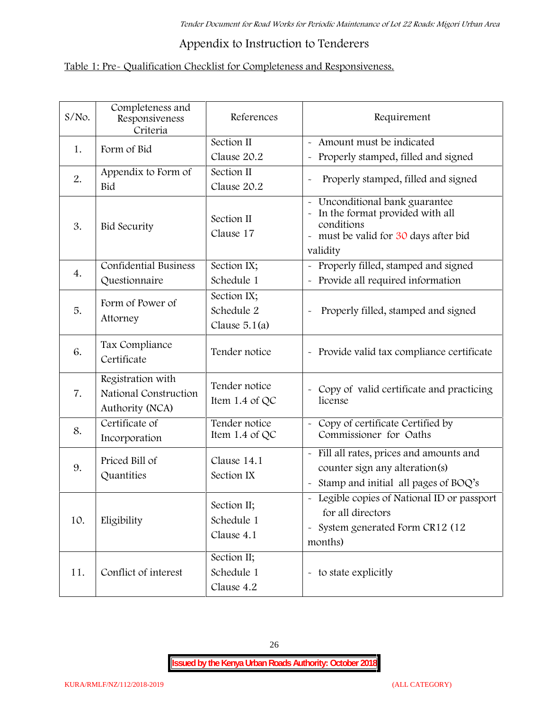## **Appendix to Instruction to Tenderers**

## **Table 1: Pre- Qualification Checklist for Completeness and Responsiveness.**

| $S/NO$ . | Completeness and<br>Responsiveness<br>Criteria                | References                                   | Requirement                                                                                                                        |
|----------|---------------------------------------------------------------|----------------------------------------------|------------------------------------------------------------------------------------------------------------------------------------|
| 1.       | Form of Bid                                                   | Section II<br>Clause 20.2                    | - Amount must be indicated<br>Properly stamped, filled and signed<br>$\tilde{\phantom{a}}$                                         |
| 2.       | Appendix to Form of<br>Bid                                    | Section II<br>Clause 20.2                    | Properly stamped, filled and signed                                                                                                |
| 3.       | <b>Bid Security</b>                                           | Section II<br>Clause 17                      | Unconditional bank guarantee<br>In the format provided with all<br>conditions<br>- must be valid for 30 days after bid<br>validity |
| 4.       | Confidential Business<br>Questionnaire                        | Section IX;<br>Schedule 1                    | Properly filled, stamped and signed<br>Provide all required information                                                            |
| 5.       | Form of Power of<br>Attorney                                  | Section IX;<br>Schedule 2<br>Clause $5.1(a)$ | Properly filled, stamped and signed                                                                                                |
| 6.       | Tax Compliance<br>Certificate                                 | Tender notice                                | - Provide valid tax compliance certificate                                                                                         |
| 7.       | Registration with<br>National Construction<br>Authority (NCA) | Tender notice<br>Item 1.4 of QC              | - Copy of valid certificate and practicing<br>license                                                                              |
| 8.       | Certificate of<br>Incorporation                               | Tender notice<br>Item 1.4 of $QC$            | Copy of certificate Certified by<br>$\sim$<br>Commissioner for Oaths                                                               |
| 9.       | Priced Bill of<br>Quantities                                  | Clause 14.1<br>Section IX                    | - Fill all rates, prices and amounts and<br>counter sign any alteration(s)<br>Stamp and initial all pages of BOQ's                 |
| 10.      | Eligibility                                                   | Section II;<br>Schedule 1<br>Clause 4.1      | - Legible copies of National ID or passport<br>for all directors<br>- System generated Form CR12 (12<br>months)                    |
| 11.      | Conflict of interest                                          | Section II;<br>Schedule 1<br>Clause 4.2      | - to state explicitly                                                                                                              |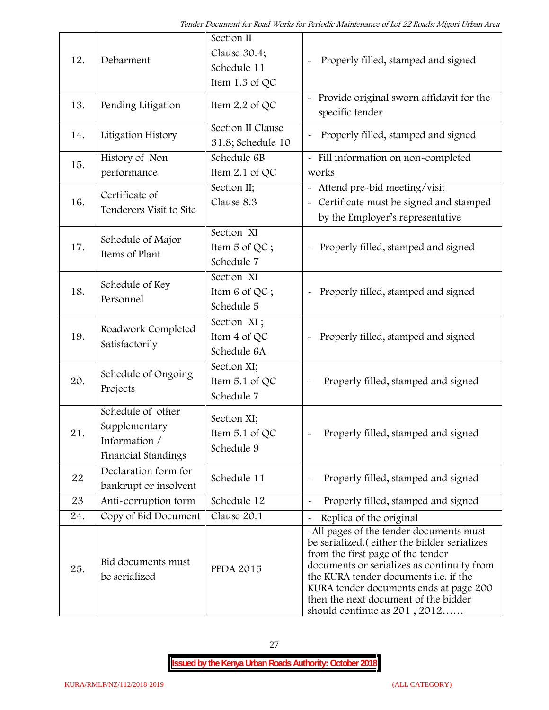| 12. | Debarment                                                                  | Section II<br>Clause 30.4;<br>Schedule 11<br>Item 1.3 of QC | Properly filled, stamped and signed                                                                                                                                                                                                                                                                                                            |
|-----|----------------------------------------------------------------------------|-------------------------------------------------------------|------------------------------------------------------------------------------------------------------------------------------------------------------------------------------------------------------------------------------------------------------------------------------------------------------------------------------------------------|
| 13. | Pending Litigation                                                         | Item $2.2$ of QC                                            | Provide original sworn affidavit for the<br>specific tender                                                                                                                                                                                                                                                                                    |
| 14. | Litigation History                                                         | Section II Clause<br>31.8; Schedule 10                      | Properly filled, stamped and signed                                                                                                                                                                                                                                                                                                            |
| 15. | History of Non<br>performance                                              | Schedule 6B<br>Item $2.1$ of QC                             | - Fill information on non-completed<br>works                                                                                                                                                                                                                                                                                                   |
| 16. | Certificate of<br>Tenderers Visit to Site                                  | Section II;<br>Clause 8.3                                   | - Attend pre-bid meeting/visit<br>- Certificate must be signed and stamped<br>by the Employer's representative                                                                                                                                                                                                                                 |
| 17. | Schedule of Major<br>Items of Plant                                        | Section XI<br>Item 5 of QC;<br>Schedule 7                   | Properly filled, stamped and signed                                                                                                                                                                                                                                                                                                            |
| 18. | Schedule of Key<br>Personnel                                               | Section XI<br>Item 6 of QC;<br>Schedule 5                   | Properly filled, stamped and signed                                                                                                                                                                                                                                                                                                            |
| 19. | Roadwork Completed<br>Satisfactorily                                       | Section XI;<br>Item 4 of QC<br>Schedule 6A                  | Properly filled, stamped and signed<br>$\tilde{\phantom{a}}$                                                                                                                                                                                                                                                                                   |
| 20. | Schedule of Ongoing<br>Projects                                            | Section XI;<br>Item 5.1 of QC<br>Schedule 7                 | Properly filled, stamped and signed                                                                                                                                                                                                                                                                                                            |
| 21  | Schedule of other<br>Supplementary<br>Information /<br>Financial Standings | Section XI;<br>Item $5.1$ of QC<br>Schedule 9               | Properly filled, stamped and signed                                                                                                                                                                                                                                                                                                            |
| 22  | Declaration form for<br>bankrupt or insolvent                              | Schedule 11                                                 | Properly filled, stamped and signed                                                                                                                                                                                                                                                                                                            |
| 23  | Anti-corruption form                                                       | Schedule 12                                                 | Properly filled, stamped and signed                                                                                                                                                                                                                                                                                                            |
| 24. | Copy of Bid Document                                                       | Clause 20.1                                                 | Replica of the original                                                                                                                                                                                                                                                                                                                        |
| 25. | Bid documents must<br>be serialized                                        | <b>PPDA 2015</b>                                            | -All pages of the tender documents must<br>be serialized. (either the bidder serializes<br>from the first page of the tender<br>documents or serializes as continuity from<br>the KURA tender documents <i>i.e.</i> if the<br>KURA tender documents ends at page 200<br>then the next document of the bidder<br>should continue as $201, 2012$ |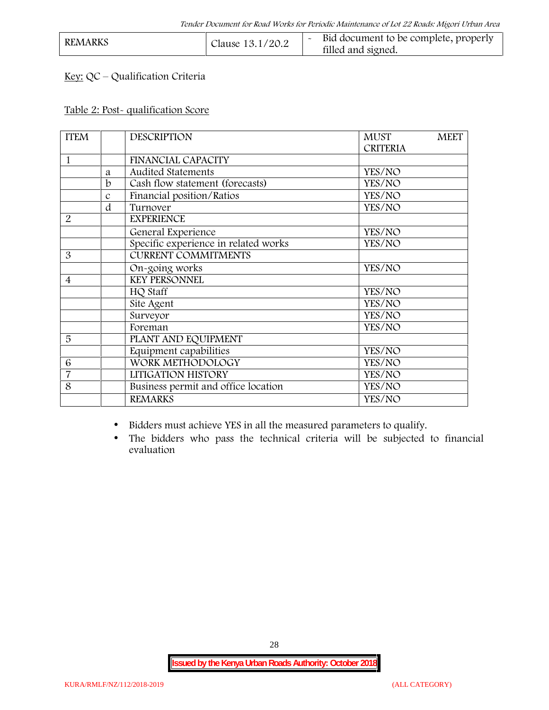| <b>REMARKS</b> | Clause 13.1/20.2 | Bid document to be complete, properly<br>filled and signed. |  |
|----------------|------------------|-------------------------------------------------------------|--|
|----------------|------------------|-------------------------------------------------------------|--|

## **Key:** QC – Qualification Criteria

#### **Table 2: Post- qualification Score**

| <b>ITEM</b>    |               | <b>DESCRIPTION</b>                   | <b>MUST</b><br><b>MEET</b> |
|----------------|---------------|--------------------------------------|----------------------------|
|                |               |                                      | <b>CRITERIA</b>            |
| 1              |               | <b>FINANCIAL CAPACITY</b>            |                            |
|                | a             | Audited Statements                   | YES/NO                     |
|                | b             | Cash flow statement (forecasts)      | YES/NO                     |
|                | $\mathcal{C}$ | Financial position/Ratios            | YES/NO                     |
|                | d             | Turnover                             | YES/NO                     |
| $\overline{2}$ |               | <b>EXPERIENCE</b>                    |                            |
|                |               | General Experience                   | YES/NO                     |
|                |               | Specific experience in related works | YES/NO                     |
| 3              |               | <b>CURRENT COMMITMENTS</b>           |                            |
|                |               | On-going works                       | YES/NO                     |
| $\overline{4}$ |               | <b>KEY PERSONNEL</b>                 |                            |
|                |               | HQ Staff                             | YES/NO                     |
|                |               | Site Agent                           | YES/NO                     |
|                |               | Surveyor                             | YES/NO                     |
|                |               | Foreman                              | YES/NO                     |
| 5              |               | PLANT AND EQUIPMENT                  |                            |
|                |               | Equipment capabilities               | YES/NO                     |
| 6              |               | WORK METHODOLOGY                     | YES/NO                     |
| $\overline{7}$ |               | LITIGATION HISTORY                   | YES/NO                     |
| 8              |               | Business permit and office location  | YES/NO                     |
|                |               | <b>REMARKS</b>                       | YES/NO                     |
|                |               |                                      |                            |

Bidders must achieve YES in all the measured parameters to qualify.

 The bidders who pass the technical criteria will be subjected to financial evaluation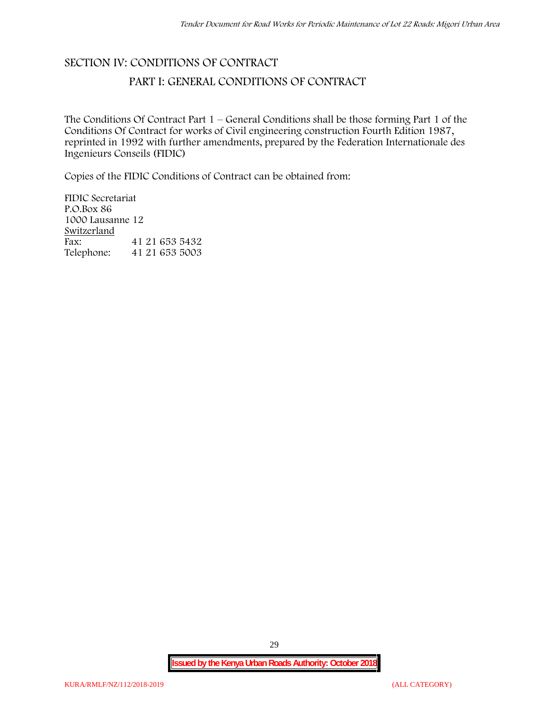# **SECTION IV: CONDITIONS OF CONTRACT**

## **PART I: GENERAL CONDITIONS OF CONTRACT**

The Conditions Of Contract Part 1 – General Conditions shall be those forming Part 1 of the Conditions Of Contract for works of Civil engineering construction Fourth Edition 1987, reprinted in 1992 with further amendments, prepared by the Federation Internationale des Ingenieurs Conseils (FIDIC)

Copies of the FIDIC Conditions of Contract can be obtained from:

FIDIC Secretariat P.O.Box 86 1000 Lausanne 12 **Switzerland** Fax: 41 21 653 5432<br>Telephone: 41 21 653 5003 Telephone: 41 21 653 5003

29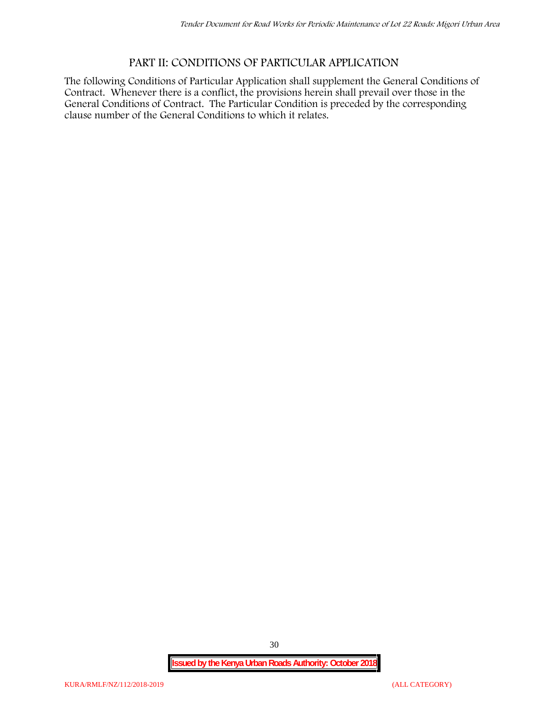## **PART II: CONDITIONS OF PARTICULAR APPLICATION**

The following Conditions of Particular Application shall supplement the General Conditions of Contract. Whenever there is a conflict, the provisions herein shall prevail over those in the General Conditions of Contract. The Particular Condition is preceded by the corresponding clause number of the General Conditions to which it relates.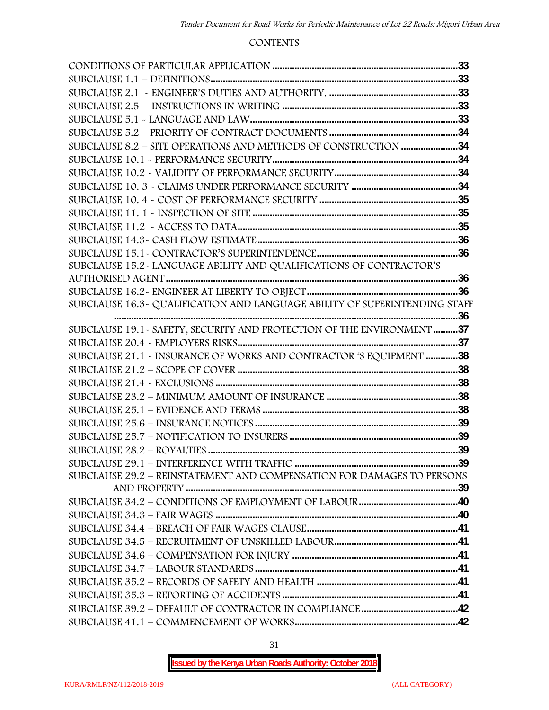#### **CONTENTS**

| SUBCLAUSE 15.2-LANGUAGE ABILITY AND QUALIFICATIONS OF CONTRACTOR'S         |  |
|----------------------------------------------------------------------------|--|
|                                                                            |  |
|                                                                            |  |
| SUBCLAUSE 16.3- QUALIFICATION AND LANGUAGE ABILITY OF SUPERINTENDING STAFF |  |
|                                                                            |  |
| SUBCLAUSE 19.1 - SAFETY, SECURITY AND PROTECTION OF THE ENVIRONMENT 37     |  |
|                                                                            |  |
| SUBCLAUSE 21.1 - INSURANCE OF WORKS AND CONTRACTOR 'S EQUIPMENT 38         |  |
|                                                                            |  |
|                                                                            |  |
|                                                                            |  |
|                                                                            |  |
|                                                                            |  |
|                                                                            |  |
|                                                                            |  |
|                                                                            |  |
| SUBCLAUSE 29.2 - REINSTATEMENT AND COMPENSATION FOR DAMAGES TO PERSONS     |  |
|                                                                            |  |
|                                                                            |  |
|                                                                            |  |
|                                                                            |  |
|                                                                            |  |
|                                                                            |  |
|                                                                            |  |
|                                                                            |  |
|                                                                            |  |
|                                                                            |  |
|                                                                            |  |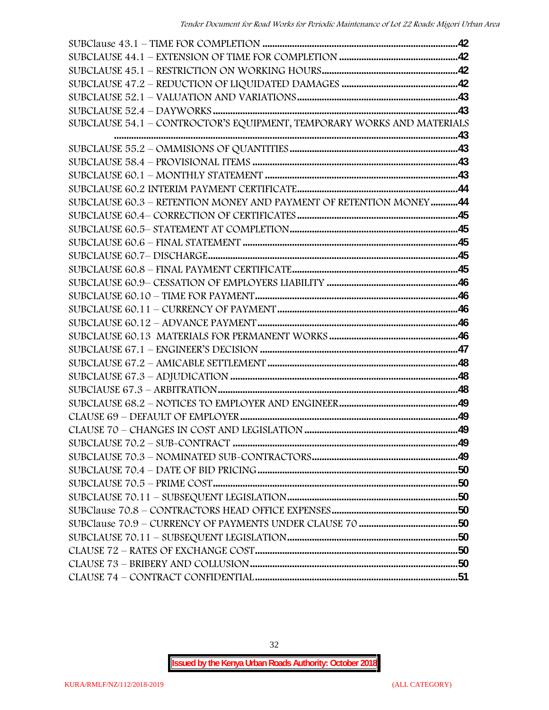| SUBCLAUSE 54.1 - CONTROCTOR'S EQUIPMENT, TEMPORARY WORKS AND MATERIALS |  |
|------------------------------------------------------------------------|--|
|                                                                        |  |
|                                                                        |  |
|                                                                        |  |
|                                                                        |  |
|                                                                        |  |
| SUBCLAUSE 60.3 - RETENTION MONEY AND PAYMENT OF RETENTION MONEY44      |  |
|                                                                        |  |
|                                                                        |  |
|                                                                        |  |
|                                                                        |  |
|                                                                        |  |
|                                                                        |  |
|                                                                        |  |
|                                                                        |  |
|                                                                        |  |
|                                                                        |  |
|                                                                        |  |
|                                                                        |  |
|                                                                        |  |
|                                                                        |  |
|                                                                        |  |
|                                                                        |  |
|                                                                        |  |
|                                                                        |  |
|                                                                        |  |
|                                                                        |  |
|                                                                        |  |
|                                                                        |  |
|                                                                        |  |
|                                                                        |  |
|                                                                        |  |
|                                                                        |  |
|                                                                        |  |
|                                                                        |  |
|                                                                        |  |

32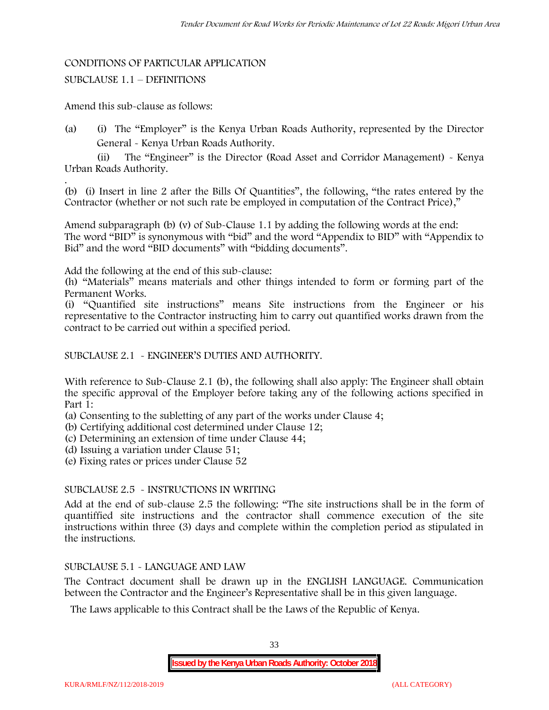#### CONDITIONS OF PARTICULAR APPLICATION

#### SUBCLAUSE 1.1 – DEFINITIONS

Amend this sub-clause as follows:

(a) (i) The "Employer" is the Kenya Urban Roads Authority, represented by the Director General - Kenya Urban Roads Authority.

(ii) The "Engineer" is the Director (Road Asset and Corridor Management) - Kenya Urban Roads Authority.

.(b) (i) Insert in line 2 after the Bills Of Quantities", the following, "the rates entered by the Contractor (whether or not such rate be employed in computation of the Contract Price),"

Amend subparagraph (b) (v) of Sub-Clause 1.1 by adding the following words at the end: The word "BID" is synonymous with "bid" and the word "Appendix to BID" with "Appendix to Bid" and the word "BID documents" with "bidding documents".

Add the following at the end of this sub-clause:

(h) "Materials" means materials and other things intended to form or forming part of the Permanent Works.

(i) "Quantified site instructions" means Site instructions from the Engineer or his representative to the Contractor instructing him to carry out quantified works drawn from the contract to be carried out within a specified period.

#### SUBCLAUSE 2.1 - ENGINEER'S DUTIES AND AUTHORITY.

With reference to Sub-Clause 2.1 (b), the following shall also apply: The Engineer shall obtain the specific approval of the Employer before taking any of the following actions specified in Part 1:

(a) Consenting to the subletting of any part of the works under Clause 4;

- (b) Certifying additional cost determined under Clause 12;
- (c) Determining an extension of time under Clause 44;

(d) Issuing a variation under Clause 51;

(e) Fixing rates or prices under Clause 52

#### SUBCLAUSE 2.5 - INSTRUCTIONS IN WRITING

Add at the end of sub-clause 2.5 the following: "The site instructions shall be in the form of quantiffied site instructions and the contractor shall commence execution of the site instructions within three (3) days and complete within the completion period as stipulated in the instructions.

#### SUBCLAUSE 5.1 - LANGUAGE AND LAW

The Contract document shall be drawn up in the ENGLISH LANGUAGE. Communication between the Contractor and the Engineer's Representative shall be in this given language.

The Laws applicable to this Contract shall be the Laws of the Republic of Kenya.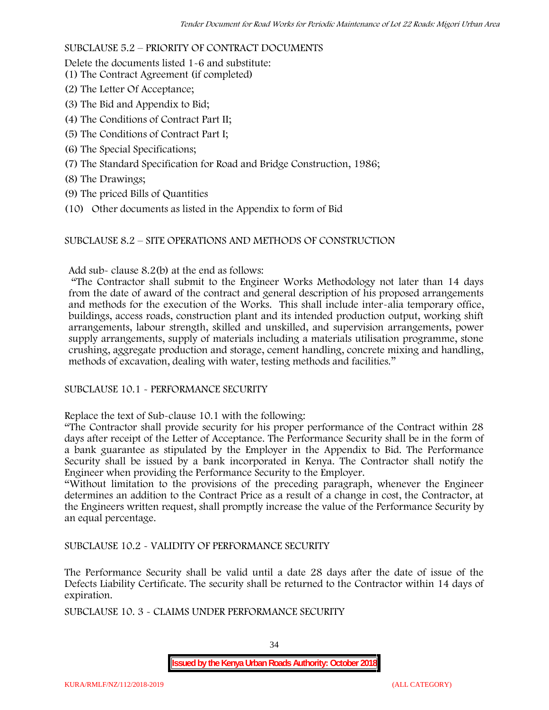#### SUBCLAUSE 5.2 – PRIORITY OF CONTRACT DOCUMENTS

Delete the documents listed 1-6 and substitute:

- (1) The Contract Agreement (if completed)
- (2) The Letter Of Acceptance;
- (3) The Bid and Appendix to Bid;
- (4) The Conditions of Contract Part II;
- (5) The Conditions of Contract Part I;
- (6) The Special Specifications;
- (7) The Standard Specification for Road and Bridge Construction, 1986;
- (8) The Drawings;
- (9) The priced Bills of Quantities
- (10) Other documents as listed in the Appendix to form of Bid

#### SUBCLAUSE 8.2 – SITE OPERATIONS AND METHODS OF CONSTRUCTION

Add sub- clause 8.2(b) at the end as follows:

"The Contractor shall submit to the Engineer Works Methodology not later than 14 days from the date of award of the contract and general description of his proposed arrangements and methods for the execution of the Works. This shall include inter-alia temporary office, buildings, access roads, construction plant and its intended production output, working shift arrangements, labour strength, skilled and unskilled, and supervision arrangements, power supply arrangements, supply of materials including a materials utilisation programme, stone crushing, aggregate production and storage, cement handling, concrete mixing and handling, methods of excavation, dealing with water, testing methods and facilities."

#### SUBCLAUSE 10.1 - PERFORMANCE SECURITY

Replace the text of Sub-clause 10.1 with the following:

"The Contractor shall provide security for his proper performance of the Contract within 28 days after receipt of the Letter of Acceptance. The Performance Security shall be in the form of a bank guarantee as stipulated by the Employer in the Appendix to Bid. The Performance Security shall be issued by a bank incorporated in Kenya. The Contractor shall notify the Engineer when providing the Performance Security to the Employer.

"Without limitation to the provisions of the preceding paragraph, whenever the Engineer determines an addition to the Contract Price as a result of a change in cost, the Contractor, at the Engineers written request, shall promptly increase the value of the Performance Security by an equal percentage.

SUBCLAUSE 10.2 - VALIDITY OF PERFORMANCE SECURITY

The Performance Security shall be valid until a date 28 days after the date of issue of the Defects Liability Certificate. The security shall be returned to the Contractor within 14 days of expiration.

SUBCLAUSE 10. 3 - CLAIMS UNDER PERFORMANCE SECURITY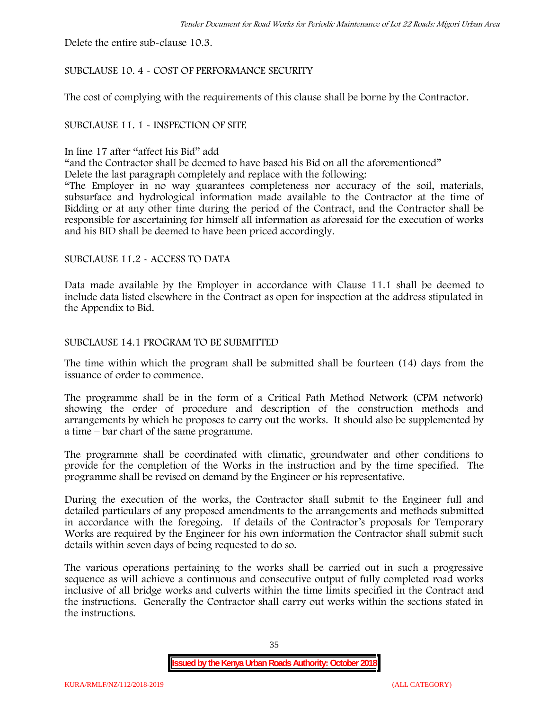Delete the entire sub-clause 10.3.

#### SUBCLAUSE 10. 4 - COST OF PERFORMANCE SECURITY

The cost of complying with the requirements of this clause shall be borne by the Contractor.

#### SUBCLAUSE 11. 1 - INSPECTION OF SITE

#### In line 17 after "affect his Bid" add

"and the Contractor shall be deemed to have based his Bid on all the aforementioned"

Delete the last paragraph completely and replace with the following:

"The Employer in no way guarantees completeness nor accuracy of the soil, materials, subsurface and hydrological information made available to the Contractor at the time of Bidding or at any other time during the period of the Contract, and the Contractor shall be responsible for ascertaining for himself all information as aforesaid for the execution of works and his BID shall be deemed to have been priced accordingly.

#### SUBCLAUSE 11.2 - ACCESS TO DATA

Data made available by the Employer in accordance with Clause 11.1 shall be deemed to include data listed elsewhere in the Contract as open for inspection at the address stipulated in the Appendix to Bid.

#### SUBCLAUSE 14.1 PROGRAM TO BE SUBMITTED

The time within which the program shall be submitted shall be fourteen (14) days from the issuance of order to commence**.**

The programme shall be in the form of a Critical Path Method Network (CPM network) showing the order of procedure and description of the construction methods and arrangements by which he proposes to carry out the works. It should also be supplemented by a time – bar chart of the same programme.

The programme shall be coordinated with climatic, groundwater and other conditions to provide for the completion of the Works in the instruction and by the time specified. The programme shall be revised on demand by the Engineer or his representative.

During the execution of the works, the Contractor shall submit to the Engineer full and detailed particulars of any proposed amendments to the arrangements and methods submitted in accordance with the foregoing. If details of the Contractor's proposals for Temporary Works are required by the Engineer for his own information the Contractor shall submit such details within seven days of being requested to do so.

The various operations pertaining to the works shall be carried out in such a progressive sequence as will achieve a continuous and consecutive output of fully completed road works inclusive of all bridge works and culverts within the time limits specified in the Contract and the instructions. Generally the Contractor shall carry out works within the sections stated in the instructions.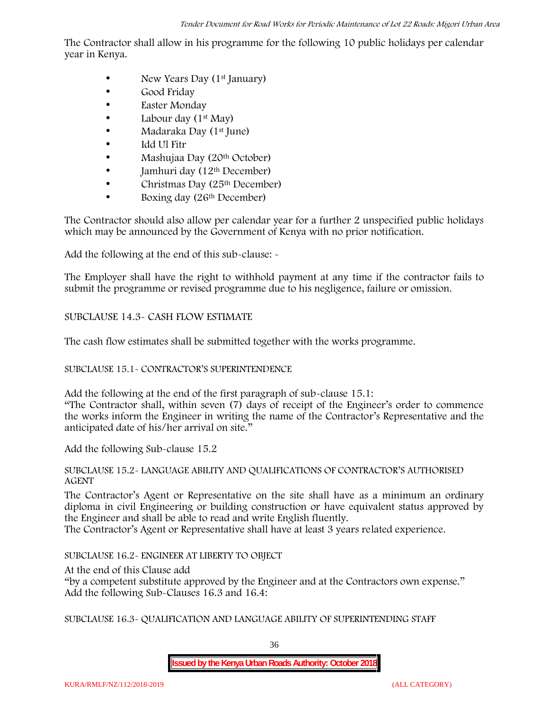The Contractor shall allow in his programme for the following 10 public holidays per calendar year in Kenya.

- New Years Day  $(1<sup>st</sup>$  January)
- Good Friday
- Easter Monday
- Labour day  $(1<sup>st</sup> May)$
- Madaraka Day (1<sup>st</sup> June)
- Idd Ul Fitr
- Mashujaa Day (20<sup>th</sup> October)
- Jamhuri day (12<sup>th</sup> December)
- $\bullet$  Christmas Day (25<sup>th</sup> December)
- Boxing day (26<sup>th</sup> December)

The Contractor should also allow per calendar year for a further 2 unspecified public holidays which may be announced by the Government of Kenya with no prior notification.

Add the following at the end of this sub-clause: -

The Employer shall have the right to withhold payment at any time if the contractor fails to submit the programme or revised programme due to his negligence, failure or omission.

# SUBCLAUSE 14.3- CASH FLOW ESTIMATE

The cash flow estimates shall be submitted together with the works programme.

# SUBCLAUSE 15.1- CONTRACTOR'S SUPERINTENDENCE

Add the following at the end of the first paragraph of sub-clause 15.1: "The Contractor shall, within seven (7) days of receipt of the Engineer's order to commence the works inform the Engineer in writing the name of the Contractor's Representative and the anticipated date of his/her arrival on site."

Add the following Sub-clause 15.2

## SUBCLAUSE 15.2- LANGUAGE ABILITY AND QUALIFICATIONS OF CONTRACTOR'S AUTHORISED AGENT

The Contractor's Agent or Representative on the site shall have as a minimum an ordinary diploma in civil Engineering or building construction or have equivalent status approved by the Engineer and shall be able to read and write English fluently.

The Contractor's Agent or Representative shall have at least 3 years related experience.

SUBCLAUSE 16.2- ENGINEER AT LIBERTY TO OBJECT

At the end of this Clause add

"by a competent substitute approved by the Engineer and at the Contractors own expense." Add the following Sub-Clauses 16.3 and 16.4:

SUBCLAUSE 16.3- QUALIFICATION AND LANGUAGE ABILITY OF SUPERINTENDING STAFF

36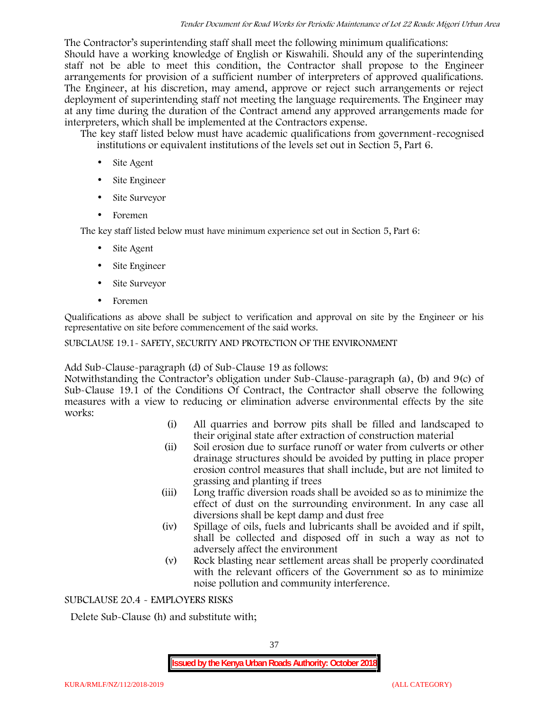The Contractor's superintending staff shall meet the following minimum qualifications: Should have a working knowledge of English or Kiswahili. Should any of the superintending staff not be able to meet this condition, the Contractor shall propose to the Engineer arrangements for provision of a sufficient number of interpreters of approved qualifications. The Engineer, at his discretion, may amend, approve or reject such arrangements or reject deployment of superintending staff not meeting the language requirements. The Engineer may at any time during the duration of the Contract amend any approved arrangements made for interpreters, which shall be implemented at the Contractors expense.

The key staff listed below must have academic qualifications from government-recognised institutions or equivalent institutions of the levels set out in Section 5, Part 6.

- Site Agent
- Site Engineer
- Site Surveyor
- Foremen

The key staff listed below must have minimum experience set out in Section 5, Part 6:

- Site Agent
- Site Engineer
- Site Surveyor
- Foremen

Qualifications as above shall be subject to verification and approval on site by the Engineer or his representative on site before commencement of the said works.

## SUBCLAUSE 19.1- SAFETY, SECURITY AND PROTECTION OF THE ENVIRONMENT

Add Sub-Clause-paragraph (d) of Sub-Clause 19 as follows:

Notwithstanding the Contractor's obligation under Sub-Clause-paragraph (a), (b) and 9(c) of Sub-Clause 19.1 of the Conditions Of Contract, the Contractor shall observe the following measures with a view to reducing or elimination adverse environmental effects by the site works:

- (i) All quarries and borrow pits shall be filled and landscaped to their original state after extraction of construction material
- (ii) Soil erosion due to surface runoff or water from culverts or other drainage structures should be avoided by putting in place proper erosion control measures that shall include, but are not limited to grassing and planting if trees
- (iii) Long traffic diversion roads shall be avoided so as to minimize the effect of dust on the surrounding environment. In any case all diversions shall be kept damp and dust free
- (iv) Spillage of oils, fuels and lubricants shall be avoided and if spilt, shall be collected and disposed off in such a way as not to adversely affect the environment
- (v) Rock blasting near settlement areas shall be properly coordinated with the relevant officers of the Government so as to minimize noise pollution and community interference.

## SUBCLAUSE 20.4 - EMPLOYERS RISKS

Delete Sub-Clause (h) and substitute with;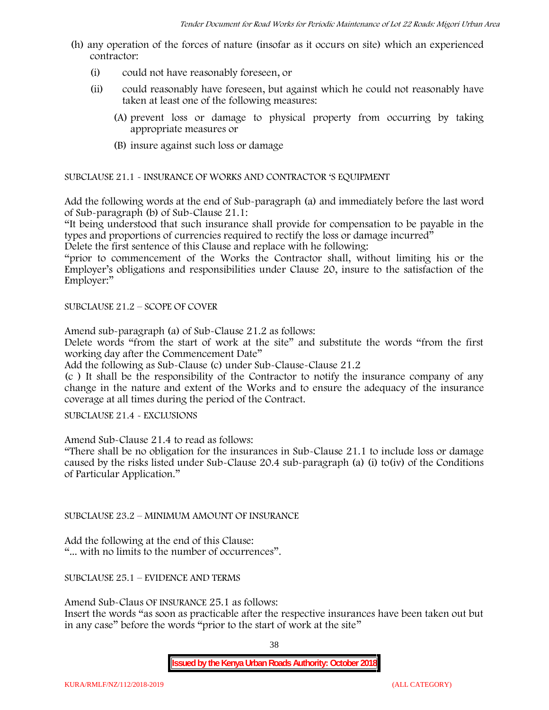- (h) any operation of the forces of nature (insofar as it occurs on site) which an experienced contractor:
	- (i) could not have reasonably foreseen, or
	- (ii) could reasonably have foreseen, but against which he could not reasonably have taken at least one of the following measures:
		- (A) prevent loss or damage to physical property from occurring by taking appropriate measures or
		- (B) insure against such loss or damage

SUBCLAUSE 21.1 - INSURANCE OF WORKS AND CONTRACTOR 'S EQUIPMENT

Add the following words at the end of Sub-paragraph (a) and immediately before the last word of Sub-paragraph (b) of Sub-Clause 21.1:

"It being understood that such insurance shall provide for compensation to be payable in the types and proportions of currencies required to rectify the loss or damage incurred"

Delete the first sentence of this Clause and replace with he following:

"prior to commencement of the Works the Contractor shall, without limiting his or the Employer's obligations and responsibilities under Clause 20, insure to the satisfaction of the Employer:"

SUBCLAUSE 21.2 – SCOPE OF COVER

Amend sub-paragraph (a) of Sub-Clause 21.2 as follows:

Delete words "from the start of work at the site" and substitute the words "from the first working day after the Commencement Date"

Add the following as Sub-Clause (c) under Sub-Clause-Clause 21.2

(c ) It shall be the responsibility of the Contractor to notify the insurance company of any change in the nature and extent of the Works and to ensure the adequacy of the insurance coverage at all times during the period of the Contract.

SUBCLAUSE 21.4 - EXCLUSIONS

Amend Sub-Clause 21.4 to read as follows:

"There shall be no obligation for the insurances in Sub-Clause 21.1 to include loss or damage caused by the risks listed under Sub-Clause 20.4 sub-paragraph (a) (i) to(iv) of the Conditions of Particular Application."

SUBCLAUSE 23.2 – MINIMUM AMOUNT OF INSURANCE

Add the following at the end of this Clause: "... with no limits to the number of occurrences".

SUBCLAUSE 25.1 – EVIDENCE AND TERMS

Amend Sub-Claus OF INSURANCE 25.1 as follows:

Insert the words "as soon as practicable after the respective insurances have been taken out but in any case" before the words "prior to the start of work at the site"

38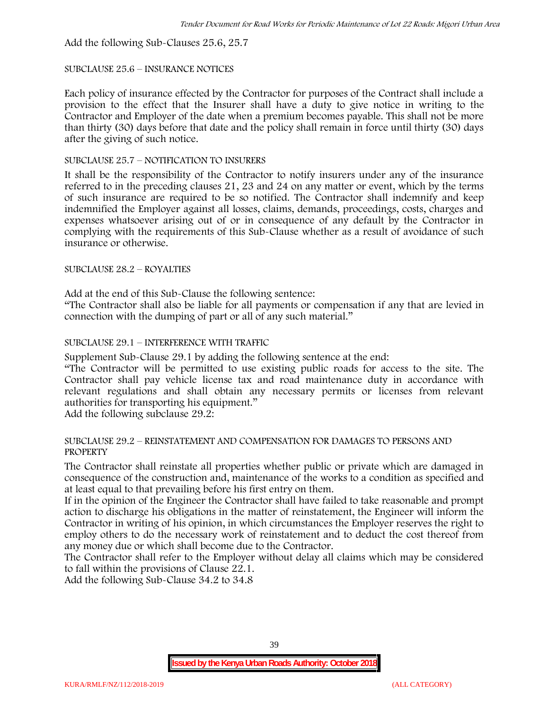Add the following Sub-Clauses 25.6, 25.7

#### SUBCLAUSE 25.6 – INSURANCE NOTICES

Each policy of insurance effected by the Contractor for purposes of the Contract shall include a provision to the effect that the Insurer shall have a duty to give notice in writing to the Contractor and Employer of the date when a premium becomes payable. This shall not be more than thirty (30) days before that date and the policy shall remain in force until thirty (30) days after the giving of such notice.

## SUBCLAUSE 25.7 – NOTIFICATION TO INSURERS

It shall be the responsibility of the Contractor to notify insurers under any of the insurance referred to in the preceding clauses 21, 23 and 24 on any matter or event, which by the terms of such insurance are required to be so notified. The Contractor shall indemnify and keep indemnified the Employer against all losses, claims, demands, proceedings, costs, charges and expenses whatsoever arising out of or in consequence of any default by the Contractor in complying with the requirements of this Sub-Clause whether as a result of avoidance of such insurance or otherwise.

#### SUBCLAUSE 28.2 – ROYALTIES

Add at the end of this Sub-Clause the following sentence:

"The Contractor shall also be liable for all payments or compensation if any that are levied in connection with the dumping of part or all of any such material."

## SUBCLAUSE 29.1 – INTERFERENCE WITH TRAFFIC

Supplement Sub-Clause 29.1 by adding the following sentence at the end:

"The Contractor will be permitted to use existing public roads for access to the site. The Contractor shall pay vehicle license tax and road maintenance duty in accordance with relevant regulations and shall obtain any necessary permits or licenses from relevant authorities for transporting his equipment."

Add the following subclause 29.2:

#### SUBCLAUSE 29.2 – REINSTATEMENT AND COMPENSATION FOR DAMAGES TO PERSONS AND PROPERTY

The Contractor shall reinstate all properties whether public or private which are damaged in consequence of the construction and, maintenance of the works to a condition as specified and at least equal to that prevailing before his first entry on them.

If in the opinion of the Engineer the Contractor shall have failed to take reasonable and prompt action to discharge his obligations in the matter of reinstatement, the Engineer will inform the Contractor in writing of his opinion, in which circumstances the Employer reserves the right to employ others to do the necessary work of reinstatement and to deduct the cost thereof from any money due or which shall become due to the Contractor.

The Contractor shall refer to the Employer without delay all claims which may be considered to fall within the provisions of Clause 22.1.

Add the following Sub-Clause 34.2 to 34.8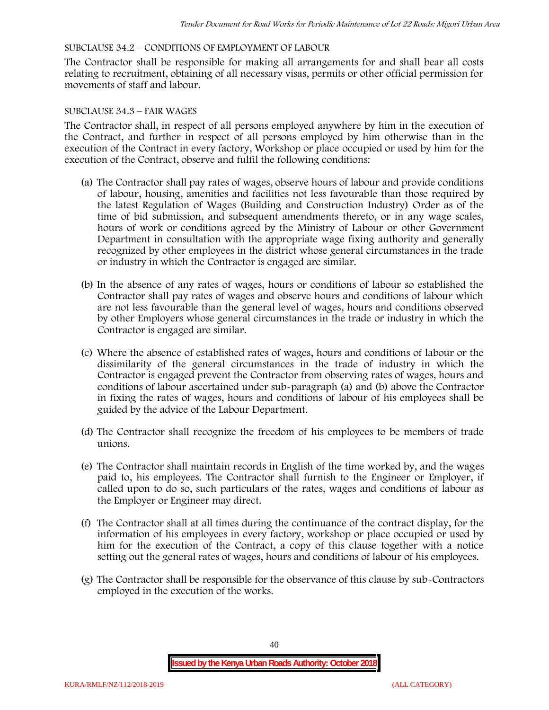## SUBCLAUSE 34.2 – CONDITIONS OF EMPLOYMENT OF LABOUR

The Contractor shall be responsible for making all arrangements for and shall bear all costs relating to recruitment, obtaining of all necessary visas, permits or other official permission for movements of staff and labour.

## SUBCLAUSE 34.3 – FAIR WAGES

The Contractor shall, in respect of all persons employed anywhere by him in the execution of the Contract, and further in respect of all persons employed by him otherwise than in the execution of the Contract in every factory, Workshop or place occupied or used by him for the execution of the Contract, observe and fulfil the following conditions:

- (a) The Contractor shall pay rates of wages, observe hours of labour and provide conditions of labour, housing, amenities and facilities not less favourable than those required by the latest Regulation of Wages (Building and Construction Industry) Order as of the time of bid submission, and subsequent amendments thereto, or in any wage scales, hours of work or conditions agreed by the Ministry of Labour or other Government Department in consultation with the appropriate wage fixing authority and generally recognized by other employees in the district whose general circumstances in the trade or industry in which the Contractor is engaged are similar.
- (b) In the absence of any rates of wages, hours or conditions of labour so established the Contractor shall pay rates of wages and observe hours and conditions of labour which are not less favourable than the general level of wages, hours and conditions observed by other Employers whose general circumstances in the trade or industry in which the Contractor is engaged are similar.
- (c) Where the absence of established rates of wages, hours and conditions of labour or the dissimilarity of the general circumstances in the trade of industry in which the Contractor is engaged prevent the Contractor from observing rates of wages, hours and conditions of labour ascertained under sub-paragraph (a) and (b) above the Contractor in fixing the rates of wages, hours and conditions of labour of his employees shall be guided by the advice of the Labour Department.
- (d) The Contractor shall recognize the freedom of his employees to be members of trade unions.
- (e) The Contractor shall maintain records in English of the time worked by, and the wages paid to, his employees. The Contractor shall furnish to the Engineer or Employer, if called upon to do so, such particulars of the rates, wages and conditions of labour as the Employer or Engineer may direct.
- (f) The Contractor shall at all times during the continuance of the contract display, for the information of his employees in every factory, workshop or place occupied or used by him for the execution of the Contract, a copy of this clause together with a notice setting out the general rates of wages, hours and conditions of labour of his employees.
- (g) The Contractor shall be responsible for the observance of this clause by sub-Contractors employed in the execution of the works.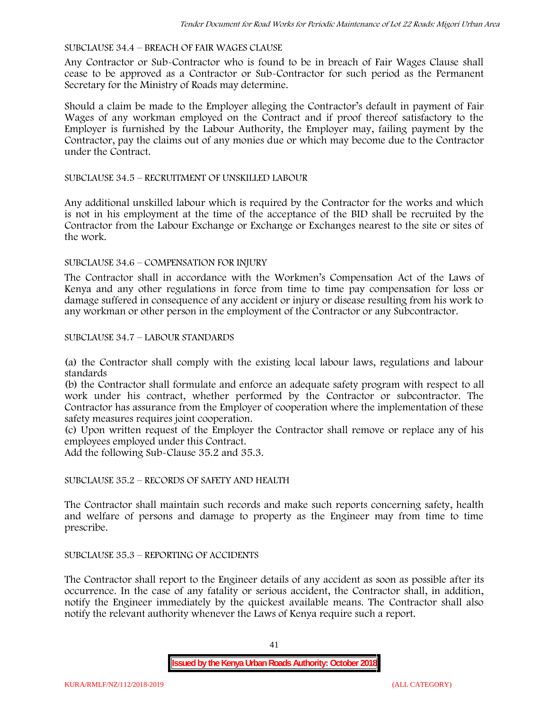#### SUBCLAUSE 34.4 – BREACH OF FAIR WAGES CLAUSE

Any Contractor or Sub-Contractor who is found to be in breach of Fair Wages Clause shall cease to be approved as a Contractor or Sub-Contractor for such period as the Permanent Secretary for the Ministry of Roads may determine.

Should a claim be made to the Employer alleging the Contractor's default in payment of Fair Wages of any workman employed on the Contract and if proof thereof satisfactory to the Employer is furnished by the Labour Authority, the Employer may, failing payment by the Contractor, pay the claims out of any monies due or which may become due to the Contractor under the Contract.

#### SUBCLAUSE 34.5 – RECRUITMENT OF UNSKILLED LABOUR

Any additional unskilled labour which is required by the Contractor for the works and which is not in his employment at the time of the acceptance of the BID shall be recruited by the Contractor from the Labour Exchange or Exchange or Exchanges nearest to the site or sites of the work.

#### SUBCLAUSE 34.6 – COMPENSATION FOR INJURY

The Contractor shall in accordance with the Workmen's Compensation Act of the Laws of Kenya and any other regulations in force from time to time pay compensation for loss or damage suffered in consequence of any accident or injury or disease resulting from his work to any workman or other person in the employment of the Contractor or any Subcontractor.

#### SUBCLAUSE 34.7 – LABOUR STANDARDS

(a) the Contractor shall comply with the existing local labour laws, regulations and labour standards

(b) the Contractor shall formulate and enforce an adequate safety program with respect to all work under his contract, whether performed by the Contractor or subcontractor. The Contractor has assurance from the Employer of cooperation where the implementation of these safety measures requires joint cooperation.

(c) Upon written request of the Employer the Contractor shall remove or replace any of his employees employed under this Contract.

Add the following Sub-Clause 35.2 and 35.3.

# SUBCLAUSE 35.2 – RECORDS OF SAFETY AND HEALTH

The Contractor shall maintain such records and make such reports concerning safety, health and welfare of persons and damage to property as the Engineer may from time to time prescribe.

## SUBCLAUSE 35.3 – REPORTING OF ACCIDENTS

The Contractor shall report to the Engineer details of any accident as soon as possible after its occurrence. In the case of any fatality or serious accident, the Contractor shall, in addition, notify the Engineer immediately by the quickest available means. The Contractor shall also notify the relevant authority whenever the Laws of Kenya require such a report.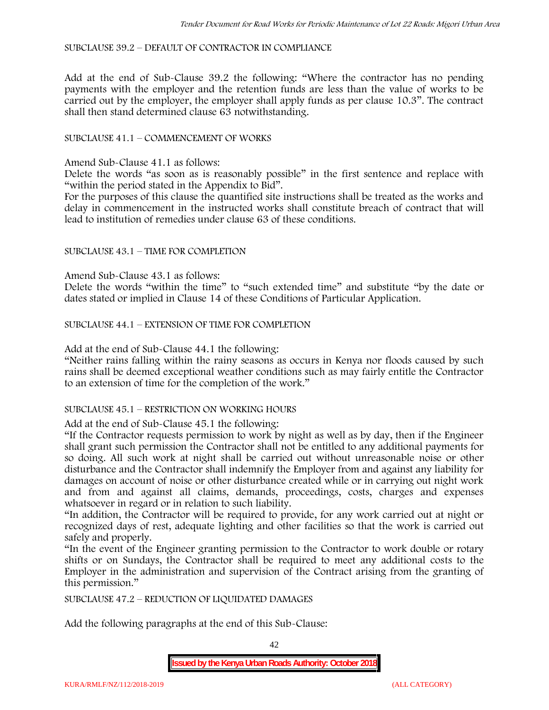SUBCLAUSE 39.2 – DEFAULT OF CONTRACTOR IN COMPLIANCE

Add at the end of Sub-Clause 39.2 the following: "Where the contractor has no pending payments with the employer and the retention funds are less than the value of works to be carried out by the employer, the employer shall apply funds as per clause 10.3". The contract shall then stand determined clause 63 notwithstanding.

# SUBCLAUSE 41.1 – COMMENCEMENT OF WORKS

Amend Sub-Clause 41.1 as follows:

Delete the words "as soon as is reasonably possible" in the first sentence and replace with "within the period stated in the Appendix to Bid".

For the purposes of this clause the quantified site instructions shall be treated as the works and delay in commencement in the instructed works shall constitute breach of contract that will lead to institution of remedies under clause 63 of these conditions.

#### SUBCLAUSE 43.1 – TIME FOR COMPLETION

Amend Sub-Clause 43.1 as follows:

Delete the words "within the time" to "such extended time" and substitute "by the date or dates stated or implied in Clause 14 of these Conditions of Particular Application.

SUBCLAUSE 44.1 – EXTENSION OF TIME FOR COMPLETION

Add at the end of Sub-Clause 44.1 the following:

"Neither rains falling within the rainy seasons as occurs in Kenya nor floods caused by such rains shall be deemed exceptional weather conditions such as may fairly entitle the Contractor to an extension of time for the completion of the work."

#### SUBCLAUSE 45.1 – RESTRICTION ON WORKING HOURS

Add at the end of Sub-Clause 45.1 the following:

"If the Contractor requests permission to work by night as well as by day, then if the Engineer shall grant such permission the Contractor shall not be entitled to any additional payments for so doing. All such work at night shall be carried out without unreasonable noise or other disturbance and the Contractor shall indemnify the Employer from and against any liability for damages on account of noise or other disturbance created while or in carrying out night work and from and against all claims, demands, proceedings, costs, charges and expenses whatsoever in regard or in relation to such liability.

"In addition, the Contractor will be required to provide, for any work carried out at night or recognized days of rest, adequate lighting and other facilities so that the work is carried out safely and properly.

"In the event of the Engineer granting permission to the Contractor to work double or rotary shifts or on Sundays, the Contractor shall be required to meet any additional costs to the Employer in the administration and supervision of the Contract arising from the granting of this permission."

SUBCLAUSE 47.2 – REDUCTION OF LIQUIDATED DAMAGES

Add the following paragraphs at the end of this Sub-Clause:

42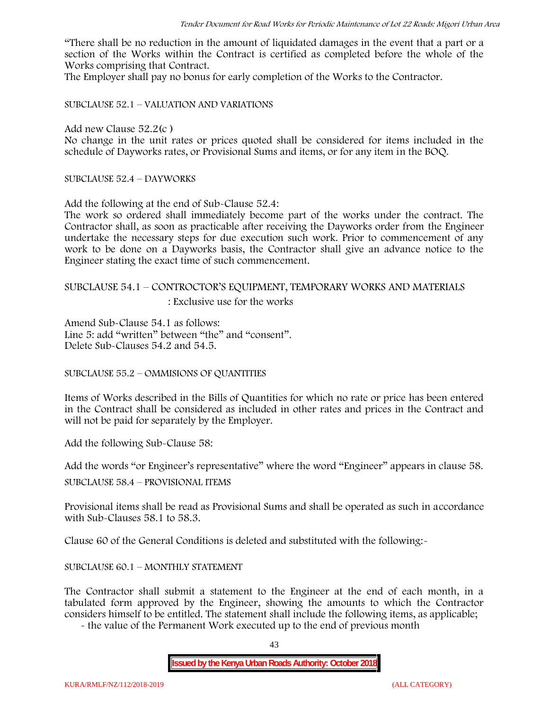"There shall be no reduction in the amount of liquidated damages in the event that a part or a section of the Works within the Contract is certified as completed before the whole of the Works comprising that Contract.

The Employer shall pay no bonus for early completion of the Works to the Contractor.

SUBCLAUSE 52.1 – VALUATION AND VARIATIONS

Add new Clause 52.2(c )

No change in the unit rates or prices quoted shall be considered for items included in the schedule of Dayworks rates, or Provisional Sums and items, or for any item in the BOQ.

SUBCLAUSE 52.4 – DAYWORKS

Add the following at the end of Sub-Clause 52.4:

The work so ordered shall immediately become part of the works under the contract. The Contractor shall, as soon as practicable after receiving the Dayworks order from the Engineer undertake the necessary steps for due execution such work. Prior to commencement of any work to be done on a Dayworks basis, the Contractor shall give an advance notice to the Engineer stating the exact time of such commencement.

# SUBCLAUSE 54.1 – CONTROCTOR'S EQUIPMENT, TEMPORARY WORKS AND MATERIALS

: Exclusive use for the works

Amend Sub-Clause 54.1 as follows: Line 5: add "written" between "the" and "consent". Delete Sub-Clauses 54.2 and 54.5.

SUBCLAUSE 55.2 – OMMISIONS OF QUANTITIES

Items of Works described in the Bills of Quantities for which no rate or price has been entered in the Contract shall be considered as included in other rates and prices in the Contract and will not be paid for separately by the Employer.

Add the following Sub-Clause 58:

Add the words "or Engineer's representative" where the word "Engineer" appears in clause 58.

SUBCLAUSE 58.4 – PROVISIONAL ITEMS

Provisional items shall be read as Provisional Sums and shall be operated as such in accordance with Sub-Clauses 58.1 to 58.3.

Clause 60 of the General Conditions is deleted and substituted with the following:-

## SUBCLAUSE 60.1 – MONTHLY STATEMENT

The Contractor shall submit a statement to the Engineer at the end of each month, in a tabulated form approved by the Engineer, showing the amounts to which the Contractor considers himself to be entitled. The statement shall include the following items, as applicable;

- the value of the Permanent Work executed up to the end of previous month

43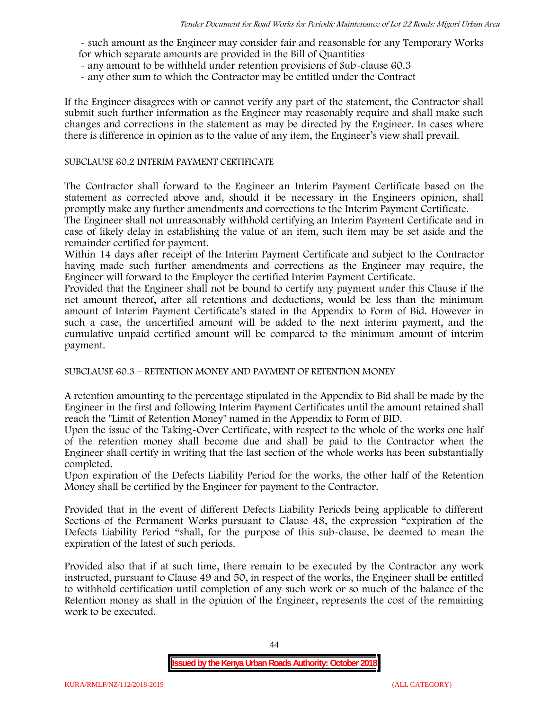- such amount as the Engineer may consider fair and reasonable for any Temporary Works for which separate amounts are provided in the Bill of Quantities

- any amount to be withheld under retention provisions of Sub-clause 60.3
- any other sum to which the Contractor may be entitled under the Contract

If the Engineer disagrees with or cannot verify any part of the statement, the Contractor shall submit such further information as the Engineer may reasonably require and shall make such changes and corrections in the statement as may be directed by the Engineer. In cases where there is difference in opinion as to the value of any item, the Engineer's view shall prevail.

## SUBCLAUSE 60.2 INTERIM PAYMENT CERTIFICATE

The Contractor shall forward to the Engineer an Interim Payment Certificate based on the statement as corrected above and, should it be necessary in the Engineers opinion, shall promptly make any further amendments and corrections to the Interim Payment Certificate.

The Engineer shall not unreasonably withhold certifying an Interim Payment Certificate and in case of likely delay in establishing the value of an item, such item may be set aside and the remainder certified for payment.

Within 14 days after receipt of the Interim Payment Certificate and subject to the Contractor having made such further amendments and corrections as the Engineer may require, the Engineer will forward to the Employer the certified Interim Payment Certificate.

Provided that the Engineer shall not be bound to certify any payment under this Clause if the net amount thereof, after all retentions and deductions, would be less than the minimum amount of Interim Payment Certificate's stated in the Appendix to Form of Bid. However in such a case, the uncertified amount will be added to the next interim payment, and the cumulative unpaid certified amount will be compared to the minimum amount of interim payment.

SUBCLAUSE 60.3 – RETENTION MONEY AND PAYMENT OF RETENTION MONEY

A retention amounting to the percentage stipulated in the Appendix to Bid shall be made by the Engineer in the first and following Interim Payment Certificates until the amount retained shall reach the "Limit of Retention Money" named in the Appendix to Form of BID.

Upon the issue of the Taking-Over Certificate, with respect to the whole of the works one half of the retention money shall become due and shall be paid to the Contractor when the Engineer shall certify in writing that the last section of the whole works has been substantially completed.

Upon expiration of the Defects Liability Period for the works, the other half of the Retention Money shall be certified by the Engineer for payment to the Contractor.

Provided that in the event of different Defects Liability Periods being applicable to different Sections of the Permanent Works pursuant to Clause 48, the expression "expiration of the Defects Liability Period "shall, for the purpose of this sub-clause, be deemed to mean the expiration of the latest of such periods.

Provided also that if at such time, there remain to be executed by the Contractor any work instructed, pursuant to Clause 49 and 50, in respect of the works, the Engineer shall be entitled to withhold certification until completion of any such work or so much of the balance of the Retention money as shall in the opinion of the Engineer, represents the cost of the remaining work to be executed.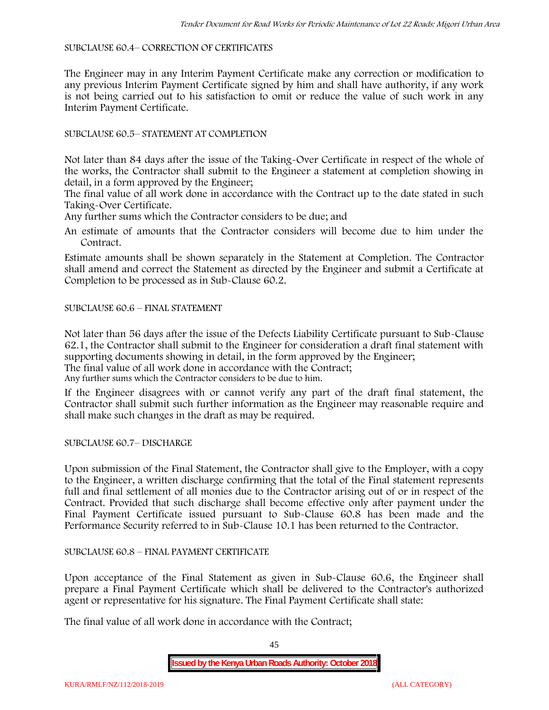#### SUBCLAUSE 60.4– CORRECTION OF CERTIFICATES

The Engineer may in any Interim Payment Certificate make any correction or modification to any previous Interim Payment Certificate signed by him and shall have authority, if any work is not being carried out to his satisfaction to omit or reduce the value of such work in any Interim Payment Certificate.

# SUBCLAUSE 60.5– STATEMENT AT COMPLETION

Not later than 84 days after the issue of the Taking-Over Certificate in respect of the whole of the works, the Contractor shall submit to the Engineer a statement at completion showing in detail, in a form approved by the Engineer;

The final value of all work done in accordance with the Contract up to the date stated in such Taking-Over Certificate.

Any further sums which the Contractor considers to be due; and

An estimate of amounts that the Contractor considers will become due to him under the Contract.

Estimate amounts shall be shown separately in the Statement at Completion. The Contractor shall amend and correct the Statement as directed by the Engineer and submit a Certificate at Completion to be processed as in Sub-Clause 60.2.

## SUBCLAUSE 60.6 – FINAL STATEMENT

Not later than 56 days after the issue of the Defects Liability Certificate pursuant to Sub-Clause 62.1, the Contractor shall submit to the Engineer for consideration a draft final statement with supporting documents showing in detail, in the form approved by the Engineer; The final value of all work done in accordance with the Contract;

Any further sums which the Contractor considers to be due to him.

If the Engineer disagrees with or cannot verify any part of the draft final statement, the Contractor shall submit such further information as the Engineer may reasonable require and shall make such changes in the draft as may be required.

SUBCLAUSE 60.7– DISCHARGE

Upon submission of the Final Statement, the Contractor shall give to the Employer, with a copy to the Engineer, a written discharge confirming that the total of the Final statement represents full and final settlement of all monies due to the Contractor arising out of or in respect of the Contract. Provided that such discharge shall become effective only after payment under the Final Payment Certificate issued pursuant to Sub-Clause 60.8 has been made and the Performance Security referred to in Sub-Clause 10.1 has been returned to the Contractor.

## SUBCLAUSE 60.8 – FINAL PAYMENT CERTIFICATE

Upon acceptance of the Final Statement as given in Sub-Clause 60.6, the Engineer shall prepare a Final Payment Certificate which shall be delivered to the Contractor's authorized agent or representative for his signature. The Final Payment Certificate shall state:

The final value of all work done in accordance with the Contract;

45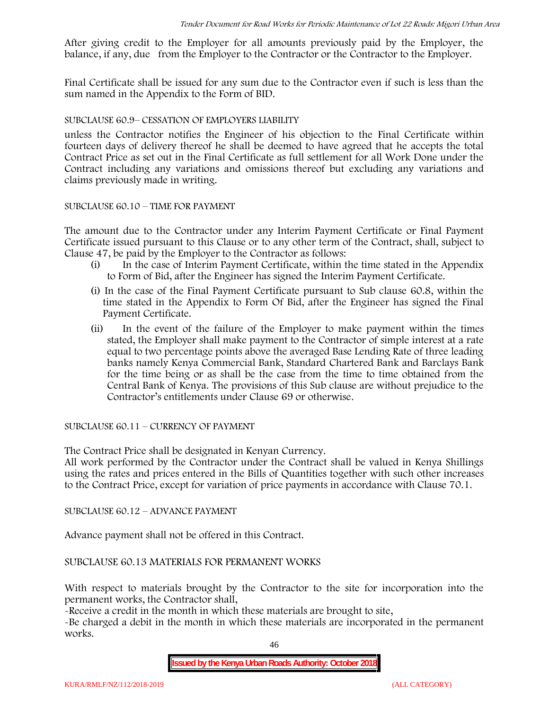After giving credit to the Employer for all amounts previously paid by the Employer, the balance, if any, due from the Employer to the Contractor or the Contractor to the Employer.

Final Certificate shall be issued for any sum due to the Contractor even if such is less than the sum named in the Appendix to the Form of BID.

## SUBCLAUSE 60.9– CESSATION OF EMPLOYERS LIABILITY

unless the Contractor notifies the Engineer of his objection to the Final Certificate within fourteen days of delivery thereof he shall be deemed to have agreed that he accepts the total Contract Price as set out in the Final Certificate as full settlement for all Work Done under the Contract including any variations and omissions thereof but excluding any variations and claims previously made in writing.

## SUBCLAUSE 60.10 – TIME FOR PAYMENT

The amount due to the Contractor under any Interim Payment Certificate or Final Payment Certificate issued pursuant to this Clause or to any other term of the Contract, shall, subject to Clause 47, be paid by the Employer to the Contractor as follows:

- (i) In the case of Interim Payment Certificate, within the time stated in the Appendix to Form of Bid, after the Engineer has signed the Interim Payment Certificate.
- (i) In the case of the Final Payment Certificate pursuant to Sub clause 60.8, within the time stated in the Appendix to Form Of Bid, after the Engineer has signed the Final Payment Certificate.
- (ii) In the event of the failure of the Employer to make payment within the times stated, the Employer shall make payment to the Contractor of simple interest at a rate equal to two percentage points above the averaged Base Lending Rate of three leading banks namely Kenya Commercial Bank, Standard Chartered Bank and Barclays Bank for the time being or as shall be the case from the time to time obtained from the Central Bank of Kenya. The provisions of this Sub clause are without prejudice to the Contractor's entitlements under Clause 69 or otherwise.

SUBCLAUSE 60.11 – CURRENCY OF PAYMENT

The Contract Price shall be designated in Kenyan Currency.

All work performed by the Contractor under the Contract shall be valued in Kenya Shillings using the rates and prices entered in the Bills of Quantities together with such other increases to the Contract Price, except for variation of price payments in accordance with Clause 70.1.

SUBCLAUSE 60.12 – ADVANCE PAYMENT

Advance payment shall not be offered in this Contract.

SUBCLAUSE 60.13 MATERIALS FOR PERMANENT WORKS

With respect to materials brought by the Contractor to the site for incorporation into the permanent works, the Contractor shall,

-Receive a credit in the month in which these materials are brought to site,

-Be charged a debit in the month in which these materials are incorporated in the permanent works.

46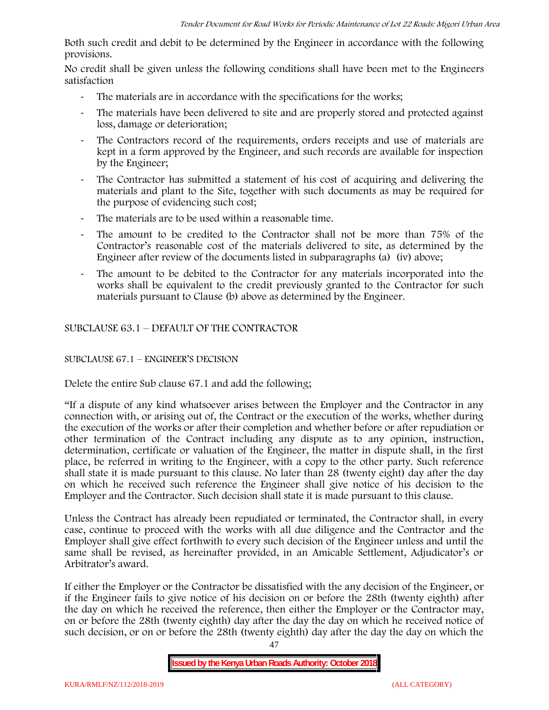Both such credit and debit to be determined by the Engineer in accordance with the following provisions.

No credit shall be given unless the following conditions shall have been met to the Engineers satisfaction

- The materials are in accordance with the specifications for the works;
- The materials have been delivered to site and are properly stored and protected against loss, damage or deterioration;
- The Contractors record of the requirements, orders receipts and use of materials are kept in a form approved by the Engineer, and such records are available for inspection by the Engineer;
- The Contractor has submitted a statement of his cost of acquiring and delivering the materials and plant to the Site, together with such documents as may be required for the purpose of evidencing such cost;
- The materials are to be used within a reasonable time.
- The amount to be credited to the Contractor shall not be more than 75% of the Contractor's reasonable cost of the materials delivered to site, as determined by the Engineer after review of the documents listed in subparagraphs (a) (iv) above;
- The amount to be debited to the Contractor for any materials incorporated into the works shall be equivalent to the credit previously granted to the Contractor for such materials pursuant to Clause (b) above as determined by the Engineer.

SUBCLAUSE 63.1 – DEFAULT OF THE CONTRACTOR

# SUBCLAUSE 67.1 – ENGINEER'S DECISION

Delete the entire Sub clause 67.1 and add the following;

"If a dispute of any kind whatsoever arises between the Employer and the Contractor in any connection with, or arising out of, the Contract or the execution of the works, whether during the execution of the works or after their completion and whether before or after repudiation or other termination of the Contract including any dispute as to any opinion, instruction, determination, certificate or valuation of the Engineer, the matter in dispute shall, in the first place, be referred in writing to the Engineer, with a copy to the other party. Such reference shall state it is made pursuant to this clause. No later than 28 (twenty eight) day after the day on which he received such reference the Engineer shall give notice of his decision to the Employer and the Contractor. Such decision shall state it is made pursuant to this clause.

Unless the Contract has already been repudiated or terminated, the Contractor shall, in every case, continue to proceed with the works with all due diligence and the Contractor and the Employer shall give effect forthwith to every such decision of the Engineer unless and until the same shall be revised, as hereinafter provided, in an Amicable Settlement, Adjudicator's or Arbitrator's award.

If either the Employer or the Contractor be dissatisfied with the any decision of the Engineer, or if the Engineer fails to give notice of his decision on or before the 28th (twenty eighth) after the day on which he received the reference, then either the Employer or the Contractor may, on or before the 28th (twenty eighth) day after the day the day on which he received notice of such decision, or on or before the 28th (twenty eighth) day after the day the day on which the

**Issued by the Kenya Urban Roads Authority: October 2018**

47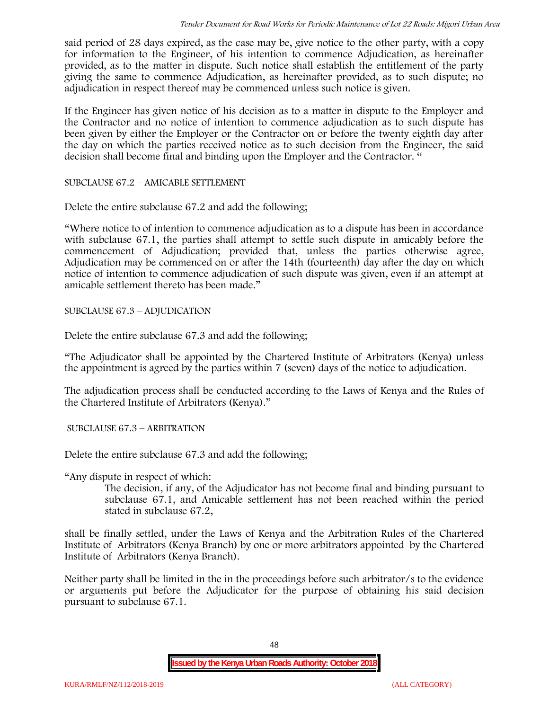said period of 28 days expired, as the case may be, give notice to the other party, with a copy for information to the Engineer, of his intention to commence Adjudication, as hereinafter provided, as to the matter in dispute. Such notice shall establish the entitlement of the party giving the same to commence Adjudication, as hereinafter provided, as to such dispute; no adjudication in respect thereof may be commenced unless such notice is given.

If the Engineer has given notice of his decision as to a matter in dispute to the Employer and the Contractor and no notice of intention to commence adjudication as to such dispute has been given by either the Employer or the Contractor on or before the twenty eighth day after the day on which the parties received notice as to such decision from the Engineer, the said decision shall become final and binding upon the Employer and the Contractor. "

SUBCLAUSE 67.2 – AMICABLE SETTLEMENT

Delete the entire subclause 67.2 and add the following;

"Where notice to of intention to commence adjudication as to a dispute has been in accordance with subclause 67.1, the parties shall attempt to settle such dispute in amicably before the commencement of Adjudication; provided that, unless the parties otherwise agree, Adjudication may be commenced on or after the 14th (fourteenth) day after the day on which notice of intention to commence adjudication of such dispute was given, even if an attempt at amicable settlement thereto has been made."

SUBCLAUSE 67.3 – ADJUDICATION

Delete the entire subclause 67.3 and add the following;

"The Adjudicator shall be appointed by the Chartered Institute of Arbitrators (Kenya) unless the appointment is agreed by the parties within 7 (seven) days of the notice to adjudication.

The adjudication process shall be conducted according to the Laws of Kenya and the Rules of the Chartered Institute of Arbitrators (Kenya)."

SUBCLAUSE 67.3 – ARBITRATION

Delete the entire subclause 67.3 and add the following;

"Any dispute in respect of which:

The decision, if any, of the Adjudicator has not become final and binding pursuant to subclause 67.1, and Amicable settlement has not been reached within the period stated in subclause 67.2,

shall be finally settled, under the Laws of Kenya and the Arbitration Rules of the Chartered Institute of Arbitrators (Kenya Branch) by one or more arbitrators appointed by the Chartered Institute of Arbitrators (Kenya Branch).

Neither party shall be limited in the in the proceedings before such arbitrator/s to the evidence or arguments put before the Adjudicator for the purpose of obtaining his said decision pursuant to subclause 67.1.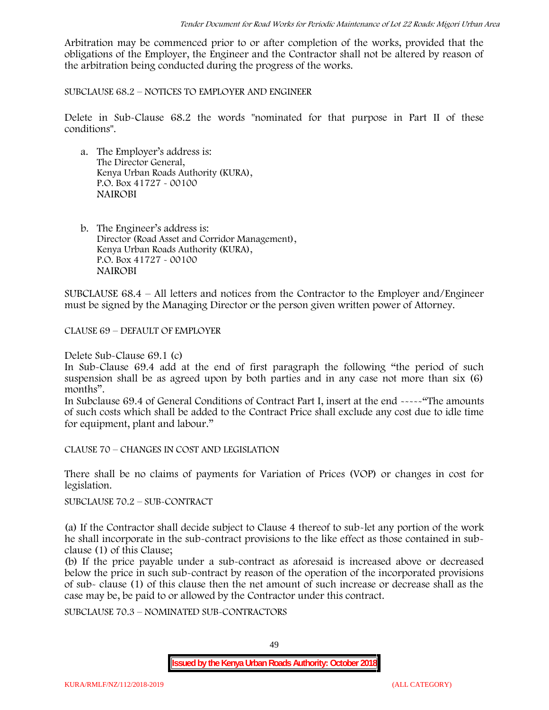Arbitration may be commenced prior to or after completion of the works, provided that the obligations of the Employer, the Engineer and the Contractor shall not be altered by reason of the arbitration being conducted during the progress of the works.

SUBCLAUSE 68.2 – NOTICES TO EMPLOYER AND ENGINEER

Delete in Sub-Clause 68.2 the words "nominated for that purpose in Part II of these conditions".

- a. The Employer's address is: The Director General, Kenya Urban Roads Authority (KURA), P.O. Box 41727 - 00100 **NAIROBI**
- b. The Engineer's address is: Director (Road Asset and Corridor Management), Kenya Urban Roads Authority (KURA), P.O. Box 41727 - 00100 **NAIROBI**

SUBCLAUSE 68.4 – All letters and notices from the Contractor to the Employer and/Engineer must be signed by the Managing Director or the person given written power of Attorney.

CLAUSE 69 – DEFAULT OF EMPLOYER

Delete Sub-Clause 69.1 (c)

In Sub-Clause 69.4 add at the end of first paragraph the following "the period of such suspension shall be as agreed upon by both parties and in any case not more than six (6) months".

In Subclause 69.4 of General Conditions of Contract Part I, insert at the end -----"The amounts of such costs which shall be added to the Contract Price shall exclude any cost due to idle time for equipment, plant and labour."

CLAUSE 70 – CHANGES IN COST AND LEGISLATION

There shall be no claims of payments for Variation of Prices (VOP) or changes in cost for legislation.

SUBCLAUSE 70.2 – SUB-CONTRACT

(a) If the Contractor shall decide subject to Clause 4 thereof to sub-let any portion of the work he shall incorporate in the sub-contract provisions to the like effect as those contained in sub clause (1) of this Clause;

(b) If the price payable under a sub-contract as aforesaid is increased above or decreased below the price in such sub-contract by reason of the operation of the incorporated provisions of sub- clause (1) of this clause then the net amount of such increase or decrease shall as the case may be, be paid to or allowed by the Contractor under this contract.

SUBCLAUSE 70.3 – NOMINATED SUB-CONTRACTORS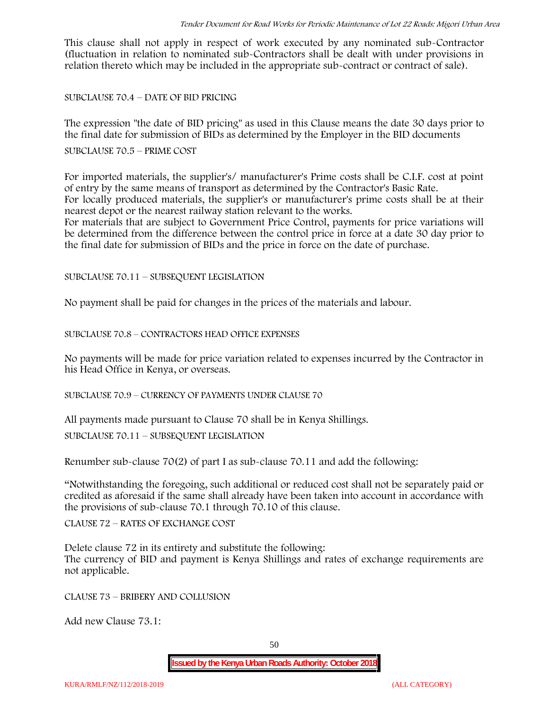This clause shall not apply in respect of work executed by any nominated sub-Contractor (fluctuation in relation to nominated sub-Contractors shall be dealt with under provisions in relation thereto which may be included in the appropriate sub-contract or contract of sale).

SUBCLAUSE 70.4 – DATE OF BID PRICING

The expression "the date of BID pricing" as used in this Clause means the date 30 days prior to the final date for submission of BIDs as determined by the Employer in the BID documents

#### SUBCLAUSE 70.5 – PRIME COST

For imported materials, the supplier's/ manufacturer's Prime costs shall be C.I.F. cost at point of entry by the same means of transport as determined by the Contractor's Basic Rate. For locally produced materials, the supplier's or manufacturer's prime costs shall be at their nearest depot or the nearest railway station relevant to the works.

For materials that are subject to Government Price Control, payments for price variations will be determined from the difference between the control price in force at a date 30 day prior to the final date for submission of BIDs and the price in force on the date of purchase.

SUBCLAUSE 70.11 – SUBSEQUENT LEGISLATION

No payment shall be paid for changes in the prices of the materials and labour.

SUBCLAUSE 70.8 – CONTRACTORS HEAD OFFICE EXPENSES

No payments will be made for price variation related to expenses incurred by the Contractor in his Head Office in Kenya, or overseas.

SUBCLAUSE 70.9 – CURRENCY OF PAYMENTS UNDER CLAUSE 70

All payments made pursuant to Clause 70 shall be in Kenya Shillings.

SUBCLAUSE 70.11 – SUBSEQUENT LEGISLATION

Renumber sub-clause 70(2) of part I as sub-clause 70.11 and add the following:

"Notwithstanding the foregoing, such additional or reduced cost shall not be separately paid or credited as aforesaid if the same shall already have been taken into account in accordance with the provisions of sub-clause 70.1 through 70.10 of this clause.

CLAUSE 72 – RATES OF EXCHANGE COST

Delete clause 72 in its entirety and substitute the following: The currency of BID and payment is Kenya Shillings and rates of exchange requirements are not applicable.

CLAUSE 73 – BRIBERY AND COLLUSION

Add new Clause 73.1: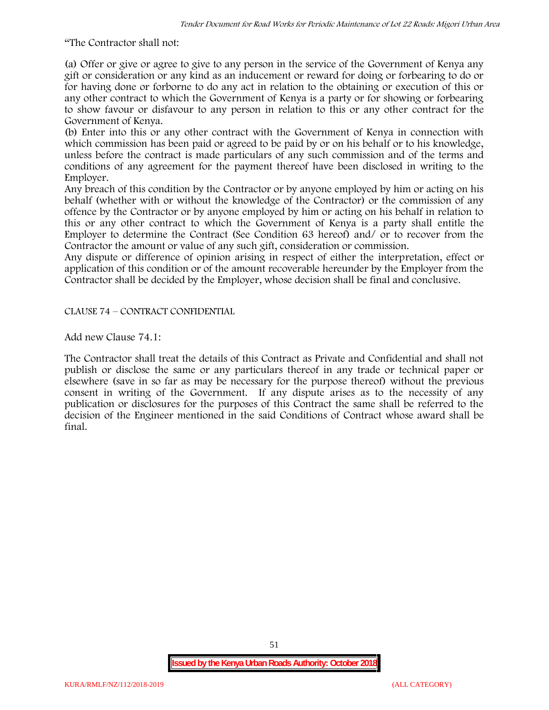"The Contractor shall not:

(a) Offer or give or agree to give to any person in the service of the Government of Kenya any gift or consideration or any kind as an inducement or reward for doing or forbearing to do or for having done or forborne to do any act in relation to the obtaining or execution of this or any other contract to which the Government of Kenya is a party or for showing or forbearing to show favour or disfavour to any person in relation to this or any other contract for the Government of Kenya.

(b) Enter into this or any other contract with the Government of Kenya in connection with which commission has been paid or agreed to be paid by or on his behalf or to his knowledge, unless before the contract is made particulars of any such commission and of the terms and conditions of any agreement for the payment thereof have been disclosed in writing to the Employer.

Any breach of this condition by the Contractor or by anyone employed by him or acting on his behalf (whether with or without the knowledge of the Contractor) or the commission of any offence by the Contractor or by anyone employed by him or acting on his behalf in relation to this or any other contract to which the Government of Kenya is a party shall entitle the Employer to determine the Contract (See Condition 63 hereof) and/ or to recover from the Contractor the amount or value of any such gift, consideration or commission.

Any dispute or difference of opinion arising in respect of either the interpretation, effect or application of this condition or of the amount recoverable hereunder by the Employer from the Contractor shall be decided by the Employer, whose decision shall be final and conclusive.

CLAUSE 74 – CONTRACT CONFIDENTIAL

Add new Clause 74.1:

The Contractor shall treat the details of this Contract as Private and Confidential and shall not publish or disclose the same or any particulars thereof in any trade or technical paper or elsewhere (save in so far as may be necessary for the purpose thereof) without the previous consent in writing of the Government. If any dispute arises as to the necessity of any publication or disclosures for the purposes of this Contract the same shall be referred to the decision of the Engineer mentioned in the said Conditions of Contract whose award shall be final.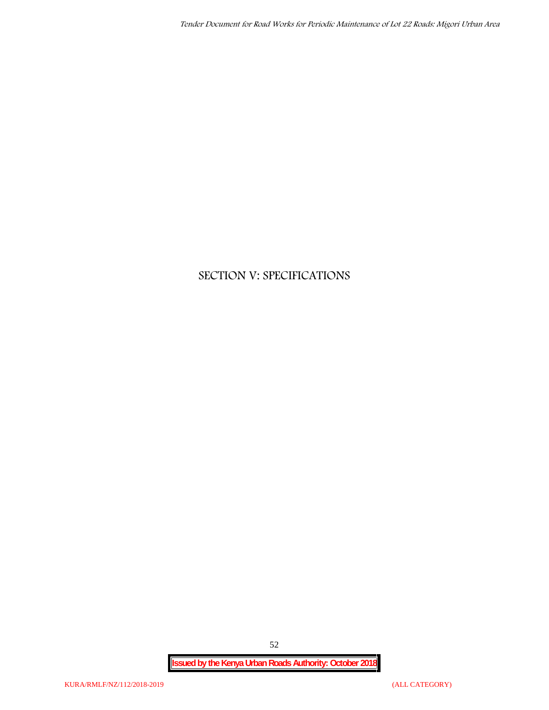# **SECTION V: SPECIFICATIONS**

**Issued by the Kenya Urban Roads Authority: October 2018**

52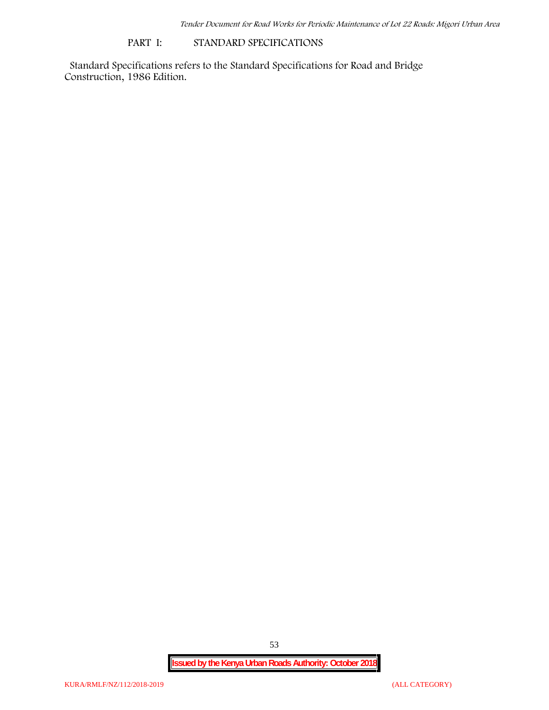#### **PART I: STANDARD SPECIFICATIONS**

Standard Specifications refers to the Standard Specifications for Road and Bridge Construction, 1986 Edition.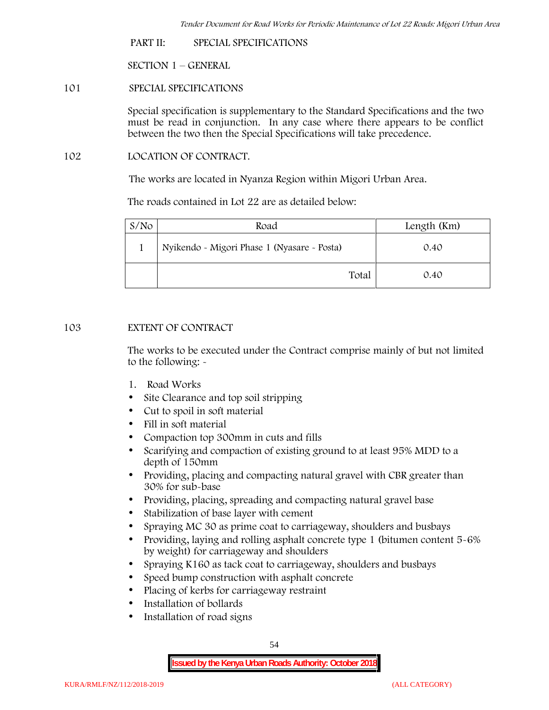**PART II: SPECIAL SPECIFICATIONS**

**SECTION 1 – GENERAL**

**101 SPECIAL SPECIFICATIONS**

Special specification is supplementary to the Standard Specifications and the two must be read in conjunction. In any case where there appears to be conflict between the two then the Special Specifications will take precedence.

**102 LOCATION OF CONTRACT.**

The works are located in Nyanza Region within Migori Urban Area.

The roads contained in Lot 22 are as detailed below:

| S/N <sub>O</sub> | Road                                        | Length (Km) |
|------------------|---------------------------------------------|-------------|
|                  | Nyikendo - Migori Phase 1 (Nyasare - Posta) | 0.40        |
|                  | Total                                       | 0.40        |

## **103 EXTENT OF CONTRACT**

The works to be executed under the Contract comprise mainly of but not limited to the following: -

- **1. Road Works**
- Site Clearance and top soil stripping
- Cut to spoil in soft material
- Fill in soft material
- Compaction top 300mm in cuts and fills
- Scarifying and compaction of existing ground to at least 95% MDD to a depth of 150mm
- Providing, placing and compacting natural gravel with CBR greater than 30% for sub-base
- Providing, placing, spreading and compacting natural gravel base
- Stabilization of base layer with cement
- Spraying MC 30 as prime coat to carriageway, shoulders and busbays
- Providing, laying and rolling asphalt concrete type 1 (bitumen content 5-6%) by weight) for carriageway and shoulders
- Spraying K160 as tack coat to carriageway, shoulders and busbays
- Speed bump construction with asphalt concrete
- Placing of kerbs for carriageway restraint
- Installation of bollards
- Installation of road signs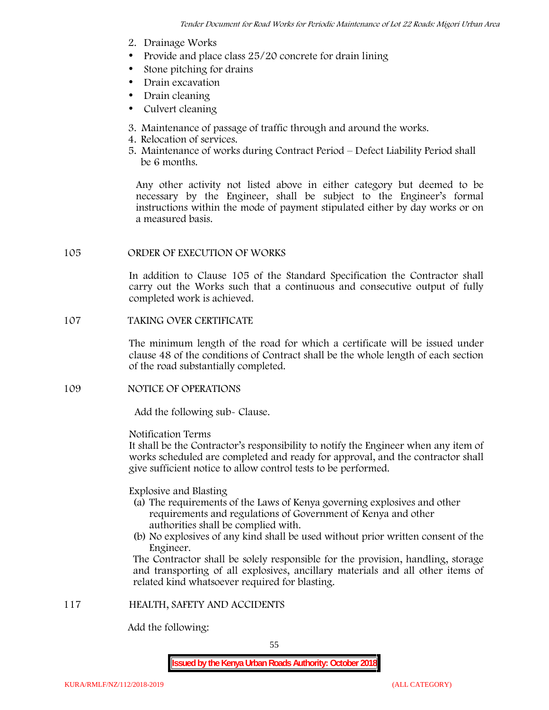- **2. Drainage Works**
- Provide and place class 25/20 concrete for drain lining
- Stone pitching for drains
- Drain excavation
- Drain cleaning
- Culvert cleaning
- **3. Maintenance of passage of traffic through and around the works.**
- **4. Relocation of services.**
- **5. Maintenance of works during Contract Period – Defect Liability Period shall be 6 months.**

Any other activity not listed above in either category but deemed to be necessary by the Engineer, shall be subject to the Engineer's formal instructions within the mode of payment stipulated either by day works or on a measured basis.

## **105 ORDER OF EXECUTION OF WORKS**

In addition to Clause 105 of the Standard Specification the Contractor shall carry out the Works such that a continuous and consecutive output of fully completed work is achieved.

# **107 TAKING OVER CERTIFICATE**

The minimum length of the road for which a certificate will be issued under clause 48 of the conditions of Contract shall be the whole length of each section of the road substantially completed.

# **109 NOTICE OF OPERATIONS**

Add the following sub- Clause.

#### Notification Terms

It shall be the Contractor's responsibility to notify the Engineer when any item of works scheduled are completed and ready for approval, and the contractor shall give sufficient notice to allow control tests to be performed.

## Explosive and Blasting

- (a) The requirements of the Laws of Kenya governing explosives and other requirements and regulations of Government of Kenya and other authorities shall be complied with.
- (b) No explosives of any kind shall be used without prior written consent of the Engineer.

The Contractor shall be solely responsible for the provision, handling, storage and transporting of all explosives, ancillary materials and all other items of related kind whatsoever required for blasting.

# **117 HEALTH, SAFETY AND ACCIDENTS**

Add the following: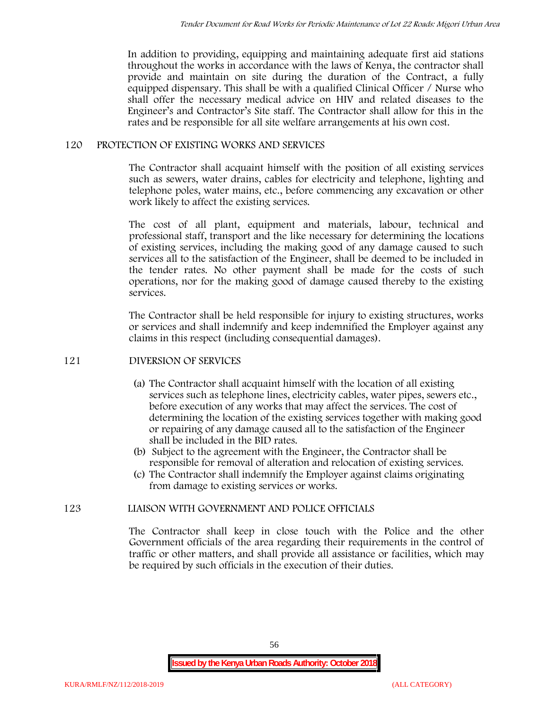In addition to providing, equipping and maintaining adequate first aid stations throughout the works in accordance with the laws of Kenya, the contractor shall provide and maintain on site during the duration of the Contract, a fully equipped dispensary. This shall be with a qualified Clinical Officer / Nurse who shall offer the necessary medical advice on HIV and related diseases to the Engineer's and Contractor's Site staff. The Contractor shall allow for this in the rates and be responsible for all site welfare arrangements at his own cost.

# **120 PROTECTION OF EXISTING WORKS AND SERVICES**

The Contractor shall acquaint himself with the position of all existing services such as sewers, water drains, cables for electricity and telephone, lighting and telephone poles, water mains, etc., before commencing any excavation or other work likely to affect the existing services.

The cost of all plant, equipment and materials, labour, technical and professional staff, transport and the like necessary for determining the locations of existing services, including the making good of any damage caused to such services all to the satisfaction of the Engineer, shall be deemed to be included in the tender rates. No other payment shall be made for the costs of such operations, nor for the making good of damage caused thereby to the existing services.

The Contractor shall be held responsible for injury to existing structures, works or services and shall indemnify and keep indemnified the Employer against any claims in this respect (including consequential damages).

## **121 DIVERSION OF SERVICES**

- (a) The Contractor shall acquaint himself with the location of all existing services such as telephone lines, electricity cables, water pipes, sewers etc., before execution of any works that may affect the services. The cost of determining the location of the existing services together with making good or repairing of any damage caused all to the satisfaction of the Engineer shall be included in the BID rates.
- (b) Subject to the agreement with the Engineer, the Contractor shall be responsible for removal of alteration and relocation of existing services.
- (c) The Contractor shall indemnify the Employer against claims originating from damage to existing services or works.

# **123 LIAISON WITH GOVERNMENT AND POLICE OFFICIALS**

The Contractor shall keep in close touch with the Police and the other Government officials of the area regarding their requirements in the control of traffic or other matters, and shall provide all assistance or facilities, which may be required by such officials in the execution of their duties.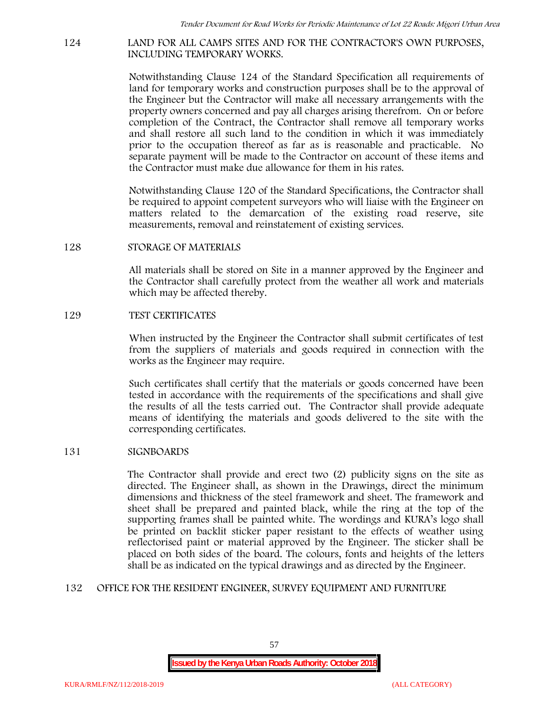#### **124 LAND FOR ALL CAMPS SITES AND FOR THE CONTRACTOR'S OWN PURPOSES, INCLUDING TEMPORARY WORKS.**

Notwithstanding Clause 124 of the Standard Specification all requirements of land for temporary works and construction purposes shall be to the approval of the Engineer but the Contractor will make all necessary arrangements with the property owners concerned and pay all charges arising therefrom. On or before completion of the Contract, the Contractor shall remove all temporary works and shall restore all such land to the condition in which it was immediately prior to the occupation thereof as far as is reasonable and practicable. No separate payment will be made to the Contractor on account of these items and the Contractor must make due allowance for them in his rates.

Notwithstanding Clause 120 of the Standard Specifications, the Contractor shall be required to appoint competent surveyors who will liaise with the Engineer on matters related to the demarcation of the existing road reserve, site measurements, removal and reinstatement of existing services.

## **128 STORAGE OF MATERIALS**

All materials shall be stored on Site in a manner approved by the Engineer and the Contractor shall carefully protect from the weather all work and materials which may be affected thereby.

#### **129 TEST CERTIFICATES**

When instructed by the Engineer the Contractor shall submit certificates of test from the suppliers of materials and goods required in connection with the works as the Engineer may require.

Such certificates shall certify that the materials or goods concerned have been tested in accordance with the requirements of the specifications and shall give the results of all the tests carried out. The Contractor shall provide adequate means of identifying the materials and goods delivered to the site with the corresponding certificates.

## **131 SIGNBOARDS**

The Contractor shall provide and erect two (2) publicity signs on the site as directed. The Engineer shall, as shown in the Drawings, direct the minimum dimensions and thickness of the steel framework and sheet. The framework and sheet shall be prepared and painted black, while the ring at the top of the supporting frames shall be painted white. The wordings and KURA's logo shall be printed on backlit sticker paper resistant to the effects of weather using reflectorised paint or material approved by the Engineer. The sticker shall be placed on both sides of the board. The colours, fonts and heights of the letters shall be as indicated on the typical drawings and as directed by the Engineer.

## **132 OFFICE FOR THE RESIDENT ENGINEER, SURVEY EQUIPMENT AND FURNITURE**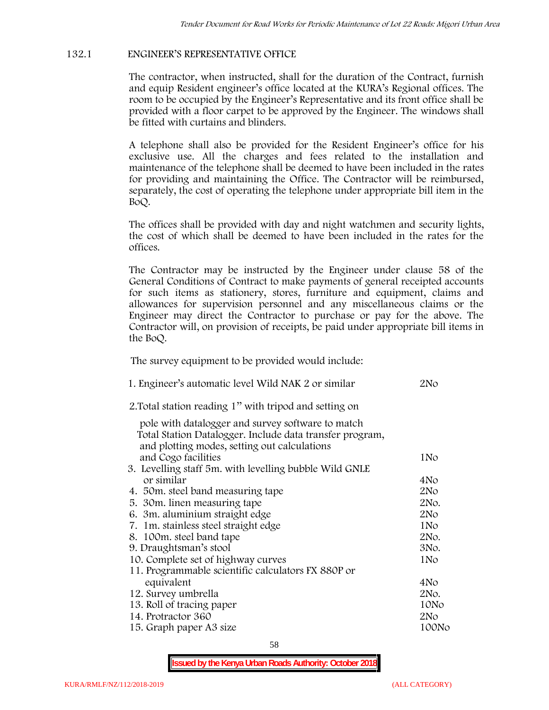# **132.1 ENGINEER'S REPRESENTATIVE OFFICE**

The contractor, when instructed, shall for the duration of the Contract, furnish and equip Resident engineer's office located at the KURA's Regional offices. The room to be occupied by the Engineer's Representative and its front office shall be provided with a floor carpet to be approved by the Engineer. The windows shall be fitted with curtains and blinders.

A telephone shall also be provided for the Resident Engineer's office for his exclusive use. All the charges and fees related to the installation and maintenance of the telephone shall be deemed to have been included in the rates for providing and maintaining the Office. The Contractor will be reimbursed, separately, the cost of operating the telephone under appropriate bill item in the BoQ.

The offices shall be provided with day and night watchmen and security lights, the cost of which shall be deemed to have been included in the rates for the offices.

The Contractor may be instructed by the Engineer under clause 58 of the General Conditions of Contract to make payments of general receipted accounts for such items as stationery, stores, furniture and equipment, claims and allowances for supervision personnel and any miscellaneous claims or the Engineer may direct the Contractor to purchase or pay for the above. The Contractor will, on provision of receipts, be paid under appropriate bill items in the BoQ.

**The survey equipment to be provided would include:**

| 1. Engineer's automatic level Wild NAK 2 or similar                                                      | 2N <sub>O</sub> |
|----------------------------------------------------------------------------------------------------------|-----------------|
| 2. Total station reading 1" with tripod and setting on                                                   |                 |
| pole with datalogger and survey software to match                                                        |                 |
| Total Station Datalogger. Include data transfer program,<br>and plotting modes, setting out calculations |                 |
| and Cogo facilities                                                                                      | 1No             |
| 3. Levelling staff 5m. with levelling bubble Wild GNLE                                                   |                 |
| or similar                                                                                               | 4No             |
| 4. 50 m. steel band measuring tape                                                                       | 2N <sub>o</sub> |
| 5. 30 m. linen measuring tape                                                                            | 2No.            |
| 6. 3m. aluminium straight edge                                                                           | 2N <sub>O</sub> |
| 7. 1m. stainless steel straight edge                                                                     | 1N <sub>o</sub> |
| 8. 100m. steel band tape                                                                                 | 2No.            |
| 9. Draughtsman's stool                                                                                   | 3No.            |
| 10. Complete set of highway curves                                                                       | 1No             |
| 11. Programmable scientific calculators FX 880P or                                                       |                 |
| equivalent                                                                                               | 4No             |
| 12. Survey umbrella                                                                                      | 2No.            |
| 13. Roll of tracing paper                                                                                | 10No            |
| 14. Protractor 360                                                                                       | 2N <sub>o</sub> |
| 15. Graph paper A3 size                                                                                  | 100No           |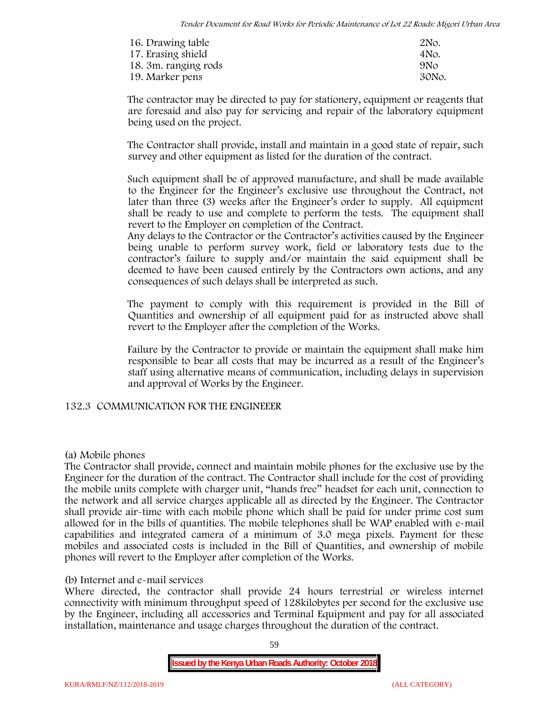| 16. Drawing table    | 2No.            |
|----------------------|-----------------|
| 17. Erasing shield   | 4No.            |
| 18. 3m. ranging rods | 9N <sub>O</sub> |
| 19. Marker pens      | 30No.           |

The contractor may be directed to pay for stationery, equipment or reagents that are foresaid and also pay for servicing and repair of the laboratory equipment being used on the project.

The Contractor shall provide, install and maintain in a good state of repair, such survey and other equipment as listed for the duration of the contract.

Such equipment shall be of approved manufacture, and shall be made available to the Engineer for the Engineer's exclusive use throughout the Contract, not later than three (3) weeks after the Engineer's order to supply. All equipment shall be ready to use and complete to perform the tests. The equipment shall revert to the Employer on completion of the Contract.

Any delays to the Contractor or the Contractor's activities caused by the Engineer being unable to perform survey work, field or laboratory tests due to the contractor's failure to supply and/or maintain the said equipment shall be deemed to have been caused entirely by the Contractors own actions, and any consequences of such delays shall be interpreted as such.

The payment to comply with this requirement is provided in the Bill of Quantities and ownership of all equipment paid for as instructed above shall revert to the Employer after the completion of the Works.

Failure by the Contractor to provide or maintain the equipment shall make him responsible to bear all costs that may be incurred as a result of the Engineer's staff using alternative means of communication, including delays in supervision and approval of Works by the Engineer.

## **132.3 COMMUNICATION FOR THE ENGINEEER**

## **(a) Mobile phones**

The Contractor shall provide, connect and maintain mobile phones for the exclusive use by the Engineer for the duration of the contract. The Contractor shall include for the cost of providing the mobile units complete with charger unit, "hands free" headset for each unit, connection to the network and all service charges applicable all as directed by the Engineer. The Contractor shall provide air-time with each mobile phone which shall be paid for under prime cost sum allowed for in the bills of quantities. The mobile telephones shall be WAP enabled with e-mail capabilities and integrated camera of a minimum of 3.0 mega pixels. Payment for these mobiles and associated costs is included in the Bill of Quantities, and ownership of mobile phones will revert to the Employer after completion of the Works.

## **(b) Internet and e-mail services**

Where directed, the contractor shall provide 24 hours terrestrial or wireless internet connectivity with minimum throughput speed of 128kilobytes per second for the exclusive use by the Engineer, including all accessories and Terminal Equipment and pay for all associated installation, maintenance and usage charges throughout the duration of the contract.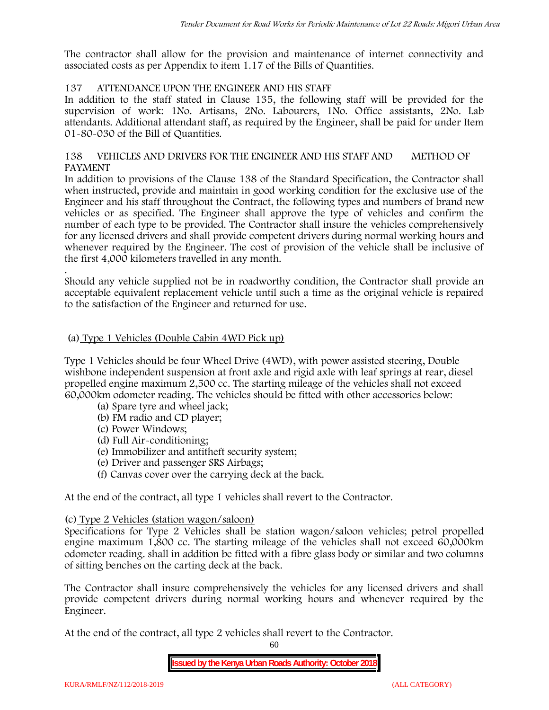The contractor shall allow for the provision and maintenance of internet connectivity and associated costs as per Appendix to item 1.17 of the Bills of Quantities.

# **137 ATTENDANCE UPON THE ENGINEER AND HIS STAFF**

In addition to the staff stated in Clause 135, the following staff will be provided for the supervision of work: 1No. Artisans, 2No. Labourers, 1No. Office assistants, 2No. Lab attendants. Additional attendant staff, as required by the Engineer, shall be paid for under Item 01-80-030 of the Bill of Quantities.

## **138 VEHICLES AND DRIVERS FOR THE ENGINEER AND HIS STAFF AND METHOD OF PAYMENT**

In addition to provisions of the Clause 138 of the Standard Specification, the Contractor shall when instructed, provide and maintain in good working condition for the exclusive use of the Engineer and his staff throughout the Contract, the following types and numbers of brand new vehicles or as specified. The Engineer shall approve the type of vehicles and confirm the number of each type to be provided. The Contractor shall insure the vehicles comprehensively for any licensed drivers and shall provide competent drivers during normal working hours and whenever required by the Engineer. The cost of provision of the vehicle shall be inclusive of the first 4,000 kilometers travelled in any month.

.Should any vehicle supplied not be in roadworthy condition, the Contractor shall provide an acceptable equivalent replacement vehicle until such a time as the original vehicle is repaired to the satisfaction of the Engineer and returned for use.

# **(a) Type 1 Vehicles (Double Cabin 4WD Pick up)**

Type 1 Vehicles should be four Wheel Drive (4WD), with power assisted steering, Double wishbone independent suspension at front axle and rigid axle with leaf springs at rear, diesel propelled engine maximum 2,500 cc. The starting mileage of the vehicles shall not exceed 60,000km odometer reading. The vehicles should be fitted with other accessories below:

- (a) Spare tyre and wheel jack;
- (b) FM radio and CD player;
- (c) Power Windows;
- (d) Full Air-conditioning;
- (e) Immobilizer and antitheft security system;
- (e) Driver and passenger SRS Airbags;
- (f) Canvas cover over the carrying deck at the back.

At the end of the contract, all type 1 vehicles shall revert to the Contractor.

## **(c) Type 2 Vehicles (station wagon/saloon)**

Specifications for Type 2 Vehicles shall be station wagon/saloon vehicles; petrol propelled engine maximum 1,800 cc. The starting mileage of the vehicles shall not exceed 60,000km odometer reading. shall in addition be fitted with a fibre glass body or similar and two columns of sitting benches on the carting deck at the back.

The Contractor shall insure comprehensively the vehicles for any licensed drivers and shall provide competent drivers during normal working hours and whenever required by the Engineer.

At the end of the contract, all type 2 vehicles shall revert to the Contractor.

60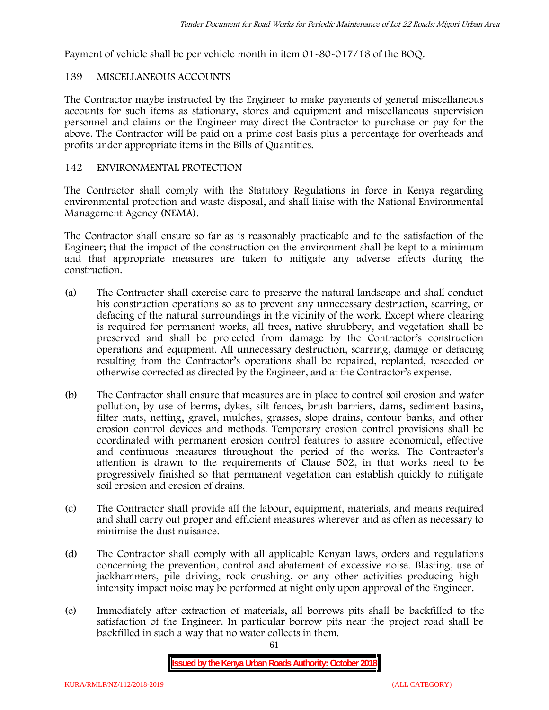Payment of vehicle shall be per vehicle month in item 01-80-017/18 of the BOQ.

# **139 MISCELLANEOUS ACCOUNTS**

The Contractor maybe instructed by the Engineer to make payments of general miscellaneous accounts for such items as stationary, stores and equipment and miscellaneous supervision personnel and claims or the Engineer may direct the Contractor to purchase or pay for the above. The Contractor will be paid on a prime cost basis plus a percentage for overheads and profits under appropriate items in the Bills of Quantities.

# **142 ENVIRONMENTAL PROTECTION**

The Contractor shall comply with the Statutory Regulations in force in Kenya regarding environmental protection and waste disposal, and shall liaise with the National Environmental Management Agency (NEMA).

The Contractor shall ensure so far as is reasonably practicable and to the satisfaction of the Engineer; that the impact of the construction on the environment shall be kept to a minimum and that appropriate measures are taken to mitigate any adverse effects during the construction.

- (a) The Contractor shall exercise care to preserve the natural landscape and shall conduct his construction operations so as to prevent any unnecessary destruction, scarring, or defacing of the natural surroundings in the vicinity of the work. Except where clearing is required for permanent works, all trees, native shrubbery, and vegetation shall be preserved and shall be protected from damage by the Contractor's construction operations and equipment. All unnecessary destruction, scarring, damage or defacing resulting from the Contractor's operations shall be repaired, replanted, reseeded or otherwise corrected as directed by the Engineer, and at the Contractor's expense.
- (b) The Contractor shall ensure that measures are in place to control soil erosion and water pollution, by use of berms, dykes, silt fences, brush barriers, dams, sediment basins, filter mats, netting, gravel, mulches, grasses, slope drains, contour banks, and other erosion control devices and methods. Temporary erosion control provisions shall be coordinated with permanent erosion control features to assure economical, effective and continuous measures throughout the period of the works. The Contractor's attention is drawn to the requirements of Clause 502, in that works need to be progressively finished so that permanent vegetation can establish quickly to mitigate soil erosion and erosion of drains.
- (c) The Contractor shall provide all the labour, equipment, materials, and means required and shall carry out proper and efficient measures wherever and as often as necessary to minimise the dust nuisance.
- (d) The Contractor shall comply with all applicable Kenyan laws, orders and regulations concerning the prevention, control and abatement of excessive noise. Blasting, use of jackhammers, pile driving, rock crushing, or any other activities producing highintensity impact noise may be performed at night only upon approval of the Engineer.
- (e) Immediately after extraction of materials, all borrows pits shall be backfilled to the satisfaction of the Engineer. In particular borrow pits near the project road shall be backfilled in such a way that no water collects in them.

61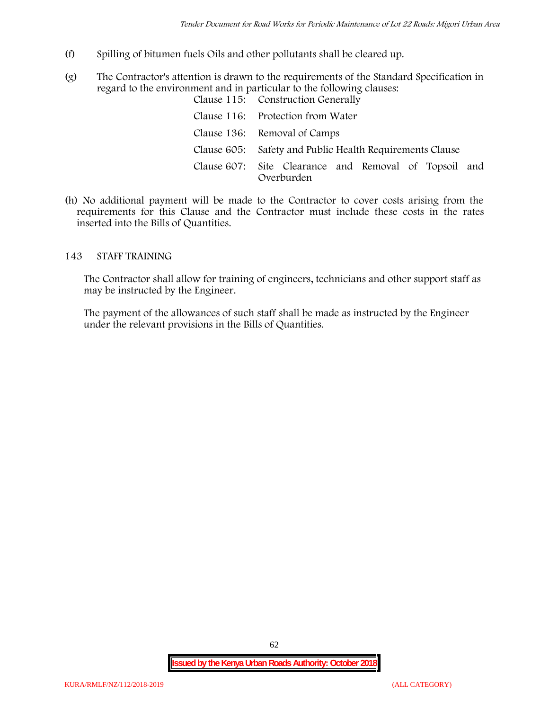- (f) Spilling of bitumen fuels Oils and other pollutants shall be cleared up.
- (g) The Contractor's attention is drawn to the requirements of the Standard Specification in regard to the environment and in particular to the following clauses: Clause 115: Construction Generally

| Clause 110. Construction dencrally                                  |
|---------------------------------------------------------------------|
| Clause 116: Protection from Water                                   |
| Clause 136: Removal of Camps                                        |
| Clause 605: Safety and Public Health Requirements Clause            |
| Clause 607: Site Clearance and Removal of Topsoil and<br>Overburden |

(h) No additional payment will be made to the Contractor to cover costs arising from the requirements for this Clause and the Contractor must include these costs in the rates inserted into the Bills of Quantities.

## **143 STAFF TRAINING**

The Contractor shall allow for training of engineers, technicians and other support staff as may be instructed by the Engineer.

The payment of the allowances of such staff shall be made as instructed by the Engineer under the relevant provisions in the Bills of Quantities.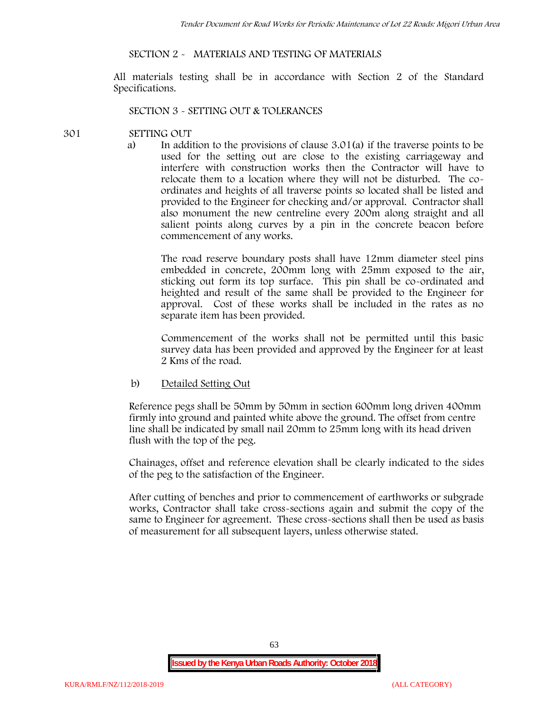# **SECTION 2 - MATERIALS AND TESTING OF MATERIALS**

All materials testing shall be in accordance with Section 2 of the Standard Specifications.

#### **SECTION 3 - SETTING OUT & TOLERANCES**

#### **301 SETTING OUT**

a) In addition to the provisions of clause 3.01(a) if the traverse points to be used for the setting out are close to the existing carriageway and interfere with construction works then the Contractor will have to relocate them to a location where they will not be disturbed. The co ordinates and heights of all traverse points so located shall be listed and provided to the Engineer for checking and/or approval. Contractor shall also monument the new centreline every 200m along straight and all salient points along curves by a pin in the concrete beacon before commencement of any works.

The road reserve boundary posts shall have 12mm diameter steel pins embedded in concrete, 200mm long with 25mm exposed to the air, sticking out form its top surface. This pin shall be co-ordinated and heighted and result of the same shall be provided to the Engineer for approval. Cost of these works shall be included in the rates as no separate item has been provided.

Commencement of the works shall not be permitted until this basic survey data has been provided and approved by the Engineer for at least 2 Kms of the road.

b) Detailed Setting Out

Reference pegs shall be 50mm by 50mm in section 600mm long driven 400mm firmly into ground and painted white above the ground. The offset from centre line shall be indicated by small nail 20mm to 25mm long with its head driven flush with the top of the peg.

Chainages, offset and reference elevation shall be clearly indicated to the sides of the peg to the satisfaction of the Engineer.

After cutting of benches and prior to commencement of earthworks or subgrade works, Contractor shall take cross-sections again and submit the copy of the same to Engineer for agreement. These cross-sections shall then be used as basis of measurement for all subsequent layers, unless otherwise stated.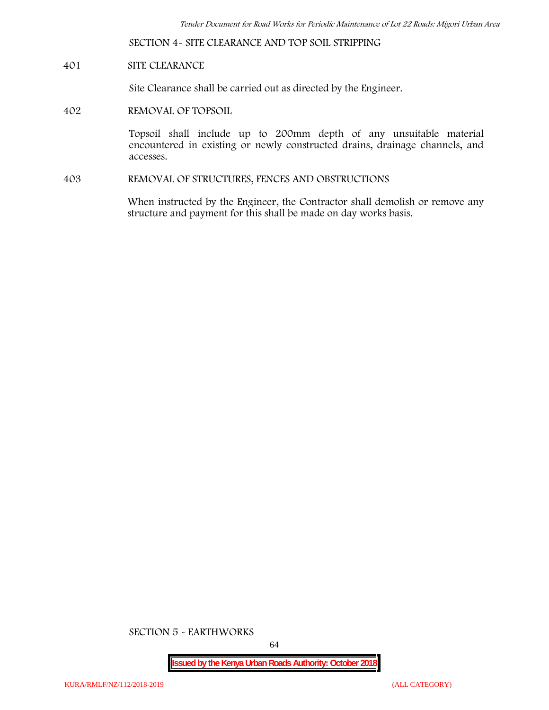**SECTION 4- SITE CLEARANCE AND TOP SOIL STRIPPING**

## **401 SITE CLEARANCE**

Site Clearance shall be carried out as directed by the Engineer.

**402 REMOVAL OF TOPSOIL**

Topsoil shall include up to 200mm depth of any unsuitable material encountered in existing or newly constructed drains, drainage channels, and accesses.

**403 REMOVAL OF STRUCTURES, FENCES AND OBSTRUCTIONS**

When instructed by the Engineer, the Contractor shall demolish or remove any structure and payment for this shall be made on day works basis.

**SECTION 5 - EARTHWORKS**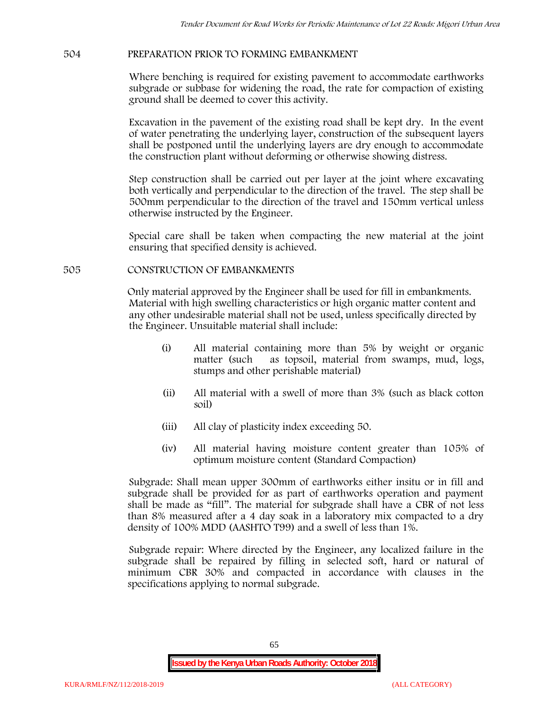## **504 PREPARATION PRIOR TO FORMING EMBANKMENT**

Where benching is required for existing pavement to accommodate earthworks subgrade or subbase for widening the road, the rate for compaction of existing ground shall be deemed to cover this activity.

Excavation in the pavement of the existing road shall be kept dry. In the event of water penetrating the underlying layer, construction of the subsequent layers shall be postponed until the underlying layers are dry enough to accommodate the construction plant without deforming or otherwise showing distress.

Step construction shall be carried out per layer at the joint where excavating both vertically and perpendicular to the direction of the travel. The step shall be 500mm perpendicular to the direction of the travel and 150mm vertical unless otherwise instructed by the Engineer.

Special care shall be taken when compacting the new material at the joint ensuring that specified density is achieved.

## **505 CONSTRUCTION OF EMBANKMENTS**

Only material approved by the Engineer shall be used for fill in embankments. Material with high swelling characteristics or high organic matter content and any other undesirable material shall not be used, unless specifically directed by the Engineer. Unsuitable material shall include:

- (i) All material containing more than 5% by weight or organic matter (such as topsoil, material from swamps, mud, logs, stumps and other perishable material)
- (ii) All material with a swell of more than 3% (such as black cotton soil)
- (iii) All clay of plasticity index exceeding 50.
- (iv) All material having moisture content greater than 105% of optimum moisture content (Standard Compaction)

Subgrade: Shall mean upper 300mm of earthworks either insitu or in fill and subgrade shall be provided for as part of earthworks operation and payment shall be made as "fill". The material for subgrade shall have a CBR of not less than 8% measured after a 4 day soak in a laboratory mix compacted to a dry density of 100% MDD (AASHTO T99) and a swell of less than 1%.

Subgrade repair: Where directed by the Engineer, any localized failure in the subgrade shall be repaired by filling in selected soft, hard or natural of minimum CBR 30% and compacted in accordance with clauses in the specifications applying to normal subgrade.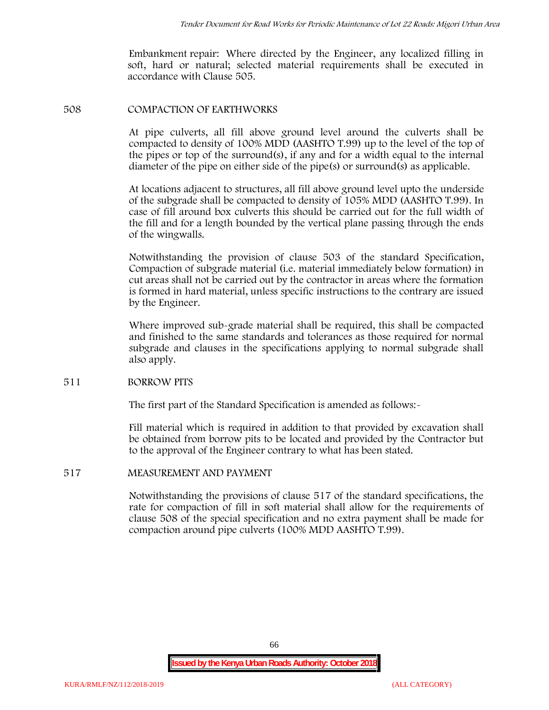Embankment repair: Where directed by the Engineer, any localized filling in soft, hard or natural; selected material requirements shall be executed in accordance with Clause 505.

#### **508 COMPACTION OF EARTHWORKS**

At pipe culverts, all fill above ground level around the culverts shall be compacted to density of 100% MDD (AASHTO T.99) up to the level of the top of the pipes or top of the surround(s), if any and for a width equal to the internal diameter of the pipe on either side of the pipe(s) or surround(s) as applicable.

At locations adjacent to structures, all fill above ground level upto the underside of the subgrade shall be compacted to density of 105% MDD (AASHTO T.99). In case of fill around box culverts this should be carried out for the full width of the fill and for a length bounded by the vertical plane passing through the ends of the wingwalls.

Notwithstanding the provision of clause 503 of the standard Specification, Compaction of subgrade material (i.e. material immediately below formation) in cut areas shall not be carried out by the contractor in areas where the formation is formed in hard material, unless specific instructions to the contrary are issued by the Engineer.

Where improved sub-grade material shall be required, this shall be compacted and finished to the same standards and tolerances as those required for normal subgrade and clauses in the specifications applying to normal subgrade shall also apply.

## **511 BORROW PITS**

The first part of the Standard Specification is amended as follows:

Fill material which is required in addition to that provided by excavation shall be obtained from borrow pits to be located and provided by the Contractor but to the approval of the Engineer contrary to what has been stated.

## **517 MEASUREMENT AND PAYMENT**

Notwithstanding the provisions of clause 517 of the standard specifications, the rate for compaction of fill in soft material shall allow for the requirements of clause 508 of the special specification and no extra payment shall be made for compaction around pipe culverts (100% MDD AASHTO T.99).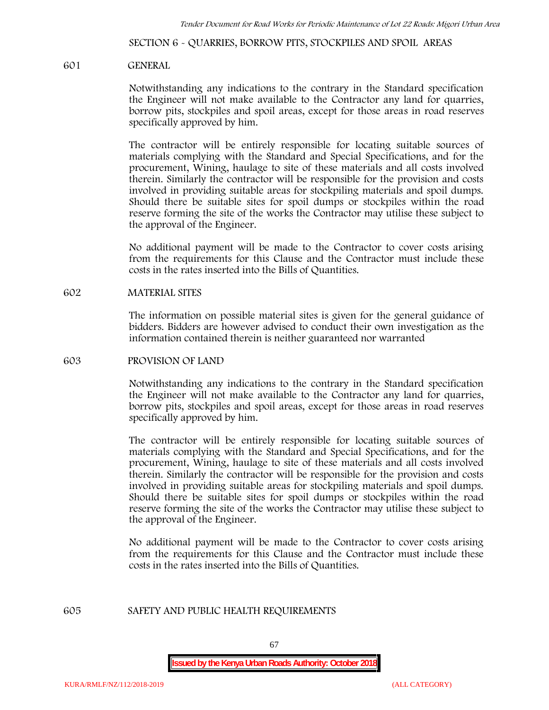**SECTION 6 - QUARRIES, BORROW PITS, STOCKPILES AND SPOIL AREAS**

#### **601 GENERAL**

Notwithstanding any indications to the contrary in the Standard specification the Engineer will not make available to the Contractor any land for quarries, borrow pits, stockpiles and spoil areas, except for those areas in road reserves specifically approved by him.

The contractor will be entirely responsible for locating suitable sources of materials complying with the Standard and Special Specifications, and for the procurement, Wining, haulage to site of these materials and all costs involved therein. Similarly the contractor will be responsible for the provision and costs involved in providing suitable areas for stockpiling materials and spoil dumps. Should there be suitable sites for spoil dumps or stockpiles within the road reserve forming the site of the works the Contractor may utilise these subject to the approval of the Engineer.

No additional payment will be made to the Contractor to cover costs arising from the requirements for this Clause and the Contractor must include these costs in the rates inserted into the Bills of Quantities.

#### **602 MATERIAL SITES**

The information on possible material sites is given for the general guidance of bidders. Bidders are however advised to conduct their own investigation as the information contained therein is neither guaranteed nor warranted

#### **603 PROVISION OF LAND**

Notwithstanding any indications to the contrary in the Standard specification the Engineer will not make available to the Contractor any land for quarries, borrow pits, stockpiles and spoil areas, except for those areas in road reserves specifically approved by him.

The contractor will be entirely responsible for locating suitable sources of materials complying with the Standard and Special Specifications, and for the procurement, Wining, haulage to site of these materials and all costs involved therein. Similarly the contractor will be responsible for the provision and costs involved in providing suitable areas for stockpiling materials and spoil dumps. Should there be suitable sites for spoil dumps or stockpiles within the road reserve forming the site of the works the Contractor may utilise these subject to the approval of the Engineer.

No additional payment will be made to the Contractor to cover costs arising from the requirements for this Clause and the Contractor must include these costs in the rates inserted into the Bills of Quantities.

#### **605 SAFETY AND PUBLIC HEALTH REQUIREMENTS**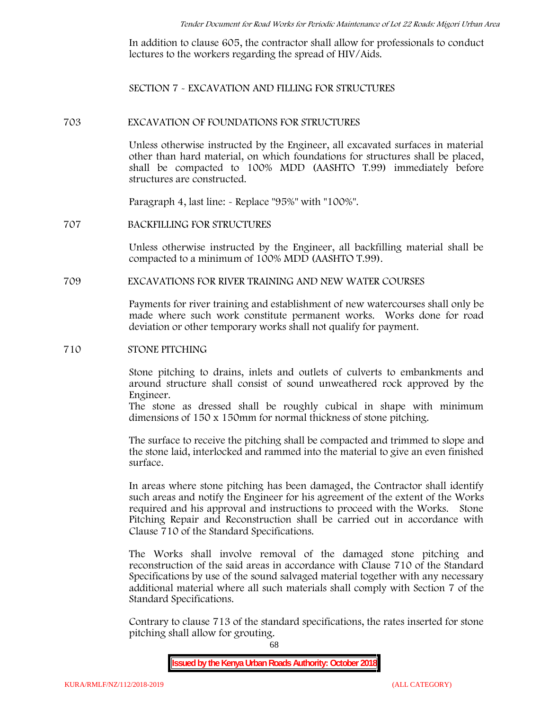In addition to clause 605, the contractor shall allow for professionals to conduct lectures to the workers regarding the spread of HIV/Aids.

**SECTION 7 - EXCAVATION AND FILLING FOR STRUCTURES**

#### **703 EXCAVATION OF FOUNDATIONS FOR STRUCTURES**

Unless otherwise instructed by the Engineer, all excavated surfaces in material other than hard material, on which foundations for structures shall be placed, shall be compacted to 100% MDD (AASHTO T.99) immediately before structures are constructed.

Paragraph 4, last line: - Replace "95%" with "100%".

#### **707 BACKFILLING FOR STRUCTURES**

Unless otherwise instructed by the Engineer, all backfilling material shall be compacted to a minimum of 100% MDD (AASHTO T.99).

## **709 EXCAVATIONS FOR RIVER TRAINING AND NEW WATER COURSES**

Payments for river training and establishment of new watercourses shall only be made where such work constitute permanent works. Works done for road deviation or other temporary works shall not qualify for payment.

#### **710 STONE PITCHING**

Stone pitching to drains, inlets and outlets of culverts to embankments and around structure shall consist of sound unweathered rock approved by the Engineer.

The stone as dressed shall be roughly cubical in shape with minimum dimensions of 150 x 150mm for normal thickness of stone pitching.

The surface to receive the pitching shall be compacted and trimmed to slope and the stone laid, interlocked and rammed into the material to give an even finished surface.

In areas where stone pitching has been damaged, the Contractor shall identify such areas and notify the Engineer for his agreement of the extent of the Works required and his approval and instructions to proceed with the Works. Stone Pitching Repair and Reconstruction shall be carried out in accordance with Clause 710 of the Standard Specifications.

The Works shall involve removal of the damaged stone pitching and reconstruction of the said areas in accordance with Clause 710 of the Standard Specifications by use of the sound salvaged material together with any necessary additional material where all such materials shall comply with Section 7 of the Standard Specifications.

Contrary to clause 713 of the standard specifications, the rates inserted for stone pitching shall allow for grouting.

68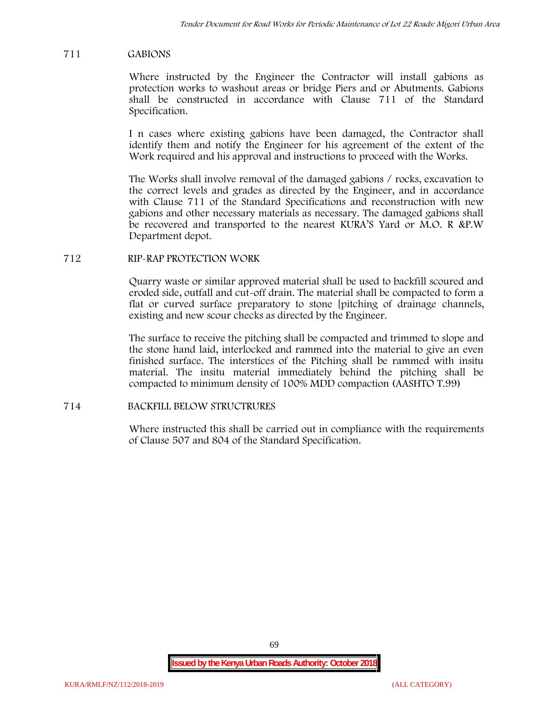# **711 GABIONS**

Where instructed by the Engineer the Contractor will install gabions as protection works to washout areas or bridge Piers and or Abutments. Gabions shall be constructed in accordance with Clause 711 of the Standard Specification.

I n cases where existing gabions have been damaged, the Contractor shall identify them and notify the Engineer for his agreement of the extent of the Work required and his approval and instructions to proceed with the Works.

The Works shall involve removal of the damaged gabions / rocks, excavation to the correct levels and grades as directed by the Engineer, and in accordance with Clause 711 of the Standard Specifications and reconstruction with new gabions and other necessary materials as necessary. The damaged gabions shall be recovered and transported to the nearest KURA'S Yard or M.O. R &P.W Department depot.

# **712 RIP-RAP PROTECTION WORK**

Quarry waste or similar approved material shall be used to backfill scoured and eroded side, outfall and cut-off drain. The material shall be compacted to form a flat or curved surface preparatory to stone [pitching of drainage channels, existing and new scour checks as directed by the Engineer.

The surface to receive the pitching shall be compacted and trimmed to slope and the stone hand laid, interlocked and rammed into the material to give an even finished surface. The interstices of the Pitching shall be rammed with insitu material. The insitu material immediately behind the pitching shall be compacted to minimum density of 100% MDD compaction (AASHTO T.99)

# **714 BACKFILL BELOW STRUCTRURES**

Where instructed this shall be carried out in compliance with the requirements of Clause 507 and 804 of the Standard Specification.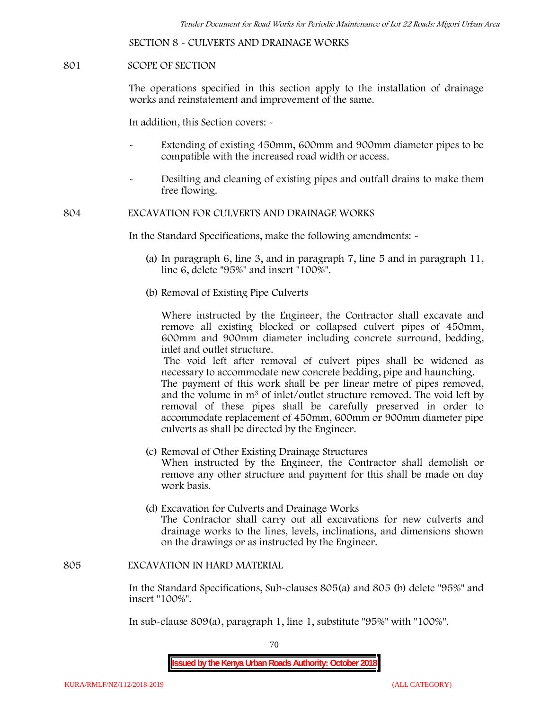**SECTION 8 - CULVERTS AND DRAINAGE WORKS**

#### **801 SCOPE OF SECTION**

The operations specified in this section apply to the installation of drainage works and reinstatement and improvement of the same.

In addition, this Section covers: -

- Extending of existing 450mm, 600mm and 900mm diameter pipes to be compatible with the increased road width or access.
- Desilting and cleaning of existing pipes and outfall drains to make them free flowing.

**804 EXCAVATION FOR CULVERTS AND DRAINAGE WORKS**

In the Standard Specifications, make the following amendments: -

- (a) In paragraph 6, line 3, and in paragraph 7, line 5 and in paragraph 11, line 6, delete "95%" and insert "100%".
- (b) Removal of Existing Pipe Culverts

Where instructed by the Engineer, the Contractor shall excavate and remove all existing blocked or collapsed culvert pipes of 450mm, 600mm and 900mm diameter including concrete surround, bedding, inlet and outlet structure.

The void left after removal of culvert pipes shall be widened as necessary to accommodate new concrete bedding, pipe and haunching. The payment of this work shall be per linear metre of pipes removed, and the volume in m<sup>3</sup> of inlet/outlet structure removed. The void left by

removal of these pipes shall be carefully preserved in order to accommodate replacement of 450mm, 600mm or 900mm diameter pipe culverts as shall be directed by the Engineer.

- (c) Removal of Other Existing Drainage Structures When instructed by the Engineer, the Contractor shall demolish or remove any other structure and payment for this shall be made on day work basis.
- (d) Excavation for Culverts and Drainage Works The Contractor shall carry out all excavations for new culverts and drainage works to the lines, levels, inclinations, and dimensions shown on the drawings or as instructed by the Engineer.

#### **805 EXCAVATION IN HARD MATERIAL**

In the Standard Specifications, Sub-clauses 805(a) and 805 (b) delete "95%" and insert "100%".

In sub-clause 809(a), paragraph 1, line 1, substitute "95%" with "100%".

70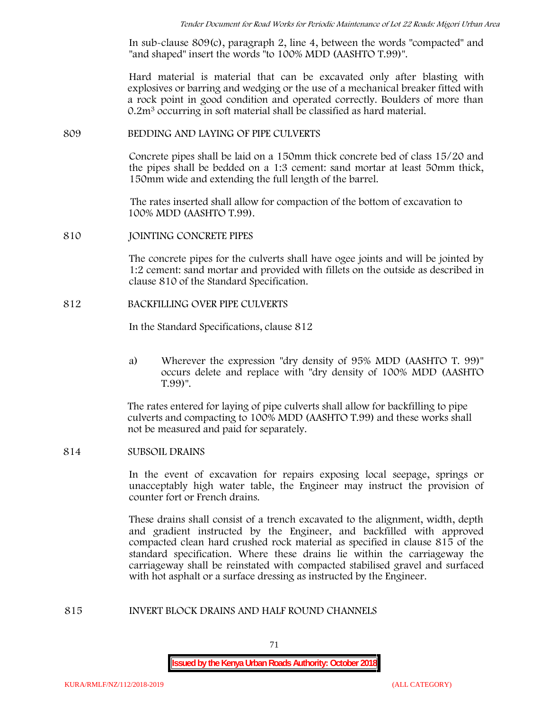In sub-clause 809(c), paragraph 2, line 4, between the words "compacted" and "and shaped" insert the words "to 100% MDD (AASHTO T.99)".

Hard material is material that can be excavated only after blasting with explosives or barring and wedging or the use of a mechanical breaker fitted with a rock point in good condition and operated correctly. Boulders of more than 0.2m<sup>3</sup> occurring in soft material shall be classified as hard material.

#### **809 BEDDING AND LAYING OF PIPE CULVERTS**

Concrete pipes shall be laid on a 150mm thick concrete bed of class 15/20 and the pipes shall be bedded on a 1:3 cement: sand mortar at least 50mm thick, 150mm wide and extending the full length of the barrel.

The rates inserted shall allow for compaction of the bottom of excavation to 100% MDD (AASHTO T.99).

#### **810 JOINTING CONCRETE PIPES**

The concrete pipes for the culverts shall have ogee joints and will be jointed by 1:2 cement: sand mortar and provided with fillets on the outside as described in clause 810 of the Standard Specification.

#### **812 BACKFILLING OVER PIPE CULVERTS**

In the Standard Specifications, clause 812

a) Wherever the expression "dry density of 95% MDD (AASHTO T. 99)" occurs delete and replace with "dry density of 100% MDD (AASHTO T.99)".

The rates entered for laying of pipe culverts shall allow for backfilling to pipe culverts and compacting to 100% MDD (AASHTO T.99) and these works shall not be measured and paid for separately.

## **814 SUBSOIL DRAINS**

In the event of excavation for repairs exposing local seepage, springs or unacceptably high water table, the Engineer may instruct the provision of counter fort or French drains.

These drains shall consist of a trench excavated to the alignment, width, depth and gradient instructed by the Engineer, and backfilled with approved compacted clean hard crushed rock material as specified in clause 815 of the standard specification. Where these drains lie within the carriageway the carriageway shall be reinstated with compacted stabilised gravel and surfaced with hot asphalt or a surface dressing as instructed by the Engineer.

#### **815 INVERT BLOCK DRAINS AND HALF ROUND CHANNELS**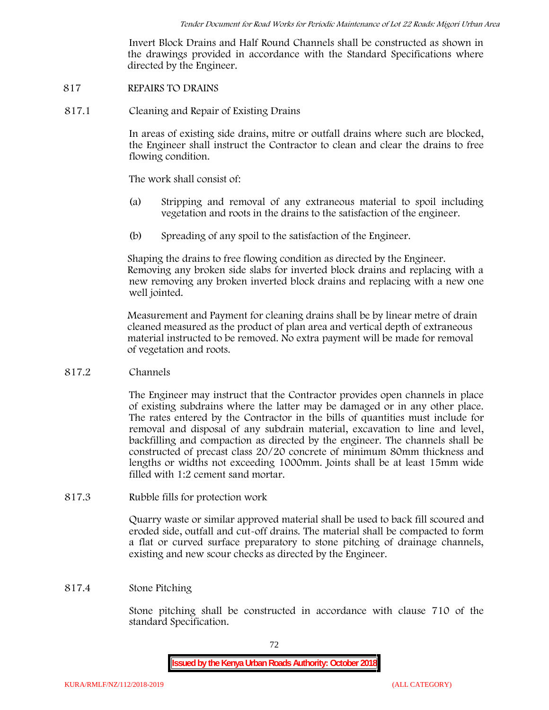Invert Block Drains and Half Round Channels shall be constructed as shown in the drawings provided in accordance with the Standard Specifications where directed by the Engineer.

### **817 REPAIRS TO DRAINS**

**817.1 Cleaning and Repair of Existing Drains**

In areas of existing side drains, mitre or outfall drains where such are blocked, the Engineer shall instruct the Contractor to clean and clear the drains to free flowing condition.

The work shall consist of:

- (a) Stripping and removal of any extraneous material to spoil including vegetation and roots in the drains to the satisfaction of the engineer.
- (b) Spreading of any spoil to the satisfaction of the Engineer.

Shaping the drains to free flowing condition as directed by the Engineer. Removing any broken side slabs for inverted block drains and replacing with a new removing any broken inverted block drains and replacing with a new one well jointed.

Measurement and Payment for cleaning drains shall be by linear metre of drain cleaned measured as the product of plan area and vertical depth of extraneous material instructed to be removed. No extra payment will be made for removal of vegetation and roots.

**817.2 Channels**

The Engineer may instruct that the Contractor provides open channels in place of existing subdrains where the latter may be damaged or in any other place. The rates entered by the Contractor in the bills of quantities must include for removal and disposal of any subdrain material, excavation to line and level, backfilling and compaction as directed by the engineer. The channels shall be constructed of precast class 20/20 concrete of minimum 80mm thickness and lengths or widths not exceeding 1000mm. Joints shall be at least 15mm wide filled with 1:2 cement sand mortar.

**817.3 Rubble fills for protection work**

Quarry waste or similar approved material shall be used to back fill scoured and eroded side, outfall and cut-off drains. The material shall be compacted to form a flat or curved surface preparatory to stone pitching of drainage channels, existing and new scour checks as directed by the Engineer.

## **817.4 Stone Pitching**

Stone pitching shall be constructed in accordance with clause 710 of the standard Specification.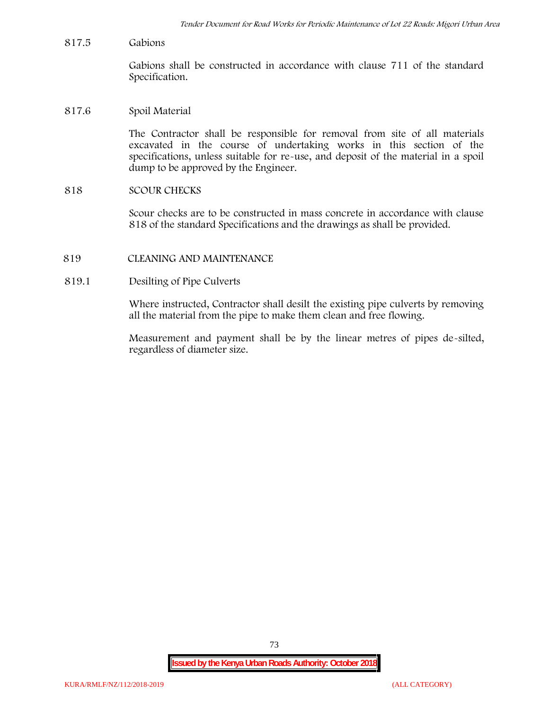**817.5 Gabions**

Gabions shall be constructed in accordance with clause 711 of the standard Specification.

**817.6 Spoil Material**

The Contractor shall be responsible for removal from site of all materials excavated in the course of undertaking works in this section of the specifications, unless suitable for re-use, and deposit of the material in a spoil dump to be approved by the Engineer.

**818 SCOUR CHECKS**

Scour checks are to be constructed in mass concrete in accordance with clause 818 of the standard Specifications and the drawings as shall be provided.

- **819 CLEANING AND MAINTENANCE**
- **819.1 Desilting of Pipe Culverts**

Where instructed, Contractor shall desilt the existing pipe culverts by removing all the material from the pipe to make them clean and free flowing.

Measurement and payment shall be by the linear metres of pipes de-silted, regardless of diameter size.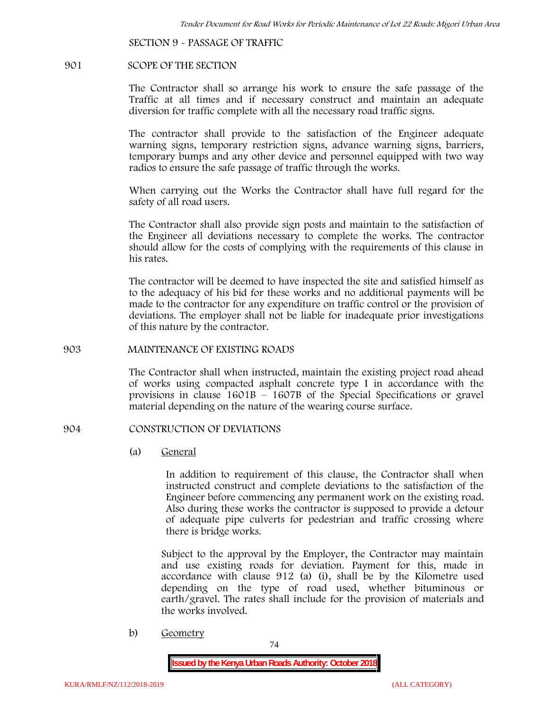**SECTION 9 - PASSAGE OF TRAFFIC**

#### **901 SCOPE OF THE SECTION**

The Contractor shall so arrange his work to ensure the safe passage of the Traffic at all times and if necessary construct and maintain an adequate diversion for traffic complete with all the necessary road traffic signs.

The contractor shall provide to the satisfaction of the Engineer adequate warning signs, temporary restriction signs, advance warning signs, barriers, temporary bumps and any other device and personnel equipped with two way radios to ensure the safe passage of traffic through the works.

When carrying out the Works the Contractor shall have full regard for the safety of all road users.

The Contractor shall also provide sign posts and maintain to the satisfaction of the Engineer all deviations necessary to complete the works. The contractor should allow for the costs of complying with the requirements of this clause in his rates.

The contractor will be deemed to have inspected the site and satisfied himself as to the adequacy of his bid for these works and no additional payments will be made to the contractor for any expenditure on traffic control or the provision of deviations. The employer shall not be liable for inadequate prior investigations of this nature by the contractor.

### **903 MAINTENANCE OF EXISTING ROADS**

The Contractor shall when instructed, maintain the existing project road ahead of works using compacted asphalt concrete type I in accordance with the provisions in clause 1601B – 1607B of the Special Specifications or gravel material depending on the nature of the wearing course surface.

### **904 CONSTRUCTION OF DEVIATIONS**

(a) **General**

In addition to requirement of this clause, the Contractor shall when instructed construct and complete deviations to the satisfaction of the Engineer before commencing any permanent work on the existing road. Also during these works the contractor is supposed to provide a detour of adequate pipe culverts for pedestrian and traffic crossing where there is bridge works.

Subject to the approval by the Employer, the Contractor may maintain and use existing roads for deviation. Payment for this, made in accordance with clause 912 (a) (i), shall be by the Kilometre used depending on the type of road used, whether bituminous or earth/gravel. The rates shall include for the provision of materials and the works involved.

b) **Geometry**

74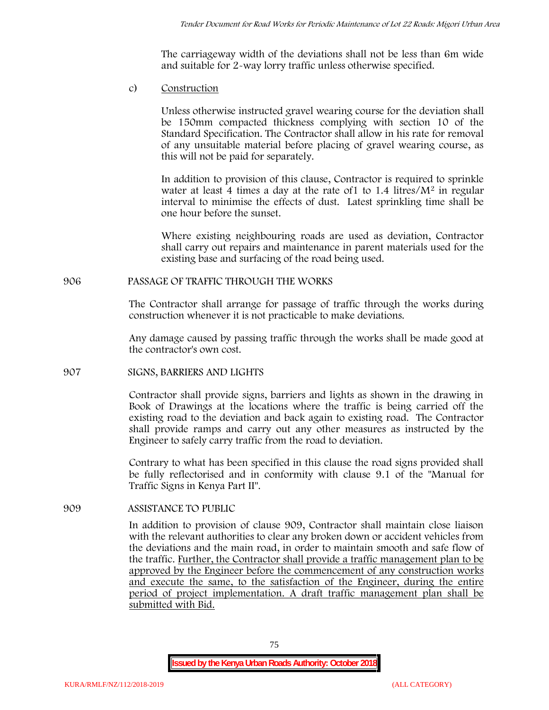The carriageway width of the deviations shall not be less than 6m wide and suitable for 2-way lorry traffic unless otherwise specified.

c) **Construction**

Unless otherwise instructed gravel wearing course for the deviation shall be 150mm compacted thickness complying with section 10 of the Standard Specification. The Contractor shall allow in his rate for removal of any unsuitable material before placing of gravel wearing course, as this will not be paid for separately.

In addition to provision of this clause, Contractor is required to sprinkle water at least 4 times a day at the rate of 1 to  $1.4$  litres/ $M<sup>2</sup>$  in regular interval to minimise the effects of dust. Latest sprinkling time shall be one hour before the sunset.

Where existing neighbouring roads are used as deviation, Contractor shall carry out repairs and maintenance in parent materials used for the existing base and surfacing of the road being used.

# **906 PASSAGE OF TRAFFIC THROUGH THE WORKS**

The Contractor shall arrange for passage of traffic through the works during construction whenever it is not practicable to make deviations.

Any damage caused by passing traffic through the works shall be made good at the contractor's own cost.

## **907 SIGNS, BARRIERS AND LIGHTS**

Contractor shall provide signs, barriers and lights as shown in the drawing in Book of Drawings at the locations where the traffic is being carried off the existing road to the deviation and back again to existing road. The Contractor shall provide ramps and carry out any other measures as instructed by the Engineer to safely carry traffic from the road to deviation.

Contrary to what has been specified in this clause the road signs provided shall be fully reflectorised and in conformity with clause 9.1 of the "Manual for Traffic Signs in Kenya Part II".

# **909 ASSISTANCE TO PUBLIC**

In addition to provision of clause 909, Contractor shall maintain close liaison with the relevant authorities to clear any broken down or accident vehicles from the deviations and the main road, in order to maintain smooth and safe flow of the traffic. Further, the Contractor shall provide a traffic management plan to be approved by the Engineer before the commencement of any construction works and execute the same, to the satisfaction of the Engineer, during the entire period of project implementation. A draft traffic management plan shall be submitted with Bid.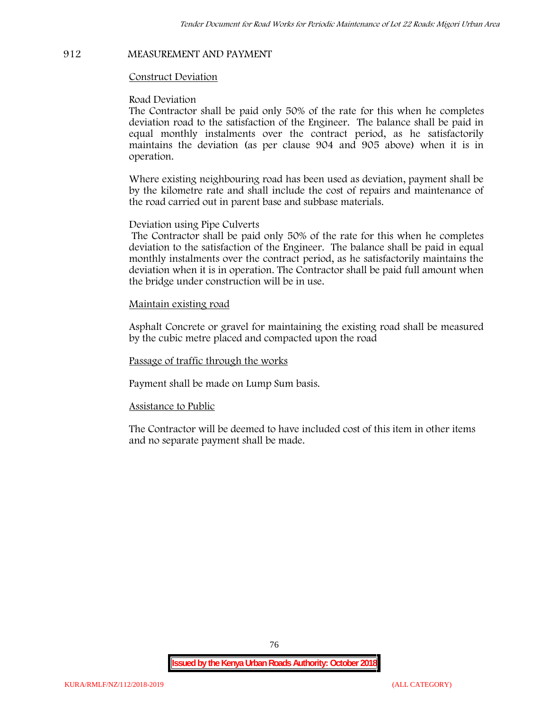# **912 MEASUREMENT AND PAYMENT**

### **Construct Deviation**

#### **Road Deviation**

The Contractor shall be paid only 50% of the rate for this when he completes deviation road to the satisfaction of the Engineer. The balance shall be paid in equal monthly instalments over the contract period, as he satisfactorily maintains the deviation (as per clause 904 and 905 above) when it is in operation.

Where existing neighbouring road has been used as deviation, payment shall be by the kilometre rate and shall include the cost of repairs and maintenance of the road carried out in parent base and subbase materials.

#### **Deviation using Pipe Culverts**

The Contractor shall be paid only 50% of the rate for this when he completes deviation to the satisfaction of the Engineer. The balance shall be paid in equal monthly instalments over the contract period, as he satisfactorily maintains the deviation when it is in operation. The Contractor shall be paid full amount when the bridge under construction will be in use.

### **Maintain existing road**

Asphalt Concrete or gravel for maintaining the existing road shall be measured by the cubic metre placed and compacted upon the road

#### **Passage of traffic through the works**

Payment shall be made on Lump Sum basis.

#### **Assistance to Public**

The Contractor will be deemed to have included cost of this item in other items and no separate payment shall be made.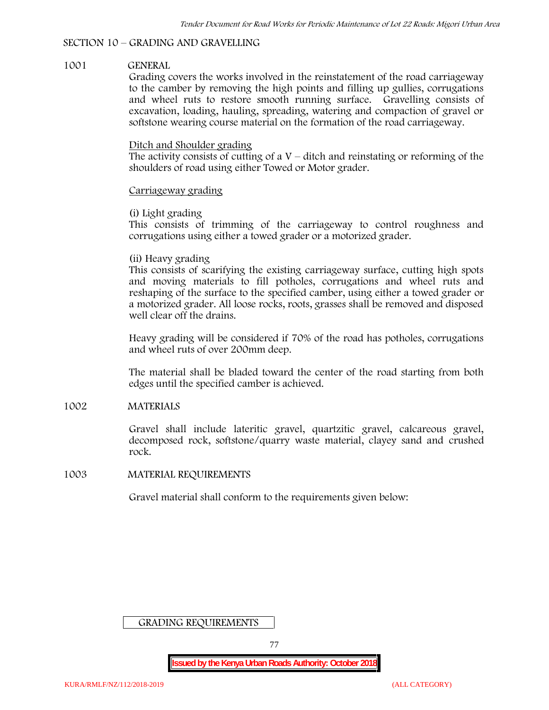#### **SECTION 10 – GRADING AND GRAVELLING**

### **1001 GENERAL**

Grading covers the works involved in the reinstatement of the road carriageway to the camber by removing the high points and filling up gullies, corrugations and wheel ruts to restore smooth running surface. Gravelling consists of excavation, loading, hauling, spreading, watering and compaction of gravel or softstone wearing course material on the formation of the road carriageway.

### Ditch and Shoulder grading

The activity consists of cutting of a  $V$  – ditch and reinstating or reforming of the shoulders of road using either Towed or Motor grader.

### Carriageway grading

### **(i) Light grading**

This consists of trimming of the carriageway to control roughness and corrugations using either a towed grader or a motorized grader.

### **(ii) Heavy grading**

This consists of scarifying the existing carriageway surface, cutting high spots and moving materials to fill potholes, corrugations and wheel ruts and reshaping of the surface to the specified camber, using either a towed grader or a motorized grader. All loose rocks, roots, grasses shall be removed and disposed well clear off the drains.

Heavy grading will be considered if 70% of the road has potholes, corrugations and wheel ruts of over 200mm deep.

The material shall be bladed toward the center of the road starting from both edges until the specified camber is achieved.

### **1002 MATERIALS**

Gravel shall include lateritic gravel, quartzitic gravel, calcareous gravel, decomposed rock, softstone/quarry waste material, clayey sand and crushed rock.

#### **1003 MATERIAL REQUIREMENTS**

Gravel material shall conform to the requirements given below:

GRADING REQUIREMENTS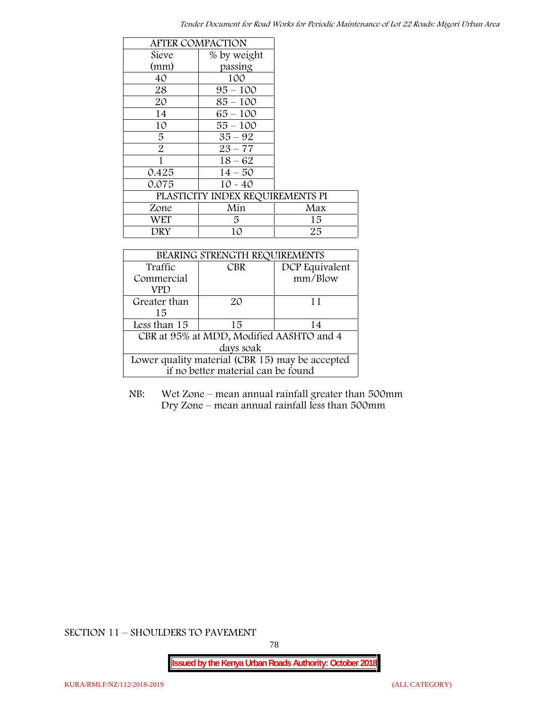|                | <b>AFTER COMPACTION</b>          |     |
|----------------|----------------------------------|-----|
| Sieve          | % by weight                      |     |
| (mm)           | passing                          |     |
| 40             | 100                              |     |
| 28             | $95 - 100$                       |     |
| 20             | $85 - 100$                       |     |
| 14             | $65 - 100$                       |     |
| 10             | $55 - 100$                       |     |
| 5              | $35 - 92$                        |     |
| $\overline{2}$ | $23 - 77$                        |     |
| 1              | $18 - 62$                        |     |
| 0.425          | $14 - 50$                        |     |
| 0.075          | $10 - 40$                        |     |
|                | PLASTICITY INDEX REQUIREMENTS PI |     |
| Zone           | Min                              | Max |
| <b>WET</b>     | 5.                               | 15  |
| DRY            | 10                               | 25  |

| BEARING STRENGTH REQUIREMENTS                   |            |                |  |  |
|-------------------------------------------------|------------|----------------|--|--|
| Traffic                                         | <b>CBR</b> | DCP Equivalent |  |  |
| Commercial                                      |            | mm/Blow        |  |  |
| VPD                                             |            |                |  |  |
| Greater than                                    | $2\Omega$  | 11             |  |  |
| 15                                              |            |                |  |  |
| Less than 15                                    | 15         | 14             |  |  |
| CBR at 95% at MDD, Modified AASHTO and 4        |            |                |  |  |
| days soak                                       |            |                |  |  |
| Lower quality material (CBR 15) may be accepted |            |                |  |  |
| if no better material can be found              |            |                |  |  |

NB: Wet Zone – mean annual rainfall greater than 500mm Dry Zone – mean annual rainfall less than 500mm

**SECTION 11 – SHOULDERS TO PAVEMENT**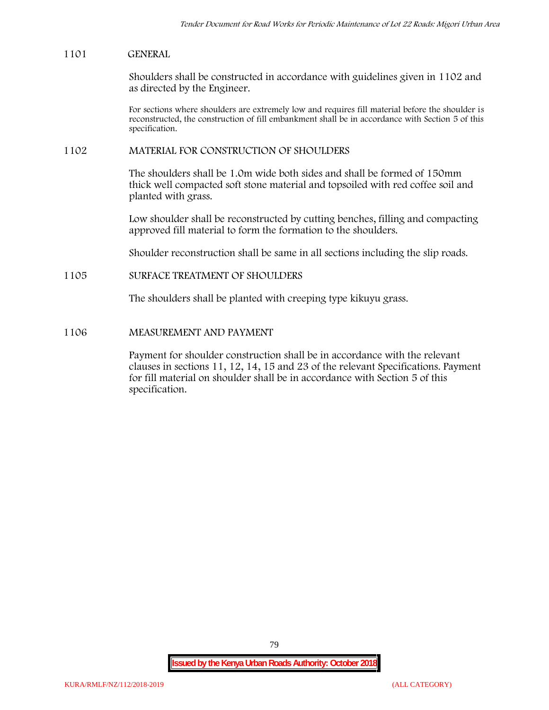## **1101 GENERAL**

Shoulders shall be constructed in accordance with guidelines given in 1102 and as directed by the Engineer.

For sections where shoulders are extremely low and requires fill material before the shoulder is reconstructed, the construction of fill embankment shall be in accordance with Section 5 of this specification.

## **1102 MATERIAL FOR CONSTRUCTION OF SHOULDERS**

The shoulders shall be 1.0m wide both sides and shall be formed of 150mm thick well compacted soft stone material and topsoiled with red coffee soil and planted with grass.

Low shoulder shall be reconstructed by cutting benches, filling and compacting approved fill material to form the formation to the shoulders.

Shoulder reconstruction shall be same in all sections including the slip roads.

# **1105 SURFACE TREATMENT OF SHOULDERS**

The shoulders shall be planted with creeping type kikuyu grass.

## **1106 MEASUREMENT AND PAYMENT**

Payment for shoulder construction shall be in accordance with the relevant clauses in sections 11, 12, 14, 15 and 23 of the relevant Specifications. Payment for fill material on shoulder shall be in accordance with Section 5 of this specification.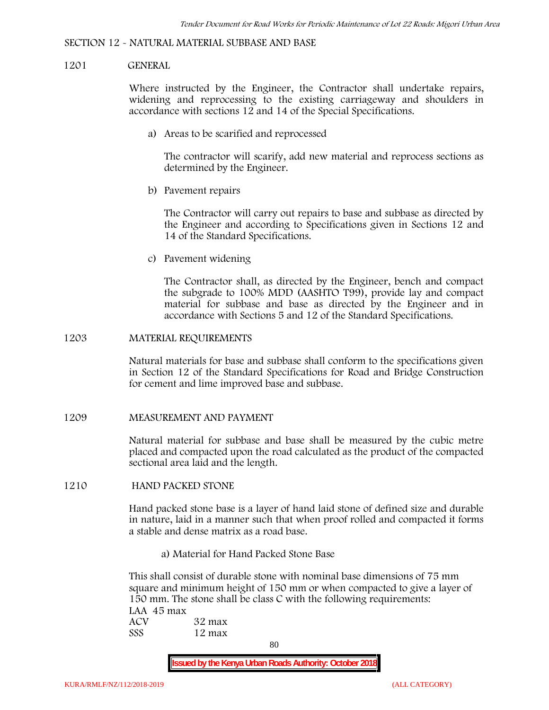#### **SECTION 12 - NATURAL MATERIAL SUBBASE AND BASE**

### **1201 GENERAL**

Where instructed by the Engineer, the Contractor shall undertake repairs, widening and reprocessing to the existing carriageway and shoulders in accordance with sections 12 and 14 of the Special Specifications.

**a) Areas to be scarified and reprocessed**

The contractor will scarify, add new material and reprocess sections as determined by the Engineer.

**b) Pavement repairs**

The Contractor will carry out repairs to base and subbase as directed by the Engineer and according to Specifications given in Sections 12 and 14 of the Standard Specifications.

**c) Pavement widening**

The Contractor shall, as directed by the Engineer, bench and compact the subgrade to 100% MDD (AASHTO T99), provide lay and compact material for subbase and base as directed by the Engineer and in accordance with Sections 5 and 12 of the Standard Specifications.

#### **1203 MATERIAL REQUIREMENTS**

Natural materials for base and subbase shall conform to the specifications given in Section 12 of the Standard Specifications for Road and Bridge Construction for cement and lime improved base and subbase.

**1209 MEASUREMENT AND PAYMENT**

Natural material for subbase and base shall be measured by the cubic metre placed and compacted upon the road calculated as the product of the compacted sectional area laid and the length.

**1210 HAND PACKED STONE**

Hand packed stone base is a layer of hand laid stone of defined size and durable in nature, laid in a manner such that when proof rolled and compacted it forms a stable and dense matrix as a road base.

**a) Material for Hand Packed Stone Base**

This shall consist of durable stone with nominal base dimensions of 75 mm square and minimum height of 150 mm or when compacted to give a layer of 150 mm. The stone shall be class C with the following requirements: **LAA 45 max ACV 32 max SSS 12 max**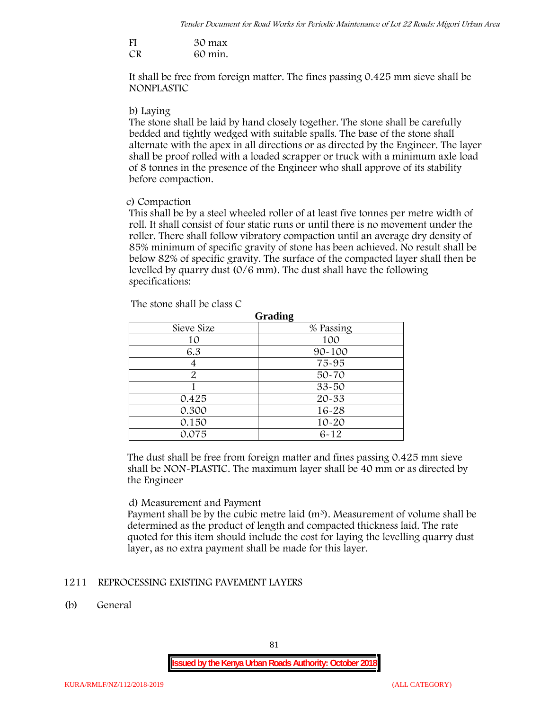| FI | 30 max  |
|----|---------|
| CR | 60 min. |

It shall be free from foreign matter. The fines passing 0.425 mm sieve shall be **NONPLASTIC**

## **b) Laying**

The stone shall be laid by hand closely together. The stone shall be carefully bedded and tightly wedged with suitable spalls. The base of the stone shall alternate with the apex in all directions or as directed by the Engineer. The layer shall be proof rolled with a loaded scrapper or truck with a minimum axle load of 8 tonnes in the presence of the Engineer who shall approve of its stability before compaction.

# **c) Compaction**

This shall be by a steel wheeled roller of at least five tonnes per metre width of roll. It shall consist of four static runs or until there is no movement under the roller. There shall follow vibratory compaction until an average dry density of 85% minimum of specific gravity of stone has been achieved. No result shall be below 82% of specific gravity. The surface of the compacted layer shall then be levelled by quarry dust (0/6 mm). The dust shall have the following specifications:

| Grading    |            |  |  |  |
|------------|------------|--|--|--|
| Sieve Size | % Passing  |  |  |  |
| 10         | 100        |  |  |  |
| 6.3        | $90 - 100$ |  |  |  |
|            | 75-95      |  |  |  |
| 2          | $50 - 70$  |  |  |  |
|            | $33 - 50$  |  |  |  |
| 0.425      | 20-33      |  |  |  |
| 0.300      | 16-28      |  |  |  |
| 0.150      | $10 - 20$  |  |  |  |
| 0.075      | $6 - 12$   |  |  |  |

The stone shall be class C

The dust shall be free from foreign matter and fines passing 0.425 mm sieve shall be **NON-PLASTIC**. The maximum layer shall be 40 mm or as directed by the Engineer

## **d) Measurement and Payment**

Payment shall be by the cubic metre laid  $(m<sup>3</sup>)$ . Measurement of volume shall be determined as the product of length and compacted thickness laid. The rate quoted for this item should include the cost for laying the levelling quarry dust layer, as no extra payment shall be made for this layer.

# **1211 REPROCESSING EXISTING PAVEMENT LAYERS**

**(b) General**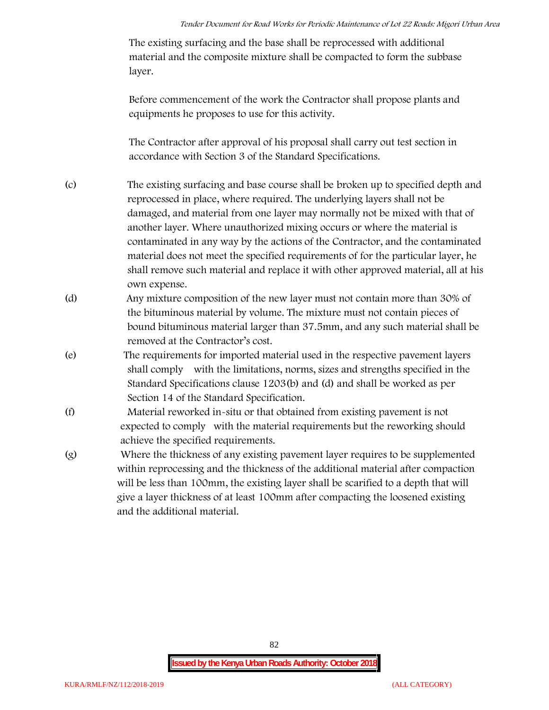The existing surfacing and the base shall be reprocessed with additional material and the composite mixture shall be compacted to form the subbase layer.

Before commencement of the work the Contractor shall propose plants and equipments he proposes to use for this activity.

The Contractor after approval of his proposal shall carry out test section in accordance with Section 3 of the Standard Specifications.

- (c) The existing surfacing and base course shall be broken up to specified depth and reprocessed in place, where required. The underlying layers shall not be damaged, and material from one layer may normally not be mixed with that of another layer. Where unauthorized mixing occurs or where the material is contaminated in any way by the actions of the Contractor, and the contaminated material does not meet the specified requirements of for the particular layer, he shall remove such material and replace it with other approved material, all at his own expense.
- (d) Any mixture composition of the new layer must not contain more than 30% of the bituminous material by volume. The mixture must not contain pieces of bound bituminous material larger than 37.5mm, and any such material shall be removed at the Contractor's cost.
- (e) The requirements for imported material used in the respective pavement layers shall comply with the limitations, norms, sizes and strengths specified in the Standard Specifications clause 1203(b) and (d) and shall be worked as per Section 14 of the Standard Specification.
- (f) Material reworked in-situ or that obtained from existing pavement is not expected to comply with the material requirements but the reworking should achieve the specified requirements.
- (g) Where the thickness of any existing pavement layer requires to be supplemented within reprocessing and the thickness of the additional material after compaction will be less than 100mm, the existing layer shall be scarified to a depth that will give a layer thickness of at least 100mm after compacting the loosened existing and the additional material.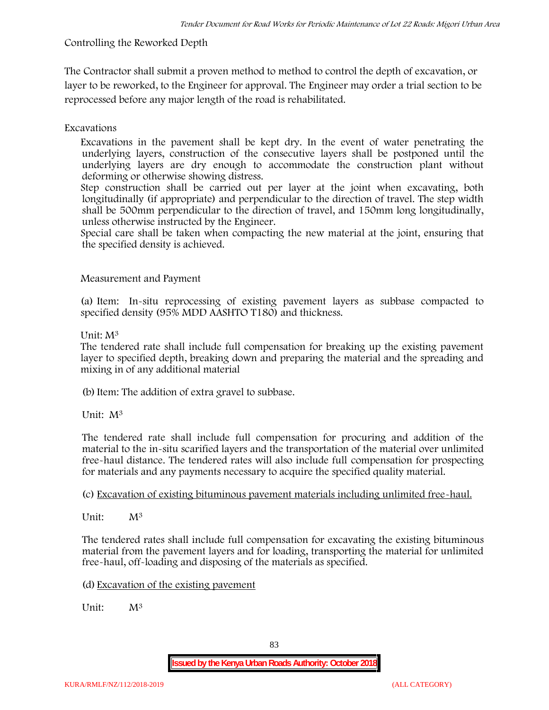# **Controlling the Reworked Depth**

The Contractor shall submit a proven method to method to control the depth of excavation, or layer to be reworked, to the Engineer for approval. The Engineer may order a trial section to be reprocessed before any major length of the road is rehabilitated.

# **Excavations**

Excavations in the pavement shall be kept dry. In the event of water penetrating the underlying layers, construction of the consecutive layers shall be postponed until the underlying layers are dry enough to accommodate the construction plant without deforming or otherwise showing distress.

Step construction shall be carried out per layer at the joint when excavating, both longitudinally (if appropriate) and perpendicular to the direction of travel. The step width shall be 500mm perpendicular to the direction of travel, and 150mm long longitudinally, unless otherwise instructed by the Engineer.

Special care shall be taken when compacting the new material at the joint, ensuring that the specified density is achieved.

# **Measurement and Payment**

(a) Item: In-situ reprocessing of existing pavement layers as subbase compacted to specified density (95% MDD AASHTO T180) and thickness.

# Unit: M<sup>3</sup>

The tendered rate shall include full compensation for breaking up the existing pavement layer to specified depth, breaking down and preparing the material and the spreading and mixing in of any additional material

(b)Item: The addition of extra gravel to subbase.

Unit: M<sup>3</sup>

The tendered rate shall include full compensation for procuring and addition of the material to the in-situ scarified layers and the transportation of the material over unlimited free-haul distance. The tendered rates will also include full compensation for prospecting for materials and any payments necessary to acquire the specified quality material.

(c) Excavation of existing bituminous pavement materials including unlimited free-haul.

Unit: M<sup>3</sup>

The tendered rates shall include full compensation for excavating the existing bituminous material from the pavement layers and for loading, transporting the material for unlimited free-haul, off-loading and disposing of the materials as specified.

(d) Excavation of the existing pavement

Unit:  $M^3$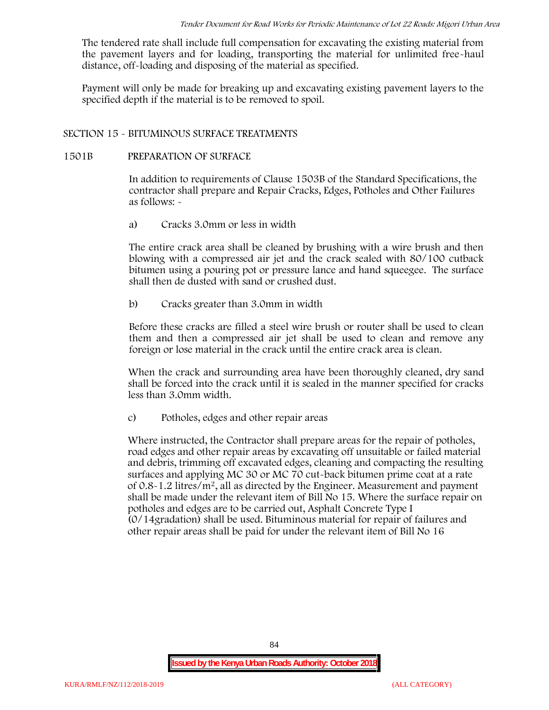The tendered rate shall include full compensation for excavating the existing material from the pavement layers and for loading, transporting the material for unlimited free-haul distance, off-loading and disposing of the material as specified.

Payment will only be made for breaking up and excavating existing pavement layers to the specified depth if the material is to be removed to spoil.

## **SECTION 15 - BITUMINOUS SURFACE TREATMENTS**

### **1501B PREPARATION OF SURFACE**

In addition to requirements of Clause 1503B of the Standard Specifications, the contractor shall prepare and Repair Cracks, Edges, Potholes and Other Failures as follows: **-**

a) **Cracks 3.0mm or less in width**

The entire crack area shall be cleaned by brushing with a wire brush and then blowing with a compressed air jet and the crack sealed with 80/100 cutback bitumen using a pouring pot or pressure lance and hand squeegee. The surface shall then de dusted with sand or crushed dust.

b) **Cracks greater than 3.0mm in width**

Before these cracks are filled a steel wire brush or router shall be used to clean them and then a compressed air jet shall be used to clean and remove any foreign or lose material in the crack until the entire crack area is clean.

When the crack and surrounding area have been thoroughly cleaned, dry sand shall be forced into the crack until it is sealed in the manner specified for cracks less than 3.0mm width.

c) **Potholes, edges and other repair areas**

Where instructed, the Contractor shall prepare areas for the repair of potholes, road edges and other repair areas by excavating off unsuitable or failed material and debris, trimming off excavated edges, cleaning and compacting the resulting surfaces and applying MC 30 or MC 70 cut-back bitumen prime coat at a rate of  $0.8-1.2$  litres/m<sup>2</sup>, all as directed by the Engineer. Measurement and payment shall be made under the relevant item of Bill No 15. Where the surface repair on potholes and edges are to be carried out, Asphalt Concrete Type I (0/14gradation) shall be used. Bituminous material for repair of failures and other repair areas shall be paid for under the relevant item of Bill No 16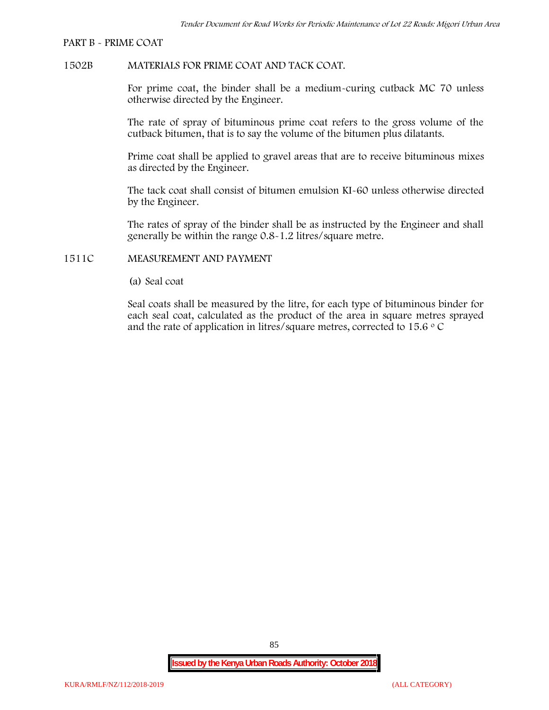#### **PART B - PRIME COAT**

### **1502B MATERIALS FOR PRIME COAT AND TACK COAT.**

For prime coat, the binder shall be a medium-curing cutback MC 70 unless otherwise directed by the Engineer.

The rate of spray of bituminous prime coat refers to the gross volume of the cutback bitumen, that is to say the volume of the bitumen plus dilatants.

Prime coat shall be applied to gravel areas that are to receive bituminous mixes as directed by the Engineer.

The tack coat shall consist of bitumen emulsion KI-60 unless otherwise directed by the Engineer.

The rates of spray of the binder shall be as instructed by the Engineer and shall generally be within the range 0.8-1.2 litres/square metre.

### **1511C MEASUREMENT AND PAYMENT**

(a) Seal coat

Seal coats shall be measured by the litre, for each type of bituminous binder for each seal coat, calculated as the product of the area in square metres sprayed and the rate of application in litres/square metres, corrected to 15.6  $\circ$  C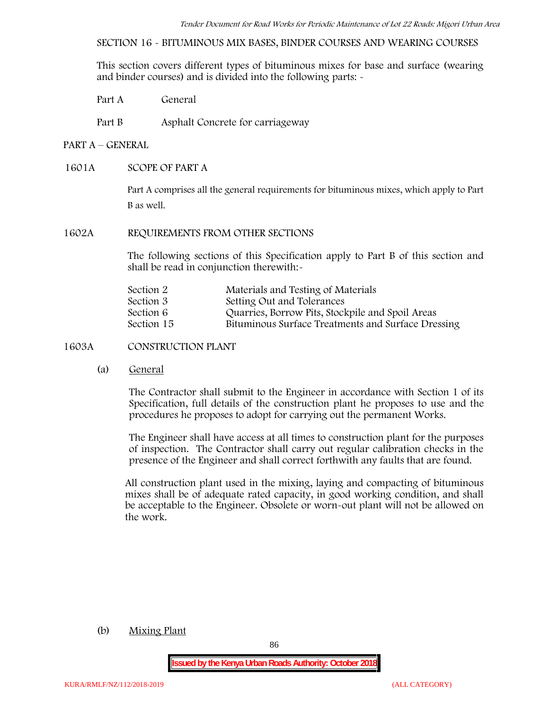**SECTION 16 - BITUMINOUS MIX BASES, BINDER COURSES AND WEARING COURSES**

This section covers different types of bituminous mixes for base and surface (wearing and binder courses) and is divided into the following parts: -

- Part A General
- Part B Asphalt Concrete for carriageway

## **PART A –GENERAL**

## **1601A SCOPE OF PART A**

Part A comprises all the general requirements for bituminous mixes, which apply to Part B as well.

### **1602A REQUIREMENTS FROM OTHER SECTIONS**

The following sections of this Specification apply to Part B of this section and shall be read in conjunction therewith:-

| Section 2  | Materials and Testing of Materials                 |
|------------|----------------------------------------------------|
| Section 3  | Setting Out and Tolerances                         |
| Section 6  | Quarries, Borrow Pits, Stockpile and Spoil Areas   |
| Section 15 | Bituminous Surface Treatments and Surface Dressing |

## **1603A CONSTRUCTION PLANT**

(a) **General**

The Contractor shall submit to the Engineer in accordance with Section 1 of its Specification, full details of the construction plant he proposes to use and the procedures he proposes to adopt for carrying out the permanent Works.

The Engineer shall have access at all times to construction plant for the purposes of inspection. The Contractor shall carry out regular calibration checks in the presence of the Engineer and shall correct forthwith any faults that are found.

All construction plant used in the mixing, laying and compacting of bituminous mixes shall be of adequate rated capacity, in good working condition, and shall be acceptable to the Engineer. Obsolete or worn-out plant will not be allowed on the work.

### (b) **Mixing Plant**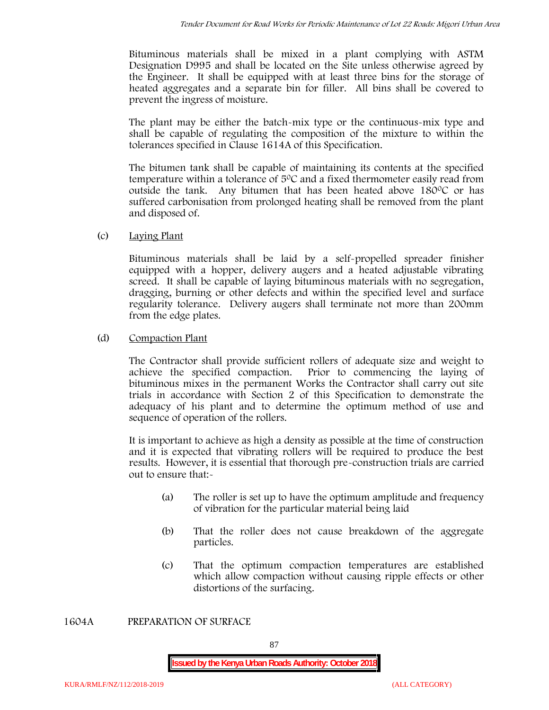Bituminous materials shall be mixed in a plant complying with ASTM Designation D995 and shall be located on the Site unless otherwise agreed by the Engineer. It shall be equipped with at least three bins for the storage of heated aggregates and a separate bin for filler. All bins shall be covered to prevent the ingress of moisture.

The plant may be either the batch-mix type or the continuous-mix type and shall be capable of regulating the composition of the mixture to within the tolerances specified in Clause 1614A of this Specification.

The bitumen tank shall be capable of maintaining its contents at the specified temperature within a tolerance of  $5^{\circ}$ C and a fixed thermometer easily read from outside the tank. Any bitumen that has been heated above  $180^{\circ}$ C or has suffered carbonisation from prolonged heating shall be removed from the plant and disposed of.

# (c) **Laying Plant**

Bituminous materials shall be laid by a self-propelled spreader finisher equipped with a hopper, delivery augers and a heated adjustable vibrating screed. It shall be capable of laying bituminous materials with no segregation, dragging, burning or other defects and within the specified level and surface regularity tolerance. Delivery augers shall terminate not more than 200mm from the edge plates.

# (d) **Compaction Plant**

The Contractor shall provide sufficient rollers of adequate size and weight to achieve the specified compaction. Prior to commencing the laying of bituminous mixes in the permanent Works the Contractor shall carry out site trials in accordance with Section 2 of this Specification to demonstrate the adequacy of his plant and to determine the optimum method of use and sequence of operation of the rollers.

It is important to achieve as high a density as possible at the time of construction and it is expected that vibrating rollers will be required to produce the best results. However, it is essential that thorough pre-construction trials are carried out to ensure that:-

- (a) The roller is set up to have the optimum amplitude and frequency of vibration for the particular material being laid
- (b) That the roller does not cause breakdown of the aggregate particles.
- (c) That the optimum compaction temperatures are established which allow compaction without causing ripple effects or other distortions of the surfacing.

**1604A PREPARATION OF SURFACE**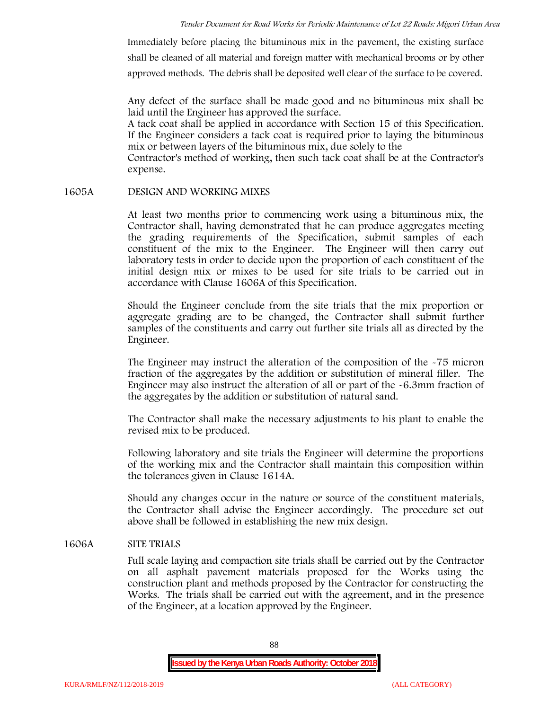Immediately before placing the bituminous mix in the pavement, the existing surface shall be cleaned of all material and foreign matter with mechanical brooms or by other approved methods. The debris shall be deposited well clear of the surface to be covered.

Any defect of the surface shall be made good and no bituminous mix shall be laid until the Engineer has approved the surface.

A tack coat shall be applied in accordance with Section 15 of this Specification. If the Engineer considers a tack coat is required prior to laying the bituminous mix or between layers of the bituminous mix, due solely to the

Contractor's method of working, then such tack coat shall be at the Contractor's expense.

## **1605A DESIGN AND WORKING MIXES**

At least two months prior to commencing work using a bituminous mix, the Contractor shall, having demonstrated that he can produce aggregates meeting the grading requirements of the Specification, submit samples of each constituent of the mix to the Engineer. The Engineer will then carry out laboratory tests in order to decide upon the proportion of each constituent of the initial design mix or mixes to be used for site trials to be carried out in accordance with Clause 1606A of this Specification.

Should the Engineer conclude from the site trials that the mix proportion or aggregate grading are to be changed, the Contractor shall submit further samples of the constituents and carry out further site trials all as directed by the Engineer.

The Engineer may instruct the alteration of the composition of the -75 micron fraction of the aggregates by the addition or substitution of mineral filler. The Engineer may also instruct the alteration of all or part of the -6.3mm fraction of the aggregates by the addition or substitution of natural sand.

The Contractor shall make the necessary adjustments to his plant to enable the revised mix to be produced.

Following laboratory and site trials the Engineer will determine the proportions of the working mix and the Contractor shall maintain this composition within the tolerances given in Clause 1614A.

Should any changes occur in the nature or source of the constituent materials, the Contractor shall advise the Engineer accordingly. The procedure set out above shall be followed in establishing the new mix design.

## **1606A SITE TRIALS**

Full scale laying and compaction site trials shall be carried out by the Contractor on all asphalt pavement materials proposed for the Works using the construction plant and methods proposed by the Contractor for constructing the Works. The trials shall be carried out with the agreement, and in the presence of the Engineer, at a location approved by the Engineer.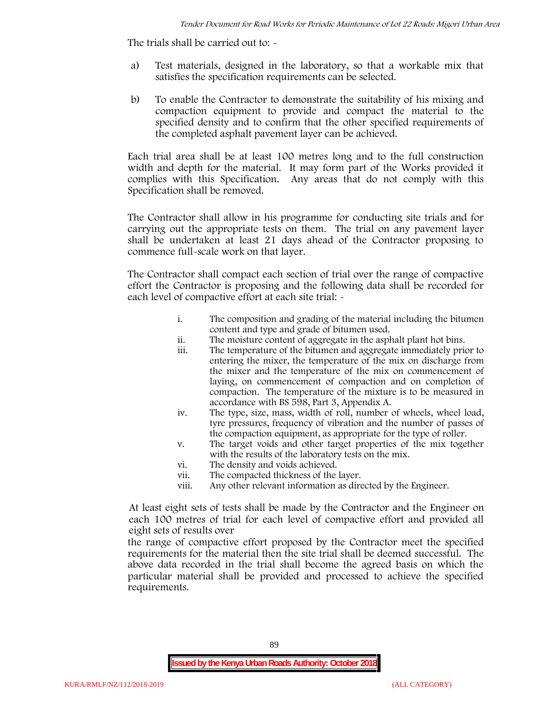The trials shall be carried out to:  $\sim$ 

- a) Test materials, designed in the laboratory, so that a workable mix that satisfies the specification requirements can be selected.
- b) To enable the Contractor to demonstrate the suitability of his mixing and compaction equipment to provide and compact the material to the specified density and to confirm that the other specified requirements of the completed asphalt pavement layer can be achieved.

Each trial area shall be at least 100 metres long and to the full construction width and depth for the material. It may form part of the Works provided it complies with this Specification. Any areas that do not comply with this Specification shall be removed.

The Contractor shall allow in his programme for conducting site trials and for carrying out the appropriate tests on them. The trial on any pavement layer shall be undertaken at least 21 days ahead of the Contractor proposing to commence full-scale work on that layer.

The Contractor shall compact each section of trial over the range of compactive effort the Contractor is proposing and the following data shall be recorded for each level of compactive effort at each site trial:  $\sim$ 

- i. The composition and grading of the material including the bitumen content and type and grade of bitumen used.
- ii. The moisture content of aggregate in the asphalt plant hot bins.
- iii. The temperature of the bitumen and aggregate immediately prior to entering the mixer, the temperature of the mix on discharge from the mixer and the temperature of the mix on commencement of laying, on commencement of compaction and on completion of compaction. The temperature of the mixture is to be measured in accordance with BS 598, Part 3, Appendix A.
- iv. The type, size, mass, width of roll, number of wheels, wheel load, tyre pressures, frequency of vibration and the number of passes of the compaction equipment, as appropriate for the type of roller.
- v. The target voids and other target properties of the mix together with the results of the laboratory tests on the mix.
- vi. The density and voids achieved.
- vii. The compacted thickness of the layer.
- viii. Any other relevant information as directed by the Engineer.

At least eight sets of tests shall be made by the Contractor and the Engineer on each 100 metres of trial for each level of compactive effort and provided all eight sets of results over

the range of compactive effort proposed by the Contractor meet the specified requirements for the material then the site trial shall be deemed successful. The above data recorded in the trial shall become the agreed basis on which the particular material shall be provided and processed to achieve the specified requirements.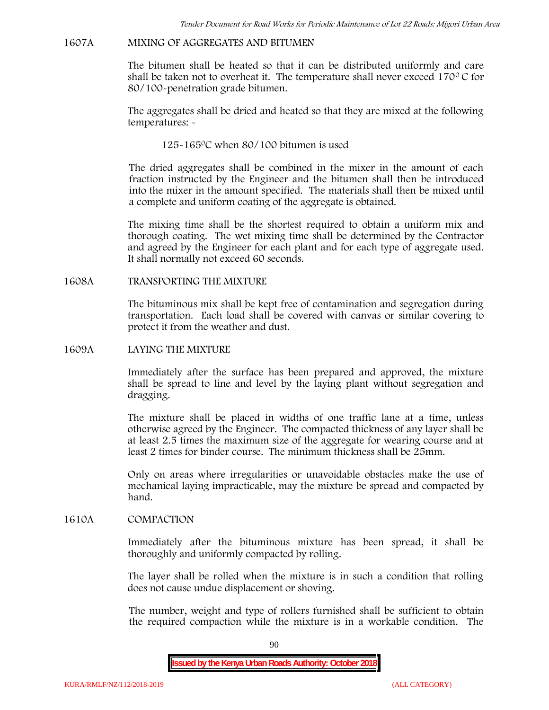## **1607A MIXING OF AGGREGATES AND BITUMEN**

The bitumen shall be heated so that it can be distributed uniformly and care shall be taken not to overheat it. The temperature shall never exceed  $170^{\circ}$ C for 80/100-penetration grade bitumen.

The aggregates shall be dried and heated so that they are mixed at the following temperatures: -

125-1650C when 80/100 bitumen is used

The dried aggregates shall be combined in the mixer in the amount of each fraction instructed by the Engineer and the bitumen shall then be introduced into the mixer in the amount specified. The materials shall then be mixed until a complete and uniform coating of the aggregate is obtained.

The mixing time shall be the shortest required to obtain a uniform mix and thorough coating. The wet mixing time shall be determined by the Contractor and agreed by the Engineer for each plant and for each type of aggregate used. It shall normally not exceed 60 seconds.

**1608A TRANSPORTING THE MIXTURE**

The bituminous mix shall be kept free of contamination and segregation during transportation. Each load shall be covered with canvas or similar covering to protect it from the weather and dust.

## **1609A LAYING THE MIXTURE**

Immediately after the surface has been prepared and approved, the mixture shall be spread to line and level by the laying plant without segregation and dragging.

The mixture shall be placed in widths of one traffic lane at a time, unless otherwise agreed by the Engineer. The compacted thickness of any layer shall be at least 2.5 times the maximum size of the aggregate for wearing course and at least 2 times for binder course. The minimum thickness shall be 25mm.

Only on areas where irregularities or unavoidable obstacles make the use of mechanical laying impracticable, may the mixture be spread and compacted by hand.

## **1610A COMPACTION**

Immediately after the bituminous mixture has been spread, it shall be thoroughly and uniformly compacted by rolling.

The layer shall be rolled when the mixture is in such a condition that rolling does not cause undue displacement or shoving.

The number, weight and type of rollers furnished shall be sufficient to obtain the required compaction while the mixture is in a workable condition. The

90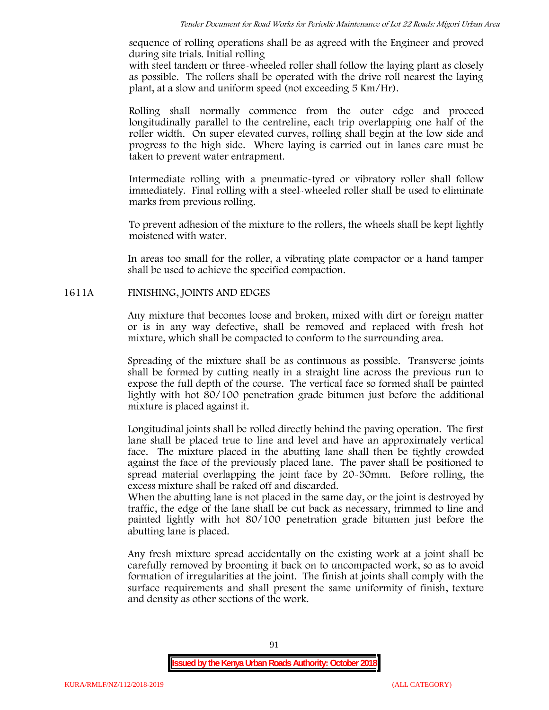sequence of rolling operations shall be as agreed with the Engineer and proved during site trials. Initial rolling

with steel tandem or three-wheeled roller shall follow the laying plant as closely as possible. The rollers shall be operated with the drive roll nearest the laying plant, at a slow and uniform speed (not exceeding 5 Km/Hr).

Rolling shall normally commence from the outer edge and proceed longitudinally parallel to the centreline, each trip overlapping one half of the roller width. On super elevated curves, rolling shall begin at the low side and progress to the high side. Where laying is carried out in lanes care must be taken to prevent water entrapment.

Intermediate rolling with a pneumatic-tyred or vibratory roller shall follow immediately. Final rolling with a steel-wheeled roller shall be used to eliminate marks from previous rolling.

To prevent adhesion of the mixture to the rollers, the wheels shall be kept lightly moistened with water.

In areas too small for the roller, a vibrating plate compactor or a hand tamper shall be used to achieve the specified compaction.

## **1611A FINISHING, JOINTS AND EDGES**

Any mixture that becomes loose and broken, mixed with dirt or foreign matter or is in any way defective, shall be removed and replaced with fresh hot mixture, which shall be compacted to conform to the surrounding area.

Spreading of the mixture shall be as continuous as possible. Transverse joints shall be formed by cutting neatly in a straight line across the previous run to expose the full depth of the course. The vertical face so formed shall be painted lightly with hot 80/100 penetration grade bitumen just before the additional mixture is placed against it.

Longitudinal joints shall be rolled directly behind the paving operation. The first lane shall be placed true to line and level and have an approximately vertical face. The mixture placed in the abutting lane shall then be tightly crowded against the face of the previously placed lane. The paver shall be positioned to spread material overlapping the joint face by 20-30mm. Before rolling, the excess mixture shall be raked off and discarded.

When the abutting lane is not placed in the same day, or the joint is destroyed by traffic, the edge of the lane shall be cut back as necessary, trimmed to line and painted lightly with hot 80/100 penetration grade bitumen just before the abutting lane is placed.

Any fresh mixture spread accidentally on the existing work at a joint shall be carefully removed by brooming it back on to uncompacted work, so as to avoid formation of irregularities at the joint. The finish at joints shall comply with the surface requirements and shall present the same uniformity of finish, texture and density as other sections of the work.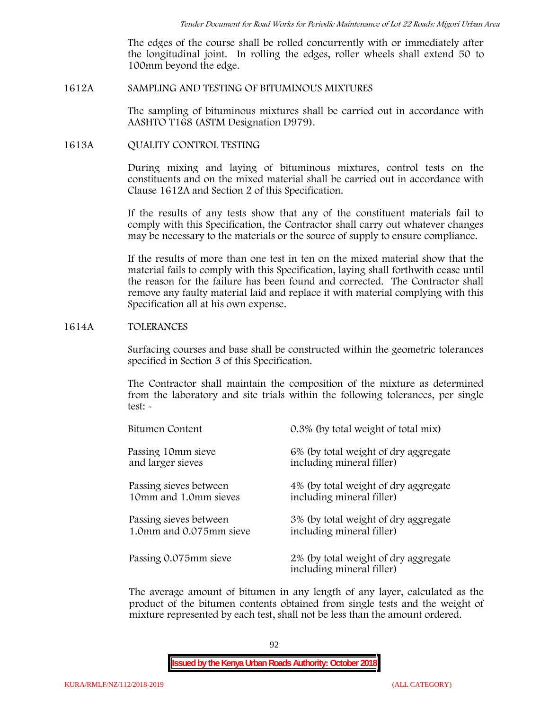The edges of the course shall be rolled concurrently with or immediately after the longitudinal joint. In rolling the edges, roller wheels shall extend 50 to 100mm beyond the edge.

#### **1612A SAMPLING AND TESTING OF BITUMINOUS MIXTURES**

The sampling of bituminous mixtures shall be carried out in accordance with AASHTO T168 (ASTM Designation D979).

**1613A QUALITY CONTROL TESTING**

During mixing and laying of bituminous mixtures, control tests on the constituents and on the mixed material shall be carried out in accordance with Clause 1612A and Section 2 of this Specification.

If the results of any tests show that any of the constituent materials fail to comply with this Specification, the Contractor shall carry out whatever changes may be necessary to the materials or the source of supply to ensure compliance.

If the results of more than one test in ten on the mixed material show that the material fails to comply with this Specification, laying shall forthwith cease until the reason for the failure has been found and corrected. The Contractor shall remove any faulty material laid and replace it with material complying with this Specification all at his own expense.

#### **1614A TOLERANCES**

Surfacing courses and base shall be constructed within the geometric tolerances specified in Section 3 of this Specification.

The Contractor shall maintain the composition of the mixture as determined from the laboratory and site trials within the following tolerances, per single test: -

| Bitumen Content         | 0.3% (by total weight of total mix)                               |
|-------------------------|-------------------------------------------------------------------|
| Passing 10mm sieve      | 6% (by total weight of dry aggregate                              |
| and larger sieves       | including mineral filler)                                         |
| Passing sieves between  | 4% (by total weight of dry aggregate                              |
| 10mm and 1.0mm sieves   | including mineral filler)                                         |
| Passing sieves between  | 3% (by total weight of dry aggregate                              |
| 1.0mm and 0.075mm sieve | including mineral filler)                                         |
| Passing 0.075mm sieve   | 2% (by total weight of dry aggregate<br>including mineral filler) |

The average amount of bitumen in any length of any layer, calculated as the product of the bitumen contents obtained from single tests and the weight of mixture represented by each test, shall not be less than the amount ordered.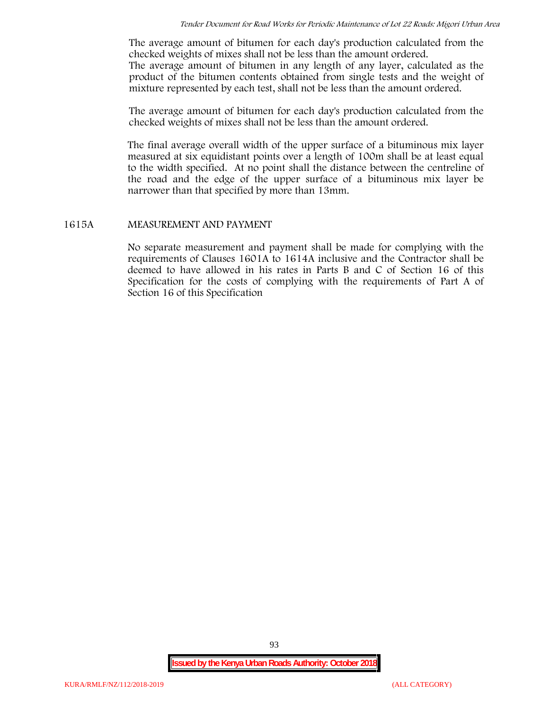The average amount of bitumen for each day's production calculated from the checked weights of mixes shall not be less than the amount ordered.

The average amount of bitumen in any length of any layer, calculated as the product of the bitumen contents obtained from single tests and the weight of mixture represented by each test, shall not be less than the amount ordered.

The average amount of bitumen for each day's production calculated from the checked weights of mixes shall not be less than the amount ordered.

The final average overall width of the upper surface of a bituminous mix layer measured at six equidistant points over a length of 100m shall be at least equal to the width specified. At no point shall the distance between the centreline of the road and the edge of the upper surface of a bituminous mix layer be narrower than that specified by more than 13mm.

#### **1615A MEASUREMENT AND PAYMENT**

No separate measurement and payment shall be made for complying with the requirements of Clauses 1601A to 1614A inclusive and the Contractor shall be deemed to have allowed in his rates in Parts B and C of Section 16 of this Specification for the costs of complying with the requirements of Part A of Section 16 of this Specification

93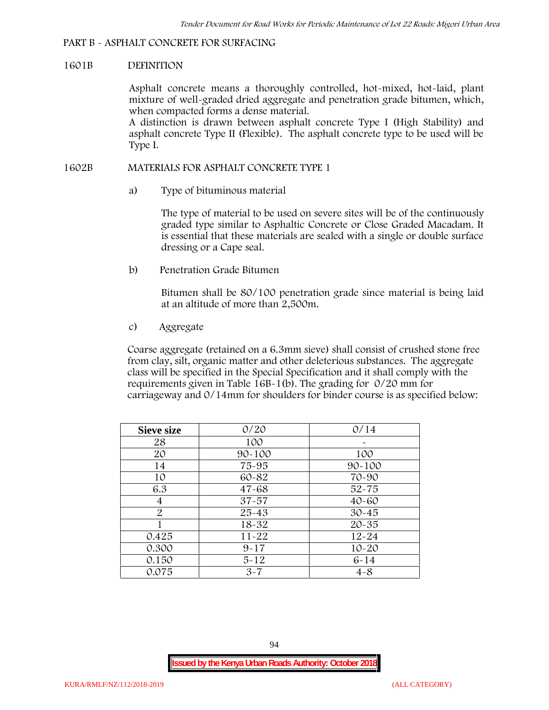# **PART B - ASPHALT CONCRETE FOR SURFACING**

## **1601B DEFINITION**

Asphalt concrete means a thoroughly controlled, hot-mixed, hot-laid, plant mixture of well-graded dried aggregate and penetration grade bitumen, which, when compacted forms a dense material.

A distinction is drawn between asphalt concrete Type I (High Stability) and asphalt concrete Type II (Flexible). The asphalt concrete type to be used will be Type I.

## **1602B MATERIALS FOR ASPHALT CONCRETE TYPE 1**

a) **Type of bituminous material**

The type of material to be used on severe sites will be of the continuously graded type similar to Asphaltic Concrete or Close Graded Macadam. It is essential that these materials are sealed with a single or double surface dressing or a Cape seal.

b) **Penetration Grade Bitumen**

Bitumen shall be 80/100 penetration grade since material is being laid at an altitude of more than 2,500m.

c) **Aggregate**

Coarse aggregate (retained on a 6.3mm sieve) shall consist of crushed stone free from clay, silt, organic matter and other deleterious substances. The aggregate class will be specified in the Special Specification and it shall comply with the requirements given in Table 16B-1(b). The grading for 0/20 mm for carriageway and 0/14mm for shoulders for binder course is as specified below:

| <b>Sieve size</b> | 0/20       | 0/14       |
|-------------------|------------|------------|
| 28                | 100        |            |
| 20                | $90 - 100$ | 100        |
| 14                | 75-95      | $90 - 100$ |
| 10                | 60-82      | 70-90      |
| 6.3               | $47 - 68$  | $52 - 75$  |
| 4                 | $37 - 57$  | $40 - 60$  |
| $\overline{2}$    | 25-43      | $30 - 45$  |
|                   | 18-32      | $20 - 35$  |
| 0.425             | $11 - 22$  | $12 - 24$  |
| 0.300             | $9 - 17$   | $10 - 20$  |
| 0.150             | $5 - 12$   | $6 - 14$   |
| 0.075             | $3 - 7$    | $4 - 8$    |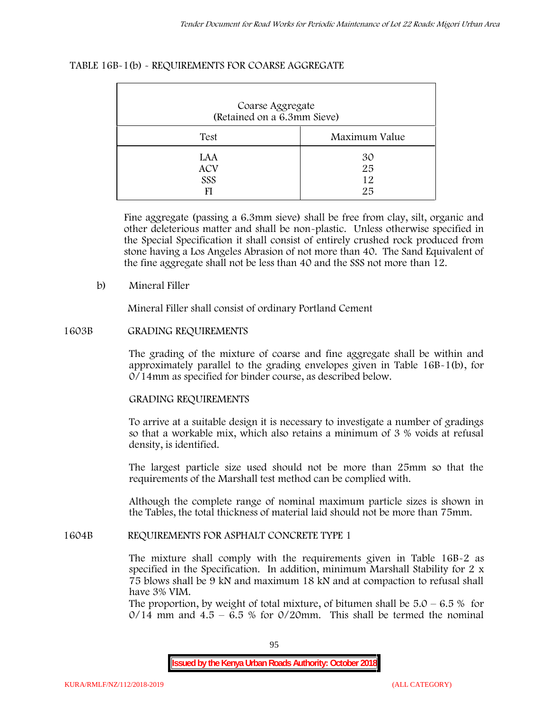### **TABLE 16B-1(b) - REQUIREMENTS FOR COARSE AGGREGATE**

| Coarse Aggregate<br>(Retained on a 6.3mm Sieve) |                      |  |  |  |
|-------------------------------------------------|----------------------|--|--|--|
| Test                                            | Maximum Value        |  |  |  |
| LAA<br><b>ACV</b><br>SSS<br>FI                  | 30<br>25<br>12<br>25 |  |  |  |

Fine aggregate (passing a 6.3mm sieve) shall be free from clay, silt, organic and other deleterious matter and shall be non-plastic. Unless otherwise specified in the Special Specification it shall consist of entirely crushed rock produced from stone having a Los Angeles Abrasion of not more than 40. The Sand Equivalent of the fine aggregate shall not be less than 40 and the SSS not more than 12.

### **b) Mineral Filler**

Mineral Filler shall consist of ordinary Portland Cement

### **1603B GRADING REQUIREMENTS**

The grading of the mixture of coarse and fine aggregate shall be within and approximately parallel to the grading envelopes given in Table 16B-1(b), for 0/14mm as specified for binder course, as described below.

## **GRADING REQUIREMENTS**

To arrive at a suitable design it is necessary to investigate a number of gradings so that a workable mix, which also retains a minimum of 3 % voids at refusal density, is identified.

The largest particle size used should not be more than 25mm so that the requirements of the Marshall test method can be complied with.

Although the complete range of nominal maximum particle sizes is shown in the Tables, the total thickness of material laid should not be more than 75mm.

#### **1604B REQUIREMENTS FOR ASPHALT CONCRETE TYPE 1**

The mixture shall comply with the requirements given in Table 16B-2 as specified in the Specification. In addition, minimum Marshall Stability for 2 x 75 blows shall be 9 kN and maximum 18 kN and at compaction to refusal shall have 3% VIM.

The proportion, by weight of total mixture, of bitumen shall be  $5.0 - 6.5 %$  for  $0/14$  mm and  $4.5 - 6.5$  % for  $0/20$ mm. This shall be termed the nominal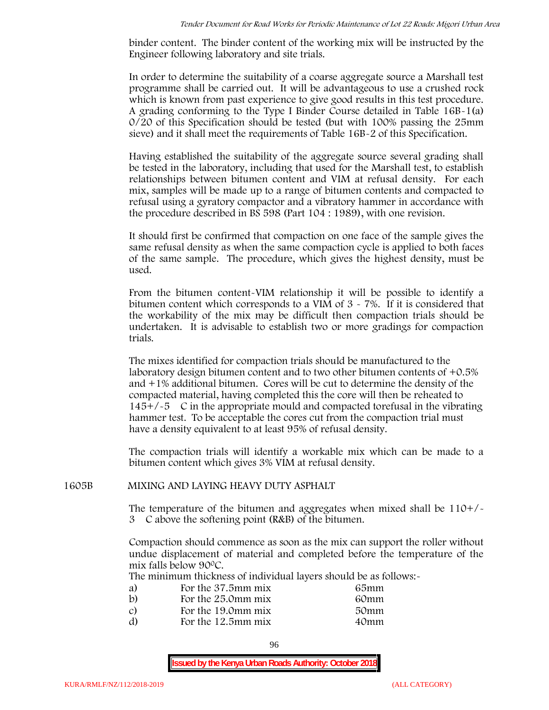binder content. The binder content of the working mix will be instructed by the Engineer following laboratory and site trials.

In order to determine the suitability of a coarse aggregate source a Marshall test programme shall be carried out. It will be advantageous to use a crushed rock which is known from past experience to give good results in this test procedure. A grading conforming to the Type I Binder Course detailed in Table 16B-1(a) 0/20 of this Specification should be tested (but with 100% passing the 25mm sieve) and it shall meet the requirements of Table 16B-2 of this Specification.

Having established the suitability of the aggregate source several grading shall be tested in the laboratory, including that used for the Marshall test, to establish relationships between bitumen content and VIM at refusal density. For each mix, samples will be made up to a range of bitumen contents and compacted to refusal using a gyratory compactor and a vibratory hammer in accordance with the procedure described in BS 598 (Part 104 : 1989), with one revision.

It should first be confirmed that compaction on one face of the sample gives the same refusal density as when the same compaction cycle is applied to both faces of the same sample. The procedure, which gives the highest density, must be used.

From the bitumen content-VIM relationship it will be possible to identify a bitumen content which corresponds to a VIM of 3 - 7%. If it is considered that the workability of the mix may be difficult then compaction trials should be undertaken. It is advisable to establish two or more gradings for compaction trials.

The mixes identified for compaction trials should be manufactured to the laboratory design bitumen content and to two other bitumen contents of +0.5% and +1% additional bitumen. Cores will be cut to determine the density of the compacted material, having completed this the core will then be reheated to  $145+/5$  C in the appropriate mould and compacted torefusal in the vibrating hammer test. To be acceptable the cores cut from the compaction trial must have a density equivalent to at least 95% of refusal density.

The compaction trials will identify a workable mix which can be made to a bitumen content which gives 3% VIM at refusal density.

## **1605B MIXING AND LAYING HEAVY DUTY ASPHALT**

The temperature of the bitumen and aggregates when mixed shall be 110+/- 3C above the softening point (R&B) of the bitumen.

Compaction should commence as soon as the mix can support the roller without undue displacement of material and completed before the temperature of the mix falls below 900C.

The minimum thickness of individual layers should be as follows:-

| a) | For the 37.5mm mix | 65mm |  |
|----|--------------------|------|--|
| b) | For the 25.0mm mix | 60mm |  |
| C) | For the 19.0mm mix | 50mm |  |
| d) | For the 12.5mm mix | 40mm |  |
|    |                    |      |  |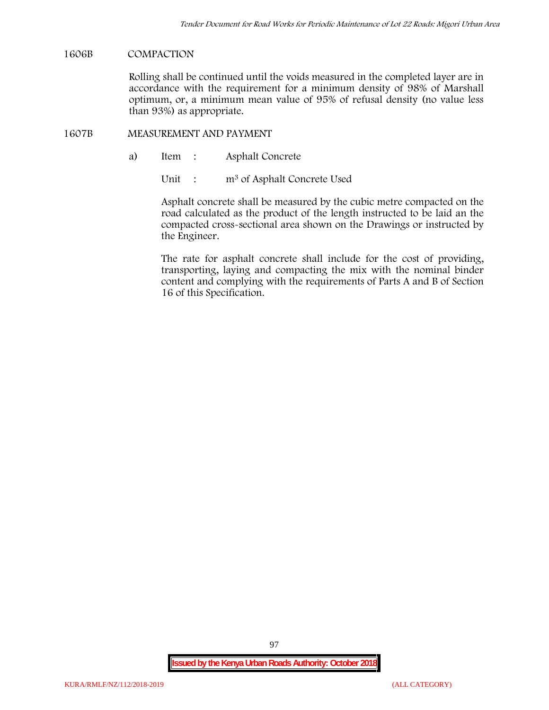## **1606B COMPACTION**

Rolling shall be continued until the voids measured in the completed layer are in accordance with the requirement for a minimum density of 98% of Marshall optimum, or, a minimum mean value of 95% of refusal density (no value less than 93%) as appropriate.

## **1607B MEASUREMENT AND PAYMENT**

a) Item : Asphalt Concrete

Unit : m<sup>3</sup> of Asphalt Concrete Used

Asphalt concrete shall be measured by the cubic metre compacted on the road calculated as the product of the length instructed to be laid an the compacted cross-sectional area shown on the Drawings or instructed by the Engineer.

The rate for asphalt concrete shall include for the cost of providing, transporting, laying and compacting the mix with the nominal binder content and complying with the requirements of Parts A and B of Section 16 of this Specification.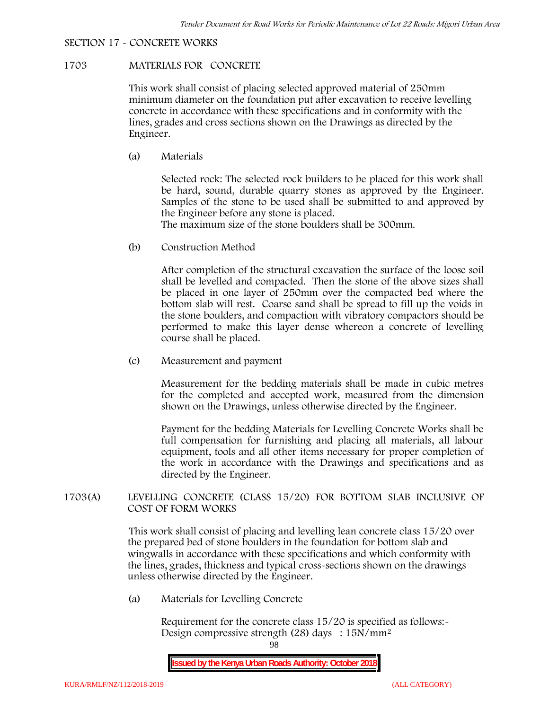## **SECTION 17 - CONCRETE WORKS**

# **1703 MATERIALS FOR CONCRETE**

This work shall consist of placing selected approved material of 250mm minimum diameter on the foundation put after excavation to receive levelling concrete in accordance with these specifications and in conformity with the lines, grades and cross sections shown on the Drawings as directed by the Engineer.

(a) **Materials**

Selected rock: The selected rock builders to be placed for this work shall be hard, sound, durable quarry stones as approved by the Engineer. Samples of the stone to be used shall be submitted to and approved by the Engineer before any stone is placed.

The maximum size of the stone boulders shall be 300mm.

(b) **Construction Method**

After completion of the structural excavation the surface of the loose soil shall be levelled and compacted. Then the stone of the above sizes shall be placed in one layer of 250mm over the compacted bed where the bottom slab will rest. Coarse sand shall be spread to fill up the voids in the stone boulders, and compaction with vibratory compactors should be performed to make this layer dense whereon a concrete of levelling course shall be placed.

(c) **Measurement and payment**

Measurement for the bedding materials shall be made in cubic metres for the completed and accepted work, measured from the dimension shown on the Drawings, unless otherwise directed by the Engineer.

Payment for the bedding Materials for Levelling Concrete Works shall be full compensation for furnishing and placing all materials, all labour equipment, tools and all other items necessary for proper completion of the work in accordance with the Drawings and specifications and as directed by the Engineer.

## **1703(A) LEVELLING CONCRETE (CLASS 15/20) FOR BOTTOM SLAB INCLUSIVE OF COST OF FORM WORKS**

This work shall consist of placing and levelling lean concrete class 15/20 over the prepared bed of stone boulders in the foundation for bottom slab and wingwalls in accordance with these specifications and which conformity with the lines, grades, thickness and typical cross-sections shown on the drawings unless otherwise directed by the Engineer.

(a) **Materials for Levelling Concrete**

Requirement for the concrete class  $15/20$  is specified as follows:-Design compressive strength (28) days : 15N/mm2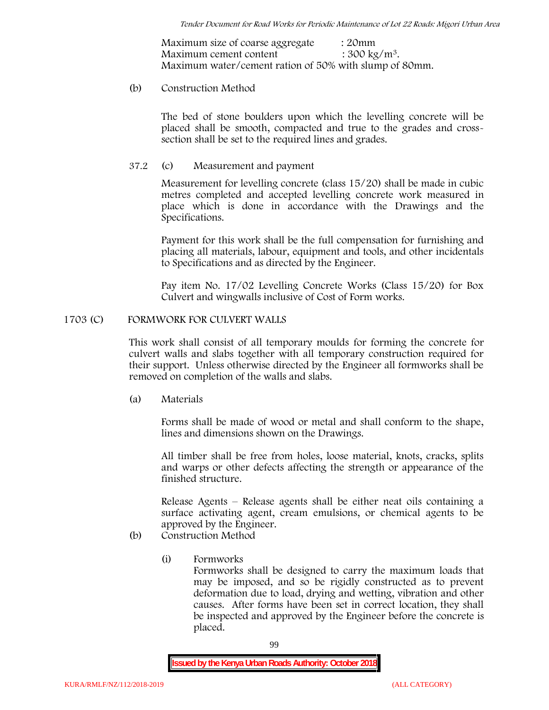Maximum size of coarse aggregate : 20mm Maximum cement content  $: 300 \text{ kg/m}^3$ . Maximum water/cement ration of 50% with slump of 80mm.

### (b) **Construction Method**

The bed of stone boulders upon which the levelling concrete will be placed shall be smooth, compacted and true to the grades and crosssection shall be set to the required lines and grades.

## **37.2** (c) **Measurement and payment**

Measurement for levelling concrete (class 15/20) shall be made in cubic metres completed and accepted levelling concrete work measured in place which is done in accordance with the Drawings and the Specifications.

Payment for this work shall be the full compensation for furnishing and placing all materials, labour, equipment and tools, and other incidentals to Specifications and as directed by the Engineer.

Pay item No. 17/02 Levelling Concrete Works (Class 15/20) for Box Culvert and wingwalls inclusive of Cost of Form works.

## **1703 (C) FORMWORK FOR CULVERT WALLS**

This work shall consist of all temporary moulds for forming the concrete for culvert walls and slabs together with all temporary construction required for their support. Unless otherwise directed by the Engineer all formworks shall be removed on completion of the walls and slabs.

(a) **Materials**

Forms shall be made of wood or metal and shall conform to the shape, lines and dimensions shown on the Drawings.

All timber shall be free from holes, loose material, knots, cracks, splits and warps or other defects affecting the strength or appearance of the finished structure.

Release Agents – Release agents shall be either neat oils containing a surface activating agent, cream emulsions, or chemical agents to be approved by the Engineer.

# (b) **Construction Method**

(i) **Formworks**

Formworks shall be designed to carry the maximum loads that may be imposed, and so be rigidly constructed as to prevent deformation due to load, drying and wetting, vibration and other causes. After forms have been set in correct location, they shall be inspected and approved by the Engineer before the concrete is placed.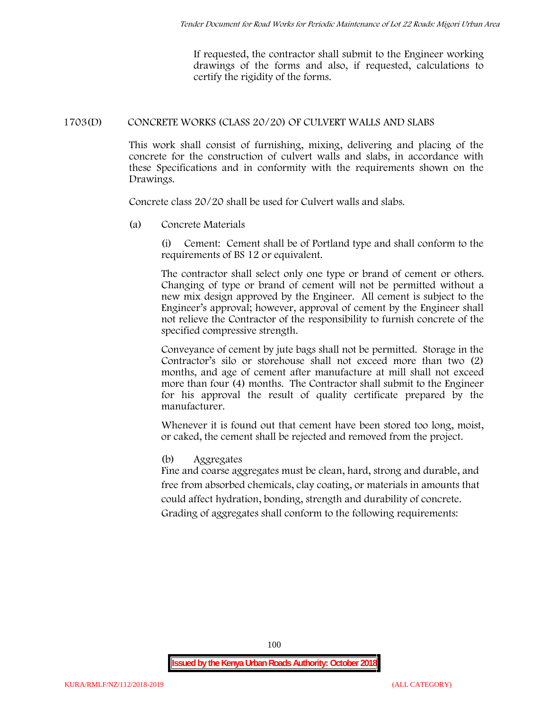If requested, the contractor shall submit to the Engineer working drawings of the forms and also, if requested, calculations to certify the rigidity of the forms.

# **1703(D) CONCRETE WORKS (CLASS 20/20) OF CULVERT WALLS AND SLABS**

This work shall consist of furnishing, mixing, delivering and placing of the concrete for the construction of culvert walls and slabs, in accordance with these Specifications and in conformity with the requirements shown on the Drawings.

Concrete class 20/20 shall be used for Culvert walls and slabs.

**(a) Concrete Materials**

(i) Cement: Cement shall be of Portland type and shall conform to the requirements of BS 12 or equivalent.

The contractor shall select only one type or brand of cement or others. Changing of type or brand of cement will not be permitted without a new mix design approved by the Engineer. All cement is subject to the Engineer's approval; however, approval of cement by the Engineer shall not relieve the Contractor of the responsibility to furnish concrete of the specified compressive strength.

Conveyance of cement by jute bags shall not be permitted. Storage in the Contractor's silo or storehouse shall not exceed more than two (2) months, and age of cement after manufacture at mill shall not exceed more than four (4) months. The Contractor shall submit to the Engineer for his approval the result of quality certificate prepared by the manufacturer.

Whenever it is found out that cement have been stored too long, moist, or caked, the cement shall be rejected and removed from the project.

# **(b) Aggregates**

Fine and coarse aggregates must be clean, hard, strong and durable, and free from absorbed chemicals, clay coating, or materials in amounts that could affect hydration, bonding, strength and durability of concrete. Grading of aggregates shall conform to the following requirements: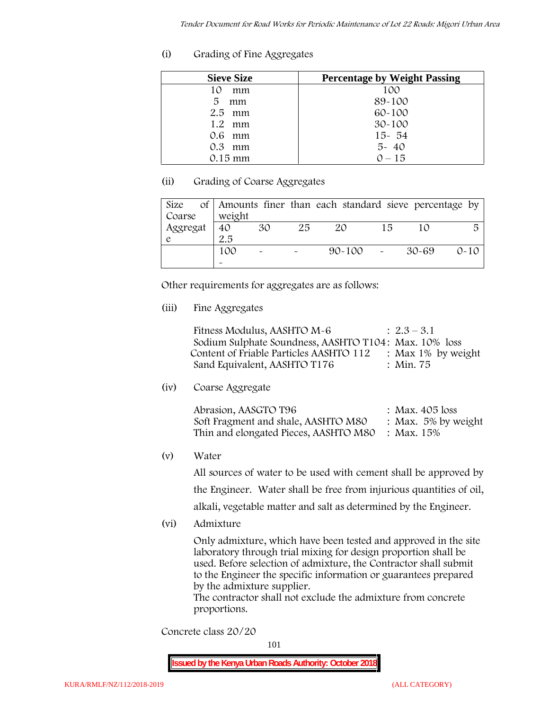# **(i) Grading of Fine Aggregates**

| <b>Sieve Size</b> | <b>Percentage by Weight Passing</b> |
|-------------------|-------------------------------------|
| 10<br>mm          | 100                                 |
| 5.<br>mm          | 89-100                              |
| $2.5$ mm          | $60 - 100$                          |
| $1.2$ mm          | $30 - 100$                          |
| 0.6 mm            | $15 - 54$                           |
| $0.3$ mm          | $5 - 40$                            |
| $0.15 \text{ mm}$ | $0 - 15$                            |

# **(ii) Grading of Coarse Aggregates**

| Size     |                       |                           |    | of Amounts finer than each standard sieve percentage by |    |       |          |
|----------|-----------------------|---------------------------|----|---------------------------------------------------------|----|-------|----------|
| Coarse   | weight                |                           |    |                                                         |    |       |          |
| Aggregat | 40                    | 30                        | 25 | 20                                                      | 15 |       | 5        |
|          | 2.5                   |                           |    |                                                         |    |       |          |
|          | 100                   | $\widetilde{\phantom{m}}$ |    | $90 - 100$ -                                            |    | 30-69 | $0 - 10$ |
|          | $\tilde{\phantom{a}}$ |                           |    |                                                         |    |       |          |

Other requirements for aggregates are as follows:

# **(iii) Fine Aggregates**

| Fitness Modulus, AASHTO M-6                           | $: 2.3 - 3.1$      |
|-------------------------------------------------------|--------------------|
| Sodium Sulphate Soundness, AASHTO T104: Max. 10% loss |                    |
| Content of Friable Particles AASHTO 112               | : Max 1% by weight |
| Sand Equivalent, AASHTO T176                          | : Min. 75          |

# **(iv) Coarse Aggregate**

| Abrasion, AASGTO T96                             | : Max. $405$ loss      |
|--------------------------------------------------|------------------------|
| Soft Fragment and shale, AASHTO M80              | : Max. $5\%$ by weight |
| Thin and elongated Pieces, AASHTO M80 : Max. 15% |                        |

**(v) Water**

All sources of water to be used with cement shall be approved by the Engineer. Water shall be free from injurious quantities of oil, alkali, vegetable matter and salt as determined by the Engineer.

**(vi) Admixture**

Only admixture, which have been tested and approved in the site laboratory through trial mixing for design proportion shall be used. Before selection of admixture, the Contractor shall submit to the Engineer the specific information or guarantees prepared by the admixture supplier.

The contractor shall not exclude the admixture from concrete proportions.

**Concrete class 20/20**

101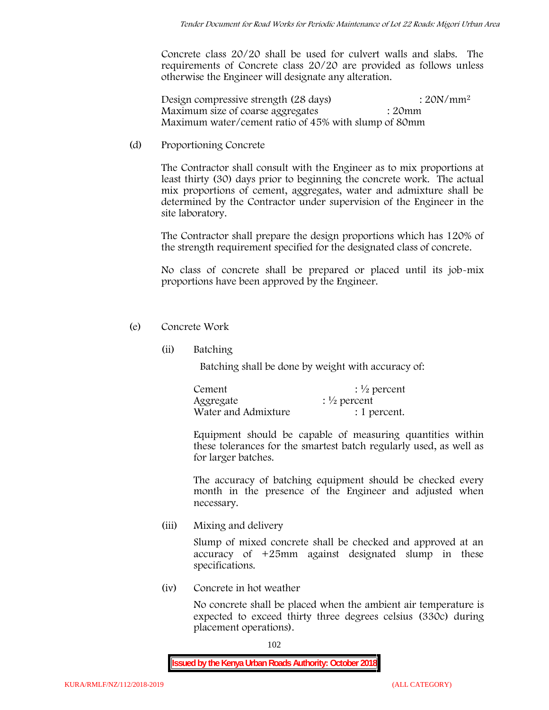Concrete class 20/20 shall be used for culvert walls and slabs. The requirements of Concrete class 20/20 are provided as follows unless otherwise the Engineer will designate any alteration.

Design compressive strength (28 days) : 20N/mm<sup>2</sup> Maximum size of coarse aggregates : 20mm Maximum water/cement ratio of 45% with slump of 80mm

(d) **Proportioning Concrete**

The Contractor shall consult with the Engineer as to mix proportions at least thirty (30) days prior to beginning the concrete work. The actual mix proportions of cement, aggregates, water and admixture shall be determined by the Contractor under supervision of the Engineer in the site laboratory.

The Contractor shall prepare the design proportions which has 120% of the strength requirement specified for the designated class of concrete.

No class of concrete shall be prepared or placed until its job-mix proportions have been approved by the Engineer.

- (e) **Concrete Work**
	- **(ii) Batching**

Batching shall be done by weight with accuracy of:

| Cement              | $\frac{1}{2}$ percent |
|---------------------|-----------------------|
| Aggregate           | $\frac{1}{2}$ percent |
| Water and Admixture | : 1 percent.          |

Equipment should be capable of measuring quantities within these tolerances for the smartest batch regularly used, as well as for larger batches.

The accuracy of batching equipment should be checked every month in the presence of the Engineer and adjusted when necessary.

**(iii) Mixing and delivery**

Slump of mixed concrete shall be checked and approved at an accuracy of +25mm against designated slump in these specifications.

**(iv) Concrete in hot weather**

No concrete shall be placed when the ambient air temperature is expected to exceed thirty three degrees celsius (330c) during placement operations).

102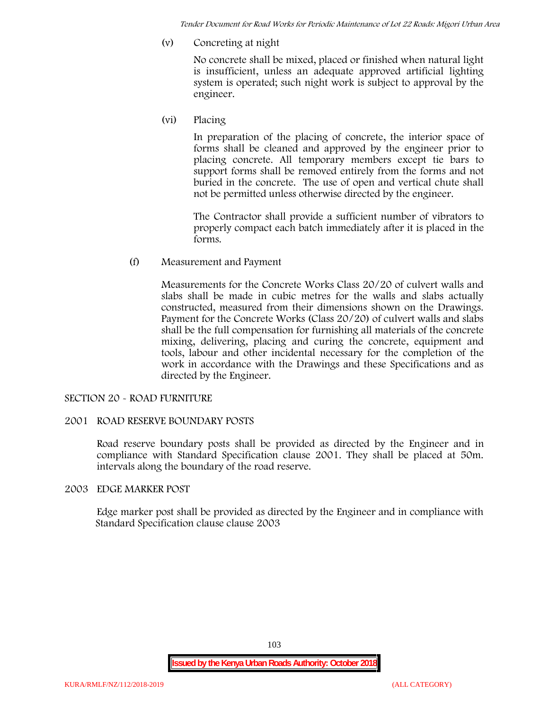*Tender Document for Road Works for Periodic Maintenance of Lot 22 Roads: Migori Urban Area*

**(v) Concreting at night**

No concrete shall be mixed, placed or finished when natural light is insufficient, unless an adequate approved artificial lighting system is operated; such night work is subject to approval by the engineer.

**(vi) Placing**

In preparation of the placing of concrete, the interior space of forms shall be cleaned and approved by the engineer prior to placing concrete. All temporary members except tie bars to support forms shall be removed entirely from the forms and not buried in the concrete. The use of open and vertical chute shall not be permitted unless otherwise directed by the engineer.

The Contractor shall provide a sufficient number of vibrators to properly compact each batch immediately after it is placed in the forms.

(f) **Measurement and Payment**

Measurements for the Concrete Works Class 20/20 of culvert walls and slabs shall be made in cubic metres for the walls and slabs actually constructed, measured from their dimensions shown on the Drawings. Payment for the Concrete Works (Class 20/20) of culvert walls and slabs shall be the full compensation for furnishing all materials of the concrete mixing, delivering, placing and curing the concrete, equipment and tools, labour and other incidental necessary for the completion of the work in accordance with the Drawings and these Specifications and as directed by the Engineer.

## **SECTION 20 - ROAD FURNITURE**

## **2001 ROAD RESERVE BOUNDARY POSTS**

Road reserve boundary posts shall be provided as directed by the Engineer and in compliance with Standard Specification clause 2001. They shall be placed at 50m. intervals along the boundary of the road reserve.

#### **2003 EDGE MARKER POST**

Edge marker post shall be provided as directed by the Engineer and in compliance with Standard Specification clause clause 2003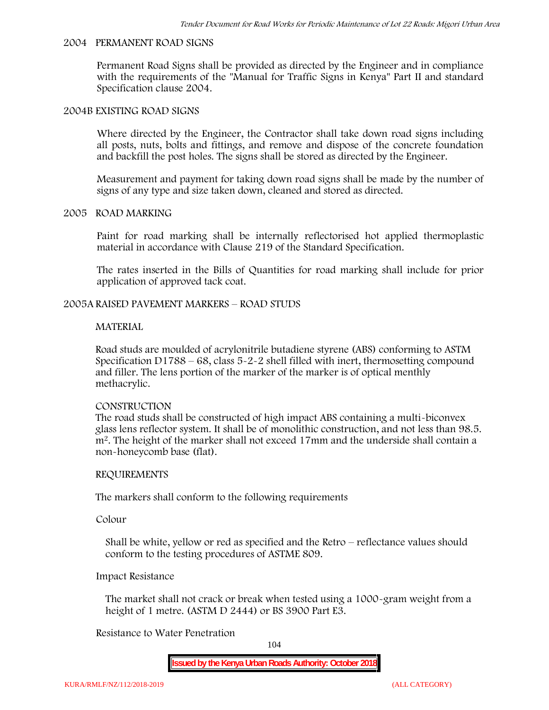#### **2004 PERMANENT ROAD SIGNS**

Permanent Road Signs shall be provided as directed by the Engineer and in compliance with the requirements of the "Manual for Traffic Signs in Kenya" Part II and standard Specification clause 2004.

#### **2004B EXISTING ROAD SIGNS**

Where directed by the Engineer, the Contractor shall take down road signs including all posts, nuts, bolts and fittings, and remove and dispose of the concrete foundation and backfill the post holes. The signs shall be stored as directed by the Engineer.

Measurement and payment for taking down road signs shall be made by the number of signs of any type and size taken down, cleaned and stored as directed.

### **2005 ROAD MARKING**

Paint for road marking shall be internally reflectorised hot applied thermoplastic material in accordance with Clause 219 of the Standard Specification.

The rates inserted in the Bills of Quantities for road marking shall include for prior application of approved tack coat.

### **2005A RAISED PAVEMENT MARKERS – ROAD STUDS**

#### **MATERIAL**

Road studs are moulded of acrylonitrile butadiene styrene (ABS) conforming to ASTM Specification D1788 – 68, class  $5 - 2 - 2$  shell filled with inert, thermosetting compound and filler. The lens portion of the marker of the marker is of optical menthly methacrylic.

#### **CONSTRUCTION**

The road studs shall be constructed of high impact ABS containing a multi-biconvex glass lens reflector system. It shall be of monolithic construction, and not less than 98.5. m2. The height of the marker shall not exceed 17mm and the underside shall contain a non-honeycomb base (flat).

#### **REQUIREMENTS**

The markers shall conform to the following requirements

**Colour**

Shall be white, yellow or red as specified and the Retro – reflectance values should conform to the testing procedures of ASTME 809.

### **Impact Resistance**

The market shall not crack or break when tested using a 1000**-**gram weight from a height of 1 metre. (ASTM D 2444) or BS 3900 Part E3.

## **Resistance to Water Penetration**

104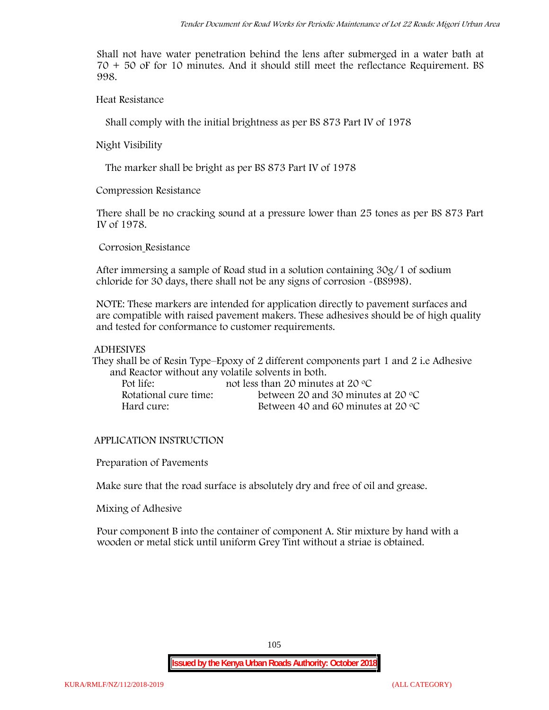Shall not have water penetration behind the lens after submerged in a water bath at 70 + 50 oF for 10 minutes. And it should still meet the reflectance Requirement. BS 998.

**Heat Resistance**

Shall comply with the initial brightness as per BS 873 Part IV of 1978

**Night Visibility**

The marker shall be bright as per BS 873 Part IV of 1978

**Compression Resistance**

There shall be no cracking sound at a pressure lower than 25 tones as per BS 873 Part IV of 1978.

**Corrosion Resistance**

After immersing a sample of Road stud in a solution containing 30g/1 of sodium chloride for 30 days, there shall not be any signs of corrosion **-**(BS998).

**NOTE**: These markers are intended for application directly to pavement surfaces and are compatible with raised pavement makers. These adhesives should be of high quality and tested for conformance to customer requirements.

## **ADHESIVES**

They shall be of Resin Type–Epoxy of 2 different components part 1 and 2 i.e Adhesive and Reactor without any volatile solvents in both.

| Pot life:             | not less than 20 minutes at 20 $\mathrm{^{\circ}C}$ |
|-----------------------|-----------------------------------------------------|
| Rotational cure time: | between 20 and 30 minutes at 20 $\degree$ C         |
| Hard cure:            | Between 40 and 60 minutes at 20 $\degree$ C         |

# **APPLICATION INSTRUCTION**

**Preparation of Pavements**

Make sure that the road surface is absolutely dry and free of oil and grease**.**

**Mixing of Adhesive**

Pour component B into the container of component A. Stir mixture by hand with a wooden or metal stick until uniform Grey Tint without a striae is obtained.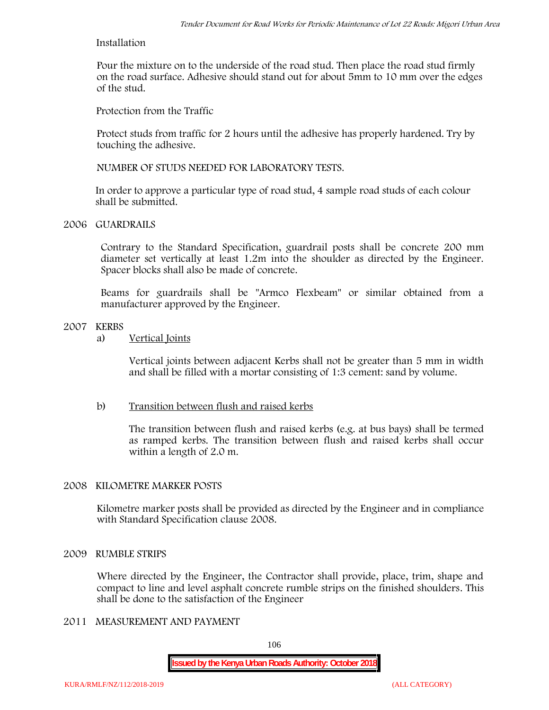## **Installation**

Pour the mixture on to the underside of the road stud. Then place the road stud firmly on the road surface. Adhesive should stand out for about 5mm to 10 mm over the edges of the stud.

**Protection from the Traffic**

Protect studs from traffic for 2 hours until the adhesive has properly hardened. Try by touching the adhesive.

**NUMBER OF STUDS NEEDED FOR LABORATORY TESTS.**

In order to approve a particular type of road stud, 4 sample road studs of each colour shall be submitted.

## **2006 GUARDRAILS**

Contrary to the Standard Specification, guardrail posts shall be concrete 200 mm diameter set vertically at least 1.2m into the shoulder as directed by the Engineer. Spacer blocks shall also be made of concrete.

Beams for guardrails shall be "Armco Flexbeam" or similar obtained from a manufacturer approved by the Engineer.

### **2007 KERBS**

a) **Vertical Joints**

Vertical joints between adjacent Kerbs shall not be greater than 5 mm in width and shall be filled with a mortar consisting of 1:3 cement: sand by volume.

# b) **Transition between flush and raised kerbs**

The transition between flush and raised kerbs (e.g. at bus bays) shall be termed as ramped kerbs. The transition between flush and raised kerbs shall occur within a length of 2.0 m.

## **2008 KILOMETRE MARKER POSTS**

Kilometre marker posts shall be provided as directed by the Engineer and in compliance with Standard Specification clause 2008.

## **2009 RUMBLE STRIPS**

Where directed by the Engineer, the Contractor shall provide, place, trim, shape and compact to line and level asphalt concrete rumble strips on the finished shoulders. This shall be done to the satisfaction of the Engineer

# **2011 MEASUREMENT AND PAYMENT**

106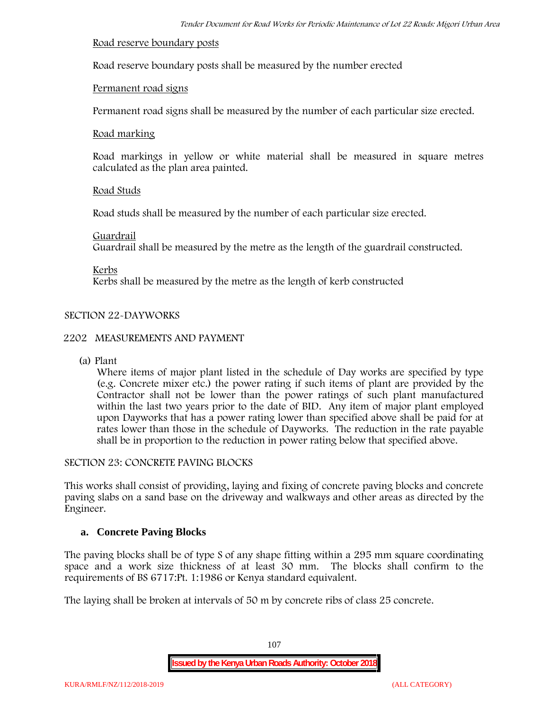### **Road reserve boundary posts**

Road reserve boundary posts shall be measured by the number erected

## **Permanent road signs**

Permanent road signs shall be measured by the number of each particular size erected.

### **Road marking**

Road markings in yellow or white material shall be measured in square metres calculated as the plan area painted.

## **Road Studs**

Road studs shall be measured by the number of each particular size erected.

### **Guardrail**

Guardrail shall be measured by the metre as the length of the guardrail constructed.

**Kerbs**

Kerbs shall be measured by the metre as the length of kerb constructed

# **SECTION 22-DAYWORKS**

## **2202 MEASUREMENTS AND PAYMENT**

(a) Plant

Where items of major plant listed in the schedule of Day works are specified by type (e.g. Concrete mixer etc.) the power rating if such items of plant are provided by the Contractor shall not be lower than the power ratings of such plant manufactured within the last two years prior to the date of BID. Any item of major plant employed upon Dayworks that has a power rating lower than specified above shall be paid for at rates lower than those in the schedule of Dayworks. The reduction in the rate payable shall be in proportion to the reduction in power rating below that specified above.

## **SECTION 23: CONCRETE PAVING BLOCKS**

This works shall consist of providing, laying and fixing of concrete paving blocks and concrete paving slabs on a sand base on the driveway and walkways and other areas as directed by the Engineer.

## **a. Concrete Paving Blocks**

The paving blocks shall be of type S of any shape fitting within a 295 mm square coordinating space and a work size thickness of at least 30 mm. The blocks shall confirm to the requirements of BS 6717:Pt. 1:1986 or Kenya standard equivalent.

The laying shall be broken at intervals of 50 m by concrete ribs of class 25 concrete.

107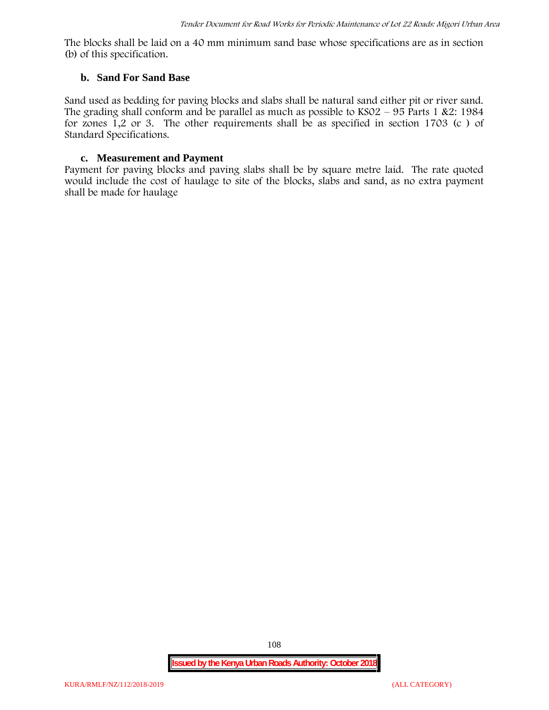The blocks shall be laid on a 40 mm minimum sand base whose specifications are as in section (b) of this specification.

#### **b. Sand For Sand Base**

Sand used as bedding for paving blocks and slabs shall be natural sand either pit or river sand. The grading shall conform and be parallel as much as possible to  $KSO2 - 95$  Parts 1 &2: 1984 for zones 1,2 or 3. The other requirements shall be as specified in section 1703 (c ) of Standard Specifications.

## **c. Measurement and Payment**

Payment for paving blocks and paving slabs shall be by square metre laid. The rate quoted would include the cost of haulage to site of the blocks, slabs and sand, as no extra payment shall be made for haulage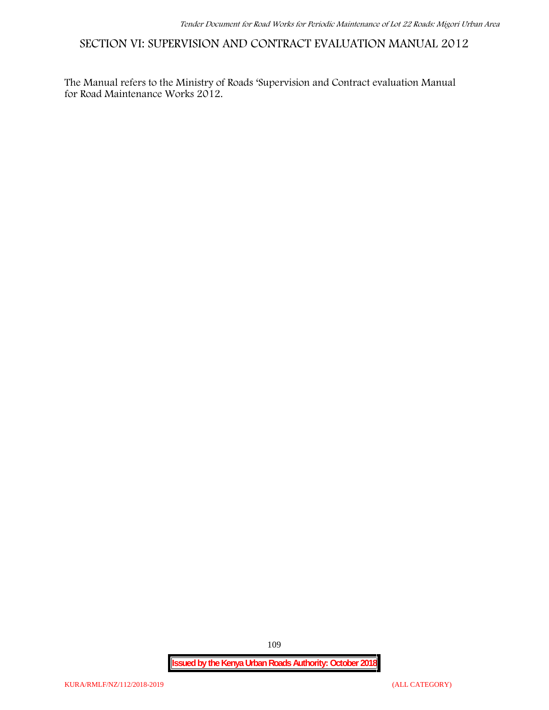**SECTION VI: SUPERVISION AND CONTRACT EVALUATION MANUAL 2012**

The Manual refers to the Ministry of Roads 'Supervision and Contract evaluation Manual for Road Maintenance Works 2012.

**Issued by the Kenya Urban Roads Authority: October 2018**

109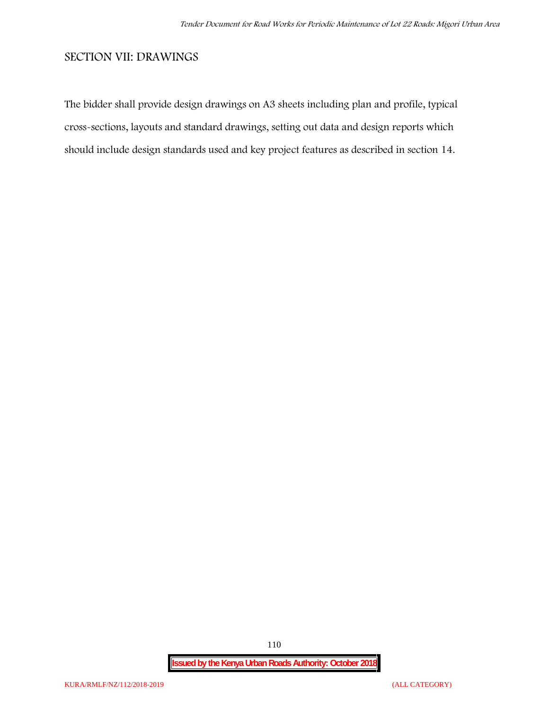# **SECTION VII: DRAWINGS**

The bidder shall provide design drawings on A3 sheets including plan and profile, typical cross-sections, layouts and standard drawings, setting out data and design reports which should include design standards used and key project features as described in section 14.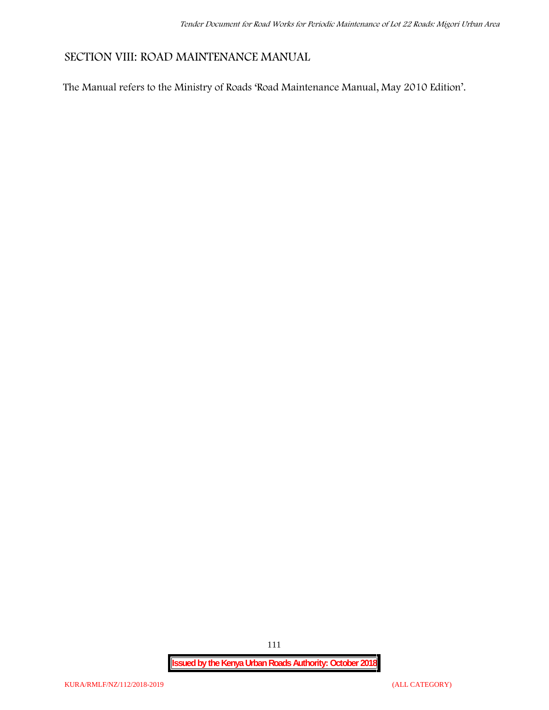# **SECTION VIII: ROAD MAINTENANCE MANUAL**

The Manual refers to the Ministry of Roads 'Road Maintenance Manual, May 2010 Edition'.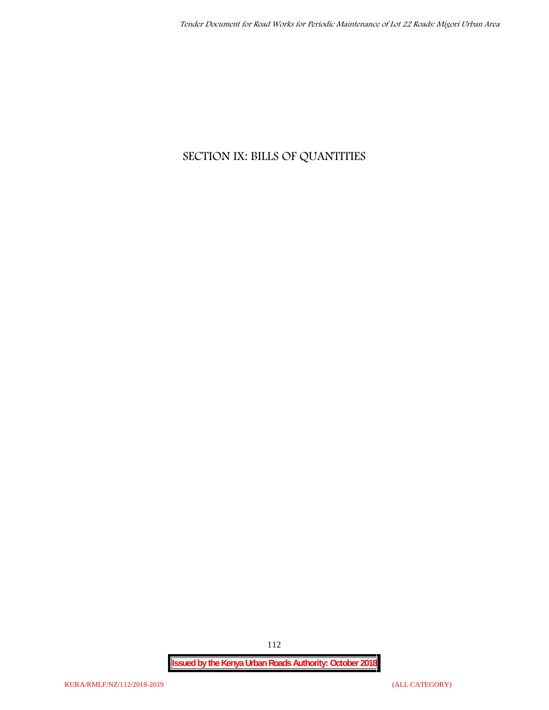# **SECTION IX: BILLS OF QUANTITIES**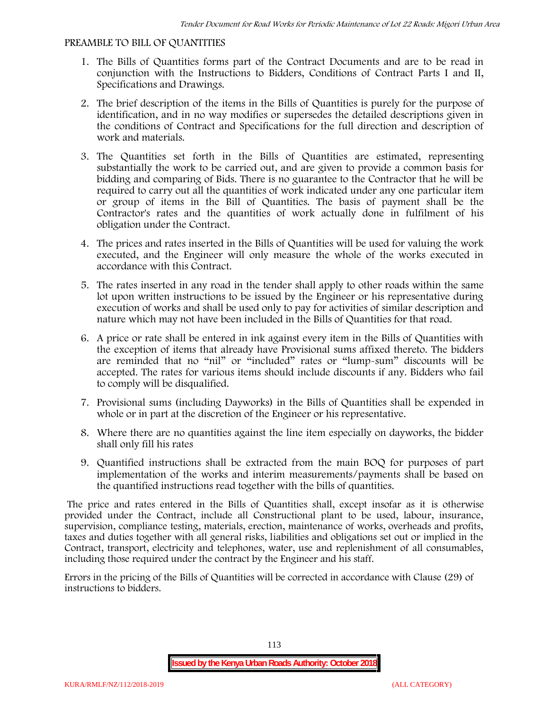#### **PREAMBLE TO BILL OF QUANTITIES**

- 1. The Bills of Quantities forms part of the Contract Documents and are to be read in conjunction with the Instructions to Bidders, Conditions of Contract Parts I and II, Specifications and Drawings.
- 2. The brief description of the items in the Bills of Quantities is purely for the purpose of identification, and in no way modifies or supersedes the detailed descriptions given in the conditions of Contract and Specifications for the full direction and description of work and materials.
- 3. The Quantities set forth in the Bills of Quantities are estimated, representing substantially the work to be carried out, and are given to provide a common basis for bidding and comparing of Bids. There is no guarantee to the Contractor that he will be required to carry out all the quantities of work indicated under any one particular item or group of items in the Bill of Quantities. The basis of payment shall be the Contractor's rates and the quantities of work actually done in fulfilment of his obligation under the Contract.
- 4. The prices and rates inserted in the Bills of Quantities will be used for valuing the work executed, and the Engineer will only measure the whole of the works executed in accordance with this Contract.
- 5. The rates inserted in any road in the tender shall apply to other roads within the same lot upon written instructions to be issued by the Engineer or his representative during execution of works and shall be used only to pay for activities of similar description and nature which may not have been included in the Bills of Quantities for that road.
- 6. A price or rate shall be entered in ink against every item in the Bills of Quantities with the exception of items that already have Provisional sums affixed thereto. The bidders are reminded that no "nil" or "included" rates or "lump-sum" discounts will be accepted. The rates for various items should include discounts if any. Bidders who fail to comply will be disqualified.
- 7. Provisional sums (including Dayworks) in the Bills of Quantities shall be expended in whole or in part at the discretion of the Engineer or his representative.
- 8. Where there are no quantities against the line item especially on dayworks, the bidder shall only fill his rates
- 9. Quantified instructions shall be extracted from the main BOQ for purposes of part implementation of the works and interim measurements/payments shall be based on the quantified instructions read together with the bills of quantities.

The price and rates entered in the Bills of Quantities shall, except insofar as it is otherwise provided under the Contract, include all Constructional plant to be used, labour, insurance, supervision, compliance testing, materials, erection, maintenance of works, overheads and profits, taxes and duties together with all general risks, liabilities and obligations set out or implied in the Contract, transport, electricity and telephones, water, use and replenishment of all consumables, including those required under the contract by the Engineer and his staff.

Errors in the pricing of the Bills of Quantities will be corrected in accordance with Clause (29) of instructions to bidders.

113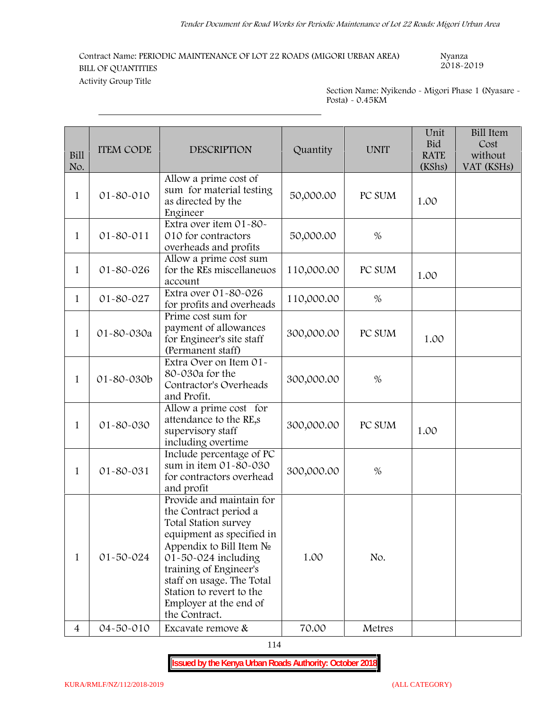# **Contract Name: PERIODIC MAINTENANCE OF LOT 22 ROADS (MIGORI URBAN AREA) Nyanza 2018-2019 BILL OF QUANTITIES**

**Activity Group Title**

**Section Name: Nyikendo -Migori Phase 1 (Nyasare - Posta) - 0.45KM**

| Bill<br>No.    | <b>ITEM CODE</b> | <b>DESCRIPTION</b>                                                                                                                                                                                                                                                                         | Quantity   | <b>UNIT</b> | Unit<br><b>Bid</b><br><b>RATE</b><br>(KShs) | <b>Bill Item</b><br>Cost<br>without<br>VAT (KSHs) |
|----------------|------------------|--------------------------------------------------------------------------------------------------------------------------------------------------------------------------------------------------------------------------------------------------------------------------------------------|------------|-------------|---------------------------------------------|---------------------------------------------------|
| $\mathbf{1}$   | 01-80-010        | Allow a prime cost of<br>sum for material testing<br>as directed by the<br>Engineer                                                                                                                                                                                                        | 50,000.00  | PC SUM      | 1.00                                        |                                                   |
| $\mathbf{1}$   | 01-80-011        | Extra over item 01-80-<br>010 for contractors<br>overheads and profits                                                                                                                                                                                                                     | 50,000.00  | $\%$        |                                             |                                                   |
| 1              | 01-80-026        | Allow a prime cost sum<br>for the REs miscellaneuos<br>account                                                                                                                                                                                                                             | 110,000.00 | PC SUM      | 1.00                                        |                                                   |
| 1              | 01-80-027        | Extra over 01-80-026<br>for profits and overheads                                                                                                                                                                                                                                          | 110,000.00 | %           |                                             |                                                   |
| $\mathbf{1}$   | 01-80-030a       | Prime cost sum for<br>payment of allowances<br>for Engineer's site staff<br>(Permanent staff)                                                                                                                                                                                              | 300,000.00 | PC SUM      | 1.00                                        |                                                   |
| 1              | 01-80-030b       | Extra Over on Item 01-<br>80-030a for the<br>Contractor's Overheads<br>and Profit.                                                                                                                                                                                                         | 300,000.00 | $\%$        |                                             |                                                   |
| 1              | 01-80-030        | Allow a prime cost for<br>attendance to the RE,s<br>supervisory staff<br>including overtime                                                                                                                                                                                                | 300,000.00 | PC SUM      | 1.00                                        |                                                   |
| 1              | 01-80-031        | Include percentage of PC<br>sum in item 01-80-030<br>for contractors overhead<br>and profit                                                                                                                                                                                                | 300,000.00 | $\%$        |                                             |                                                   |
| 1              | 01-50-024        | Provide and maintain for<br>the Contract period a<br>Total Station survey<br>equipment as specified in<br>Appendix to Bill Item<br>$01 - 50 - 024$ including<br>training of Engineer's<br>staff on usage. The Total<br>Station to revert to the<br>Employer at the end of<br>the Contract. | 1.00       | No.         |                                             |                                                   |
| $\overline{4}$ | 04-50-010        | Excavate remove &                                                                                                                                                                                                                                                                          | 70.00      | Metres      |                                             |                                                   |

114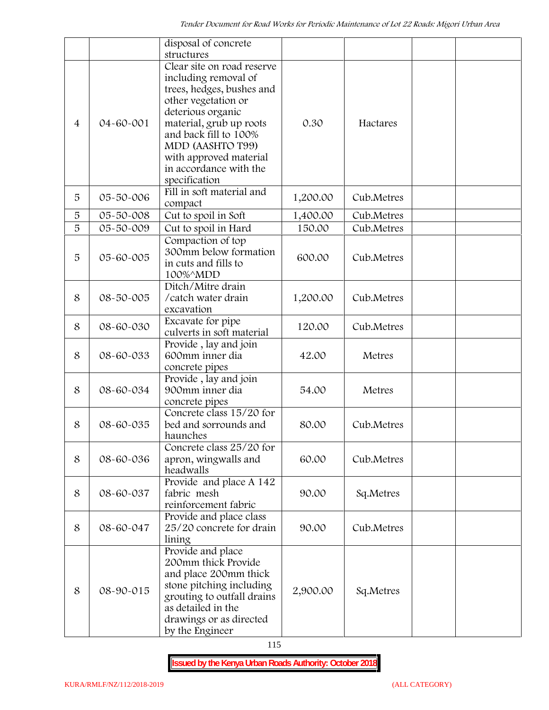|                |           | disposal of concrete                                                                                                                                                                            |          |            |  |
|----------------|-----------|-------------------------------------------------------------------------------------------------------------------------------------------------------------------------------------------------|----------|------------|--|
|                |           | structures                                                                                                                                                                                      |          |            |  |
| $\overline{4}$ | 04-60-001 | Clear site on road reserve<br>including removal of<br>trees, hedges, bushes and<br>other vegetation or<br>deterious organic<br>material, grub up roots<br>and back fill to 100%                 | 0.30     | Hactares   |  |
|                |           | MDD (AASHTO T99)<br>with approved material<br>in accordance with the<br>specification                                                                                                           |          |            |  |
| 5              | 05-50-006 | Fill in soft material and<br>compact                                                                                                                                                            | 1,200.00 | Cub.Metres |  |
| 5              | 05-50-008 | Cut to spoil in Soft                                                                                                                                                                            | 1,400.00 | Cub.Metres |  |
| 5              | 05-50-009 | Cut to spoil in Hard                                                                                                                                                                            | 150.00   | Cub.Metres |  |
| 5              | 05-60-005 | Compaction of top<br>300mm below formation<br>in cuts and fills to<br>100%^MDD                                                                                                                  | 600.00   | Cub.Metres |  |
| 8              | 08-50-005 | Ditch/Mitre drain<br>/catch water drain<br>excavation                                                                                                                                           | 1,200.00 | Cub.Metres |  |
| 8              | 08-60-030 | Excavate for pipe<br>culverts in soft material                                                                                                                                                  | 120.00   | Cub.Metres |  |
| 8              | 08-60-033 | Provide, lay and join<br>600mm inner dia<br>concrete pipes                                                                                                                                      | 42.00    | Metres     |  |
| 8              | 08-60-034 | Provide, lay and join<br>900mm inner dia<br>concrete pipes                                                                                                                                      | 54.00    | Metres     |  |
| 8              | 08-60-035 | Concrete class 15/20 for<br>bed and sorrounds and<br>haunches                                                                                                                                   | 80.00    | Cub.Metres |  |
| 8              | 08-60-036 | Concrete class 25/20 for<br>apron, wingwalls and<br>headwalls                                                                                                                                   | 60.00    | Cub.Metres |  |
| 8              | 08-60-037 | Provide and place A 142<br>fabric mesh<br>reinforcement fabric                                                                                                                                  | 90.00    | Sq.Metres  |  |
| 8              | 08-60-047 | Provide and place class<br>25/20 concrete for drain<br>lining                                                                                                                                   | 90.00    | Cub.Metres |  |
| 8              | 08-90-015 | Provide and place<br>200mm thick Provide<br>and place 200mm thick<br>stone pitching including<br>grouting to outfall drains<br>as detailed in the<br>drawings or as directed<br>by the Engineer | 2,900.00 | Sq.Metres  |  |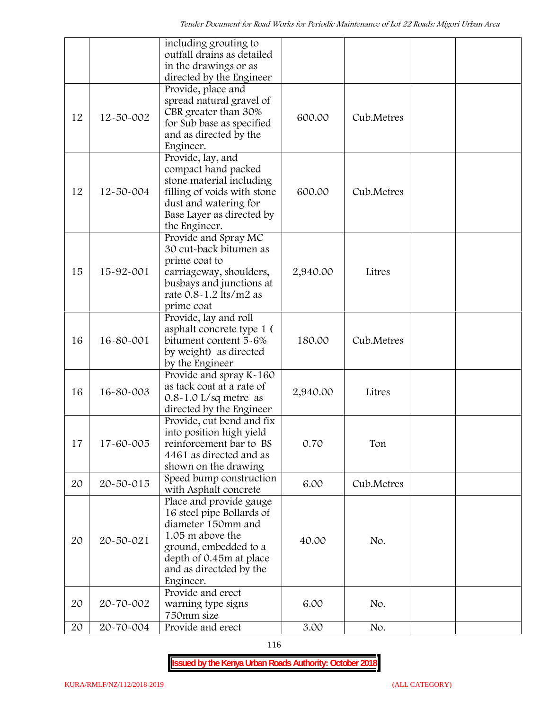|    |           | including grouting to                                                                                                                                                                                           |          |            |  |
|----|-----------|-----------------------------------------------------------------------------------------------------------------------------------------------------------------------------------------------------------------|----------|------------|--|
|    |           | outfall drains as detailed<br>in the drawings or as                                                                                                                                                             |          |            |  |
|    |           | directed by the Engineer                                                                                                                                                                                        |          |            |  |
| 12 | 12-50-002 | Provide, place and<br>spread natural gravel of<br>CBR greater than 30%<br>for Sub base as specified<br>and as directed by the<br>Engineer.                                                                      | 600.00   | Cub.Metres |  |
| 12 | 12-50-004 | Provide, lay, and<br>compact hand packed<br>stone material including<br>filling of voids with stone<br>dust and watering for<br>Base Layer as directed by<br>the Engineer.                                      | 600.00   | Cub.Metres |  |
| 15 | 15-92-001 | Provide and Spray MC<br>30 cut-back bitumen as<br>prime coat to<br>carriageway, shoulders,<br>busbays and junctions at<br>rate 0.8-1.2 lts/m2 as<br>prime coat                                                  | 2,940.00 | Litres     |  |
| 16 | 16-80-001 | Provide, lay and roll<br>asphalt concrete type 1 (<br>bitument content 5-6%<br>by weight) as directed<br>by the Engineer                                                                                        | 180.00   | Cub.Metres |  |
| 16 | 16-80-003 | Provide and spray K-160<br>as tack coat at a rate of<br>$0.8 - 1.0$ L/sq metre as<br>directed by the Engineer                                                                                                   | 2,940.00 | Litres     |  |
| 17 | 17-60-005 | Provide, cut bend and fix<br>into position high yield<br>reinforcement bar to BS<br>4461 as directed and as<br>shown on the drawing                                                                             | 0.70     | Ton        |  |
| 20 | 20-50-015 | Speed bump construction<br>with Asphalt concrete                                                                                                                                                                | 6.00     | Cub.Metres |  |
| 20 | 20-50-021 | Place and provide gauge<br>16 steel pipe Bollards of<br>diameter 150mm and<br>1.05 m above the<br>ground, embedded to a<br>depth of 0.45m at place<br>and as directded by the<br>Engineer.<br>Provide and erect | 40.00    | No.        |  |
| 20 | 20-70-002 | warning type signs<br>750mm size                                                                                                                                                                                | 6.00     | No.        |  |
| 20 | 20-70-004 | Provide and erect                                                                                                                                                                                               | 3.00     | No.        |  |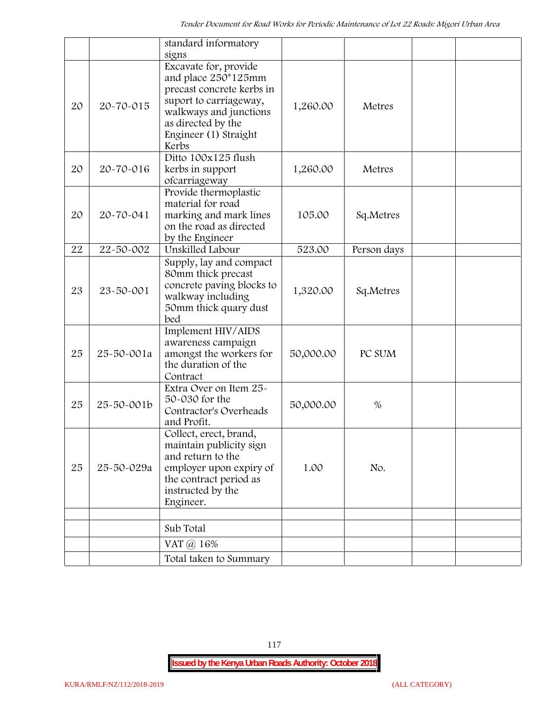|    |            | standard informatory<br>signs                                                                                                                                                         |           |             |  |
|----|------------|---------------------------------------------------------------------------------------------------------------------------------------------------------------------------------------|-----------|-------------|--|
| 20 | 20-70-015  | Excavate for, provide<br>and place 250*125mm<br>precast concrete kerbs in<br>suport to carriageway,<br>walkways and junctions<br>as directed by the<br>Engineer (1) Straight<br>Kerbs | 1,260.00  | Metres      |  |
| 20 | 20-70-016  | Ditto 100x125 flush<br>kerbs in support<br>ofcarriageway                                                                                                                              | 1,260.00  | Metres      |  |
| 20 | 20-70-041  | Provide thermoplastic<br>material for road<br>marking and mark lines<br>on the road as directed<br>by the Engineer                                                                    | 105.00    | Sq.Metres   |  |
| 22 | 22-50-002  | Unskilled Labour                                                                                                                                                                      | 523.00    | Person days |  |
| 23 | 23-50-001  | Supply, lay and compact<br>80mm thick precast<br>concrete paving blocks to<br>walkway including<br>50mm thick quary dust<br>bed                                                       | 1,320.00  | Sq.Metres   |  |
| 25 | 25-50-001a | Implement HIV/AIDS<br>awareness campaign<br>amongst the workers for<br>the duration of the<br>Contract                                                                                | 50,000.00 | PC SUM      |  |
| 25 | 25-50-001b | Extra Over on Item 25~<br>50-030 for the<br>Contractor's Overheads<br>and Profit.                                                                                                     | 50,000.00 | $\%$        |  |
| 25 | 25-50-029a | Collect, erect, brand,<br>maintain publicity sign<br>and return to the<br>employer upon expiry of<br>the contract period as<br>instructed by the<br>Engineer.                         | 1.00      | No.         |  |
|    |            |                                                                                                                                                                                       |           |             |  |
|    |            | Sub Total                                                                                                                                                                             |           |             |  |
|    |            | VAT $\omega$ 16%                                                                                                                                                                      |           |             |  |
|    |            | Total taken to Summary                                                                                                                                                                |           |             |  |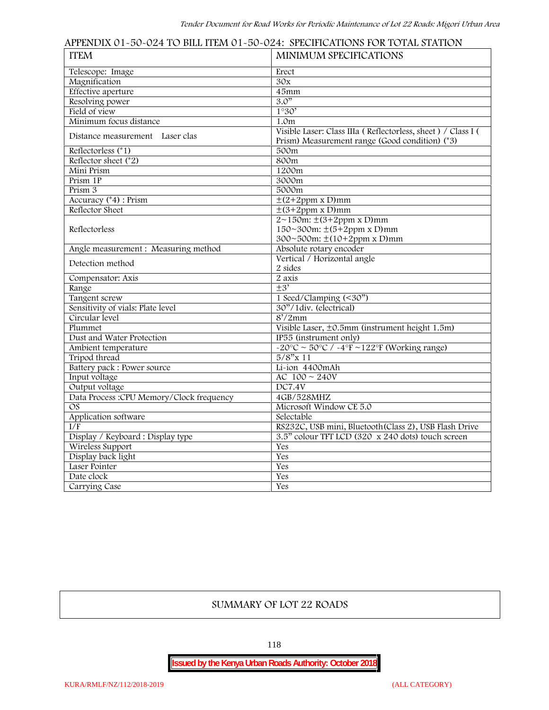| <b>ITEM</b>                              | <b>MINIMUM SPECIFICATIONS</b>                                                                                                                                                                                                                                                                                                                                                                                                                                                                                                                                                                                                                                                                                                                                                                                        |
|------------------------------------------|----------------------------------------------------------------------------------------------------------------------------------------------------------------------------------------------------------------------------------------------------------------------------------------------------------------------------------------------------------------------------------------------------------------------------------------------------------------------------------------------------------------------------------------------------------------------------------------------------------------------------------------------------------------------------------------------------------------------------------------------------------------------------------------------------------------------|
| Telescope: Image                         | Erect                                                                                                                                                                                                                                                                                                                                                                                                                                                                                                                                                                                                                                                                                                                                                                                                                |
| Magnification                            | 30x                                                                                                                                                                                                                                                                                                                                                                                                                                                                                                                                                                                                                                                                                                                                                                                                                  |
| <b>Effective</b> aperture                | 45mm                                                                                                                                                                                                                                                                                                                                                                                                                                                                                                                                                                                                                                                                                                                                                                                                                 |
| Resolving power                          | 3.0"                                                                                                                                                                                                                                                                                                                                                                                                                                                                                                                                                                                                                                                                                                                                                                                                                 |
| Field of view                            | 1°30'                                                                                                                                                                                                                                                                                                                                                                                                                                                                                                                                                                                                                                                                                                                                                                                                                |
| Minimum focus distance                   | 1.0 <sub>m</sub>                                                                                                                                                                                                                                                                                                                                                                                                                                                                                                                                                                                                                                                                                                                                                                                                     |
| Distance measurement Laser clas          | Visible Laser: Class IIIa (Reflectorless, sheet) / Class I (<br>Prism) Measurement range (Good condition) (*3)                                                                                                                                                                                                                                                                                                                                                                                                                                                                                                                                                                                                                                                                                                       |
| Reflectorless $(*1)$                     | 500m                                                                                                                                                                                                                                                                                                                                                                                                                                                                                                                                                                                                                                                                                                                                                                                                                 |
| Reflector sheet $(*2)$                   | 800m                                                                                                                                                                                                                                                                                                                                                                                                                                                                                                                                                                                                                                                                                                                                                                                                                 |
| Mini Prism                               | 1200m                                                                                                                                                                                                                                                                                                                                                                                                                                                                                                                                                                                                                                                                                                                                                                                                                |
| Prism 1P                                 | 3000m                                                                                                                                                                                                                                                                                                                                                                                                                                                                                                                                                                                                                                                                                                                                                                                                                |
| Prism 3                                  | 5000m                                                                                                                                                                                                                                                                                                                                                                                                                                                                                                                                                                                                                                                                                                                                                                                                                |
| Accuracy (*4) : Prism                    |                                                                                                                                                                                                                                                                                                                                                                                                                                                                                                                                                                                                                                                                                                                                                                                                                      |
| Reflector Sheet                          |                                                                                                                                                                                                                                                                                                                                                                                                                                                                                                                                                                                                                                                                                                                                                                                                                      |
|                                          |                                                                                                                                                                                                                                                                                                                                                                                                                                                                                                                                                                                                                                                                                                                                                                                                                      |
| Reflectorless                            |                                                                                                                                                                                                                                                                                                                                                                                                                                                                                                                                                                                                                                                                                                                                                                                                                      |
|                                          | APPENDIX 01~50~024 TO BILL ITEM 01~50~024: SPECIFICATIONS FOR TOTAL STATION<br>$\pm$ (2+2ppm x D)mm<br>$\pm$ (3+2ppm x D)mm<br>$2 \sim 150$ m: $\pm (3 + 2p)$ mm<br>$150~300m$ : $\pm (5+2ppm \times D)mm$<br>300~500m: $\pm(10+2ppm \times D)mm$<br>Absolute rotary encoder<br>Vertical / Horizontal angle<br>2 sides<br>2 axis<br>$+3'$<br>1 Seed/Clamping (<30")<br>30"/1div. (electrical)<br>$8'/2$ mm<br>Visible Laser, ±0.5mm (instrument height 1.5m)<br>IP55 (instrument only)<br>$-20^{\circ}$ C ~ 50°C / $-4^{\circ}$ F ~122°F (Working range)<br>$5/8"$ x 11<br>Li-ion 4400mAh<br>AC $100 \sim 240V$<br>DC7.4V<br>4GB/528MHZ<br>Microsoft Window CE 5.0<br>Selectable<br>RS232C, USB mini, Bluetooth (Class 2), USB Flash Drive<br>3.5" colour TFT LCD (320 x 240 dots) touch screen<br>Yes<br>Yes<br>Yes |
| Angle measurement: Measuring method      |                                                                                                                                                                                                                                                                                                                                                                                                                                                                                                                                                                                                                                                                                                                                                                                                                      |
|                                          |                                                                                                                                                                                                                                                                                                                                                                                                                                                                                                                                                                                                                                                                                                                                                                                                                      |
| Detection method                         |                                                                                                                                                                                                                                                                                                                                                                                                                                                                                                                                                                                                                                                                                                                                                                                                                      |
| Compensator: Axis                        |                                                                                                                                                                                                                                                                                                                                                                                                                                                                                                                                                                                                                                                                                                                                                                                                                      |
| Range                                    |                                                                                                                                                                                                                                                                                                                                                                                                                                                                                                                                                                                                                                                                                                                                                                                                                      |
| Tangent screw                            |                                                                                                                                                                                                                                                                                                                                                                                                                                                                                                                                                                                                                                                                                                                                                                                                                      |
| Sensitivity of vials: Plate level        |                                                                                                                                                                                                                                                                                                                                                                                                                                                                                                                                                                                                                                                                                                                                                                                                                      |
| Circular level                           |                                                                                                                                                                                                                                                                                                                                                                                                                                                                                                                                                                                                                                                                                                                                                                                                                      |
| Plummet                                  |                                                                                                                                                                                                                                                                                                                                                                                                                                                                                                                                                                                                                                                                                                                                                                                                                      |
| Dust and Water Protection                |                                                                                                                                                                                                                                                                                                                                                                                                                                                                                                                                                                                                                                                                                                                                                                                                                      |
| Ambient temperature                      |                                                                                                                                                                                                                                                                                                                                                                                                                                                                                                                                                                                                                                                                                                                                                                                                                      |
| Tripod thread                            |                                                                                                                                                                                                                                                                                                                                                                                                                                                                                                                                                                                                                                                                                                                                                                                                                      |
| Battery pack : Power source              |                                                                                                                                                                                                                                                                                                                                                                                                                                                                                                                                                                                                                                                                                                                                                                                                                      |
| Input voltage                            |                                                                                                                                                                                                                                                                                                                                                                                                                                                                                                                                                                                                                                                                                                                                                                                                                      |
| Output voltage                           |                                                                                                                                                                                                                                                                                                                                                                                                                                                                                                                                                                                                                                                                                                                                                                                                                      |
| Data Process :CPU Memory/Clock frequency |                                                                                                                                                                                                                                                                                                                                                                                                                                                                                                                                                                                                                                                                                                                                                                                                                      |
| OS                                       |                                                                                                                                                                                                                                                                                                                                                                                                                                                                                                                                                                                                                                                                                                                                                                                                                      |
| Application software                     |                                                                                                                                                                                                                                                                                                                                                                                                                                                                                                                                                                                                                                                                                                                                                                                                                      |
| I/F                                      |                                                                                                                                                                                                                                                                                                                                                                                                                                                                                                                                                                                                                                                                                                                                                                                                                      |
| Display / Keyboard: Display type         |                                                                                                                                                                                                                                                                                                                                                                                                                                                                                                                                                                                                                                                                                                                                                                                                                      |
| Wireless Support                         |                                                                                                                                                                                                                                                                                                                                                                                                                                                                                                                                                                                                                                                                                                                                                                                                                      |
| Display back light                       |                                                                                                                                                                                                                                                                                                                                                                                                                                                                                                                                                                                                                                                                                                                                                                                                                      |
| Laser Pointer                            |                                                                                                                                                                                                                                                                                                                                                                                                                                                                                                                                                                                                                                                                                                                                                                                                                      |
| Date clock                               | Yes                                                                                                                                                                                                                                                                                                                                                                                                                                                                                                                                                                                                                                                                                                                                                                                                                  |
|                                          | Yes                                                                                                                                                                                                                                                                                                                                                                                                                                                                                                                                                                                                                                                                                                                                                                                                                  |
| Carrying Case                            |                                                                                                                                                                                                                                                                                                                                                                                                                                                                                                                                                                                                                                                                                                                                                                                                                      |

## **SUMMARY OF LOT 22 ROADS**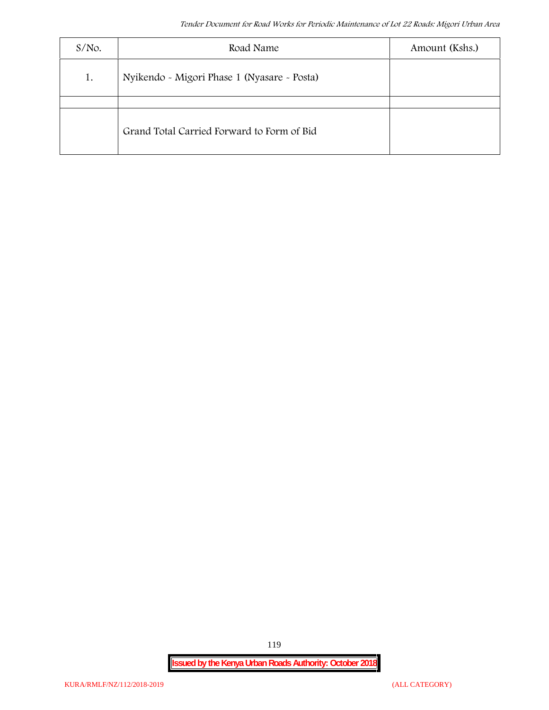| $S/NO$ . | Road Name                                   | Amount (Kshs.) |
|----------|---------------------------------------------|----------------|
| 1.       | Nyikendo - Migori Phase 1 (Nyasare - Posta) |                |
|          |                                             |                |
|          | Grand Total Carried Forward to Form of Bid  |                |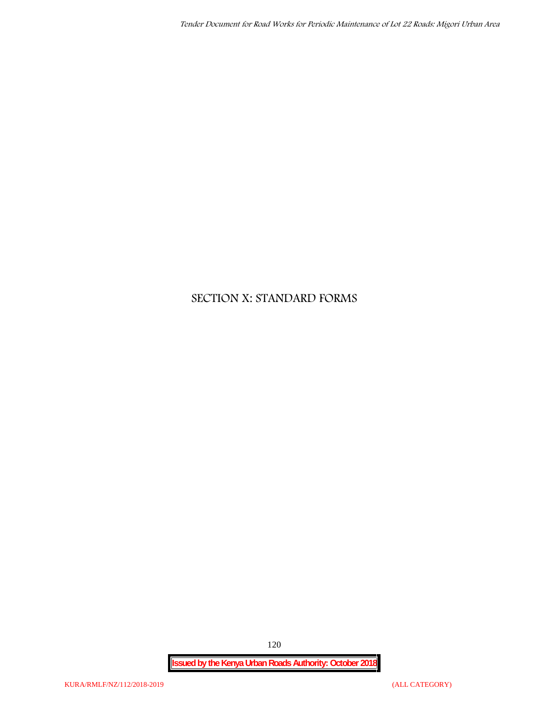# **SECTION X: STANDARD FORMS**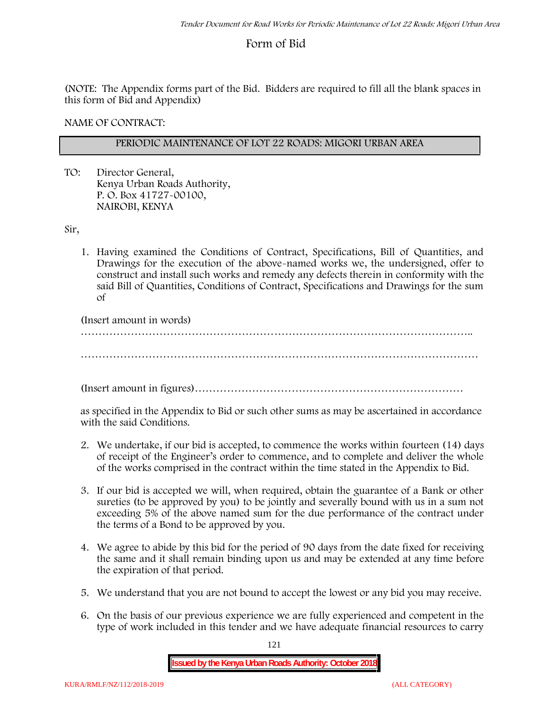# **Form of Bid**

(NOTE: The Appendix forms part of the Bid. Bidders are required to fill all the blank spaces in this form of Bid and Appendix)

**NAME OF CONTRACT:**

# **PERIODIC MAINTENANCE OF LOT 22 ROADS: MIGORI URBAN AREA**

TO: Director General, Kenya Urban Roads Authority, P. O. Box 41727-00100, **NAIROBI, KENYA**

Sir,

1. Having examined the Conditions of Contract, Specifications, Bill of Quantities, and Drawings for the execution of the above-named works we, the undersigned, offer to construct and install such works and remedy any defects therein in conformity with the said Bill of Quantities, Conditions of Contract, Specifications and Drawings for the sum of

(Insert amount in words)

………………………………………………………………………………………………..

…………………………………………………………………………………………………

(Insert amount in figures)…………………………………………………………………

as specified in the Appendix to Bid or such other sums as may be ascertained in accordance with the said Conditions.

- 2. We undertake, if our bid is accepted, to commence the works within fourteen (14) days of receipt of the Engineer's order to commence, and to complete and deliver the whole of the works comprised in the contract within the time stated in the Appendix to Bid.
- 3. If our bid is accepted we will, when required, obtain the guarantee of a Bank or other sureties (to be approved by you) to be jointly and severally bound with us in a sum not exceeding 5% of the above named sum for the due performance of the contract under the terms of a Bond to be approved by you.
- 4. We agree to abide by this bid for the period of 90 days from the date fixed for receiving the same and it shall remain binding upon us and may be extended at any time before the expiration of that period.
- 5. We understand that you are not bound to accept the lowest or any bid you may receive.
- 6. On the basis of our previous experience we are fully experienced and competent in the type of work included in this tender and we have adequate financial resources to carry

121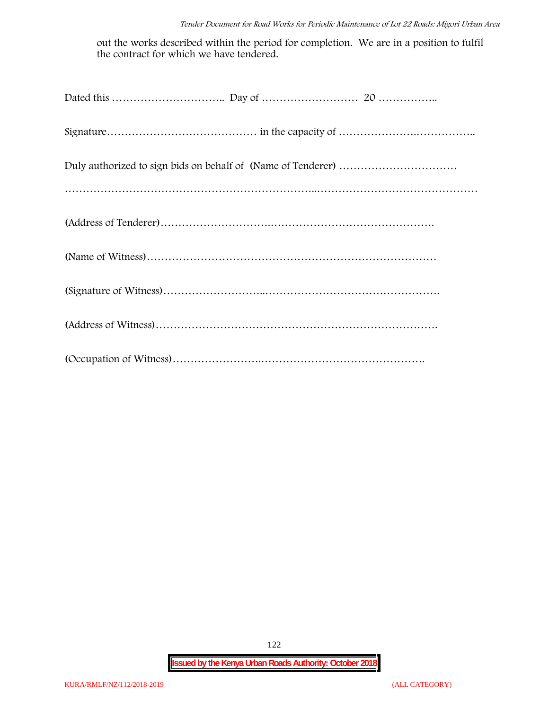out the works described within the period for completion. We are in a position to fulfil the contract for which we have tendered.

122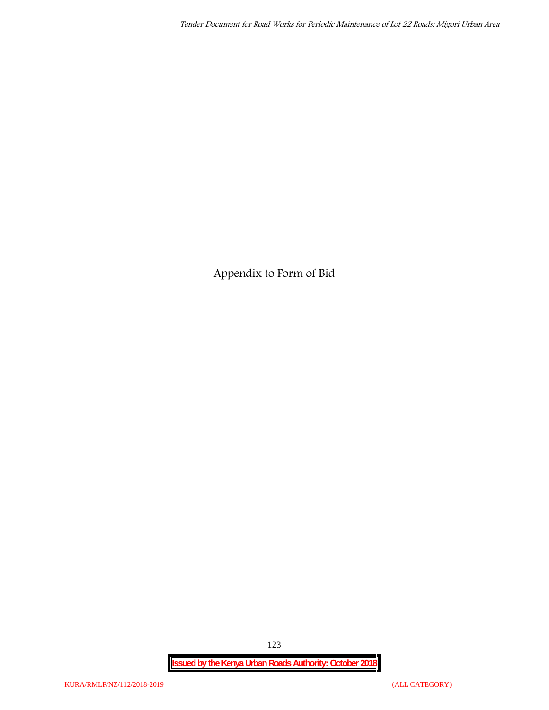**Appendix to Form of Bid**

**Issued by the Kenya Urban Roads Authority: October 2018**

123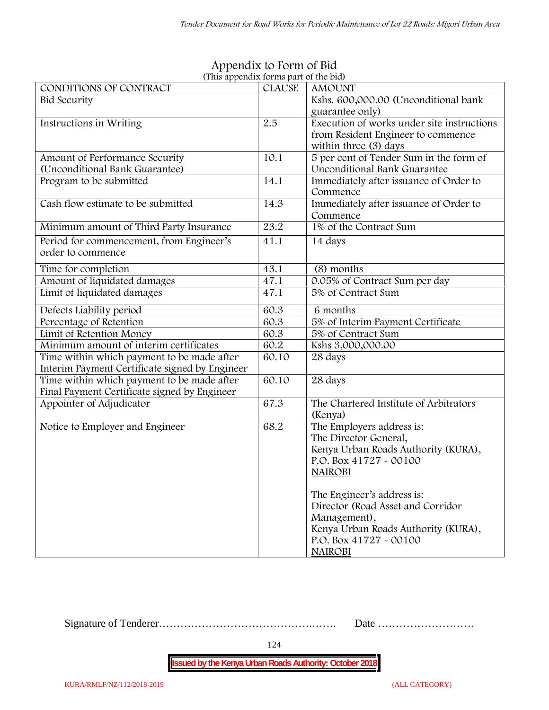| CONDITIONS OF CONTRACT                         | <b>CLAUSE</b> | <b>AMOUNT</b>                              |
|------------------------------------------------|---------------|--------------------------------------------|
| Bid Security                                   |               | Kshs. 600,000.00 (Unconditional bank       |
|                                                |               | guarantee only)                            |
| Instructions in Writing                        | 2.5           | Execution of works under site instructions |
|                                                |               | from Resident Engineer to commence         |
|                                                |               | within three (3) days                      |
| Amount of Performance Security                 | 10.1          | 5 per cent of Tender Sum in the form of    |
| (Unconditional Bank Guarantee)                 |               | Unconditional Bank Guarantee               |
| Program to be submitted                        | 14.1          | Immediately after issuance of Order to     |
|                                                |               | Commence                                   |
| Cash flow estimate to be submitted             | 14.3          | Immediately after issuance of Order to     |
|                                                |               | Commence                                   |
| Minimum amount of Third Party Insurance        | 23.2          | 1% of the Contract Sum                     |
| Period for commencement, from Engineer's       | 41.1          | 14 days                                    |
| order to commence                              |               |                                            |
| Time for completion                            | 43.1          | (8) months                                 |
| Amount of liquidated damages                   | 47.1          | 0.05% of Contract Sum per day              |
| Limit of liquidated damages                    | 47.1          | 5% of Contract Sum                         |
|                                                |               |                                            |
| Defects Liability period                       | 60.3          | 6 months                                   |
| Percentage of Retention                        | 60.3          | 5% of Interim Payment Certificate          |
| Limit of Retention Money                       | 60.3          | 5% of Contract Sum                         |
| Minimum amount of interim certificates         | 60.2          | Kshs 3,000,000.00                          |
| Time within which payment to be made after     | 60.10         | 28 days                                    |
| Interim Payment Certificate signed by Engineer |               |                                            |
| Time within which payment to be made after     | 60.10         | 28 days                                    |
| Final Payment Certificate signed by Engineer   |               |                                            |
| Appointer of Adjudicator                       | 67.3          | The Chartered Institute of Arbitrators     |
|                                                |               | (Kenya)                                    |
| Notice to Employer and Engineer                | 68.2          | The Employers address is:                  |
|                                                |               | The Director General,                      |
|                                                |               | Kenya Urban Roads Authority (KURA),        |
|                                                |               | P.O. Box 41727 - 00100                     |
|                                                |               | <b>NAIROBI</b>                             |
|                                                |               |                                            |
|                                                |               | The Engineer's address is:                 |
|                                                |               | Director (Road Asset and Corridor          |
|                                                |               | Management),                               |
|                                                |               | Kenya Urban Roads Authority (KURA),        |
|                                                |               | P.O. Box 41727 - 00100                     |
|                                                |               | <b>NAIROBI</b>                             |

# **Appendix to Form of Bid (This appendix forms part of the bid)**

Signature of Tenderer…………………………………….……. Date ………………………

124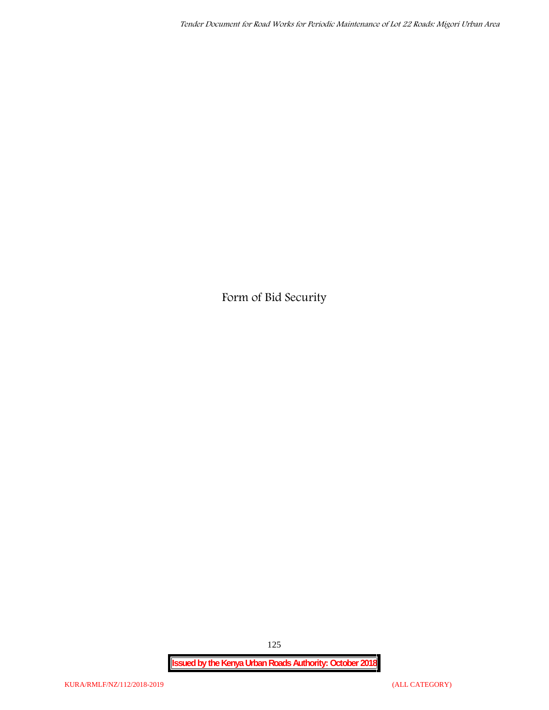**Form of Bid Security**

125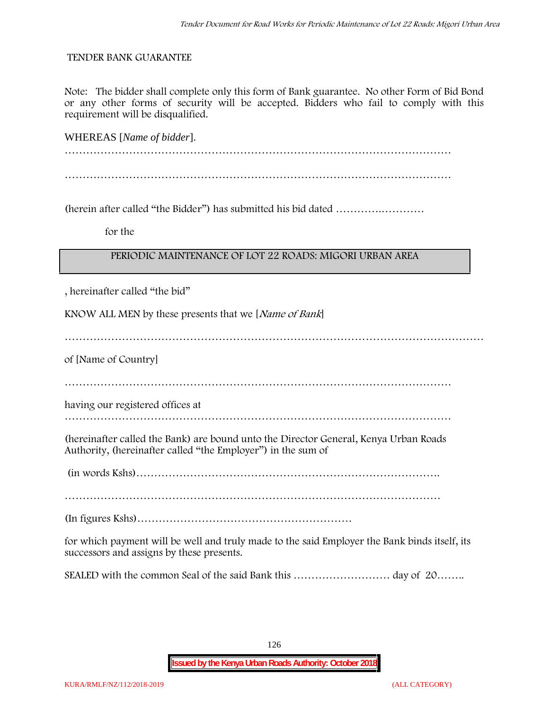## **TENDER BANK GUARANTEE**

Note: The bidder shall complete only this form of Bank guarantee. No other Form of Bid Bond or any other forms of security will be accepted. Bidders who fail to comply with this requirement will be disqualified.

WHEREAS [*Name of bidder*]. ……………………………………………………………………………………………… ………………………………………………………………………………………………

(herein after called "the Bidder") has submitted his bid dated ………….…………

**for the**

# **PERIODIC MAINTENANCE OF LOT 22 ROADS: MIGORI URBAN AREA**

, hereinafter called "the bid"

KNOW ALL MEN by these presents that we [*Name of Bank*]

………………………………………………………………………………………………………

of [Name of Country]

………………………………………………………………………………………………

having our registered offices at

………………………………………………………………………………………………

(hereinafter called the Bank) are bound unto the Director General, Kenya Urban Roads Authority, (hereinafter called "the Employer") in the sum of

(in words Kshs)………………………………………………………………………….

……………………………………………………………………………………………

(In figures Kshs)……………………………………………………

for which payment will be well and truly made to the said Employer the Bank binds itself, its successors and assigns by these presents.

SEALED with the common Seal of the said Bank this ……………………… day of 20……..

126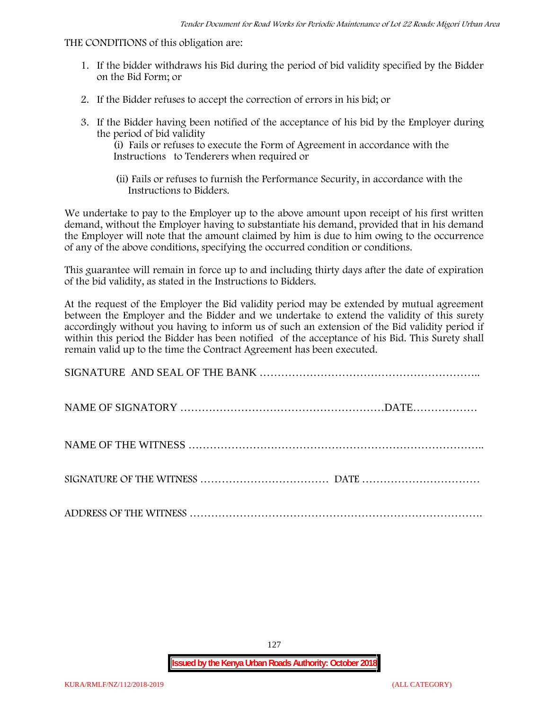#### THE CONDITIONS of this obligation are:

- 1. If the bidder withdraws his Bid during the period of bid validity specified by the Bidder on the Bid Form; or
- 2. If the Bidder refuses to accept the correction of errors in his bid; or
- 3. If the Bidder having been notified of the acceptance of his bid by the Employer during the period of bid validity

(i) Fails or refuses to execute the Form of Agreement in accordance with the Instructions to Tenderers when required or

(ii) Fails or refuses to furnish the Performance Security, in accordance with the Instructions to Bidders.

We undertake to pay to the Employer up to the above amount upon receipt of his first written demand, without the Employer having to substantiate his demand, provided that in his demand the Employer will note that the amount claimed by him is due to him owing to the occurrence of any of the above conditions, specifying the occurred condition or conditions.

This guarantee will remain in force up to and including thirty days after the date of expiration of the bid validity, as stated in the Instructions to Bidders.

At the request of the Employer the Bid validity period may be extended by mutual agreement between the Employer and the Bidder and we undertake to extend the validity of this surety accordingly without you having to inform us of such an extension of the Bid validity period if within this period the Bidder has been notified of the acceptance of his Bid. This Surety shall remain valid up to the time the Contract Agreement has been executed.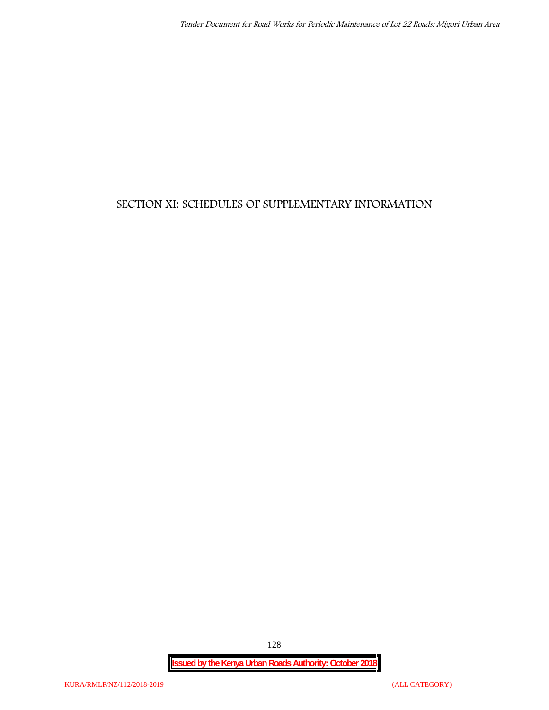# **SECTION XI: SCHEDULES OF SUPPLEMENTARY INFORMATION**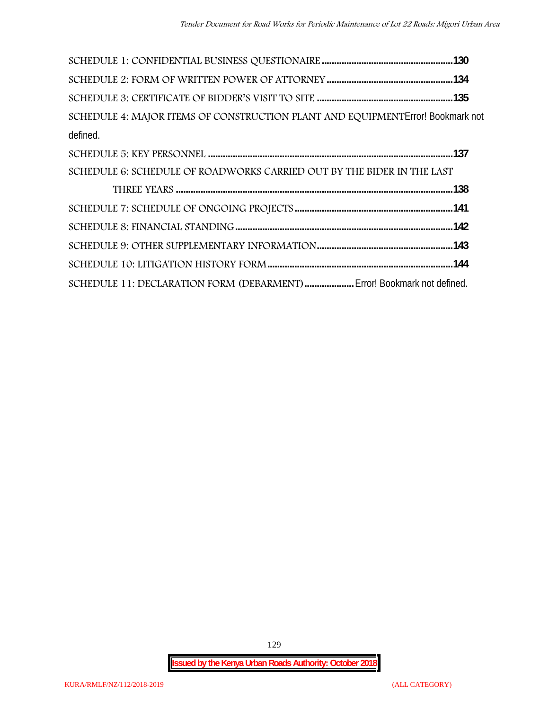| SCHEDULE 4: MAJOR ITEMS OF CONSTRUCTION PLANT AND EQUIPMENT Error! Bookmark not |  |
|---------------------------------------------------------------------------------|--|
| defined.                                                                        |  |
|                                                                                 |  |
| SCHEDULE 6: SCHEDULE OF ROADWORKS CARRIED OUT BY THE BIDER IN THE LAST          |  |
|                                                                                 |  |
|                                                                                 |  |
|                                                                                 |  |
|                                                                                 |  |
|                                                                                 |  |
| SCHEDULE 11: DECLARATION FORM (DEBARMENT)  Error! Bookmark not defined.         |  |

129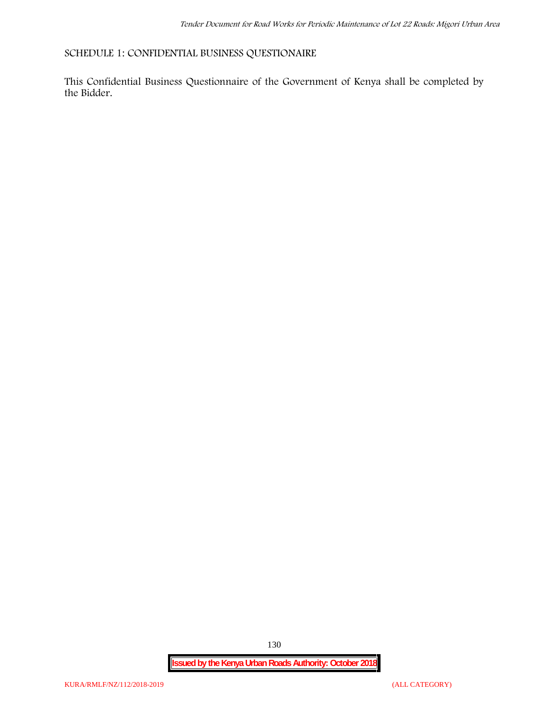# **SCHEDULE 1: CONFIDENTIAL BUSINESS QUESTIONAIRE**

This Confidential Business Questionnaire of the Government of Kenya shall be completed by the Bidder.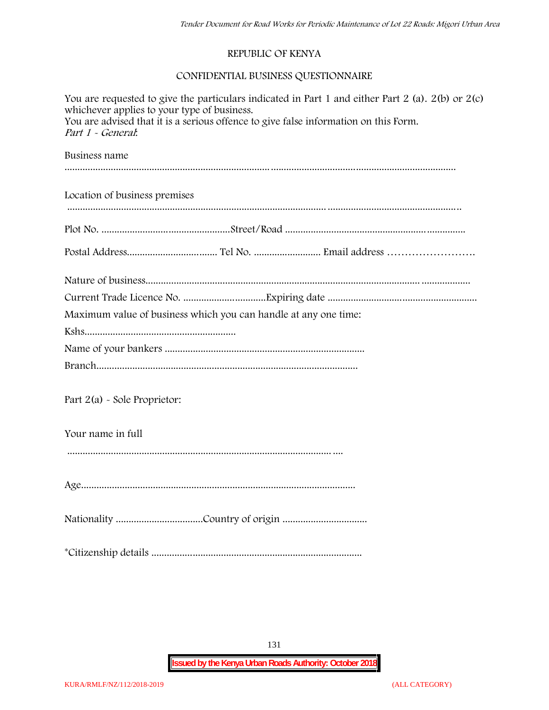# **REPUBLIC OF KENYA**

# **CONFIDENTIAL BUSINESS QUESTIONNAIRE**

| You are requested to give the particulars indicated in Part 1 and either Part 2 (a). 2(b) or 2(c)<br>whichever applies to your type of business.<br>You are advised that it is a serious offence to give false information on this Form.<br>Part 1 - General: |  |  |  |  |  |
|---------------------------------------------------------------------------------------------------------------------------------------------------------------------------------------------------------------------------------------------------------------|--|--|--|--|--|
| Business name                                                                                                                                                                                                                                                 |  |  |  |  |  |
|                                                                                                                                                                                                                                                               |  |  |  |  |  |
| Location of business premises                                                                                                                                                                                                                                 |  |  |  |  |  |
|                                                                                                                                                                                                                                                               |  |  |  |  |  |
|                                                                                                                                                                                                                                                               |  |  |  |  |  |
|                                                                                                                                                                                                                                                               |  |  |  |  |  |
|                                                                                                                                                                                                                                                               |  |  |  |  |  |
| Maximum value of business which you can handle at any one time:                                                                                                                                                                                               |  |  |  |  |  |
|                                                                                                                                                                                                                                                               |  |  |  |  |  |
|                                                                                                                                                                                                                                                               |  |  |  |  |  |
|                                                                                                                                                                                                                                                               |  |  |  |  |  |
| Part $2(a)$ - Sole Proprietor:                                                                                                                                                                                                                                |  |  |  |  |  |
| Your name in full                                                                                                                                                                                                                                             |  |  |  |  |  |
|                                                                                                                                                                                                                                                               |  |  |  |  |  |
|                                                                                                                                                                                                                                                               |  |  |  |  |  |
|                                                                                                                                                                                                                                                               |  |  |  |  |  |
|                                                                                                                                                                                                                                                               |  |  |  |  |  |

131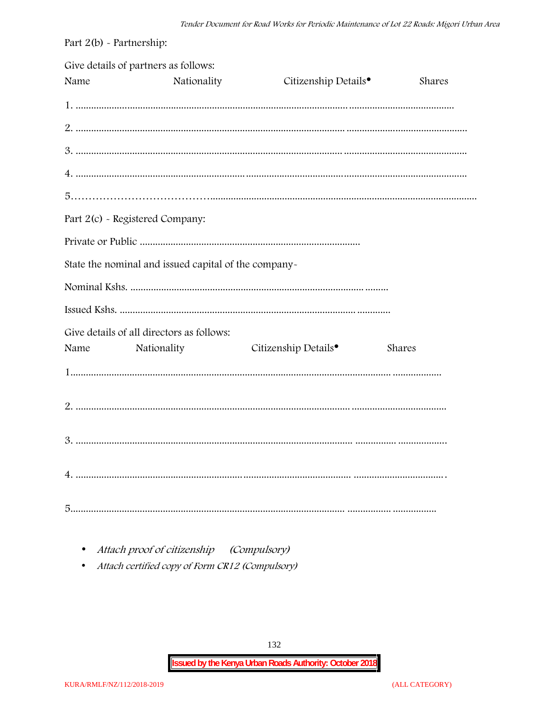| Part $2(b)$ - Partnership: |                                                      |                                  |        |
|----------------------------|------------------------------------------------------|----------------------------------|--------|
| Name                       | Give details of partners as follows:<br>Nationality  | Citizenship Details <sup>•</sup> | Shares |
|                            |                                                      |                                  |        |
|                            |                                                      |                                  |        |
|                            |                                                      |                                  |        |
|                            |                                                      |                                  |        |
|                            |                                                      |                                  |        |
|                            | Part 2(c) - Registered Company:                      |                                  |        |
|                            |                                                      |                                  |        |
|                            | State the nominal and issued capital of the company- |                                  |        |
|                            |                                                      |                                  |        |
|                            |                                                      |                                  |        |
|                            | Give details of all directors as follows:            |                                  |        |
| Name                       | Nationality                                          | Citizenship Details <sup>•</sup> | Shares |
|                            |                                                      |                                  |        |
|                            |                                                      |                                  |        |
|                            |                                                      |                                  |        |
|                            |                                                      |                                  |        |
|                            |                                                      |                                  |        |

• Attach proof of citizenship (Compulsory)

Attach certified copy of Form CR12 (Compulsory)  $\bullet$ 

132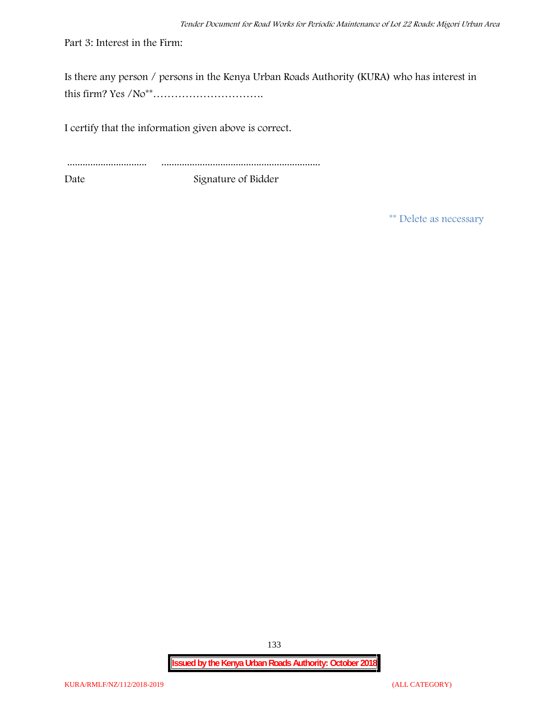Part 3: Interest in the Firm:

Is there any person / persons in the Kenya Urban Roads Authority (KURA) who has interest in this firm? Yes /No\*\*………………………….

I certify that the information given above is correct.

............................... .............................................................. Date Signature of Bidder

**\*\* Delete as necessary**

**Issued by the Kenya Urban Roads Authority: October 2018**

133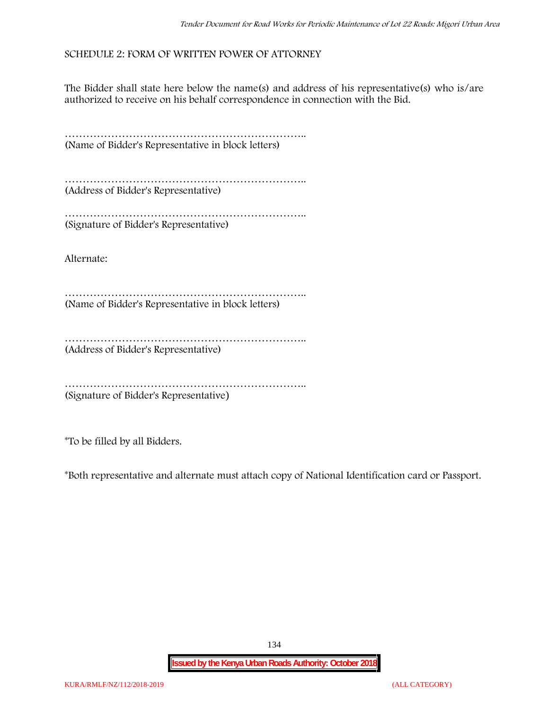# **SCHEDULE 2: FORM OF WRITTEN POWER OF ATTORNEY**

The Bidder shall state here below the name(s) and address of his representative(s) who is/are authorized to receive on his behalf correspondence in connection with the Bid.

………………………………………………………….. (Name of Bidder's Representative in block letters)

………………………………………………………….. (Address of Bidder's Representative)

………………………………………………………….. (Signature of Bidder's Representative)

Alternate:

………………………………………………………….. (Name of Bidder's Representative in block letters)

……………………………………………………………………… (Address of Bidder's Representative)

………………………………………………………….. (Signature of Bidder's Representative)

\*To be filled by all Bidders.

\*Both representative and alternate **must** attach copy of National Identification card or Passport.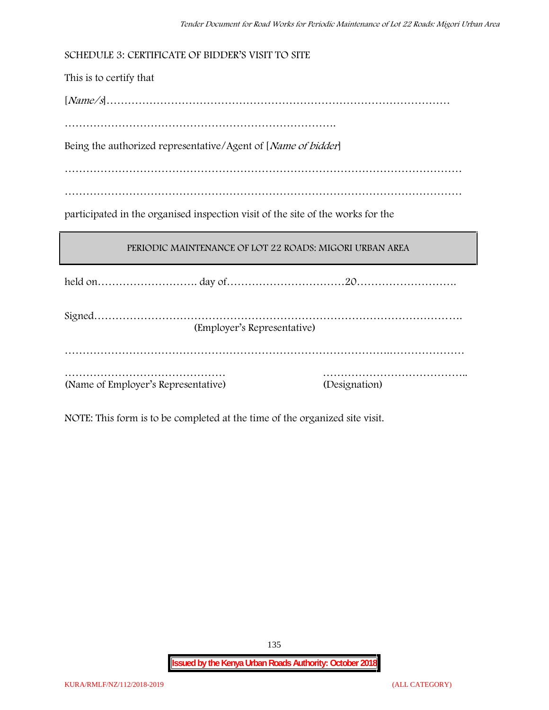This is to certify that

[*Name/s*]……………………………………………………………………………………

………………………………………………………………….

Being the authorized representative/Agent of [*Name of bidder*]

…………………………………………………………………………………………………

…………………………………………………………………………………………………

participated in the organised inspection visit of the site of the works for the

# **PERIODIC MAINTENANCE OF LOT 22 ROADS: MIGORI URBAN AREA**

held on………………………. day of……………………………20……………………….

| (Employer's Representative)         |               |
|-------------------------------------|---------------|
|                                     |               |
|                                     |               |
|                                     |               |
| (Name of Employer's Representative) | (Designation) |

NOTE: This form is to be completed at the time of the organized site visit.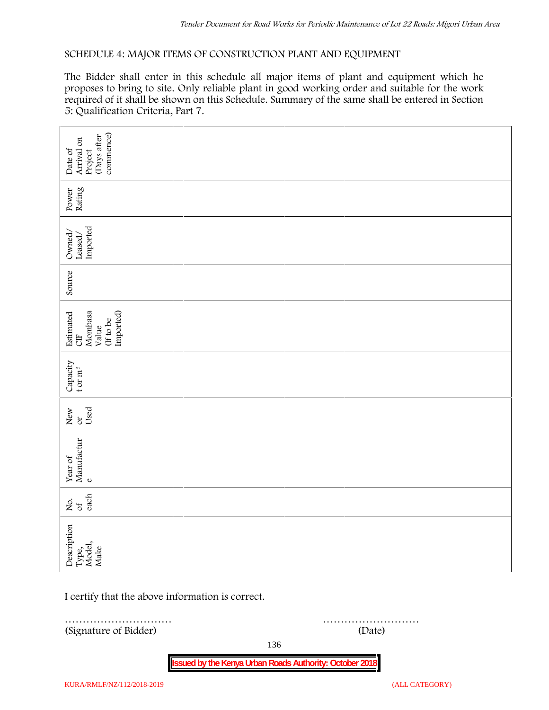## **SCHEDULE 4: MAJOR ITEMS OF CONSTRUCTION PLANT AND EQUIPMENT**

The Bidder shall enter in this schedule all major items of plant and equipment which he proposes to bring to site. Only reliable plant in good working order and suitable for the work required of it shall be shown on this Schedule. Summary of the same shall be entered in Section 5: Qualification Criteria, Part 7.

| commence)<br>(Days after<br>Arrival on<br>Date of<br>Project   |        |  |  |  |  |  |
|----------------------------------------------------------------|--------|--|--|--|--|--|
| Power<br>Rating                                                |        |  |  |  |  |  |
| Leased/<br>Imported<br>Owned/                                  |        |  |  |  |  |  |
| Source                                                         |        |  |  |  |  |  |
| Imported)<br>Estimated<br>CIF<br>Mombasa<br>(If to be<br>Value |        |  |  |  |  |  |
| Capacity t or $\mathbf{m}^3$                                   |        |  |  |  |  |  |
| Used<br>New or                                                 |        |  |  |  |  |  |
| Year of Manufactur $_{\rm e}$                                  |        |  |  |  |  |  |
| each<br>Σό.                                                    |        |  |  |  |  |  |
| Description<br>Type,<br>Model,<br>Make                         |        |  |  |  |  |  |
| I certify that the above information is correct.               |        |  |  |  |  |  |
| .<br>(Signature of Bidder)                                     | (Date) |  |  |  |  |  |

136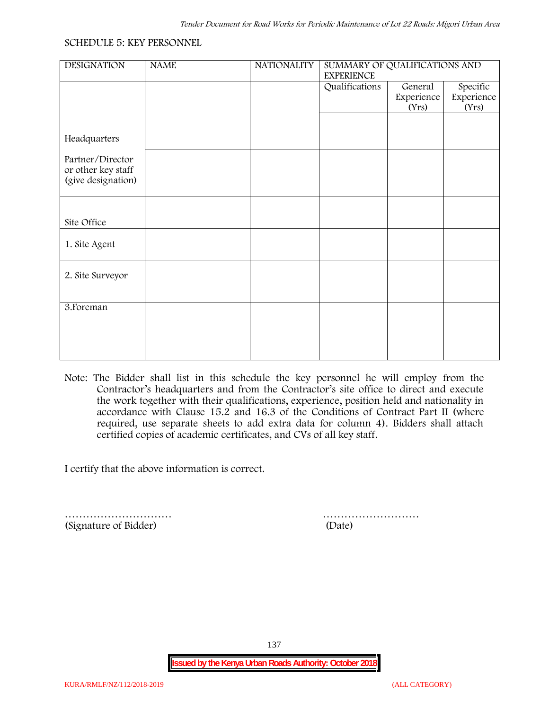#### **SCHEDULE 5: KEY PERSONNEL**

| <b>DESIGNATION</b>                                           | <b>NAME</b> | <b>NATIONALITY</b> | SUMMARY OF QUALIFICATIONS AND<br><b>EXPERIENCE</b> |                                |                                 |  |  |
|--------------------------------------------------------------|-------------|--------------------|----------------------------------------------------|--------------------------------|---------------------------------|--|--|
|                                                              |             |                    | Qualifications                                     | General<br>Experience<br>(Yrs) | Specific<br>Experience<br>(Yrs) |  |  |
|                                                              |             |                    |                                                    |                                |                                 |  |  |
| Headquarters                                                 |             |                    |                                                    |                                |                                 |  |  |
| Partner/Director<br>or other key staff<br>(give designation) |             |                    |                                                    |                                |                                 |  |  |
|                                                              |             |                    |                                                    |                                |                                 |  |  |
| Site Office                                                  |             |                    |                                                    |                                |                                 |  |  |
| 1. Site Agent                                                |             |                    |                                                    |                                |                                 |  |  |
| 2. Site Surveyor                                             |             |                    |                                                    |                                |                                 |  |  |
| 3. Foreman                                                   |             |                    |                                                    |                                |                                 |  |  |
|                                                              |             |                    |                                                    |                                |                                 |  |  |
|                                                              |             |                    |                                                    |                                |                                 |  |  |
|                                                              |             |                    |                                                    |                                |                                 |  |  |

**Note:** The Bidder shall list in this schedule the key personnel he will employ from the Contractor's headquarters and from the Contractor's site office to direct and execute the work together with their qualifications, experience, position held and nationality in accordance with Clause 15.2 and 16.3 of the Conditions of Contract Part II (where required, use separate sheets to add extra data for column 4). Bidders shall attach certified copies of academic certificates, and CVs of all key staff.

I certify that the above information is correct.

(Signature of Bidder) (Date)

………………………… ………………………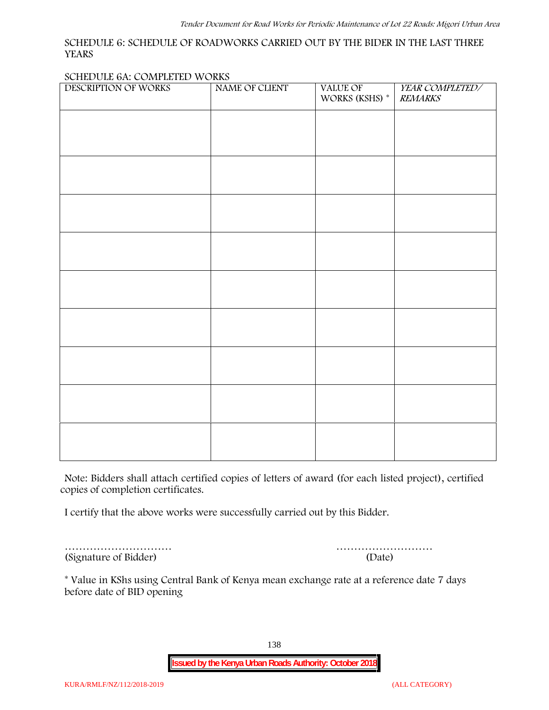#### **SCHEDULE 6: SCHEDULE OF ROADWORKS CARRIED OUT BY THE BIDER IN THE LAST THREE YEARS**

#### **SCHEDULE 6A: COMPLETED WORKS**

| DESCRIPTION OF WORKS | NAME OF CLIENT | VALUE OF<br>WORKS (KSHS) $^\ast$ | YEAR COMPLETED/<br><b>REMARKS</b> |
|----------------------|----------------|----------------------------------|-----------------------------------|
|                      |                |                                  |                                   |
|                      |                |                                  |                                   |
|                      |                |                                  |                                   |
|                      |                |                                  |                                   |
|                      |                |                                  |                                   |
|                      |                |                                  |                                   |
|                      |                |                                  |                                   |
|                      |                |                                  |                                   |
|                      |                |                                  |                                   |
|                      |                |                                  |                                   |
|                      |                |                                  |                                   |
|                      |                |                                  |                                   |
|                      |                |                                  |                                   |
|                      |                |                                  |                                   |
|                      |                |                                  |                                   |

**Note:** Bidders shall attach certified copies of letters of award (for each listed project), certified copies of completion certificates.

I certify that the above works were successfully carried out by this Bidder.

(Signature of Bidder) (Date)

………………………… ………………………

\* **Value in KShs using Central Bank of Kenya mean exchange rate at a reference date 7 days before date of BID opening**

138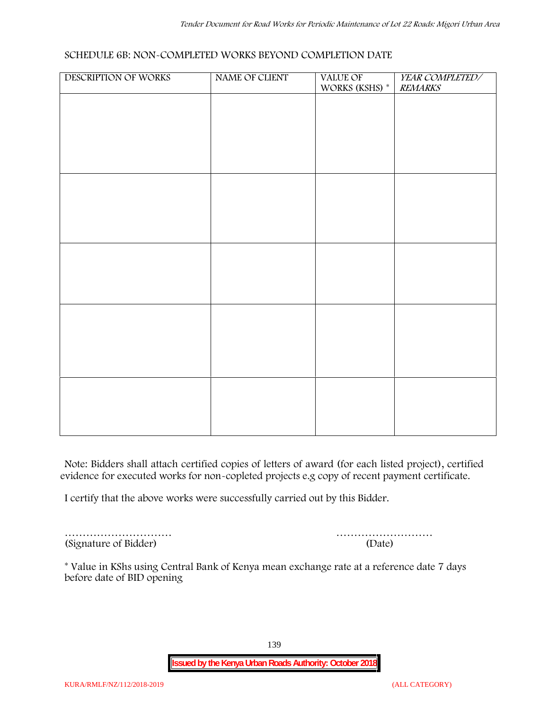#### **SCHEDULE 6B: NON-COMPLETED WORKS BEYOND COMPLETION DATE**

| DESCRIPTION OF WORKS | NAME OF CLIENT | VALUE OF<br>WORKS (KSHS) * | YEAR COMPLETED/<br><b>REMARKS</b> |
|----------------------|----------------|----------------------------|-----------------------------------|
|                      |                |                            |                                   |
|                      |                |                            |                                   |
|                      |                |                            |                                   |
|                      |                |                            |                                   |
|                      |                |                            |                                   |
|                      |                |                            |                                   |
|                      |                |                            |                                   |
|                      |                |                            |                                   |
|                      |                |                            |                                   |
|                      |                |                            |                                   |
|                      |                |                            |                                   |
|                      |                |                            |                                   |
|                      |                |                            |                                   |
|                      |                |                            |                                   |
|                      |                |                            |                                   |
|                      |                |                            |                                   |
|                      |                |                            |                                   |
|                      |                |                            |                                   |
|                      |                |                            |                                   |

**Note:** Bidders shall attach certified copies of letters of award (for each listed project), certified evidence for executed works for non-copleted projects e.g copy of recent payment certificate.

I certify that the above works were successfully carried out by this Bidder.

………………………… (Signature of Bidder)

|  |  |  |  |  |  | (Date) |  |  |  |  |  |  |  |
|--|--|--|--|--|--|--------|--|--|--|--|--|--|--|

\* **Value in KShs using Central Bank of Kenya mean exchange rate at a reference date 7 days before date of BID opening**

139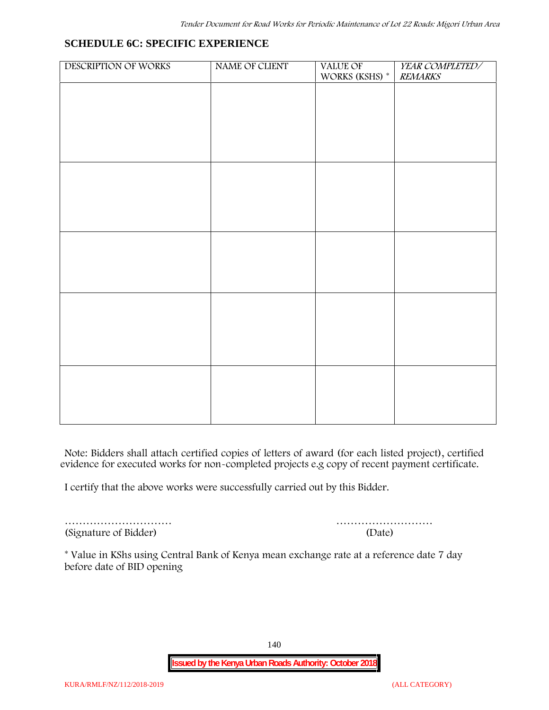**SCHEDULE 6C: SPECIFIC EXPERIENCE**

| DESCRIPTION OF WORKS | NAME OF CLIENT | VALUE OF<br>WORKS (KSHS) $^\ast$ | YEAR COMPLETED/<br><b>REMARKS</b> |
|----------------------|----------------|----------------------------------|-----------------------------------|
|                      |                |                                  |                                   |
|                      |                |                                  |                                   |
|                      |                |                                  |                                   |
|                      |                |                                  |                                   |
|                      |                |                                  |                                   |
|                      |                |                                  |                                   |
|                      |                |                                  |                                   |
|                      |                |                                  |                                   |
|                      |                |                                  |                                   |
|                      |                |                                  |                                   |
|                      |                |                                  |                                   |
|                      |                |                                  |                                   |
|                      |                |                                  |                                   |
|                      |                |                                  |                                   |
|                      |                |                                  |                                   |

**Note:** Bidders shall attach certified copies of letters of award (for each listed project), certified evidence for executed works for non-completed projects e.g copy of recent payment certificate.

I certify that the above works were successfully carried out by this Bidder.

(Signature of Bidder) (Date)

………………………… ………………………

\* **Value in KShs using Central Bank of Kenya mean exchange rate at a reference date 7 day before date of BID opening**

140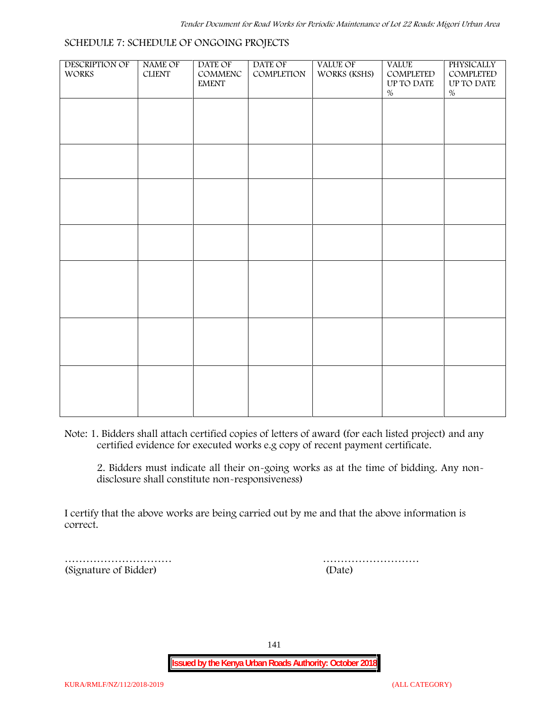| DESCRIPTION OF<br>WORKS | NAME OF<br>${\rm CLIENT}$ | DATE OF<br>$\mathsf{COMMENC}$<br><b>EMENT</b> | DATE OF<br>COMPLETION | VALUE OF<br>WORKS (KSHS) | <b>VALUE</b><br>COMPLETED<br>UP TO DATE | PHYSICALLY<br>COMPLETED<br>UP TO DATE |  |
|-------------------------|---------------------------|-----------------------------------------------|-----------------------|--------------------------|-----------------------------------------|---------------------------------------|--|
|                         |                           |                                               |                       |                          | $\%$                                    | $\%$                                  |  |
|                         |                           |                                               |                       |                          |                                         |                                       |  |
|                         |                           |                                               |                       |                          |                                         |                                       |  |
|                         |                           |                                               |                       |                          |                                         |                                       |  |
|                         |                           |                                               |                       |                          |                                         |                                       |  |
|                         |                           |                                               |                       |                          |                                         |                                       |  |
|                         |                           |                                               |                       |                          |                                         |                                       |  |
|                         |                           |                                               |                       |                          |                                         |                                       |  |
|                         |                           |                                               |                       |                          |                                         |                                       |  |
|                         |                           |                                               |                       |                          |                                         |                                       |  |
|                         |                           |                                               |                       |                          |                                         |                                       |  |
|                         |                           |                                               |                       |                          |                                         |                                       |  |
|                         |                           |                                               |                       |                          |                                         |                                       |  |
|                         |                           |                                               |                       |                          |                                         |                                       |  |

**Note:** 1. Bidders shall attach certified copies of letters of award (for each listed project) and any certified evidence for executed works e.g copy of recent payment certificate.

2. Bidders must indicate all their on-going works as at the time of bidding. Any non disclosure shall constitute non-responsiveness)

I certify that the above works are being carried out by me and that the above information is correct.

(Signature of Bidder) (Date)

………………………… ………………………

141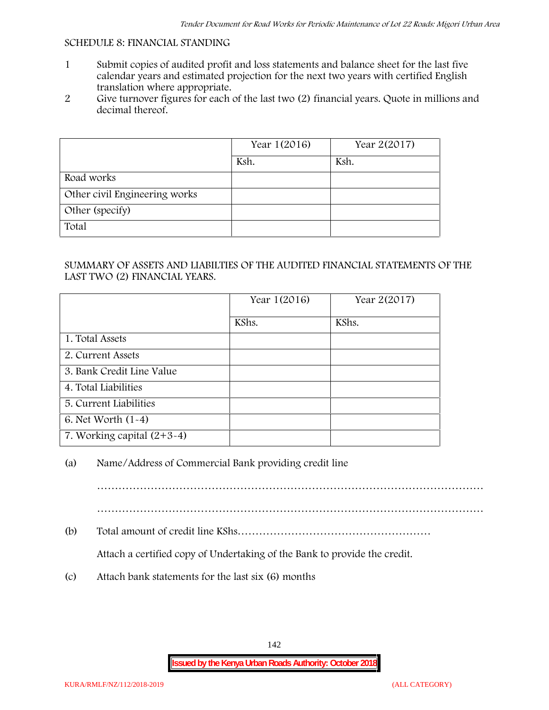#### **SCHEDULE 8: FINANCIAL STANDING**

- 1 Submit copies of audited profit and loss statements and balance sheet for the last five calendar years and estimated projection for the next two years with certified English translation where appropriate.
- 2 Give turnover figures for each of the last two (2) financial years. Quote in millions and decimal thereof.

|                               | Year 1(2016) | Year 2(2017) |
|-------------------------------|--------------|--------------|
|                               | Ksh.         | Ksh.         |
| Road works                    |              |              |
| Other civil Engineering works |              |              |
| Other (specify)               |              |              |
| Total                         |              |              |

## SUMMARY OF ASSETS AND LIABILTIES OF THE AUDITED FINANCIAL STATEMENTS OF THE LAST TWO (2) FINANCIAL YEARS.

|                              | Year 1(2016) | Year 2(2017) |
|------------------------------|--------------|--------------|
|                              | KShs.        | KShs.        |
| 1. Total Assets              |              |              |
| 2. Current Assets            |              |              |
| 3. Bank Credit Line Value    |              |              |
| 4. Total Liabilities         |              |              |
| 5. Current Liabilities       |              |              |
| 6. Net Worth (1-4)           |              |              |
| 7. Working capital $(2+3-4)$ |              |              |

# (a) Name/Address of Commercial Bank providing credit line

………………………………………………………………………………………………

………………………………………………………………………………………………

(b) Total amount of credit line KShs………………………………………………

Attach a certified copy of Undertaking of the Bank to provide the credit.

(c) Attach bank statements for the last six (6) months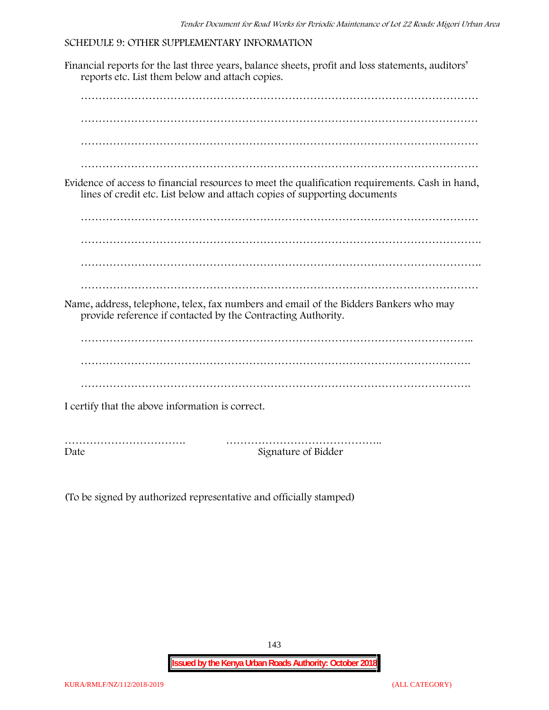## **SCHEDULE 9: OTHER SUPPLEMENTARY INFORMATION**

Financial reports for the last three years, balance sheets, profit and loss statements, auditors' reports etc. List them below and attach copies. ………………………………………………………………………………………………… ………………………………………………………………………………………………… ………………………………………………………………………………………………… ………………………………………………………………………………………………… Evidence of access to financial resources to meet the qualification requirements. Cash in hand, lines of credit etc. List below and attach copies of supporting documents ………………………………………………………………………………………………… …………………………………………………………………………………………………. ………………………………………………………………………………………………… Name, address, telephone, telex, fax numbers and email of the Bidders Bankers who may provide reference if contacted by the Contracting Authority. ……………………………………………………………………………………………….. ………………………………………………………………………………………………. ………………………………………………………………………………………………. I certify that the above information is correct. ……………………………. …………………………………….. Date Signature of Bidder

(To be signed by authorized representative and officially stamped)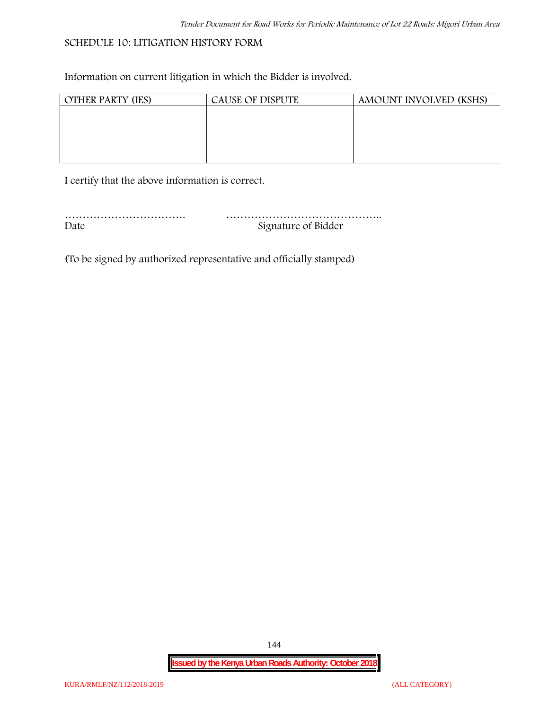### **SCHEDULE 10: LITIGATION HISTORY FORM**

Information on current litigation in which the Bidder is involved.

| <b>OTHER PARTY (IES)</b> | <b>CAUSE OF DISPUTE</b> | AMOUNT INVOLVED (KSHS) |
|--------------------------|-------------------------|------------------------|
|                          |                         |                        |
|                          |                         |                        |
|                          |                         |                        |
|                          |                         |                        |
|                          |                         |                        |

I certify that the above information is correct.

| Date | Signature of Bidder |
|------|---------------------|

(To be signed by authorized representative and officially stamped)

144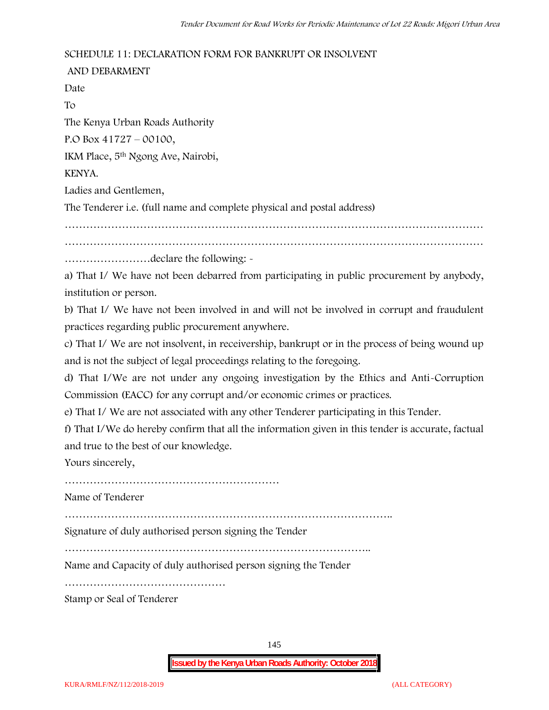### **SCHEDULE 11: DECLARATION FORM FOR BANKRUPT OR INSOLVENT**

**AND DEBARMENT** Date To The Kenya Urban Roads Authority P.O Box 41727 – 00100, IKM Place, 5th Ngong Ave, Nairobi, KENYA. Ladies and Gentlemen, The Tenderer i.e. (full name and complete physical and postal address) ……………………………………………………………………………………………………… ……………………declare the following: a) That I/ We have not been debarred from participating in public procurement by anybody,

institution or person.

b) That I/ We have not been involved in and will not be involved in corrupt and fraudulent practices regarding public procurement anywhere.

c) That I/ We are not insolvent, in receivership, bankrupt or in the process of being wound up and is not the subject of legal proceedings relating to the foregoing.

d) That I/We are not under any ongoing investigation by the Ethics and Anti-Corruption Commission (EACC) for any corrupt and/or economic crimes or practices.

e) That I/ We are not associated with any other Tenderer participating in this Tender.

f) That I/We do hereby confirm that all the information given in this tender is accurate, factual and true to the best of our knowledge.

Yours sincerely,

……………………………………………………

Name of Tenderer

………………………………………………………………………………..

Signature of duly authorised person signing the Tender

…………………………………………………………………………..

Name and Capacity of duly authorised person signing the Tender

………………………………………

Stamp or Seal of Tenderer

145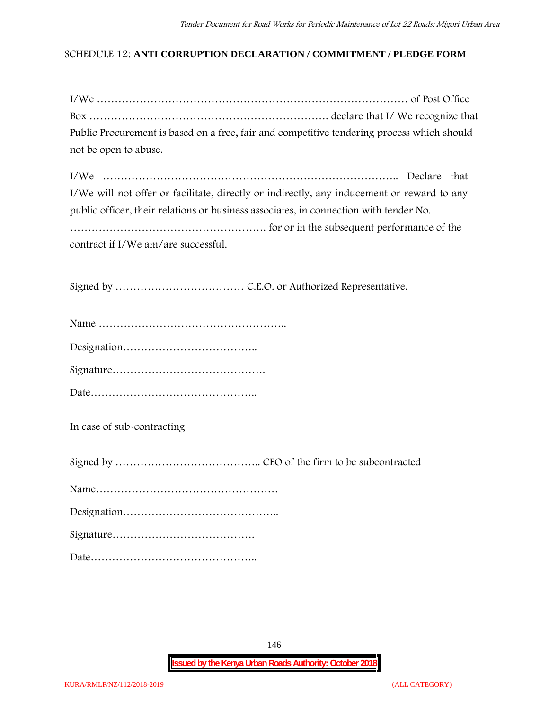## **SCHEDULE 12: ANTI CORRUPTION DECLARATION / COMMITMENT / PLEDGE FORM**

| Public Procurement is based on a free, fair and competitive tendering process which should |  |
|--------------------------------------------------------------------------------------------|--|
| not be open to abuse.                                                                      |  |

| I/We will not offer or facilitate, directly or indirectly, any inducement or reward to any |
|--------------------------------------------------------------------------------------------|
| public officer, their relations or business associates, in connection with tender No.      |
|                                                                                            |
| contract if I/We am/are successful.                                                        |

Signed by ……………………………… C.E.O. or Authorized Representative.

Date………………………………………..

**In case of sub-contracting**

Signed by ………………………………….. CEO of the firm to be subcontracted

Name……………………………………………

Designation……………………………………..

Signature………………………………….

Date………………………………………..

146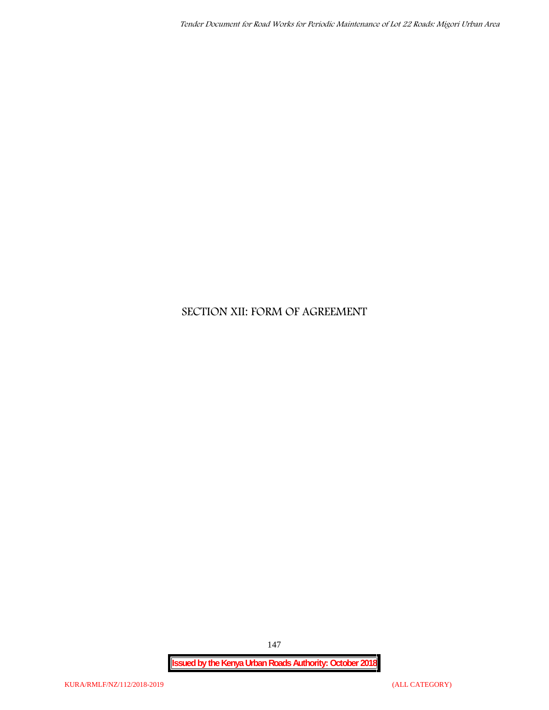# **SECTION XII: FORM OF AGREEMENT**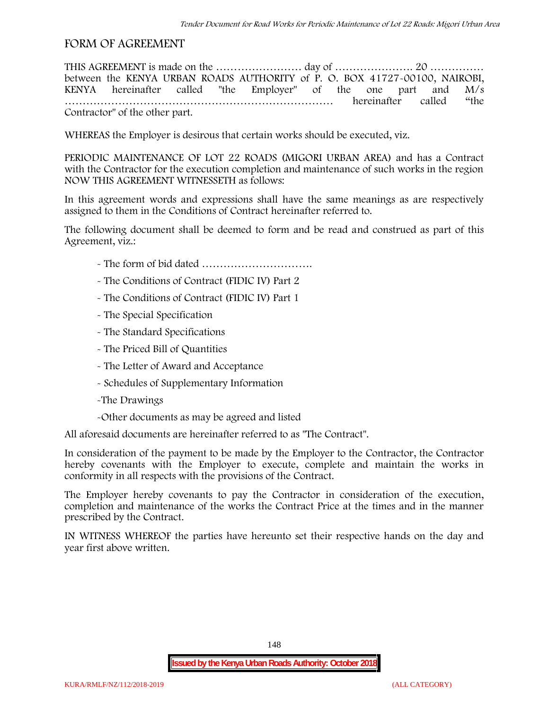# **FORM OF AGREEMENT**

THIS AGREEMENT is made on the …………………… day of …………………. 20 …………… between the **KENYA URBAN ROADS AUTHORITY** of **P. O. BOX 41727-00100, NAIROBI, KENYA** hereinafter called "the Employer" of the one part and **M/s …………………………………………………………………** hereinafter called "the Contractor" of the other part.

WHEREAS the Employer is desirous that certain works should be executed, viz.

**PERIODIC MAINTENANCE OF LOT 22 ROADS (MIGORI URBAN AREA)** and has a Contract with the Contractor for the execution completion and maintenance of such works in the region NOW THIS AGREEMENT WITNESSETH as follows:

In this agreement words and expressions shall have the same meanings as are respectively assigned to them in the Conditions of Contract hereinafter referred to.

The following document shall be deemed to form and be read and construed as part of this Agreement, viz.:

- The form of bid dated **………………………….**
- The Conditions of Contract (FIDIC IV) Part 2
- The Conditions of Contract (FIDIC IV) Part 1
- The Special Specification
- The Standard Specifications
- The Priced Bill of Quantities
- The Letter of Award and Acceptance
- Schedules of Supplementary Information
- -The Drawings
- -Other documents as may be agreed and listed

All aforesaid documents are hereinafter referred to as "The Contract".

In consideration of the payment to be made by the Employer to the Contractor, the Contractor hereby covenants with the Employer to execute, complete and maintain the works in conformity in all respects with the provisions of the Contract.

The Employer hereby covenants to pay the Contractor in consideration of the execution, completion and maintenance of the works the Contract Price at the times and in the manner prescribed by the Contract.

IN WITNESS WHEREOF the parties have hereunto set their respective hands on the day and year first above written.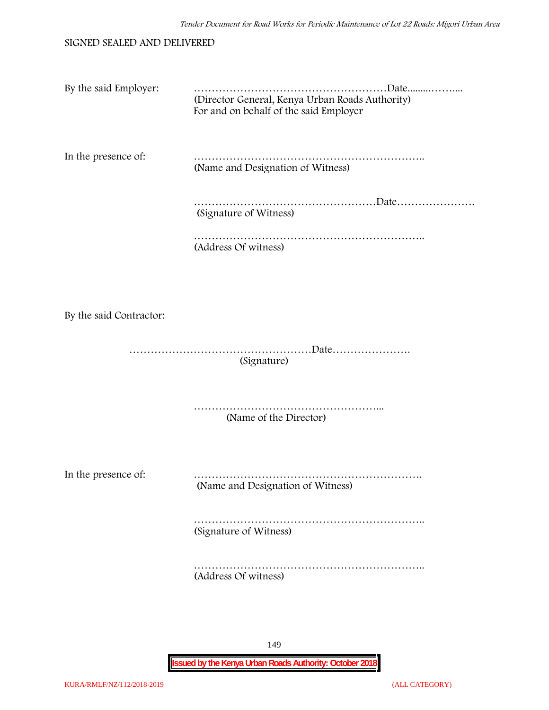| SIGNED SEALED AND DELIVERED |  |
|-----------------------------|--|
|-----------------------------|--|

| By the said Employer:   | (Director General, Kenya Urban Roads Authority)<br>For and on behalf of the said Employer |
|-------------------------|-------------------------------------------------------------------------------------------|
| In the presence of:     | (Name and Designation of Witness)                                                         |
|                         | (Signature of Witness)                                                                    |
|                         | (Address Of witness)                                                                      |
|                         |                                                                                           |
| By the said Contractor: |                                                                                           |
|                         | (Signature)                                                                               |
|                         | (Name of the Director)                                                                    |
| In the presence of:     | (Name and Designation of Witness)                                                         |
|                         | (Signature of Witness)                                                                    |
|                         | (Address Of witness)                                                                      |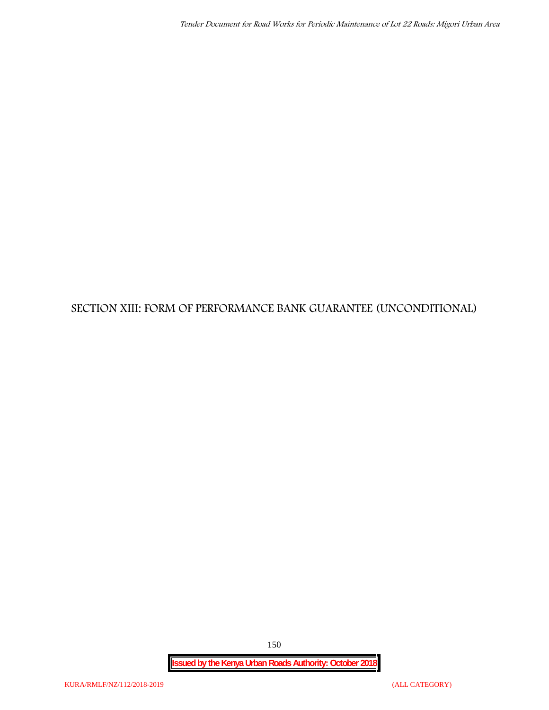# **SECTION XIII: FORM OF PERFORMANCE BANK GUARANTEE (UNCONDITIONAL)**